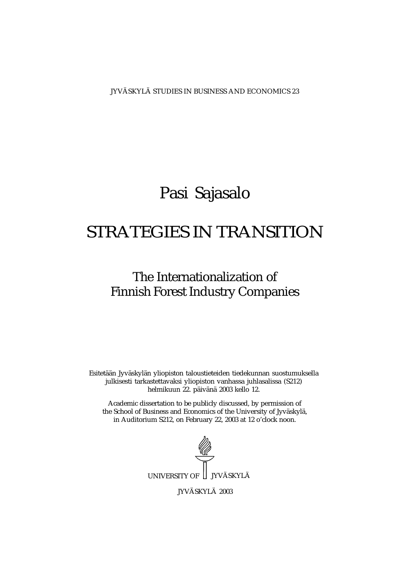JYVÄSKYLÄ STUDIES IN BUSINESS AND ECONOMICS 23

### Pasi Sajasalo

## STRATEGIES IN TRANSITION

### The Internationalization of Finnish Forest Industry Companies

Esitetään Jyväskylän yliopiston taloustieteiden tiedekunnan suostumuksella julkisesti tarkastettavaksi yliopiston vanhassa juhlasalissa (S212) helmikuun 22. päivänä 2003 kello 12.

Academic dissertation to be publicly discussed, by permission of the School of Business and Economics of the University of Jyväskylä, in Auditorium S212, on February 22, 2003 at 12 o'clock noon.



JYVÄSKYLÄ 2003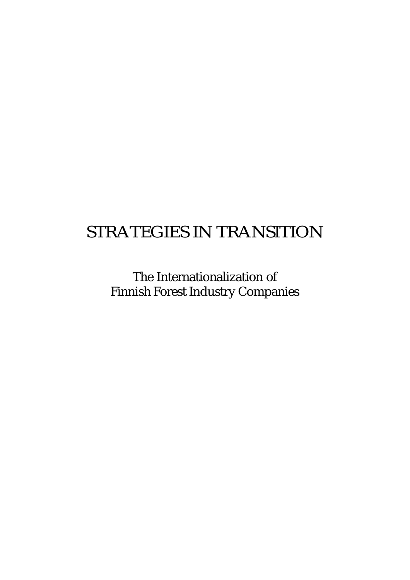## STRATEGIES IN TRANSITION

The Internationalization of Finnish Forest Industry Companies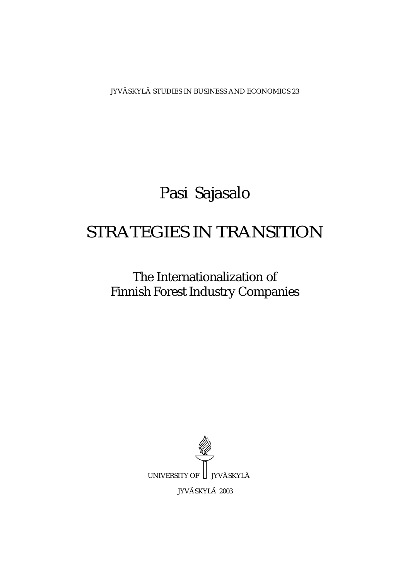JYVÄSKYLÄ STUDIES IN BUSINESS AND ECONOMICS 23

# Pasi Sajasalo

## STRATEGIES IN TRANSITION

The Internationalization of Finnish Forest Industry Companies

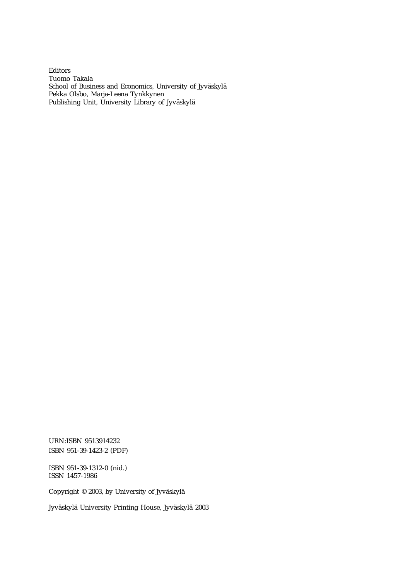Editors Tuomo Takala School of Business and Economics, University of Jyväskylä Pekka Olsbo, Marja-Leena Tynkkynen Publishing Unit, University Library of Jyväskylä

URN:ISBN 9513914232 ISBN 951-39-1423-2 (PDF)

ISBN 951-39-1312-0 (nid.) ISSN 1457-1986

Copyright © 2003, by University of Jyväskylä

Jyväskylä University Printing House, Jyväskylä 2003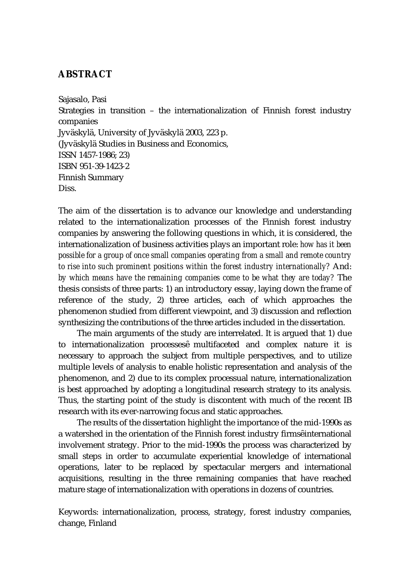#### **ABSTRACT**

Sajasalo, Pasi Strategies in transition – the internationalization of Finnish forest industry companies Jyväskylä, University of Jyväskylä 2003, 223 p. (Jyväskylä Studies in Business and Economics, ISSN 1457-1986; 23) ISBN 951-39-1423-2 Finnish Summary Diss.

The aim of the dissertation is to advance our knowledge and understanding related to the internationalization processes of the Finnish forest industry companies by answering the following questions in which, it is considered, the internationalization of business activities plays an important role: *how has it been possible for a group of once small companies operating from a small and remote country to rise into such prominent positions within the forest industry internationally?* And: *by which means have the remaining companies come to be what they are today?* The thesis consists of three parts: 1) an introductory essay, laying down the frame of reference of the study, 2) three articles, each of which approaches the phenomenon studied from different viewpoint, and 3) discussion and reflection synthesizing the contributions of the three articles included in the dissertation.

 The main arguments of the study are interrelated. It is argued that 1) due to internationalization processes multifaceted and complex nature it is necessary to approach the subject from multiple perspectives, and to utilize multiple levels of analysis to enable holistic representation and analysis of the phenomenon, and 2) due to its complex processual nature, internationalization is best approached by adopting a longitudinal research strategy to its analysis. Thus, the starting point of the study is discontent with much of the recent IB research with its ever-narrowing focus and static approaches.

 The results of the dissertation highlight the importance of the mid-1990s as a watershed in the orientation of the Finnish forest industry firms international involvement strategy. Prior to the mid-1990s the process was characterized by small steps in order to accumulate experiential knowledge of international operations, later to be replaced by spectacular mergers and international acquisitions, resulting in the three remaining companies that have reached mature stage of internationalization with operations in dozens of countries.

Keywords: internationalization, process, strategy, forest industry companies, change, Finland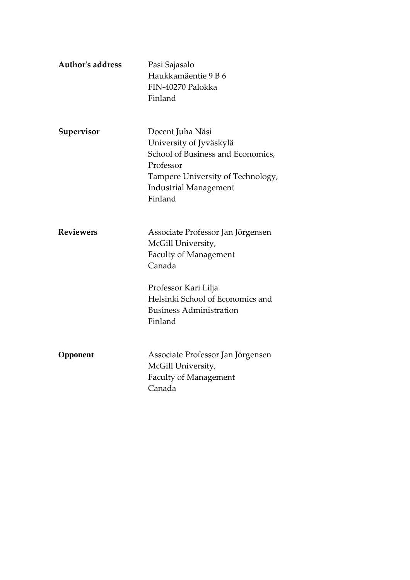| <b>Author's address</b> | Pasi Sajasalo<br>Haukkamäentie 9 B 6<br>FIN-40270 Palokka<br>Finland                                                                                                                                       |
|-------------------------|------------------------------------------------------------------------------------------------------------------------------------------------------------------------------------------------------------|
| Supervisor              | Docent Juha Näsi<br>University of Jyväskylä<br>School of Business and Economics,<br>Professor<br>Tampere University of Technology,<br><b>Industrial Management</b><br>Finland                              |
| <b>Reviewers</b>        | Associate Professor Jan Jörgensen<br>McGill University,<br><b>Faculty of Management</b><br>Canada<br>Professor Kari Lilja<br>Helsinki School of Economics and<br><b>Business Administration</b><br>Finland |
| Opponent                | Associate Professor Jan Jörgensen<br>McGill University,<br><b>Faculty of Management</b><br>Canada                                                                                                          |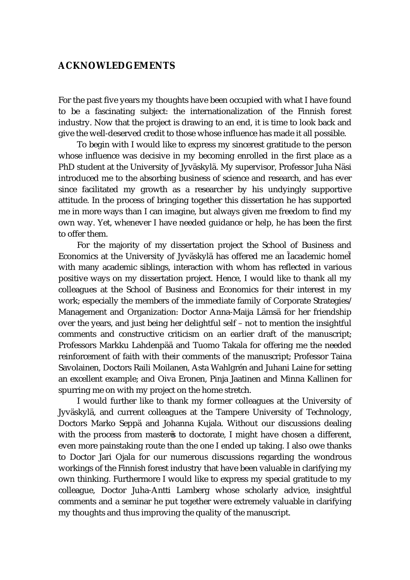#### **ACKNOWLEDGEMENTS**

For the past five years my thoughts have been occupied with what I have found to be a fascinating subject: the internationalization of the Finnish forest industry. Now that the project is drawing to an end, it is time to look back and give the well-deserved credit to those whose influence has made it all possible.

 To begin with I would like to express my sincerest gratitude to the person whose influence was decisive in my becoming enrolled in the first place as a PhD student at the University of Jyväskylä. My supervisor, Professor Juha Näsi introduced me to the absorbing business of science and research, and has ever since facilitated my growth as a researcher by his undyingly supportive attitude. In the process of bringing together this dissertation he has supported me in more ways than I can imagine, but always given me freedom to find my own way. Yet, whenever I have needed guidance or help, he has been the first to offer them.

 For the majority of my dissertation project the School of Business and Economics at the University of Jyväskylä has offered me an academic home with many academic siblings, interaction with whom has reflected in various positive ways on my dissertation project. Hence, I would like to thank all my colleagues at the School of Business and Economics for their interest in my work; especially the members of the immediate family of Corporate Strategies/ Management and Organization: Doctor Anna-Maija Lämsä for her friendship over the years, and just being her delightful self – not to mention the insightful comments and constructive criticism on an earlier draft of the manuscript; Professors Markku Lahdenpää and Tuomo Takala for offering me the needed reinforcement of faith with their comments of the manuscript; Professor Taina Savolainen, Doctors Raili Moilanen, Asta Wahlgrén and Juhani Laine for setting an excellent example; and Oiva Eronen, Pinja Jaatinen and Minna Kallinen for spurring me on with my project on the home stretch.

 I would further like to thank my former colleagues at the University of Jyväskylä, and current colleagues at the Tampere University of Technology, Doctors Marko Seppä and Johanna Kujala. Without our discussions dealing with the process from master s to doctorate, I might have chosen a different, even more painstaking route than the one I ended up taking. I also owe thanks to Doctor Jari Ojala for our numerous discussions regarding the wondrous workings of the Finnish forest industry that have been valuable in clarifying my own thinking. Furthermore I would like to express my special gratitude to my colleague, Doctor Juha-Antti Lamberg whose scholarly advice, insightful comments and a seminar he put together were extremely valuable in clarifying my thoughts and thus improving the quality of the manuscript.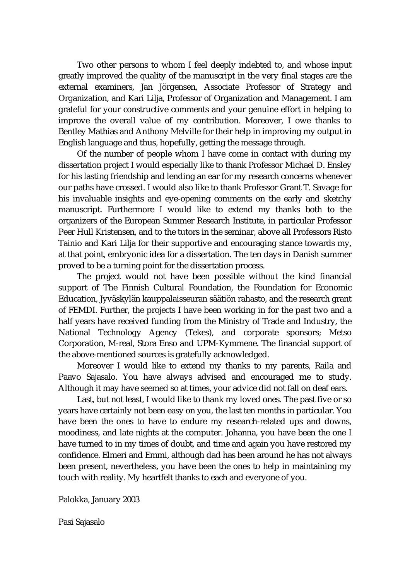Two other persons to whom I feel deeply indebted to, and whose input greatly improved the quality of the manuscript in the very final stages are the external examiners, Jan Jörgensen, Associate Professor of Strategy and Organization, and Kari Lilja, Professor of Organization and Management. I am grateful for your constructive comments and your genuine effort in helping to improve the overall value of my contribution. Moreover, I owe thanks to Bentley Mathias and Anthony Melville for their help in improving my output in English language and thus, hopefully, getting the message through.

 Of the number of people whom I have come in contact with during my dissertation project I would especially like to thank Professor Michael D. Ensley for his lasting friendship and lending an ear for my research concerns whenever our paths have crossed. I would also like to thank Professor Grant T. Savage for his invaluable insights and eye-opening comments on the early and sketchy manuscript. Furthermore I would like to extend my thanks both to the organizers of the European Summer Research Institute, in particular Professor Peer Hull Kristensen, and to the tutors in the seminar, above all Professors Risto Tainio and Kari Lilja for their supportive and encouraging stance towards my, at that point, embryonic idea for a dissertation. The ten days in Danish summer proved to be a turning point for the dissertation process.

 The project would not have been possible without the kind financial support of The Finnish Cultural Foundation, the Foundation for Economic Education, Jyväskylän kauppalaisseuran säätiön rahasto, and the research grant of FEMDI. Further, the projects I have been working in for the past two and a half years have received funding from the Ministry of Trade and Industry, the National Technology Agency (Tekes), and corporate sponsors; Metso Corporation, M-real, Stora Enso and UPM-Kymmene. The financial support of the above-mentioned sources is gratefully acknowledged.

 Moreover I would like to extend my thanks to my parents, Raila and Paavo Sajasalo. You have always advised and encouraged me to study. Although it may have seemed so at times, your advice did not fall on deaf ears.

 Last, but not least, I would like to thank my loved ones. The past five or so years have certainly not been easy on you, the last ten months in particular. You have been the ones to have to endure my research-related ups and downs, moodiness, and late nights at the computer. Johanna, you have been the one I have turned to in my times of doubt, and time and again you have restored my confidence. Elmeri and Emmi, although dad has been around he has not always been present, nevertheless, you have been the ones to help in maintaining my touch with reality. My heartfelt thanks to each and everyone of you.

Palokka, January 2003

Pasi Sajasalo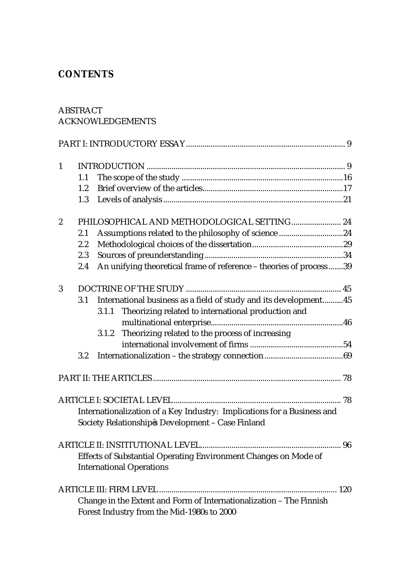### **CONTENTS**

#### ABSTRACT ACKNOWLEDGEMENTS

| $\mathbf{1}$                                                            |         |                                                                        |  |  |
|-------------------------------------------------------------------------|---------|------------------------------------------------------------------------|--|--|
|                                                                         | 1.1     |                                                                        |  |  |
|                                                                         | 1.2     |                                                                        |  |  |
|                                                                         | 1.3     |                                                                        |  |  |
| $\boldsymbol{2}$                                                        |         | PHILOSOPHICAL AND METHODOLOGICAL SETTING 24                            |  |  |
|                                                                         | 2.1     | Assumptions related to the philosophy of science 24                    |  |  |
|                                                                         | 2.2     |                                                                        |  |  |
|                                                                         | 2.3     |                                                                        |  |  |
|                                                                         | 2.4     | An unifying theoretical frame of reference - theories of process39     |  |  |
| 3                                                                       |         |                                                                        |  |  |
|                                                                         | $3.1\,$ | International business as a field of study and its development 45      |  |  |
|                                                                         |         | Theorizing related to international production and<br>3.1.1            |  |  |
|                                                                         |         |                                                                        |  |  |
|                                                                         |         | Theorizing related to the process of increasing<br>3.1.2               |  |  |
|                                                                         |         |                                                                        |  |  |
|                                                                         | 3.2     |                                                                        |  |  |
|                                                                         |         |                                                                        |  |  |
|                                                                         |         |                                                                        |  |  |
| Internationalization of a Key Industry: Implications for a Business and |         |                                                                        |  |  |
|                                                                         |         | Society Relationship s Development - Case Finland                      |  |  |
|                                                                         |         |                                                                        |  |  |
|                                                                         |         | <b>Effects of Substantial Operating Environment Changes on Mode of</b> |  |  |
|                                                                         |         | <b>International Operations</b>                                        |  |  |
|                                                                         |         |                                                                        |  |  |
|                                                                         |         | Change in the Extent and Form of Internationalization - The Finnish    |  |  |
|                                                                         |         | Forest Industry from the Mid-1980s to 2000                             |  |  |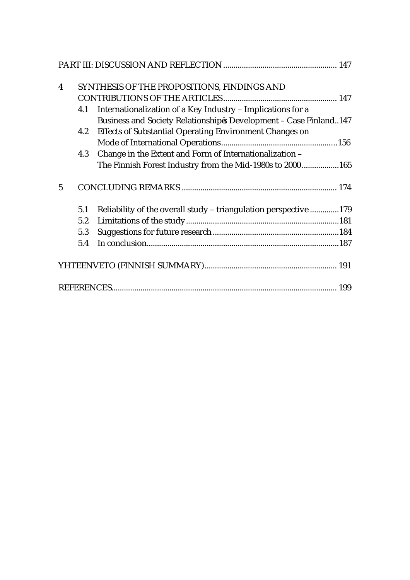| $\overline{\mathbf{4}}$ |     | SYNTHESIS OF THE PROPOSITIONS, FINDINGS AND                       |  |  |
|-------------------------|-----|-------------------------------------------------------------------|--|--|
|                         |     |                                                                   |  |  |
|                         | 4.1 | Internationalization of a Key Industry - Implications for a       |  |  |
|                         |     | Business and Society Relationship s Development - Case Finland147 |  |  |
|                         | 4.2 | <b>Effects of Substantial Operating Environment Changes on</b>    |  |  |
|                         |     |                                                                   |  |  |
|                         | 4.3 | Change in the Extent and Form of Internationalization -           |  |  |
|                         |     | The Finnish Forest Industry from the Mid-1980s to 2000165         |  |  |
| 5                       |     |                                                                   |  |  |
|                         | 5.1 | Reliability of the overall study - triangulation perspective 179  |  |  |
|                         | 5.2 |                                                                   |  |  |
|                         | 5.3 |                                                                   |  |  |
|                         | 5.4 |                                                                   |  |  |
|                         |     |                                                                   |  |  |
|                         |     |                                                                   |  |  |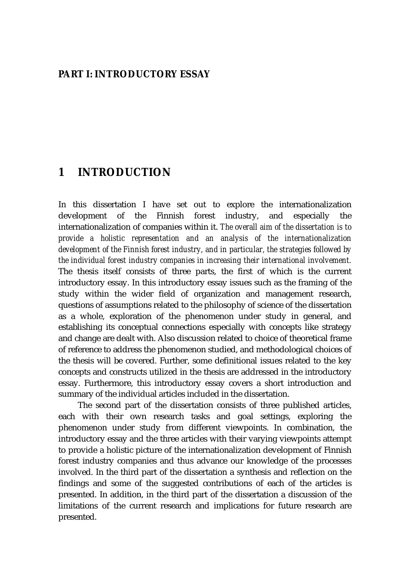#### **PART I: INTRODUCTORY ESSAY**

#### **1 INTRODUCTION**

In this dissertation I have set out to explore the internationalization development of the Finnish forest industry, and especially the internationalization of companies within it. *The overall aim of the dissertation is to provide a holistic representation and an analysis of the internationalization development of the Finnish forest industry, and in particular, the strategies followed by the individual forest industry companies in increasing their international involvement.* The thesis itself consists of three parts, the first of which is the current introductory essay. In this introductory essay issues such as the framing of the study within the wider field of organization and management research, questions of assumptions related to the philosophy of science of the dissertation as a whole, exploration of the phenomenon under study in general, and establishing its conceptual connections especially with concepts like strategy and change are dealt with. Also discussion related to choice of theoretical frame of reference to address the phenomenon studied, and methodological choices of the thesis will be covered. Further, some definitional issues related to the key concepts and constructs utilized in the thesis are addressed in the introductory essay. Furthermore, this introductory essay covers a short introduction and summary of the individual articles included in the dissertation.

The second part of the dissertation consists of three published articles, each with their own research tasks and goal settings, exploring the phenomenon under study from different viewpoints. In combination, the introductory essay and the three articles with their varying viewpoints attempt to provide a holistic picture of the internationalization development of Finnish forest industry companies and thus advance our knowledge of the processes involved. In the third part of the dissertation a synthesis and reflection on the findings and some of the suggested contributions of each of the articles is presented. In addition, in the third part of the dissertation a discussion of the limitations of the current research and implications for future research are presented.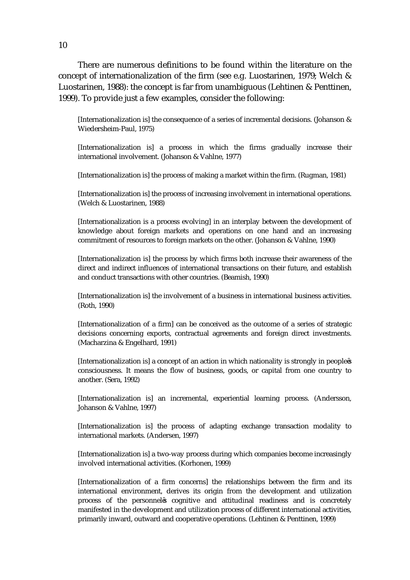There are numerous definitions to be found within the literature on the concept of internationalization of the firm (see e.g. Luostarinen, 1979; Welch & Luostarinen, 1988): the concept is far from unambiguous (Lehtinen & Penttinen, 1999). To provide just a few examples, consider the following:

[Internationalization is] the consequence of a series of incremental decisions. (Johanson & Wiedersheim-Paul, 1975)

[Internationalization is] a process in which the firms gradually increase their international involvement. (Johanson & Vahlne, 1977)

[Internationalization is] the process of making a market within the firm. (Rugman, 1981)

[Internationalization is] the process of increasing involvement in international operations. (Welch & Luostarinen, 1988)

[Internationalization is a process evolving] in an interplay between the development of knowledge about foreign markets and operations on one hand and an increasing commitment of resources to foreign markets on the other. (Johanson & Vahlne, 1990)

[Internationalization is] the process by which firms both increase their awareness of the direct and indirect influences of international transactions on their future, and establish and conduct transactions with other countries. (Beamish, 1990)

[Internationalization is] the involvement of a business in international business activities. (Roth, 1990)

[Internationalization of a firm] can be conceived as the outcome of a series of strategic decisions concerning exports, contractual agreements and foreign direct investments. (Macharzina & Engelhard, 1991)

[Internationalization is] a concept of an action in which nationality is strongly in people s consciousness. It means the flow of business, goods, or capital from one country to another. (Sera, 1992)

[Internationalization is] an incremental, experiential learning process. (Andersson, Johanson & Vahlne, 1997)

[Internationalization is] the process of adapting exchange transaction modality to international markets. (Andersen, 1997)

[Internationalization is] a two-way process during which companies become increasingly involved international activities. (Korhonen, 1999)

[Internationalization of a firm concerns] the relationships between the firm and its international environment, derives its origin from the development and utilization process of the personnel s cognitive and attitudinal readiness and is concretely manifested in the development and utilization process of different international activities, primarily inward, outward and cooperative operations. (Lehtinen & Penttinen, 1999)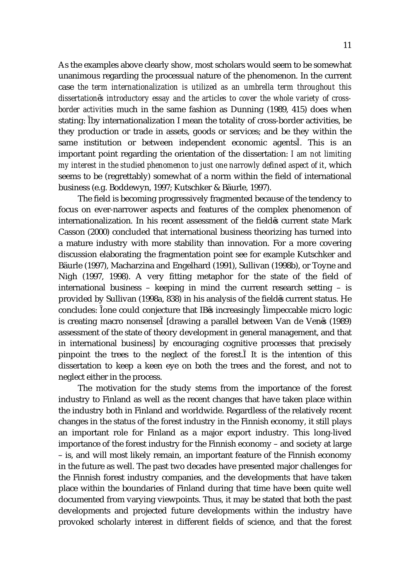As the examples above clearly show, most scholars would seem to be somewhat unanimous regarding the processual nature of the phenomenon. In the current case *the term internationalization is utilized as an umbrella term throughout this dissertation s introductory essay and the articles to cover the whole variety of crossborder activities* much in the same fashion as Dunning (1989, 415) does when stating: by internationalization I mean the totality of cross-border activities, be they production or trade in assets, goods or services; and be they within the same institution or between independent economic agents . This is an important point regarding the orientation of the dissertation: *I am not limiting my interest in the studied phenomenon to just one narrowly defined aspect of it*, which seems to be (regrettably) somewhat of a norm within the field of international business (e.g. Boddewyn, 1997; Kutschker & Bäurle, 1997).

The field is becoming progressively fragmented because of the tendency to focus on ever-narrower aspects and features of the complex phenomenon of internationalization. In his recent assessment of the field s current state Mark Casson (2000) concluded that international business theorizing has turned into a mature industry with more stability than innovation. For a more covering discussion elaborating the fragmentation point see for example Kutschker and Bäurle (1997), Macharzina and Engelhard (1991), Sullivan (1998b), or Toyne and Nigh (1997, 1998). A very fitting metaphor for the state of the field of international business – keeping in mind the current research setting – is provided by Sullivan (1998a, 838) in his analysis of the field s current status. He concludes: one could conjecture that IB s increasingly impeccable micro logic is creating macro nonsense [drawing a parallel between Van de Ven s (1989) assessment of the state of theory development in general management, and that in international business] by encouraging cognitive processes that precisely pinpoint the trees to the neglect of the forest. It is the intention of this dissertation to keep a keen eye on both the trees and the forest, and not to neglect either in the process.

The motivation for the study stems from the importance of the forest industry to Finland as well as the recent changes that have taken place within the industry both in Finland and worldwide. Regardless of the relatively recent changes in the status of the forest industry in the Finnish economy, it still plays an important role for Finland as a major export industry. This long-lived importance of the forest industry for the Finnish economy – and society at large – is, and will most likely remain, an important feature of the Finnish economy in the future as well. The past two decades have presented major challenges for the Finnish forest industry companies, and the developments that have taken place within the boundaries of Finland during that time have been quite well documented from varying viewpoints. Thus, it may be stated that both the past developments and projected future developments within the industry have provoked scholarly interest in different fields of science, and that the forest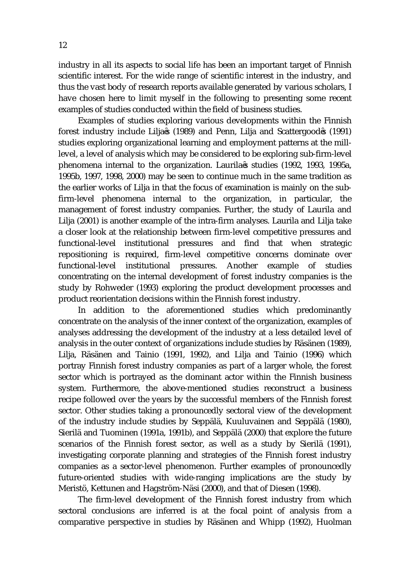industry in all its aspects to social life has been an important target of Finnish scientific interest. For the wide range of scientific interest in the industry, and thus the vast body of research reports available generated by various scholars, I have chosen here to limit myself in the following to presenting some recent examples of studies conducted within the field of business studies.

Examples of studies exploring various developments within the Finnish forest industry include Lilja s (1989) and Penn, Lilja and Scattergood s (1991) studies exploring organizational learning and employment patterns at the milllevel, a level of analysis which may be considered to be exploring sub-firm-level phenomena internal to the organization. Laurila s studies (1992, 1993, 1995a, 1995b, 1997, 1998, 2000) may be seen to continue much in the same tradition as the earlier works of Lilja in that the focus of examination is mainly on the subfirm-level phenomena internal to the organization, in particular, the management of forest industry companies. Further, the study of Laurila and Lilja (2001) is another example of the intra-firm analyses. Laurila and Lilja take a closer look at the relationship between firm-level competitive pressures and functional-level institutional pressures and find that when strategic repositioning is required, firm-level competitive concerns dominate over functional-level institutional pressures. Another example of studies concentrating on the internal development of forest industry companies is the study by Rohweder (1993) exploring the product development processes and product reorientation decisions within the Finnish forest industry.

In addition to the aforementioned studies which predominantly concentrate on the analysis of the inner context of the organization, examples of analyses addressing the development of the industry at a less detailed level of analysis in the outer context of organizations include studies by Räsänen (1989), Lilja, Räsänen and Tainio (1991, 1992), and Lilja and Tainio (1996) which portray Finnish forest industry companies as part of a larger whole, the forest sector which is portrayed as the dominant actor within the Finnish business system. Furthermore, the above-mentioned studies reconstruct a business recipe followed over the years by the successful members of the Finnish forest sector. Other studies taking a pronouncedly sectoral view of the development of the industry include studies by Seppälä, Kuuluvainen and Seppälä (1980), Sierilä and Tuominen (1991a, 1991b), and Seppälä (2000) that explore the future scenarios of the Finnish forest sector, as well as a study by Sierilä (1991), investigating corporate planning and strategies of the Finnish forest industry companies as a sector-level phenomenon. Further examples of pronouncedly future-oriented studies with wide-ranging implications are the study by Meristö, Kettunen and Hagström-Näsi (2000), and that of Diesen (1998).

The firm-level development of the Finnish forest industry from which sectoral conclusions are inferred is at the focal point of analysis from a comparative perspective in studies by Räsänen and Whipp (1992), Huolman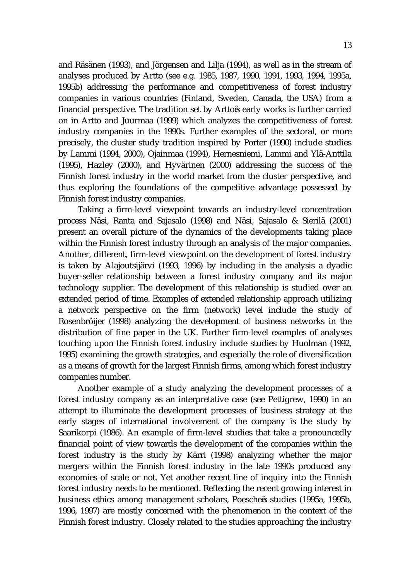and Räsänen (1993), and Jörgensen and Lilja (1994), as well as in the stream of analyses produced by Artto (see e.g. 1985, 1987, 1990, 1991, 1993, 1994, 1995a, 1995b) addressing the performance and competitiveness of forest industry companies in various countries (Finland, Sweden, Canada, the USA) from a financial perspective. The tradition set by Artto s early works is further carried on in Artto and Juurmaa (1999) which analyzes the competitiveness of forest industry companies in the 1990s. Further examples of the sectoral, or more precisely, the cluster study tradition inspired by Porter (1990) include studies by Lammi (1994, 2000), Ojainmaa (1994), Hernesniemi, Lammi and Ylä-Anttila (1995), Hazley (2000), and Hyvärinen (2000) addressing the success of the Finnish forest industry in the world market from the cluster perspective, and thus exploring the foundations of the competitive advantage possessed by Finnish forest industry companies.

Taking a firm-level viewpoint towards an industry-level concentration process Näsi, Ranta and Sajasalo (1998) and Näsi, Sajasalo & Sierilä (2001) present an overall picture of the dynamics of the developments taking place within the Finnish forest industry through an analysis of the major companies. Another, different, firm-level viewpoint on the development of forest industry is taken by Alajoutsijärvi (1993, 1996) by including in the analysis a dyadic buyer-seller relationship between a forest industry company and its major technology supplier. The development of this relationship is studied over an extended period of time. Examples of extended relationship approach utilizing a network perspective on the firm (network) level include the study of Rosenbröijer (1998) analyzing the development of business networks in the distribution of fine paper in the UK. Further firm-level examples of analyses touching upon the Finnish forest industry include studies by Huolman (1992, 1995) examining the growth strategies, and especially the role of diversification as a means of growth for the largest Finnish firms, among which forest industry companies number.

Another example of a study analyzing the development processes of a forest industry company as an interpretative case (see Pettigrew, 1990) in an attempt to illuminate the development processes of business strategy at the early stages of international involvement of the company is the study by Saarikorpi (1986). An example of firm-level studies that take a pronouncedly financial point of view towards the development of the companies within the forest industry is the study by Kärri (1998) analyzing whether the major mergers within the Finnish forest industry in the late 1990s produced any economies of scale or not. Yet another recent line of inquiry into the Finnish forest industry needs to be mentioned. Reflecting the recent growing interest in business ethics among management scholars, Poesche s studies (1995a, 1995b, 1996, 1997) are mostly concerned with the phenomenon in the context of the Finnish forest industry. Closely related to the studies approaching the industry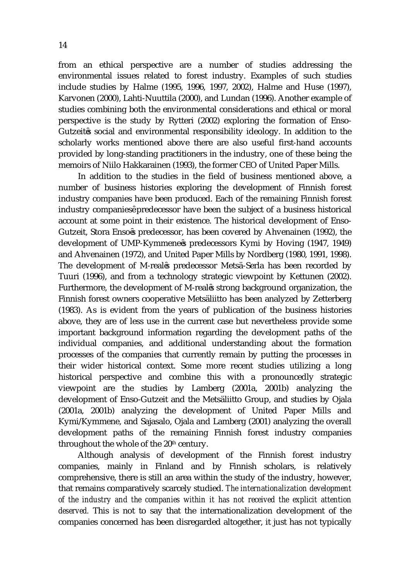from an ethical perspective are a number of studies addressing the environmental issues related to forest industry. Examples of such studies include studies by Halme (1995, 1996, 1997, 2002), Halme and Huse (1997), Karvonen (2000), Lahti-Nuuttila (2000), and Lundan (1996). Another example of studies combining both the environmental considerations and ethical or moral perspective is the study by Rytteri (2002) exploring the formation of Enso-Gutzeit s social and environmental responsibility ideology. In addition to the scholarly works mentioned above there are also useful first-hand accounts provided by long-standing practitioners in the industry, one of these being the memoirs of Niilo Hakkarainen (1993), the former CEO of United Paper Mills.

In addition to the studies in the field of business mentioned above, a number of business histories exploring the development of Finnish forest industry companies have been produced. Each of the remaining Finnish forest industry companies predecessor have been the subject of a business historical account at some point in their existence. The historical development of Enso-Gutzeit, Stora Enso s predecessor, has been covered by Ahvenainen (1992), the development of UMP-Kymmene s predecessors Kymi by Hoving (1947, 1949) and Ahvenainen (1972), and United Paper Mills by Nordberg (1980, 1991, 1998). The development of M-real s predecessor Metsä-Serla has been recorded by Tuuri (1996), and from a technology strategic viewpoint by Kettunen (2002). Furthermore, the development of M-real s strong background organization, the Finnish forest owners cooperative Metsäliitto has been analyzed by Zetterberg (1983). As is evident from the years of publication of the business histories above, they are of less use in the current case but nevertheless provide some important background information regarding the development paths of the individual companies, and additional understanding about the formation processes of the companies that currently remain by putting the processes in their wider historical context. Some more recent studies utilizing a long historical perspective and combine this with a pronouncedly strategic viewpoint are the studies by Lamberg (2001a, 2001b) analyzing the development of Enso-Gutzeit and the Metsäliitto Group, and studies by Ojala (2001a, 2001b) analyzing the development of United Paper Mills and Kymi/Kymmene, and Sajasalo, Ojala and Lamberg (2001) analyzing the overall development paths of the remaining Finnish forest industry companies throughout the whole of the 20<sup>th</sup> century.

Although analysis of development of the Finnish forest industry companies, mainly in Finland and by Finnish scholars, is relatively comprehensive, there is still an area within the study of the industry, however, that remains comparatively scarcely studied. *The internationalization development of the industry and the companies within it has not received the explicit attention deserved.* This is not to say that the internationalization development of the companies concerned has been disregarded altogether, it just has not typically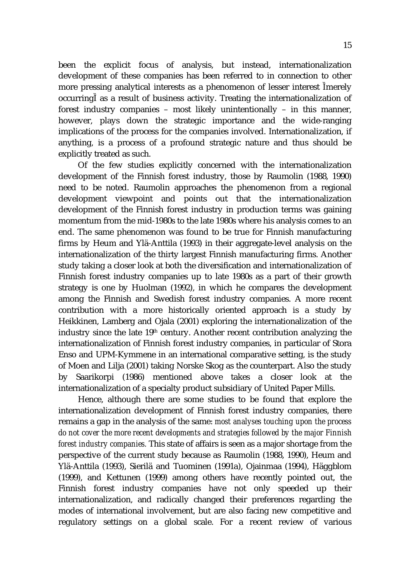been the explicit focus of analysis, but instead, internationalization development of these companies has been referred to in connection to other more pressing analytical interests as a phenomenon of lesser interest merely occurring as a result of business activity. Treating the internationalization of forest industry companies – most likely unintentionally – in this manner, however, plays down the strategic importance and the wide-ranging implications of the process for the companies involved. Internationalization, if anything, is a process of a profound strategic nature and thus should be explicitly treated as such.

Of the few studies explicitly concerned with the internationalization development of the Finnish forest industry, those by Raumolin (1988, 1990) need to be noted. Raumolin approaches the phenomenon from a regional development viewpoint and points out that the internationalization development of the Finnish forest industry in production terms was gaining momentum from the mid-1980s to the late 1980s where his analysis comes to an end. The same phenomenon was found to be true for Finnish manufacturing firms by Heum and Ylä-Anttila (1993) in their aggregate-level analysis on the internationalization of the thirty largest Finnish manufacturing firms. Another study taking a closer look at both the diversification and internationalization of Finnish forest industry companies up to late 1980s as a part of their growth strategy is one by Huolman (1992), in which he compares the development among the Finnish and Swedish forest industry companies. A more recent contribution with a more historically oriented approach is a study by Heikkinen, Lamberg and Ojala (2001) exploring the internationalization of the industry since the late 19<sup>th</sup> century. Another recent contribution analyzing the internationalization of Finnish forest industry companies, in particular of Stora Enso and UPM-Kymmene in an international comparative setting, is the study of Moen and Lilja (2001) taking Norske Skog as the counterpart. Also the study by Saarikorpi (1986) mentioned above takes a closer look at the internationalization of a specialty product subsidiary of United Paper Mills.

Hence, although there are some studies to be found that explore the internationalization development of Finnish forest industry companies, there remains a gap in the analysis of the same: *most analyses touching upon the process do not cover the more recent developments and strategies followed by the major Finnish forest industry companies.* This state of affairs is seen as a major shortage from the perspective of the current study because as Raumolin (1988, 1990), Heum and Ylä-Anttila (1993), Sierilä and Tuominen (1991a), Ojainmaa (1994), Häggblom (1999), and Kettunen (1999) among others have recently pointed out, the Finnish forest industry companies have not only speeded up their internationalization, and radically changed their preferences regarding the modes of international involvement, but are also facing new competitive and regulatory settings on a global scale. For a recent review of various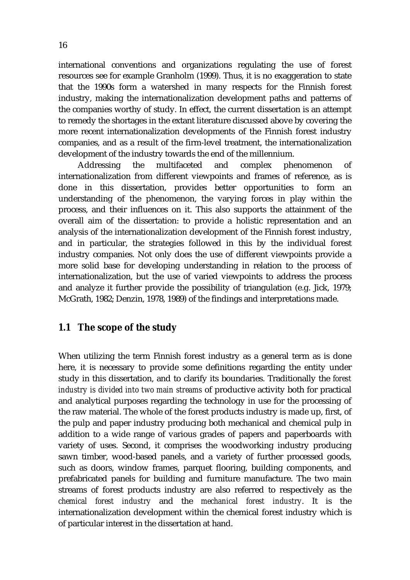international conventions and organizations regulating the use of forest resources see for example Granholm (1999). Thus, it is no exaggeration to state that the 1990s form a watershed in many respects for the Finnish forest industry, making the internationalization development paths and patterns of the companies worthy of study. In effect, the current dissertation is an attempt to remedy the shortages in the extant literature discussed above by covering the more recent internationalization developments of the Finnish forest industry companies, and as a result of the firm-level treatment, the internationalization development of the industry towards the end of the millennium.

Addressing the multifaceted and complex phenomenon of internationalization from different viewpoints and frames of reference, as is done in this dissertation, provides better opportunities to form an understanding of the phenomenon, the varying forces in play within the process, and their influences on it. This also supports the attainment of the overall aim of the dissertation: to provide a holistic representation and an analysis of the internationalization development of the Finnish forest industry, and in particular, the strategies followed in this by the individual forest industry companies. Not only does the use of different viewpoints provide a more solid base for developing understanding in relation to the process of internationalization, but the use of varied viewpoints to address the process and analyze it further provide the possibility of triangulation (e.g. Jick, 1979; McGrath, 1982; Denzin, 1978, 1989) of the findings and interpretations made.

#### **1.1 The scope of the study**

When utilizing the term Finnish forest industry as a general term as is done here, it is necessary to provide some definitions regarding the entity under study in this dissertation, and to clarify its boundaries. Traditionally the *forest industry is divided into two main streams* of productive activity both for practical and analytical purposes regarding the technology in use for the processing of the raw material. The whole of the forest products industry is made up, first, of the pulp and paper industry producing both mechanical and chemical pulp in addition to a wide range of various grades of papers and paperboards with variety of uses. Second, it comprises the woodworking industry producing sawn timber, wood-based panels, and a variety of further processed goods, such as doors, window frames, parquet flooring, building components, and prefabricated panels for building and furniture manufacture. The two main streams of forest products industry are also referred to respectively as the *chemical forest industry* and the *mechanical forest industry*. It is the internationalization development within the chemical forest industry which is of particular interest in the dissertation at hand.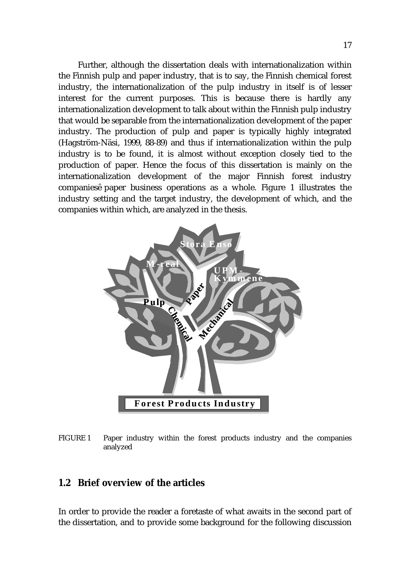Further, although the dissertation deals with internationalization within the Finnish pulp and paper industry, that is to say, the Finnish chemical forest industry, the internationalization of the pulp industry in itself is of lesser interest for the current purposes. This is because there is hardly any internationalization development to talk about within the Finnish pulp industry that would be separable from the internationalization development of the paper industry. The production of pulp and paper is typically highly integrated (Hagström-Näsi, 1999, 88-89) and thus if internationalization within the pulp industry is to be found, it is almost without exception closely tied to the production of paper. Hence the focus of this dissertation is mainly on the internationalization development of the major Finnish forest industry companies paper business operations as a whole. Figure 1 illustrates the industry setting and the target industry, the development of which, and the companies within which, are analyzed in the thesis.



FIGURE 1 Paper industry within the forest products industry and the companies analyzed

#### **1.2 Brief overview of the articles**

In order to provide the reader a foretaste of what awaits in the second part of the dissertation, and to provide some background for the following discussion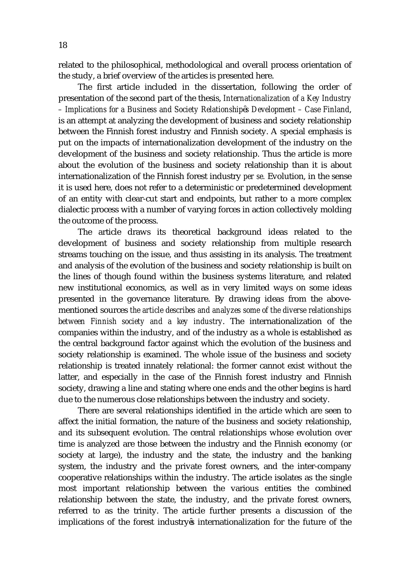related to the philosophical, methodological and overall process orientation of the study, a brief overview of the articles is presented here.

The first article included in the dissertation, following the order of presentation of the second part of the thesis, *Internationalization of a Key Industry – Implications for a Business and Society Relationship s Development – Case Finland*, is an attempt at analyzing the development of business and society relationship between the Finnish forest industry and Finnish society. A special emphasis is put on the impacts of internationalization development of the industry on the development of the business and society relationship. Thus the article is more about the evolution of the business and society relationship than it is about internationalization of the Finnish forest industry *per se.* Evolution, in the sense it is used here, does not refer to a deterministic or predetermined development of an entity with clear-cut start and endpoints, but rather to a more complex dialectic process with a number of varying forces in action collectively molding the outcome of the process.

The article draws its theoretical background ideas related to the development of business and society relationship from multiple research streams touching on the issue, and thus assisting in its analysis. The treatment and analysis of the evolution of the business and society relationship is built on the lines of though found within the business systems literature, and related new institutional economics, as well as in very limited ways on some ideas presented in the governance literature. By drawing ideas from the abovementioned sources *the article describes and analyzes some of the diverse relationships between Finnish society and a key industry*. The internationalization of the companies within the industry, and of the industry as a whole is established as the central background factor against which the evolution of the business and society relationship is examined. The whole issue of the business and society relationship is treated innately relational: the former cannot exist without the latter, and especially in the case of the Finnish forest industry and Finnish society, drawing a line and stating where one ends and the other begins is hard due to the numerous close relationships between the industry and society.

There are several relationships identified in the article which are seen to affect the initial formation, the nature of the business and society relationship, and its subsequent evolution. The central relationships whose evolution over time is analyzed are those between the industry and the Finnish economy (or society at large), the industry and the state, the industry and the banking system, the industry and the private forest owners, and the inter-company cooperative relationships within the industry. The article isolates as the single most important relationship between the various entities the combined relationship between the state, the industry, and the private forest owners, referred to as the trinity. The article further presents a discussion of the implications of the forest industry s internationalization for the future of the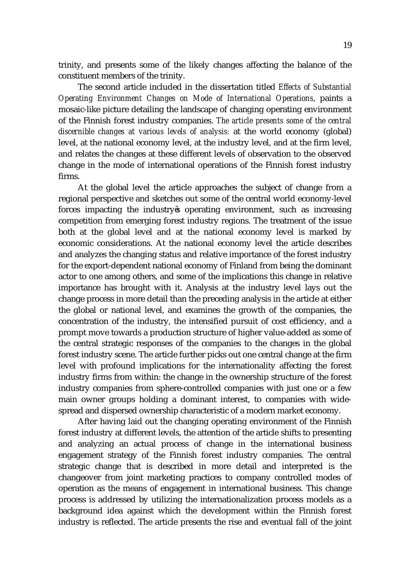trinity, and presents some of the likely changes affecting the balance of the constituent members of the trinity.

The second article included in the dissertation titled *Effects of Substantial Operating Environment Changes on Mode of International Operations*, paints a mosaic-like picture detailing the landscape of changing operating environment of the Finnish forest industry companies. *The article presents some of the central discernible changes at various levels of analysis:* at the world economy (global) level, at the national economy level, at the industry level, and at the firm level, and relates the changes at these different levels of observation to the observed change in the mode of international operations of the Finnish forest industry firms.

At the global level the article approaches the subject of change from a regional perspective and sketches out some of the central world economy-level forces impacting the industry s operating environment, such as increasing competition from emerging forest industry regions. The treatment of the issue both at the global level and at the national economy level is marked by economic considerations. At the national economy level the article describes and analyzes the changing status and relative importance of the forest industry for the export-dependent national economy of Finland from being the dominant actor to one among others, and some of the implications this change in relative importance has brought with it. Analysis at the industry level lays out the change process in more detail than the preceding analysis in the article at either the global or national level, and examines the growth of the companies, the concentration of the industry, the intensified pursuit of cost efficiency, and a prompt move towards a production structure of higher value-added as some of the central strategic responses of the companies to the changes in the global forest industry scene. The article further picks out one central change at the firm level with profound implications for the internationality affecting the forest industry firms from within: the change in the ownership structure of the forest industry companies from sphere-controlled companies with just one or a few main owner groups holding a dominant interest, to companies with widespread and dispersed ownership characteristic of a modern market economy.

After having laid out the changing operating environment of the Finnish forest industry at different levels, the attention of the article shifts to presenting and analyzing an actual process of change in the international business engagement strategy of the Finnish forest industry companies. The central strategic change that is described in more detail and interpreted is the changeover from joint marketing practices to company controlled modes of operation as the means of engagement in international business. This change process is addressed by utilizing the internationalization process models as a background idea against which the development within the Finnish forest industry is reflected. The article presents the rise and eventual fall of the joint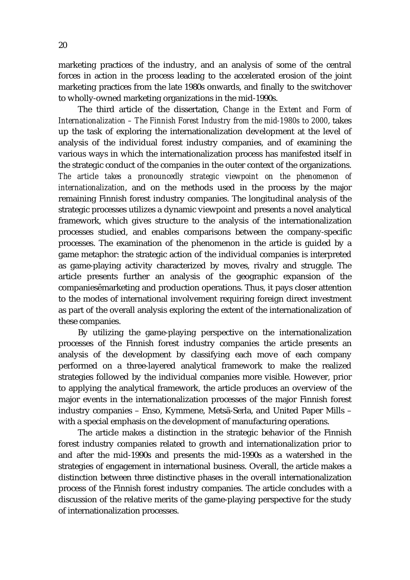marketing practices of the industry, and an analysis of some of the central forces in action in the process leading to the accelerated erosion of the joint marketing practices from the late 1980s onwards, and finally to the switchover to wholly-owned marketing organizations in the mid-1990s.

The third article of the dissertation, *Change in the Extent and Form of Internationalization – The Finnish Forest Industry from the mid-1980s to 2000*, takes up the task of exploring the internationalization development at the level of analysis of the individual forest industry companies, and of examining the various ways in which the internationalization process has manifested itself in the strategic conduct of the companies in the outer context of the organizations. *The article takes a pronouncedly strategic viewpoint on the phenomenon of internationalization*, and on the methods used in the process by the major remaining Finnish forest industry companies. The longitudinal analysis of the strategic processes utilizes a dynamic viewpoint and presents a novel analytical framework, which gives structure to the analysis of the internationalization processes studied, and enables comparisons between the company-specific processes. The examination of the phenomenon in the article is guided by a game metaphor: the strategic action of the individual companies is interpreted as game-playing activity characterized by moves, rivalry and struggle. The article presents further an analysis of the geographic expansion of the companies marketing and production operations. Thus, it pays closer attention to the modes of international involvement requiring foreign direct investment as part of the overall analysis exploring the extent of the internationalization of these companies.

By utilizing the game-playing perspective on the internationalization processes of the Finnish forest industry companies the article presents an analysis of the development by classifying each move of each company performed on a three-layered analytical framework to make the realized strategies followed by the individual companies more visible. However, prior to applying the analytical framework, the article produces an overview of the major events in the internationalization processes of the major Finnish forest industry companies – Enso, Kymmene, Metsä-Serla, and United Paper Mills – with a special emphasis on the development of manufacturing operations.

The article makes a distinction in the strategic behavior of the Finnish forest industry companies related to growth and internationalization prior to and after the mid-1990s and presents the mid-1990s as a watershed in the strategies of engagement in international business. Overall, the article makes a distinction between three distinctive phases in the overall internationalization process of the Finnish forest industry companies. The article concludes with a discussion of the relative merits of the game-playing perspective for the study of internationalization processes.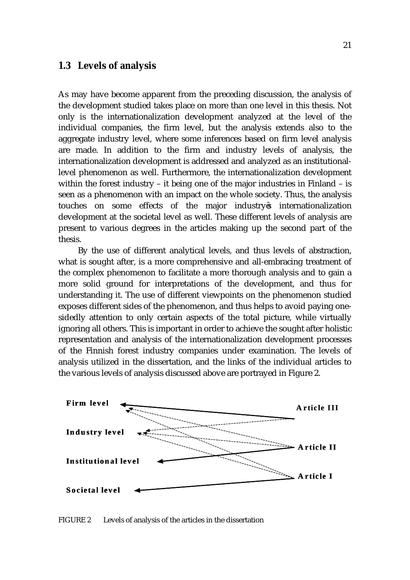#### **1.3 Levels of analysis**

As may have become apparent from the preceding discussion, the analysis of the development studied takes place on more than one level in this thesis. Not only is the internationalization development analyzed at the level of the individual companies, the firm level, but the analysis extends also to the aggregate industry level, where some inferences based on firm level analysis are made. In addition to the firm and industry levels of analysis, the internationalization development is addressed and analyzed as an institutionallevel phenomenon as well. Furthermore, the internationalization development within the forest industry – it being one of the major industries in Finland – is seen as a phenomenon with an impact on the whole society. Thus, the analysis touches on some effects of the major industry s internationalization development at the societal level as well. These different levels of analysis are present to various degrees in the articles making up the second part of the thesis.

By the use of different analytical levels, and thus levels of abstraction, what is sought after, is a more comprehensive and all-embracing treatment of the complex phenomenon to facilitate a more thorough analysis and to gain a more solid ground for interpretations of the development, and thus for understanding it. The use of different viewpoints on the phenomenon studied exposes different sides of the phenomenon, and thus helps to avoid paying onesidedly attention to only certain aspects of the total picture, while virtually ignoring all others. This is important in order to achieve the sought after holistic representation and analysis of the internationalization development processes of the Finnish forest industry companies under examination. The levels of analysis utilized in the dissertation, and the links of the individual articles to the various levels of analysis discussed above are portrayed in Figure 2.



FIGURE 2 Levels of analysis of the articles in the dissertation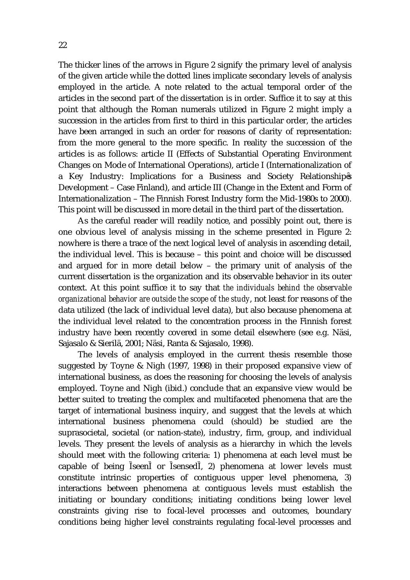The thicker lines of the arrows in Figure 2 signify the primary level of analysis of the given article while the dotted lines implicate secondary levels of analysis employed in the article. A note related to the actual temporal order of the articles in the second part of the dissertation is in order. Suffice it to say at this point that although the Roman numerals utilized in Figure 2 might imply a succession in the articles from first to third in this particular order, the articles have been arranged in such an order for reasons of clarity of representation: from the more general to the more specific. In reality the succession of the articles is as follows: article II (Effects of Substantial Operating Environment Changes on Mode of International Operations), article I (Internationalization of a Key Industry: Implications for a Business and Society Relationship s Development – Case Finland), and article III (Change in the Extent and Form of Internationalization – The Finnish Forest Industry form the Mid-1980s to 2000). This point will be discussed in more detail in the third part of the dissertation.

As the careful reader will readily notice, and possibly point out, there is one obvious level of analysis missing in the scheme presented in Figure 2: nowhere is there a trace of the next logical level of analysis in ascending detail, the individual level. This is because – this point and choice will be discussed and argued for in more detail below – the primary unit of analysis of the current dissertation is the organization and its observable behavior in its outer context. At this point suffice it to say that *the individuals behind the observable organizational behavior are outside the scope of the study*, not least for reasons of the data utilized (the lack of individual level data), but also because phenomena at the individual level related to the concentration process in the Finnish forest industry have been recently covered in some detail elsewhere (see e.g. Näsi, Sajasalo & Sierilä, 2001; Näsi, Ranta & Sajasalo, 1998).

The levels of analysis employed in the current thesis resemble those suggested by Toyne & Nigh (1997, 1998) in their proposed expansive view of international business, as does the reasoning for choosing the levels of analysis employed. Toyne and Nigh (ibid.) conclude that an expansive view would be better suited to treating the complex and multifaceted phenomena that are the target of international business inquiry, and suggest that the levels at which international business phenomena could (should) be studied are the suprasocietal, societal (or nation-state), industry, firm, group, and individual levels. They present the levels of analysis as a hierarchy in which the levels should meet with the following criteria: 1) phenomena at each level must be capable of being seen or sensed , 2) phenomena at lower levels must constitute intrinsic properties of contiguous upper level phenomena, 3) interactions between phenomena at contiguous levels must establish the initiating or boundary conditions; initiating conditions being lower level constraints giving rise to focal-level processes and outcomes, boundary conditions being higher level constraints regulating focal-level processes and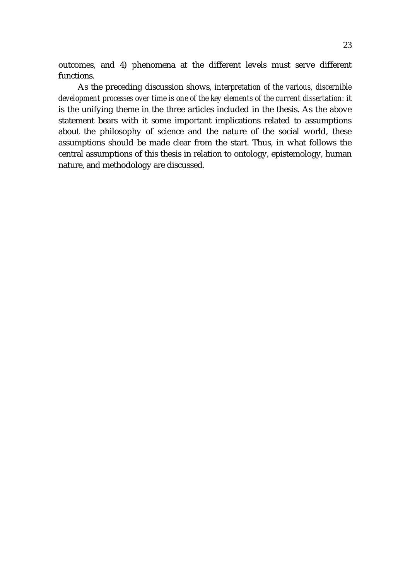outcomes, and 4) phenomena at the different levels must serve different functions.

As the preceding discussion shows, *interpretation of the various, discernible development processes over time is one of the key elements of the current dissertation:* it is the unifying theme in the three articles included in the thesis. As the above statement bears with it some important implications related to assumptions about the philosophy of science and the nature of the social world, these assumptions should be made clear from the start. Thus, in what follows the central assumptions of this thesis in relation to ontology, epistemology, human nature, and methodology are discussed.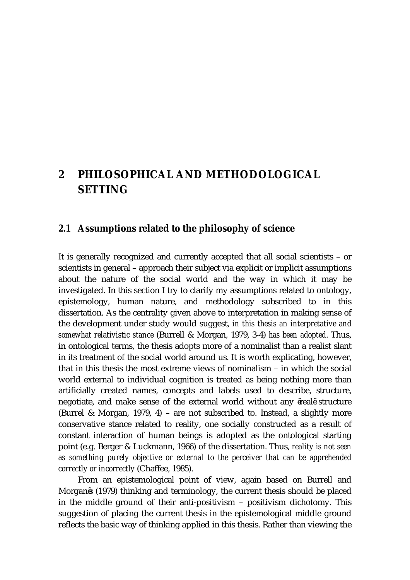### **2 PHILOSOPHICAL AND METHODOLOGICAL SETTING**

#### **2.1 Assumptions related to the philosophy of science**

It is generally recognized and currently accepted that all social scientists – or scientists in general – approach their subject via explicit or implicit assumptions about the nature of the social world and the way in which it may be investigated. In this section I try to clarify my assumptions related to ontology, epistemology, human nature, and methodology subscribed to in this dissertation. As the centrality given above to interpretation in making sense of the development under study would suggest, *in this thesis an interpretative and somewhat relativistic stance* (Burrell & Morgan, 1979, 3-4) *has been adopted*. Thus, in ontological terms, the thesis adopts more of a nominalist than a realist slant in its treatment of the social world around us. It is worth explicating, however, that in this thesis the most extreme views of nominalism – in which the social world external to individual cognition is treated as being nothing more than artificially created names, concepts and labels used to describe, structure, negotiate, and make sense of the external world without any real structure (Burrel & Morgan, 1979, 4) – are not subscribed to. Instead, a slightly more conservative stance related to reality, one socially constructed as a result of constant interaction of human beings is adopted as the ontological starting point (e.g. Berger & Luckmann, 1966) of the dissertation. Thus, *reality is not seen as something purely objective or external to the perceiver that can be apprehended correctly or incorrectly* (Chaffee, 1985).

From an epistemological point of view, again based on Burrell and Morgan s (1979) thinking and terminology, the current thesis should be placed in the middle ground of their anti-positivism – positivism dichotomy. This suggestion of placing the current thesis in the epistemological middle ground reflects the basic way of thinking applied in this thesis. Rather than viewing the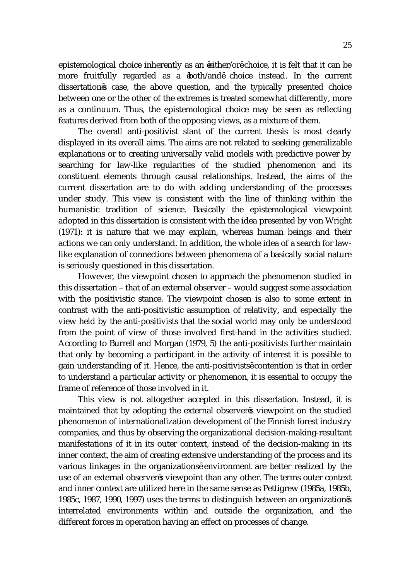epistemological choice inherently as an either/or choice, it is felt that it can be more fruitfully regarded as a both/and choice instead. In the current dissertation s case, the above question, and the typically presented choice between one or the other of the extremes is treated somewhat differently, more as a continuum. Thus, the epistemological choice may be seen as reflecting features derived from both of the opposing views, as a mixture of them.

The overall anti-positivist slant of the current thesis is most clearly displayed in its overall aims. The aims are not related to seeking generalizable explanations or to creating universally valid models with predictive power by searching for law-like regularities of the studied phenomenon and its constituent elements through causal relationships. Instead, the aims of the current dissertation are to do with adding understanding of the processes under study. This view is consistent with the line of thinking within the humanistic tradition of science. Basically the epistemological viewpoint adopted in this dissertation is consistent with the idea presented by von Wright (1971): it is nature that we may explain, whereas human beings and their actions we can only understand. In addition, the whole idea of a search for lawlike explanation of connections between phenomena of a basically social nature is seriously questioned in this dissertation.

However, the viewpoint chosen to approach the phenomenon studied in this dissertation – that of an external observer – would suggest some association with the positivistic stance. The viewpoint chosen is also to some extent in contrast with the anti-positivistic assumption of relativity, and especially the view held by the anti-positivists that the social world may only be understood from the point of view of those involved first-hand in the activities studied. According to Burrell and Morgan (1979, 5) the anti-positivists further maintain that only by becoming a participant in the activity of interest it is possible to gain understanding of it. Hence, the anti-positivists contention is that in order to understand a particular activity or phenomenon, it is essential to occupy the frame of reference of those involved in it.

This view is not altogether accepted in this dissertation. Instead, it is maintained that by adopting the external observer s viewpoint on the studied phenomenon of internationalization development of the Finnish forest industry companies, and thus by observing the organizational decision-making-resultant manifestations of it in its outer context, instead of the decision-making in its inner context, the aim of creating extensive understanding of the process and its various linkages in the organizations environment are better realized by the use of an external observer s viewpoint than any other. The terms outer context and inner context are utilized here in the same sense as Pettigrew (1985a, 1985b, 1985c, 1987, 1990, 1997) uses the terms to distinguish between an organization s interrelated environments within and outside the organization, and the different forces in operation having an effect on processes of change.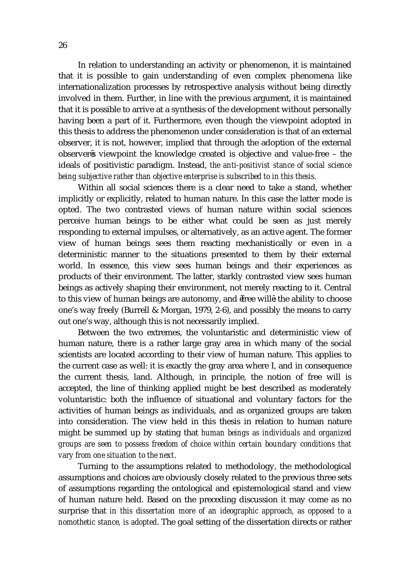In relation to understanding an activity or phenomenon, it is maintained that it is possible to gain understanding of even complex phenomena like internationalization processes by retrospective analysis without being directly involved in them. Further, in line with the previous argument, it is maintained that it is possible to arrive at a synthesis of the development without personally having been a part of it. Furthermore, even though the viewpoint adopted in this thesis to address the phenomenon under consideration is that of an external observer, it is not, however, implied that through the adoption of the external observer s viewpoint the knowledge created is objective and value-free – the ideals of positivistic paradigm. Instead, *the anti-positivist stance of social science being subjective rather than objective enterprise is subscribed to in this thesis.*

Within all social sciences there is a clear need to take a stand, whether implicitly or explicitly, related to human nature. In this case the latter mode is opted. The two contrasted views of human nature within social sciences perceive human beings to be either what could be seen as just merely responding to external impulses, or alternatively, as an active agent. The former view of human beings sees them reacting mechanistically or even in a deterministic manner to the situations presented to them by their external world. In essence, this view sees human beings and their experiences as products of their environment. The latter, starkly contrasted view sees human beings as actively shaping their environment, not merely reacting to it. Central to this view of human beings are autonomy, and free will : the ability to choose one's way freely (Burrell & Morgan, 1979, 2-6), and possibly the means to carry out one's way, although this is not necessarily implied.

Between the two extremes, the voluntaristic and deterministic view of human nature, there is a rather large gray area in which many of the social scientists are located according to their view of human nature. This applies to the current case as well: it is exactly the gray area where I, and in consequence the current thesis, land. Although, in principle, the notion of free will is accepted, the line of thinking applied might be best described as moderately voluntaristic: both the influence of situational and voluntary factors for the activities of human beings as individuals, and as organized groups are taken into consideration. The view held in this thesis in relation to human nature might be summed up by stating that *human beings as individuals and organized groups are seen to possess freedom of choice within certain boundary conditions that vary from one situation to the next*.

Turning to the assumptions related to methodology, the methodological assumptions and choices are obviously closely related to the previous three sets of assumptions regarding the ontological and epistemological stand and view of human nature held. Based on the preceding discussion it may come as no surprise that *in this dissertation more of an ideographic approach, as opposed to a nomothetic stance, is adopted*. The goal setting of the dissertation directs or rather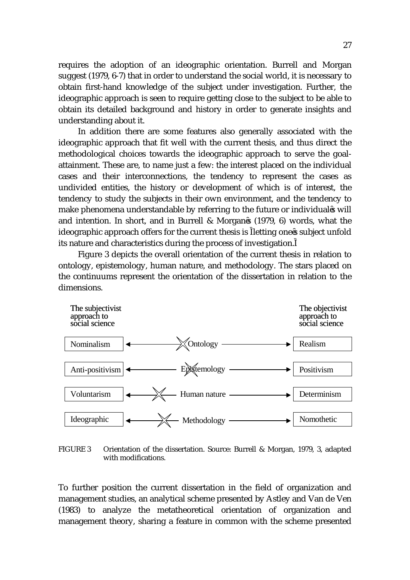requires the adoption of an ideographic orientation. Burrell and Morgan suggest (1979, 6-7) that in order to understand the social world, it is necessary to obtain first-hand knowledge of the subject under investigation. Further, the ideographic approach is seen to require getting close to the subject to be able to obtain its detailed background and history in order to generate insights and understanding about it.

In addition there are some features also generally associated with the ideographic approach that fit well with the current thesis, and thus direct the methodological choices towards the ideographic approach to serve the goalattainment. These are, to name just a few: the interest placed on the individual cases and their interconnections, the tendency to represent the cases as undivided entities, the history or development of which is of interest, the tendency to study the subjects in their own environment, and the tendency to make phenomena understandable by referring to the future or individual s will and intention. In short, and in Burrell & Morgan s (1979, 6) words, what the ideographic approach offers for the current thesis is letting one s subject unfold its nature and characteristics during the process of investigation.

Figure 3 depicts the overall orientation of the current thesis in relation to ontology, epistemology, human nature, and methodology. The stars placed on the continuums represent the orientation of the dissertation in relation to the dimensions.



FIGURE 3 Orientation of the dissertation. Source: Burrell & Morgan, 1979, 3, adapted with modifications.

To further position the current dissertation in the field of organization and management studies, an analytical scheme presented by Astley and Van de Ven (1983) to analyze the metatheoretical orientation of organization and management theory, sharing a feature in common with the scheme presented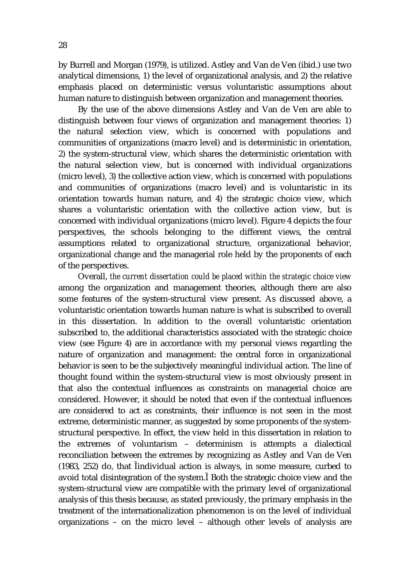by Burrell and Morgan (1979), is utilized. Astley and Van de Ven (ibid.) use two analytical dimensions, 1) the level of organizational analysis, and 2) the relative emphasis placed on deterministic versus voluntaristic assumptions about human nature to distinguish between organization and management theories.

By the use of the above dimensions Astley and Van de Ven are able to distinguish between four views of organization and management theories: 1) the natural selection view, which is concerned with populations and communities of organizations (macro level) and is deterministic in orientation, 2) the system-structural view, which shares the deterministic orientation with the natural selection view, but is concerned with individual organizations (micro level), 3) the collective action view, which is concerned with populations and communities of organizations (macro level) and is voluntaristic in its orientation towards human nature, and 4) the strategic choice view, which shares a voluntaristic orientation with the collective action view, but is concerned with individual organizations (micro level). Figure 4 depicts the four perspectives, the schools belonging to the different views, the central assumptions related to organizational structure, organizational behavior, organizational change and the managerial role held by the proponents of each of the perspectives.

Overall, *the current dissertation could be placed within the strategic choice view*  among the organization and management theories, although there are also some features of the system-structural view present. As discussed above, a voluntaristic orientation towards human nature is what is subscribed to overall in this dissertation. In addition to the overall voluntaristic orientation subscribed to, the additional characteristics associated with the strategic choice view (see Figure 4) are in accordance with my personal views regarding the nature of organization and management: the central force in organizational behavior is seen to be the subjectively meaningful individual action. The line of thought found within the system-structural view is most obviously present in that also the contextual influences as constraints on managerial choice are considered. However, it should be noted that even if the contextual influences are considered to act as constraints, their influence is not seen in the most extreme, deterministic manner, as suggested by some proponents of the systemstructural perspective. In effect, the view held in this dissertation in relation to the extremes of voluntarism – determinism is attempts a dialectical reconciliation between the extremes by recognizing as Astley and Van de Ven (1983, 252) do, that individual action is always, in some measure, curbed to avoid total disintegration of the system. Both the strategic choice view and the system-structural view are compatible with the primary level of organizational analysis of this thesis because, as stated previously, the primary emphasis in the treatment of the internationalization phenomenon is on the level of individual organizations – on the micro level – although other levels of analysis are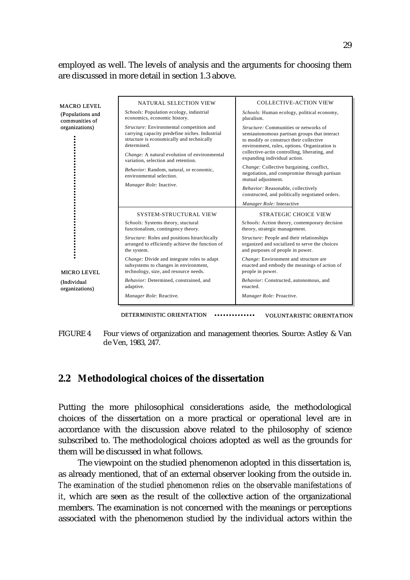employed as well. The levels of analysis and the arguments for choosing them are discussed in more detail in section 1.3 above.

| <b>MACRO LEVEL</b><br>(Populations and<br>communities of | NATURAL SELECTION VIEW<br>Schools: Population ecology, industrial<br>economics, economic history.                                                      | <b>COLLECTIVE-ACTION VIEW</b><br>Schools: Human ecology, political economy,<br>pluralism.                                                                                        |
|----------------------------------------------------------|--------------------------------------------------------------------------------------------------------------------------------------------------------|----------------------------------------------------------------------------------------------------------------------------------------------------------------------------------|
| organizations)                                           | Structure: Environmental competition and<br>carrying capacity predefine niches. Industrial<br>structure is economically and technically<br>determined. | Structure: Communities or networks of<br>semiautonomous partisan groups that interact<br>to modify or construct their collective<br>environment, rules, options. Organization is |
|                                                          | <i>Change:</i> A natural evolution of environmental<br>variation, selection and retention.                                                             | collective-actin controlling, liberating, and<br>expanding individual action.                                                                                                    |
|                                                          | Behavior: Random, natural, or economic,<br>environmental selection                                                                                     | <i>Change:</i> Collective bargaining, conflict,<br>negotiation, and compromise through partisan<br>mutual adjustment.                                                            |
|                                                          | Manager Role: Inactive.                                                                                                                                | Behavior: Reasonable, collectively<br>constructed, and politically negotiated orders.                                                                                            |
|                                                          |                                                                                                                                                        | Manager Role: Interactive                                                                                                                                                        |
|                                                          | <b>SYSTEM-STRUCTURAL VIEW</b>                                                                                                                          | <b>STRATEGIC CHOICE VIEW</b>                                                                                                                                                     |
|                                                          | Schools: Systems theory, stuctural<br>functionalism, contingency theory.                                                                               | Schools: Action theory, contemporary decision<br>theory, strategic management.                                                                                                   |
|                                                          | Structure: Roles and positions hirarchically<br>arranged to efficiently achieve the function of<br>the system.                                         | Structure: People and their relationships<br>organized and socialized to serve the choices<br>and purposes of people in power.                                                   |
| <b>MICRO LEVEL</b>                                       | <i>Change:</i> Divide and integrate roles to adapt<br>subsystems to changes in environment,<br>technology, size, and resource needs.                   | Change: Environment and structure are<br>enacted and embody the meanings of action of<br>people in power.                                                                        |
| (Individual<br>organizations)                            | Behavior: Determined, constrained, and<br>adaptive.                                                                                                    | Behavior: Constructed, autonomous, and<br>enacted.                                                                                                                               |
|                                                          | Manager Role: Reactive.                                                                                                                                | Manager Role: Proactive.                                                                                                                                                         |
|                                                          |                                                                                                                                                        |                                                                                                                                                                                  |

DETERMINISTIC ORIENTATION  $\cdots$  voluntaristic orientation

FIGURE 4 Four views of organization and management theories. Source: Astley & Van de Ven, 1983, 247.

#### **2.2 Methodological choices of the dissertation**

Putting the more philosophical considerations aside, the methodological choices of the dissertation on a more practical or operational level are in accordance with the discussion above related to the philosophy of science subscribed to. The methodological choices adopted as well as the grounds for them will be discussed in what follows.

The viewpoint on the studied phenomenon adopted in this dissertation is, as already mentioned, that of an external observer looking from the outside in. *The examination of the studied phenomenon relies on the observable manifestations of it*, which are seen as the result of the collective action of the organizational members. The examination is not concerned with the meanings or perceptions associated with the phenomenon studied by the individual actors within the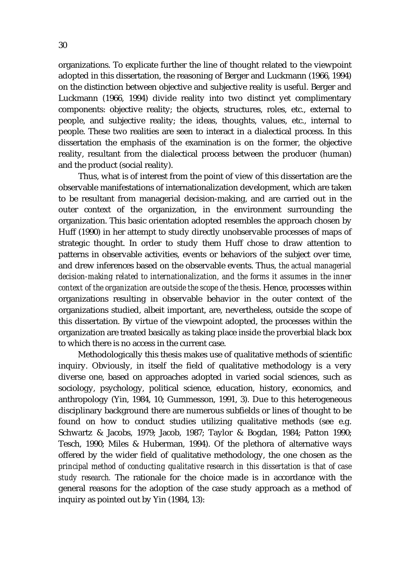organizations. To explicate further the line of thought related to the viewpoint adopted in this dissertation, the reasoning of Berger and Luckmann (1966, 1994) on the distinction between objective and subjective reality is useful. Berger and Luckmann (1966, 1994) divide reality into two distinct yet complimentary components: objective reality; the objects, structures, roles, etc., external to people, and subjective reality; the ideas, thoughts, values, etc., internal to people. These two realities are seen to interact in a dialectical process. In this dissertation the emphasis of the examination is on the former, the objective reality, resultant from the dialectical process between the producer (human) and the product (social reality).

 Thus, what is of interest from the point of view of this dissertation are the observable manifestations of internationalization development, which are taken to be resultant from managerial decision-making, and are carried out in the outer context of the organization, in the environment surrounding the organization. This basic orientation adopted resembles the approach chosen by Huff (1990) in her attempt to study directly unobservable processes of maps of strategic thought. In order to study them Huff chose to draw attention to patterns in observable activities, events or behaviors of the subject over time, and drew inferences based on the observable events. Thus, *the actual managerial decision-making related to internationalization, and the forms it assumes in the inner context of the organization are outside the scope of the thesis*. Hence, processes within organizations resulting in observable behavior in the outer context of the organizations studied, albeit important, are, nevertheless, outside the scope of this dissertation. By virtue of the viewpoint adopted, the processes within the organization are treated basically as taking place inside the proverbial black box to which there is no access in the current case.

Methodologically this thesis makes use of qualitative methods of scientific inquiry. Obviously, in itself the field of qualitative methodology is a very diverse one, based on approaches adopted in varied social sciences, such as sociology, psychology, political science, education, history, economics, and anthropology (Yin, 1984, 10; Gummesson, 1991, 3). Due to this heterogeneous disciplinary background there are numerous subfields or lines of thought to be found on how to conduct studies utilizing qualitative methods (see e.g. Schwartz & Jacobs, 1979; Jacob, 1987; Taylor & Bogdan, 1984; Patton 1990; Tesch, 1990; Miles & Huberman, 1994). Of the plethora of alternative ways offered by the wider field of qualitative methodology, the one chosen as the *principal method of conducting qualitative research in this dissertation is that of case study research.* The rationale for the choice made is in accordance with the general reasons for the adoption of the case study approach as a method of inquiry as pointed out by Yin (1984, 13):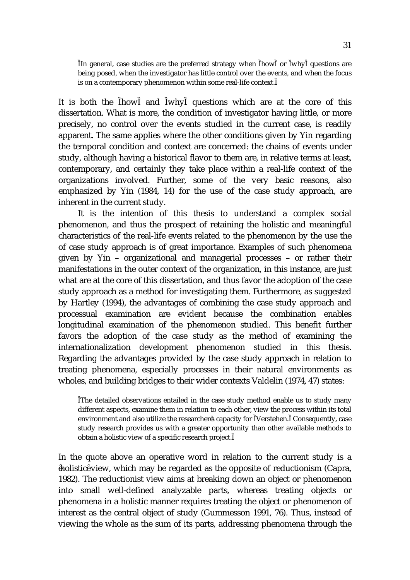In general, case studies are the preferred strategy when how or why questions are being posed, when the investigator has little control over the events, and when the focus is on a contemporary phenomenon within some real-life context.

It is both the how and why questions which are at the core of this dissertation. What is more, the condition of investigator having little, or more precisely, no control over the events studied in the current case, is readily apparent. The same applies where the other conditions given by Yin regarding the temporal condition and context are concerned: the chains of events under study, although having a historical flavor to them are, in relative terms at least, contemporary, and certainly they take place within a real-life context of the organizations involved. Further, some of the very basic reasons, also emphasized by Yin (1984, 14) for the use of the case study approach, are inherent in the current study.

 It is the intention of this thesis to understand a complex social phenomenon, and thus the prospect of retaining the holistic and meaningful characteristics of the real-life events related to the phenomenon by the use the of case study approach is of great importance. Examples of such phenomena given by Yin – organizational and managerial processes – or rather their manifestations in the outer context of the organization, in this instance, are just what are at the core of this dissertation, and thus favor the adoption of the case study approach as a method for investigating them. Furthermore, as suggested by Hartley (1994), the advantages of combining the case study approach and processual examination are evident because the combination enables longitudinal examination of the phenomenon studied. This benefit further favors the adoption of the case study as the method of examining the internationalization development phenomenon studied in this thesis. Regarding the advantages provided by the case study approach in relation to treating phenomena, especially processes in their natural environments as wholes, and building bridges to their wider contexts Valdelin (1974, 47) states:

The detailed observations entailed in the case study method enable us to study many different aspects, examine them in relation to each other, view the process within its total environment and also utilize the researcher s capacity for Verstehen. Consequently, case study research provides us with a greater opportunity than other available methods to obtain a holistic view of a specific research project.

In the quote above an operative word in relation to the current study is a holistic view, which may be regarded as the opposite of reductionism (Capra, 1982). The reductionist view aims at breaking down an object or phenomenon into small well-defined analyzable parts, whereas treating objects or phenomena in a holistic manner requires treating the object or phenomenon of interest as the central object of study (Gummesson 1991, 76). Thus, instead of viewing the whole as the sum of its parts, addressing phenomena through the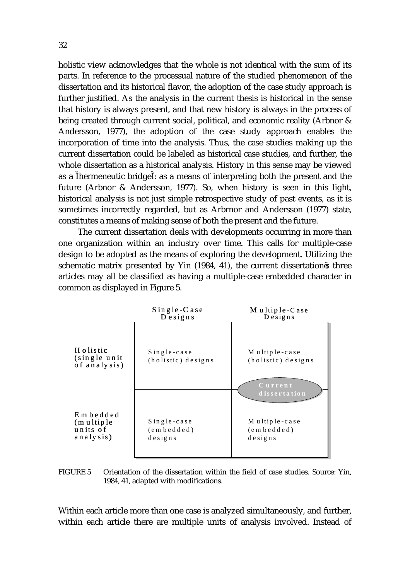holistic view acknowledges that the whole is not identical with the sum of its parts. In reference to the processual nature of the studied phenomenon of the dissertation and its historical flavor, the adoption of the case study approach is further justified. As the analysis in the current thesis is historical in the sense that history is always present, and that new history is always in the process of being created through current social, political, and economic reality (Arbnor & Andersson, 1977), the adoption of the case study approach enables the incorporation of time into the analysis. Thus, the case studies making up the current dissertation could be labeled as historical case studies, and further, the whole dissertation as a historical analysis. History in this sense may be viewed as a hermeneutic bridge : as a means of interpreting both the present and the future (Arbnor & Andersson, 1977). So, when history is seen in this light, historical analysis is not just simple retrospective study of past events, as it is sometimes incorrectly regarded, but as Arbrnor and Andersson (1977) state, constitutes a means of making sense of both the present and the future.

The current dissertation deals with developments occurring in more than one organization within an industry over time. This calls for multiple-case design to be adopted as the means of exploring the development. Utilizing the schematic matrix presented by Yin (1984, 41), the current dissertation s three articles may all be classified as having a multiple-case embedded character in common as displayed in Figure 5.



FIGURE 5 Orientation of the dissertation within the field of case studies. Source: Yin, 1984, 41, adapted with modifications.

Within each article more than one case is analyzed simultaneously, and further, within each article there are multiple units of analysis involved. Instead of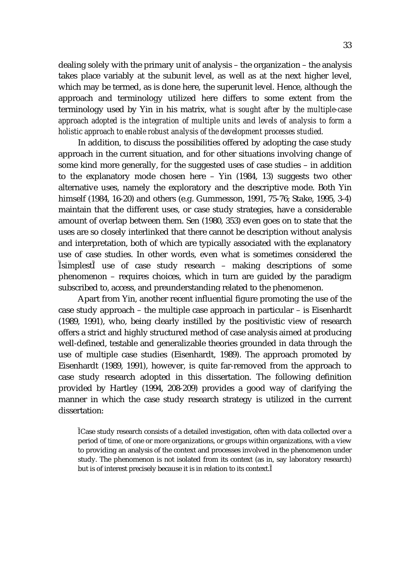dealing solely with the primary unit of analysis – the organization – the analysis takes place variably at the subunit level, as well as at the next higher level, which may be termed, as is done here, the superunit level. Hence, although the approach and terminology utilized here differs to some extent from the terminology used by Yin in his matrix, *what is sought after by the multiple-case approach adopted is the integration of multiple units and levels of analysis to form a holistic approach to enable robust analysis of the development processes studied.* 

In addition, to discuss the possibilities offered by adopting the case study approach in the current situation, and for other situations involving change of some kind more generally, for the suggested uses of case studies – in addition to the explanatory mode chosen here – Yin (1984, 13) suggests two other alternative uses, namely the exploratory and the descriptive mode. Both Yin himself (1984, 16-20) and others (e.g. Gummesson, 1991, 75-76; Stake, 1995, 3-4) maintain that the different uses, or case study strategies, have a considerable amount of overlap between them. Sen (1980, 353) even goes on to state that the uses are so closely interlinked that there cannot be description without analysis and interpretation, both of which are typically associated with the explanatory use of case studies. In other words, even what is sometimes considered the simplest use of case study research – making descriptions of some phenomenon – requires choices, which in turn are guided by the paradigm subscribed to, access, and preunderstanding related to the phenomenon.

Apart from Yin, another recent influential figure promoting the use of the case study approach – the multiple case approach in particular – is Eisenhardt (1989, 1991), who, being clearly instilled by the positivistic view of research offers a strict and highly structured method of case analysis aimed at producing well-defined, testable and generalizable theories grounded in data through the use of multiple case studies (Eisenhardt, 1989). The approach promoted by Eisenhardt (1989, 1991), however, is quite far-removed from the approach to case study research adopted in this dissertation. The following definition provided by Hartley (1994, 208-209) provides a good way of clarifying the manner in which the case study research strategy is utilized in the current dissertation:

Case study research consists of a detailed investigation, often with data collected over a period of time, of one or more organizations, or groups within organizations, with a view to providing an analysis of the context and processes involved in the phenomenon under study. The phenomenon is not isolated from its context (as in, say laboratory research) but is of interest precisely because it is in relation to its context.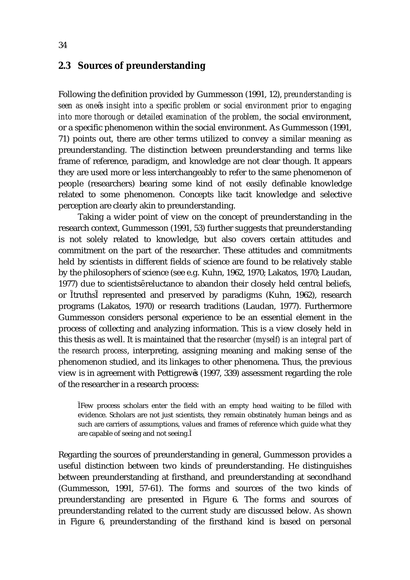#### **2.3 Sources of preunderstanding**

Following the definition provided by Gummesson (1991, 12), *preunderstanding is seen as one s insight into a specific problem or social environment prior to engaging into more thorough or detailed examination of the problem*, the social environment, or a specific phenomenon within the social environment. As Gummesson (1991, 71) points out, there are other terms utilized to convey a similar meaning as preunderstanding. The distinction between preunderstanding and terms like frame of reference, paradigm, and knowledge are not clear though. It appears they are used more or less interchangeably to refer to the same phenomenon of people (researchers) bearing some kind of not easily definable knowledge related to some phenomenon. Concepts like tacit knowledge and selective perception are clearly akin to preunderstanding.

Taking a wider point of view on the concept of preunderstanding in the research context, Gummesson (1991, 53) further suggests that preunderstanding is not solely related to knowledge, but also covers certain attitudes and commitment on the part of the researcher. These attitudes and commitments held by scientists in different fields of science are found to be relatively stable by the philosophers of science (see e.g. Kuhn, 1962, 1970; Lakatos, 1970; Laudan, 1977) due to scientists reluctance to abandon their closely held central beliefs, or truths represented and preserved by paradigms (Kuhn, 1962), research programs (Lakatos, 1970) or research traditions (Laudan, 1977). Furthermore Gummesson considers personal experience to be an essential element in the process of collecting and analyzing information. This is a view closely held in this thesis as well. It is maintained that the *researcher (myself) is an integral part of the research process*, interpreting, assigning meaning and making sense of the phenomenon studied, and its linkages to other phenomena. Thus, the previous view is in agreement with Pettigrew s (1997, 339) assessment regarding the role of the researcher in a research process:

Few process scholars enter the field with an empty head waiting to be filled with evidence. Scholars are not just scientists, they remain obstinately human beings and as such are carriers of assumptions, values and frames of reference which guide what they are capable of seeing and not seeing.

Regarding the sources of preunderstanding in general, Gummesson provides a useful distinction between two kinds of preunderstanding. He distinguishes between preunderstanding at firsthand, and preunderstanding at secondhand (Gummesson, 1991, 57-61). The forms and sources of the two kinds of preunderstanding are presented in Figure 6. The forms and sources of preunderstanding related to the current study are discussed below. As shown in Figure 6, preunderstanding of the firsthand kind is based on personal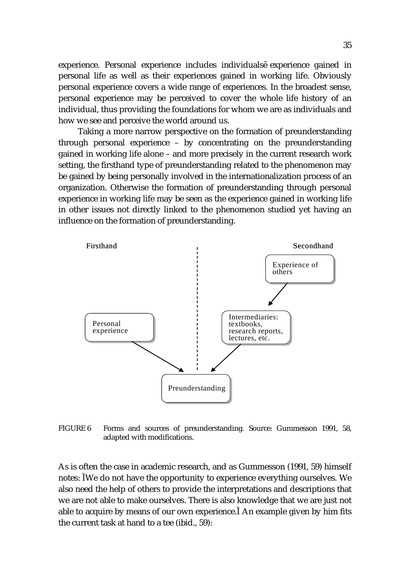experience. Personal experience includes individuals experience gained in personal life as well as their experiences gained in working life. Obviously personal experience covers a wide range of experiences. In the broadest sense, personal experience may be perceived to cover the whole life history of an individual, thus providing the foundations for whom we are as individuals and how we see and perceive the world around us.

Taking a more narrow perspective on the formation of preunderstanding through personal experience – by concentrating on the preunderstanding gained in working life alone – and more precisely in the current research work setting, the firsthand type of preunderstanding related to the phenomenon may be gained by being personally involved in the internationalization process of an organization. Otherwise the formation of preunderstanding through personal experience in working life may be seen as the experience gained in working life in other issues not directly linked to the phenomenon studied yet having an influence on the formation of preunderstanding.



FIGURE 6 Forms and sources of preunderstanding. Source: Gummesson 1991, 58, adapted with modifications.

As is often the case in academic research, and as Gummesson (1991, 59) himself notes: We do not have the opportunity to experience everything ourselves. We also need the help of others to provide the interpretations and descriptions that we are not able to make ourselves. There is also knowledge that we are just not able to acquire by means of our own experience. An example given by him fits the current task at hand to a tee (ibid., 59):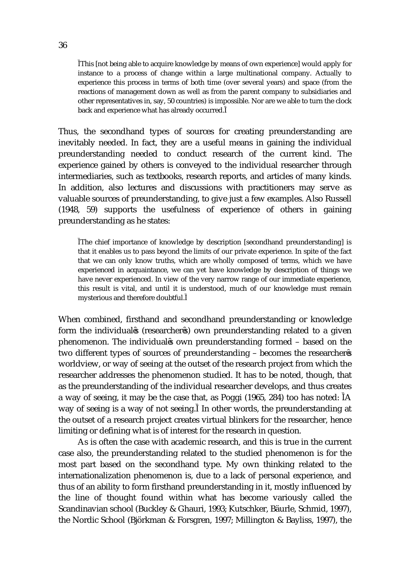This [not being able to acquire knowledge by means of own experience] would apply for instance to a process of change within a large multinational company. Actually to experience this process in terms of both time (over several years) and space (from the reactions of management down as well as from the parent company to subsidiaries and other representatives in, say, 50 countries) is impossible. Nor are we able to turn the clock back and experience what has already occurred.

Thus, the secondhand types of sources for creating preunderstanding are inevitably needed. In fact, they are a useful means in gaining the individual preunderstanding needed to conduct research of the current kind. The experience gained by others is conveyed to the individual researcher through intermediaries, such as textbooks, research reports, and articles of many kinds. In addition, also lectures and discussions with practitioners may serve as valuable sources of preunderstanding, to give just a few examples. Also Russell (1948, 59) supports the usefulness of experience of others in gaining preunderstanding as he states:

The chief importance of knowledge by description [secondhand preunderstanding] is that it enables us to pass beyond the limits of our private experience. In spite of the fact that we can only know truths, which are wholly composed of terms, which we have experienced in acquaintance, we can yet have knowledge by description of things we have never experienced. In view of the very narrow range of our immediate experience, this result is vital, and until it is understood, much of our knowledge must remain mysterious and therefore doubtful.

When combined, firsthand and secondhand preunderstanding or knowledge form the individual s (researcher s) own preunderstanding related to a given phenomenon. The individual s own preunderstanding formed – based on the two different types of sources of preunderstanding – becomes the researcher s worldview, or way of seeing at the outset of the research project from which the researcher addresses the phenomenon studied. It has to be noted, though, that as the preunderstanding of the individual researcher develops, and thus creates a way of seeing, it may be the case that, as Poggi (1965, 284) too has noted: A way of seeing is a way of not seeing. In other words, the preunderstanding at the outset of a research project creates virtual blinkers for the researcher, hence limiting or defining what is of interest for the research in question.

As is often the case with academic research, and this is true in the current case also, the preunderstanding related to the studied phenomenon is for the most part based on the secondhand type. My own thinking related to the internationalization phenomenon is, due to a lack of personal experience, and thus of an ability to form firsthand preunderstanding in it, mostly influenced by the line of thought found within what has become variously called the Scandinavian school (Buckley & Ghauri, 1993; Kutschker, Bäurle, Schmid, 1997), the Nordic School (Björkman & Forsgren, 1997; Millington & Bayliss, 1997), the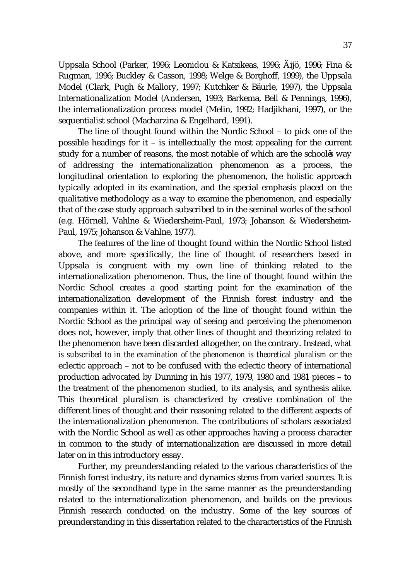Uppsala School (Parker, 1996; Leonidou & Katsikeas, 1996; Äijö, 1996; Fina & Rugman, 1996; Buckley & Casson, 1998; Welge & Borghoff, 1999), the Uppsala Model (Clark, Pugh & Mallory, 1997; Kutchker & Bäurle, 1997), the Uppsala Internationalization Model (Andersen, 1993; Barkema, Bell & Pennings, 1996), the internationalization process model (Melin, 1992; Hadjikhani, 1997), or the sequentialist school (Macharzina & Engelhard, 1991).

The line of thought found within the Nordic School – to pick one of the possible headings for it – is intellectually the most appealing for the current study for a number of reasons, the most notable of which are the school s way of addressing the internationalization phenomenon as a process, the longitudinal orientation to exploring the phenomenon, the holistic approach typically adopted in its examination, and the special emphasis placed on the qualitative methodology as a way to examine the phenomenon, and especially that of the case study approach subscribed to in the seminal works of the school (e.g. Hörnell, Vahlne & Wiedersheim-Paul, 1973; Johanson & Wiedersheim-Paul, 1975; Johanson & Vahlne, 1977).

The features of the line of thought found within the Nordic School listed above, and more specifically, the line of thought of researchers based in Uppsala is congruent with my own line of thinking related to the internationalization phenomenon. Thus, the line of thought found within the Nordic School creates a good starting point for the examination of the internationalization development of the Finnish forest industry and the companies within it. The adoption of the line of thought found within the Nordic School as the principal way of seeing and perceiving the phenomenon does not, however, imply that other lines of thought and theorizing related to the phenomenon have been discarded altogether, on the contrary. Instead, *what is subscribed to in the examination of the phenomenon is theoretical pluralism* or the eclectic approach – not to be confused with the eclectic theory of international production advocated by Dunning in his 1977, 1979, 1980 and 1981 pieces – to the treatment of the phenomenon studied, to its analysis, and synthesis alike. This theoretical pluralism is characterized by creative combination of the different lines of thought and their reasoning related to the different aspects of the internationalization phenomenon. The contributions of scholars associated with the Nordic School as well as other approaches having a process character in common to the study of internationalization are discussed in more detail later on in this introductory essay.

Further, my preunderstanding related to the various characteristics of the Finnish forest industry, its nature and dynamics stems from varied sources. It is mostly of the secondhand type in the same manner as the preunderstanding related to the internationalization phenomenon, and builds on the previous Finnish research conducted on the industry. Some of the key sources of preunderstanding in this dissertation related to the characteristics of the Finnish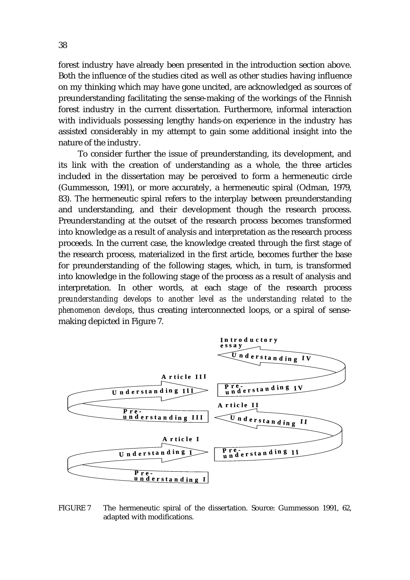forest industry have already been presented in the introduction section above. Both the influence of the studies cited as well as other studies having influence on my thinking which may have gone uncited, are acknowledged as sources of preunderstanding facilitating the sense-making of the workings of the Finnish forest industry in the current dissertation. Furthermore, informal interaction with individuals possessing lengthy hands-on experience in the industry has assisted considerably in my attempt to gain some additional insight into the nature of the industry.

To consider further the issue of preunderstanding, its development, and its link with the creation of understanding as a whole, the three articles included in the dissertation may be perceived to form a hermeneutic circle (Gummesson, 1991), or more accurately, a hermeneutic spiral (Odman, 1979, 83). The hermeneutic spiral refers to the interplay between preunderstanding and understanding, and their development though the research process. Preunderstanding at the outset of the research process becomes transformed into knowledge as a result of analysis and interpretation as the research process proceeds. In the current case, the knowledge created through the first stage of the research process, materialized in the first article, becomes further the base for preunderstanding of the following stages, which, in turn, is transformed into knowledge in the following stage of the process as a result of analysis and interpretation. In other words, at each stage of the research process *preunderstanding develops to another level as the understanding related to the phenomenon develops*, thus creating interconnected loops, or a spiral of sensemaking depicted in Figure 7.



FIGURE 7 The hermeneutic spiral of the dissertation. Source: Gummesson 1991, 62, adapted with modifications.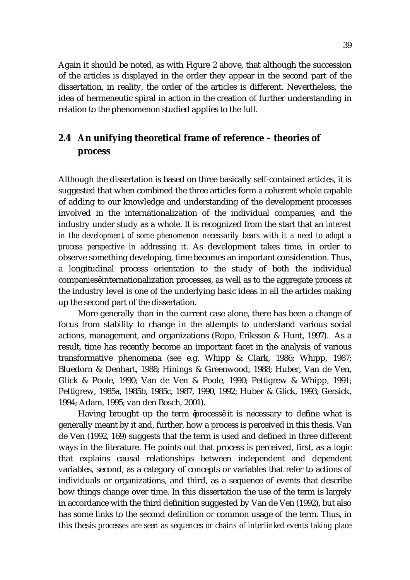Again it should be noted, as with Figure 2 above, that although the succession of the articles is displayed in the order they appear in the second part of the dissertation, in reality, the order of the articles is different. Nevertheless, the idea of hermeneutic spiral in action in the creation of further understanding in relation to the phenomenon studied applies to the full.

# **2.4 An unifying theoretical frame of reference – theories of process**

Although the dissertation is based on three basically self-contained articles, it is suggested that when combined the three articles form a coherent whole capable of adding to our knowledge and understanding of the development processes involved in the internationalization of the individual companies, and the industry under study as a whole. It is recognized from the start that an *interest in the development of some phenomenon necessarily bears with it a need to adopt a process perspective in addressing it*. As development takes time, in order to observe something developing, time becomes an important consideration. Thus, a longitudinal process orientation to the study of both the individual companies internationalization processes, as well as to the aggregate process at the industry level is one of the underlying basic ideas in all the articles making up the second part of the dissertation.

 More generally than in the current case alone, there has been a change of focus from stability to change in the attempts to understand various social actions, management, and organizations (Ropo, Eriksson & Hunt, 1997). As a result, time has recently become an important facet in the analysis of various transformative phenomena (see e.g. Whipp & Clark, 1986; Whipp, 1987; Bluedorn & Denhart, 1988; Hinings & Greenwood, 1988; Huber, Van de Ven, Glick & Poole, 1990; Van de Ven & Poole, 1990; Pettigrew & Whipp, 1991; Pettigrew, 1985a, 1985b, 1985c, 1987, 1990, 1992; Huber & Glick, 1993; Gersick, 1994; Adam, 1995; van den Bosch, 2001).

Having brought up the term process it is necessary to define what is generally meant by it and, further, how a process is perceived in this thesis. Van de Ven (1992, 169) suggests that the term is used and defined in three different ways in the literature. He points out that process is perceived, first, as a logic that explains causal relationships between independent and dependent variables, second, as a category of concepts or variables that refer to actions of individuals or organizations, and third, as a sequence of events that describe how things change over time. In this dissertation the use of the term is largely in accordance with the third definition suggested by Van de Ven (1992), but also has some links to the second definition or common usage of the term. Thus, in this thesis *processes are seen as sequences or chains of interlinked events taking place*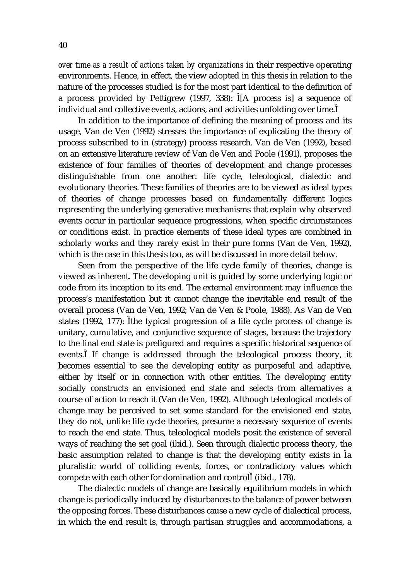*over time as a result of actions taken by organizations* in their respective operating environments. Hence, in effect, the view adopted in this thesis in relation to the nature of the processes studied is for the most part identical to the definition of a process provided by Pettigrew (1997, 338): [A process is] a sequence of individual and collective events, actions, and activities unfolding over time.

In addition to the importance of defining the meaning of process and its usage, Van de Ven (1992) stresses the importance of explicating the theory of process subscribed to in (strategy) process research. Van de Ven (1992), based on an extensive literature review of Van de Ven and Poole (1991), proposes the existence of four families of theories of development and change processes distinguishable from one another: life cycle, teleological, dialectic and evolutionary theories. These families of theories are to be viewed as ideal types of theories of change processes based on fundamentally different logics representing the underlying generative mechanisms that explain why observed events occur in particular sequence progressions, when specific circumstances or conditions exist. In practice elements of these ideal types are combined in scholarly works and they rarely exist in their pure forms (Van de Ven, 1992), which is the case in this thesis too, as will be discussed in more detail below.

Seen from the perspective of the life cycle family of theories, change is viewed as inherent. The developing unit is guided by some underlying logic or code from its inception to its end. The external environment may influence the process's manifestation but it cannot change the inevitable end result of the overall process (Van de Ven, 1992; Van de Ven & Poole, 1988). As Van de Ven states (1992, 177): the typical progression of a life cycle process of change is unitary, cumulative, and conjunctive sequence of stages, because the trajectory to the final end state is prefigured and requires a specific historical sequence of events. If change is addressed through the teleological process theory, it becomes essential to see the developing entity as purposeful and adaptive, either by itself or in connection with other entities. The developing entity socially constructs an envisioned end state and selects from alternatives a course of action to reach it (Van de Ven, 1992). Although teleological models of change may be perceived to set some standard for the envisioned end state, they do not, unlike life cycle theories, presume a necessary sequence of events to reach the end state. Thus, teleological models posit the existence of several ways of reaching the set goal (ibid.). Seen through dialectic process theory, the basic assumption related to change is that the developing entity exists in a pluralistic world of colliding events, forces, or contradictory values which compete with each other for domination and control (ibid., 178).

The dialectic models of change are basically equilibrium models in which change is periodically induced by disturbances to the balance of power between the opposing forces. These disturbances cause a new cycle of dialectical process, in which the end result is, through partisan struggles and accommodations, a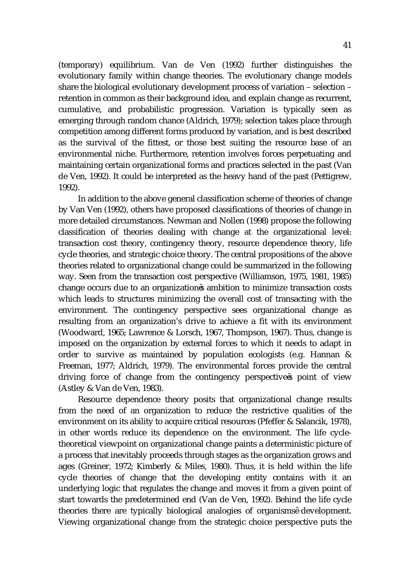(temporary) equilibrium. Van de Ven (1992) further distinguishes the evolutionary family within change theories. The evolutionary change models share the biological evolutionary development process of variation – selection – retention in common as their background idea, and explain change as recurrent, cumulative, and probabilistic progression. Variation is typically seen as emerging through random chance (Aldrich, 1979); selection takes place through competition among different forms produced by variation, and is best described as the survival of the fittest, or those best suiting the resource base of an environmental niche. Furthermore, retention involves forces perpetuating and maintaining certain organizational forms and practices selected in the past (Van de Ven, 1992). It could be interpreted as the heavy hand of the past (Pettigrew, 1992).

In addition to the above general classification scheme of theories of change by Van Ven (1992), others have proposed classifications of theories of change in more detailed circumstances. Newman and Nollen (1998) propose the following classification of theories dealing with change at the organizational level: transaction cost theory, contingency theory, resource dependence theory, life cycle theories, and strategic choice theory. The central propositions of the above theories related to organizational change could be summarized in the following way. Seen from the transaction cost perspective (Williamson, 1975, 1981, 1985) change occurs due to an organization s ambition to minimize transaction costs which leads to structures minimizing the overall cost of transacting with the environment. The contingency perspective sees organizational change as resulting from an organization's drive to achieve a fit with its environment (Woodward, 1965; Lawrence & Lorsch, 1967, Thompson, 1967). Thus, change is imposed on the organization by external forces to which it needs to adapt in order to survive as maintained by population ecologists (e.g. Hannan & Freeman, 1977; Aldrich, 1979). The environmental forces provide the central driving force of change from the contingency perspective s point of view (Astley & Van de Ven, 1983).

Resource dependence theory posits that organizational change results from the need of an organization to reduce the restrictive qualities of the environment on its ability to acquire critical resources (Pfeffer & Salancik, 1978), in other words reduce its dependence on the environment. The life cycletheoretical viewpoint on organizational change paints a deterministic picture of a process that inevitably proceeds through stages as the organization grows and ages (Greiner, 1972; Kimberly & Miles, 1980). Thus, it is held within the life cycle theories of change that the developing entity contains with it an underlying logic that regulates the change and moves it from a given point of start towards the predetermined end (Van de Ven, 1992). Behind the life cycle theories there are typically biological analogies of organisms development. Viewing organizational change from the strategic choice perspective puts the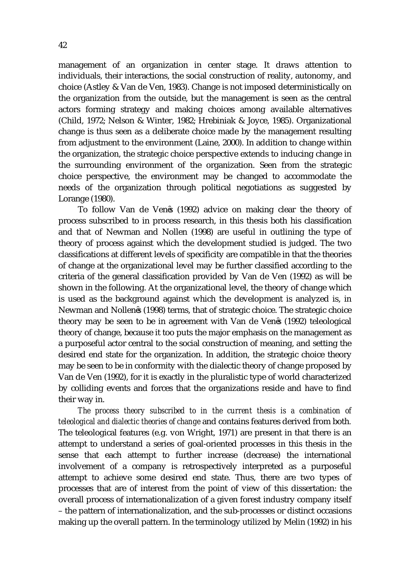management of an organization in center stage. It draws attention to individuals, their interactions, the social construction of reality, autonomy, and choice (Astley & Van de Ven, 1983). Change is not imposed deterministically on the organization from the outside, but the management is seen as the central actors forming strategy and making choices among available alternatives (Child, 1972; Nelson & Winter, 1982; Hrebiniak & Joyce, 1985). Organizational change is thus seen as a deliberate choice made by the management resulting from adjustment to the environment (Laine, 2000). In addition to change within the organization, the strategic choice perspective extends to inducing change in the surrounding environment of the organization. Seen from the strategic choice perspective, the environment may be changed to accommodate the needs of the organization through political negotiations as suggested by Lorange (1980).

To follow Van de Ven s (1992) advice on making clear the theory of process subscribed to in process research, in this thesis both his classification and that of Newman and Nollen (1998) are useful in outlining the type of theory of process against which the development studied is judged. The two classifications at different levels of specificity are compatible in that the theories of change at the organizational level may be further classified according to the criteria of the general classification provided by Van de Ven (1992) as will be shown in the following. At the organizational level, the theory of change which is used as the background against which the development is analyzed is, in Newman and Nollen s (1998) terms, that of strategic choice. The strategic choice theory may be seen to be in agreement with Van de Ven s (1992) teleological theory of change, because it too puts the major emphasis on the management as a purposeful actor central to the social construction of meaning, and setting the desired end state for the organization. In addition, the strategic choice theory may be seen to be in conformity with the dialectic theory of change proposed by Van de Ven (1992), for it is exactly in the pluralistic type of world characterized by colliding events and forces that the organizations reside and have to find their way in.

*The process theory subscribed to in the current thesis is a combination of teleological and dialectic theories of change* and contains features derived from both*.* The teleological features (e.g. von Wright, 1971) are present in that there is an attempt to understand a series of goal-oriented processes in this thesis in the sense that each attempt to further increase (decrease) the international involvement of a company is retrospectively interpreted as a purposeful attempt to achieve some desired end state. Thus, there are two types of processes that are of interest from the point of view of this dissertation: the overall process of internationalization of a given forest industry company itself – the pattern of internationalization, and the sub-processes or distinct occasions making up the overall pattern. In the terminology utilized by Melin (1992) in his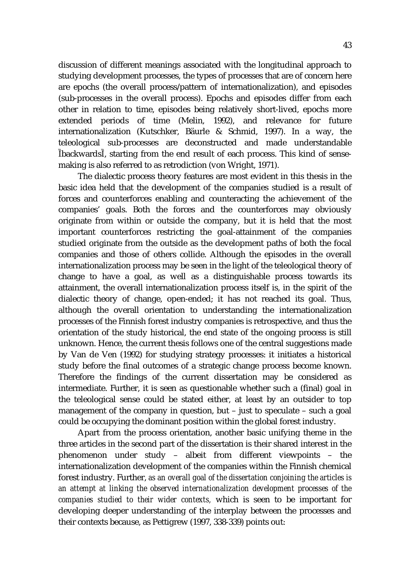discussion of different meanings associated with the longitudinal approach to studying development processes, the types of processes that are of concern here are epochs (the overall process/pattern of internationalization), and episodes (sub-processes in the overall process). Epochs and episodes differ from each other in relation to time, episodes being relatively short-lived, epochs more extended periods of time (Melin, 1992), and relevance for future internationalization (Kutschker, Bäurle & Schmid, 1997). In a way, the teleological sub-processes are deconstructed and made understandable backwards , starting from the end result of each process. This kind of sensemaking is also referred to as retrodiction (von Wright, 1971).

The dialectic process theory features are most evident in this thesis in the basic idea held that the development of the companies studied is a result of forces and counterforces enabling and counteracting the achievement of the companies' goals. Both the forces and the counterforces may obviously originate from within or outside the company, but it is held that the most important counterforces restricting the goal-attainment of the companies studied originate from the outside as the development paths of both the focal companies and those of others collide. Although the episodes in the overall internationalization process may be seen in the light of the teleological theory of change to have a goal, as well as a distinguishable process towards its attainment, the overall internationalization process itself is, in the spirit of the dialectic theory of change, open-ended; it has not reached its goal. Thus, although the overall orientation to understanding the internationalization processes of the Finnish forest industry companies is retrospective, and thus the orientation of the study historical, the end state of the ongoing process is still unknown. Hence, the current thesis follows one of the central suggestions made by Van de Ven (1992) for studying strategy processes: it initiates a historical study before the final outcomes of a strategic change process become known. Therefore the findings of the current dissertation may be considered as intermediate. Further, it is seen as questionable whether such a (final) goal in the teleological sense could be stated either, at least by an outsider to top management of the company in question, but – just to speculate – such a goal could be occupying the dominant position within the global forest industry.

Apart from the process orientation, another basic unifying theme in the three articles in the second part of the dissertation is their shared interest in the phenomenon under study – albeit from different viewpoints – the internationalization development of the companies within the Finnish chemical forest industry. Further, *as an overall goal of the dissertation conjoining the articles is an attempt at linking the observed internationalization development processes of the companies studied to their wider contexts,* which is seen to be important for developing deeper understanding of the interplay between the processes and their contexts because, as Pettigrew (1997, 338-339) points out: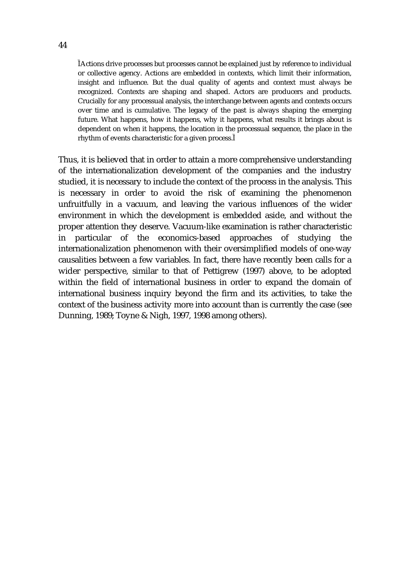Actions drive processes but processes cannot be explained just by reference to individual or collective agency. Actions are embedded in contexts, which limit their information, insight and influence. But the dual quality of agents and context must always be recognized. Contexts are shaping and shaped. Actors are producers and products. Crucially for any processual analysis, the interchange between agents and contexts occurs over time and is cumulative. The legacy of the past is always shaping the emerging future. What happens, how it happens, why it happens, what results it brings about is dependent on when it happens, the location in the processual sequence, the place in the rhythm of events characteristic for a given process.

Thus, it is believed that in order to attain a more comprehensive understanding of the internationalization development of the companies and the industry studied, it is necessary to include the context of the process in the analysis. This is necessary in order to avoid the risk of examining the phenomenon unfruitfully in a vacuum, and leaving the various influences of the wider environment in which the development is embedded aside, and without the proper attention they deserve. Vacuum-like examination is rather characteristic in particular of the economics-based approaches of studying the internationalization phenomenon with their oversimplified models of one-way causalities between a few variables. In fact, there have recently been calls for a wider perspective, similar to that of Pettigrew (1997) above, to be adopted within the field of international business in order to expand the domain of international business inquiry beyond the firm and its activities, to take the context of the business activity more into account than is currently the case (see Dunning, 1989; Toyne & Nigh, 1997, 1998 among others).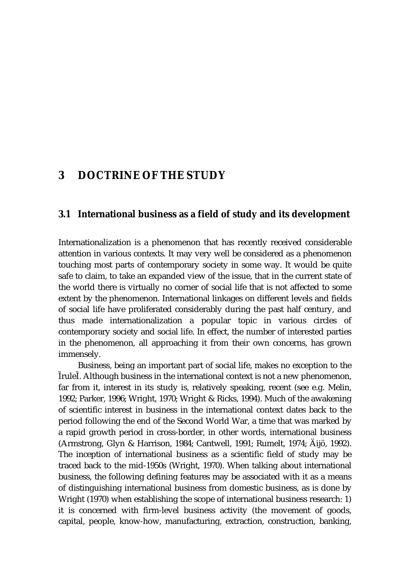# **3 DOCTRINE OF THE STUDY**

#### **3.1 International business as a field of study and its development**

Internationalization is a phenomenon that has recently received considerable attention in various contexts. It may very well be considered as a phenomenon touching most parts of contemporary society in some way. It would be quite safe to claim, to take an expanded view of the issue, that in the current state of the world there is virtually no corner of social life that is not affected to some extent by the phenomenon. International linkages on different levels and fields of social life have proliferated considerably during the past half century, and thus made internationalization a popular topic in various circles of contemporary society and social life. In effect, the number of interested parties in the phenomenon, all approaching it from their own concerns, has grown immensely.

Business, being an important part of social life, makes no exception to the rule . Although business in the international context is not a new phenomenon, far from it, interest in its study is, relatively speaking, recent (see e.g. Melin, 1992; Parker, 1996; Wright, 1970; Wright & Ricks, 1994). Much of the awakening of scientific interest in business in the international context dates back to the period following the end of the Second World War, a time that was marked by a rapid growth period in cross-border, in other words, international business (Armstrong, Glyn & Harrison, 1984; Cantwell, 1991; Rumelt, 1974; Äijö, 1992). The inception of international business as a scientific field of study may be traced back to the mid-1950s (Wright, 1970). When talking about international business, the following defining features may be associated with it as a means of distinguishing international business from domestic business, as is done by Wright (1970) when establishing the scope of international business research: 1) it is concerned with firm-level business activity (the movement of goods, capital, people, know-how, manufacturing, extraction, construction, banking,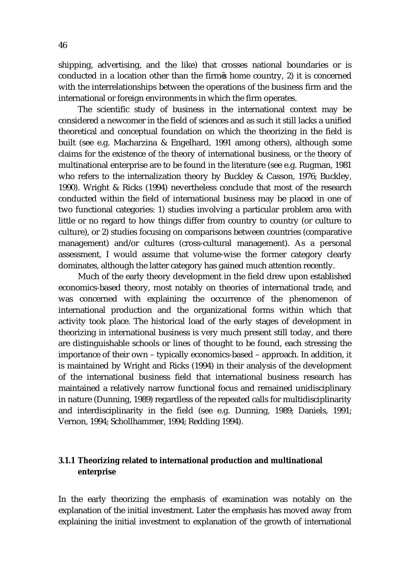shipping, advertising, and the like) that crosses national boundaries or is conducted in a location other than the firm s home country, 2) it is concerned with the interrelationships between the operations of the business firm and the international or foreign environments in which the firm operates.

The scientific study of business in the international context may be considered a newcomer in the field of sciences and as such it still lacks a unified theoretical and conceptual foundation on which the theorizing in the field is built (see e.g. Macharzina & Engelhard, 1991 among others), although some claims for the existence of *the* theory of international business, or *the* theory of multinational enterprise are to be found in the literature (see e.g. Rugman, 1981 who refers to the internalization theory by Buckley & Casson, 1976; Buckley, 1990). Wright & Ricks (1994) nevertheless conclude that most of the research conducted within the field of international business may be placed in one of two functional categories: 1) studies involving a particular problem area with little or no regard to how things differ from country to country (or culture to culture), or 2) studies focusing on comparisons between countries (comparative management) and/or cultures (cross-cultural management). As a personal assessment, I would assume that volume-wise the former category clearly dominates, although the latter category has gained much attention recently.

Much of the early theory development in the field drew upon established economics-based theory, most notably on theories of international trade, and was concerned with explaining the occurrence of the phenomenon of international production and the organizational forms within which that activity took place. The historical load of the early stages of development in theorizing in international business is very much present still today, and there are distinguishable schools or lines of thought to be found, each stressing the importance of their own – typically economics-based – approach. In addition, it is maintained by Wright and Ricks (1994) in their analysis of the development of the international business field that international business research has maintained a relatively narrow functional focus and remained unidisciplinary in nature (Dunning, 1989) regardless of the repeated calls for multidisciplinarity and interdisciplinarity in the field (see e.g. Dunning, 1989; Daniels, 1991; Vernon, 1994; Schollhammer, 1994; Redding 1994).

### **3.1.1 Theorizing related to international production and multinational enterprise**

In the early theorizing the emphasis of examination was notably on the explanation of the initial investment. Later the emphasis has moved away from explaining the initial investment to explanation of the growth of international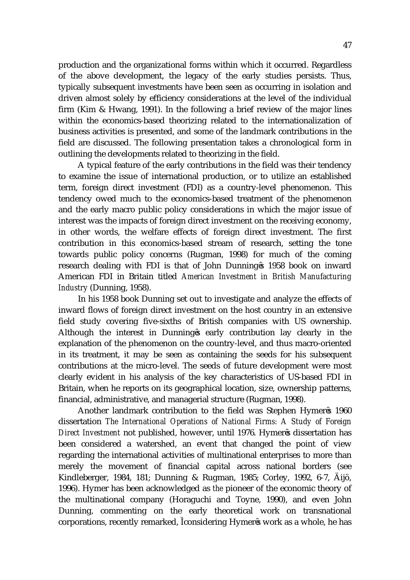production and the organizational forms within which it occurred. Regardless of the above development, the legacy of the early studies persists. Thus, typically subsequent investments have been seen as occurring in isolation and driven almost solely by efficiency considerations at the level of the individual firm (Kim & Hwang, 1991). In the following a brief review of the major lines within the economics-based theorizing related to the internationalization of business activities is presented, and some of the landmark contributions in the field are discussed. The following presentation takes a chronological form in outlining the developments related to theorizing in the field.

A typical feature of the early contributions in the field was their tendency to examine the issue of international production, or to utilize an established term, foreign direct investment (FDI) as a country-level phenomenon. This tendency owed much to the economics-based treatment of the phenomenon and the early macro public policy considerations in which the major issue of interest was the impacts of foreign direct investment on the receiving economy, in other words, the welfare effects of foreign direct investment. The first contribution in this economics-based stream of research, setting the tone towards public policy concerns (Rugman, 1998) for much of the coming research dealing with FDI is that of John Dunning s 1958 book on inward American FDI in Britain titled *American Investment in British Manufacturing Industry* (Dunning, 1958).

In his 1958 book Dunning set out to investigate and analyze the effects of inward flows of foreign direct investment on the host country in an extensive field study covering five-sixths of British companies with US ownership. Although the interest in Dunning s early contribution lay clearly in the explanation of the phenomenon on the country-level, and thus macro-oriented in its treatment, it may be seen as containing the seeds for his subsequent contributions at the micro-level. The seeds of future development were most clearly evident in his analysis of the key characteristics of US-based FDI in Britain, when he reports on its geographical location, size, ownership patterns, financial, administrative, and managerial structure (Rugman, 1998).

Another landmark contribution to the field was Stephen Hymer s 1960 dissertation *The International Operations of National Firms: A Study of Foreign Direct Investment* not published, however, until 1976. Hymer s dissertation has been considered a watershed, an event that changed the point of view regarding the international activities of multinational enterprises to more than merely the movement of financial capital across national borders (see Kindleberger, 1984, 181; Dunning & Rugman, 1985; Corley, 1992, 6-7, Äijö, 1996). Hymer has been acknowledged as *the* pioneer of the economic theory of the multinational company (Horaguchi and Toyne, 1990), and even John Dunning, commenting on the early theoretical work on transnational corporations, recently remarked, considering Hymer s work as a whole, he has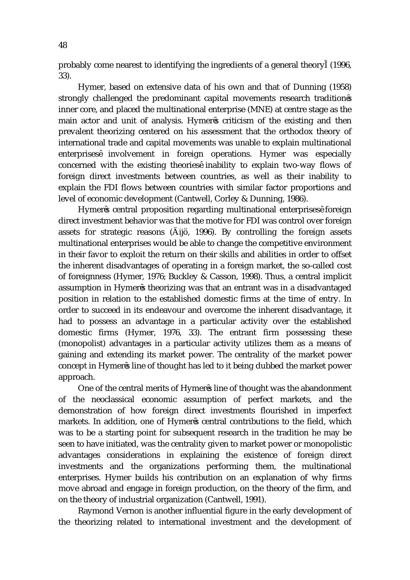probably come nearest to identifying the ingredients of a general theory (1996, 33).

Hymer, based on extensive data of his own and that of Dunning (1958) strongly challenged the predominant capital movements research tradition s inner core, and placed the multinational enterprise (MNE) at centre stage as the main actor and unit of analysis. Hymer s criticism of the existing and then prevalent theorizing centered on his assessment that the orthodox theory of international trade and capital movements was unable to explain multinational enterprises involvement in foreign operations. Hymer was especially concerned with the existing theories inability to explain two-way flows of foreign direct investments between countries, as well as their inability to explain the FDI flows between countries with similar factor proportions and level of economic development (Cantwell, Corley & Dunning, 1986).

Hymer s central proposition regarding multinational enterprises foreign direct investment behavior was that the motive for FDI was control over foreign assets for strategic reasons (Äijö, 1996). By controlling the foreign assets multinational enterprises would be able to change the competitive environment in their favor to exploit the return on their skills and abilities in order to offset the inherent disadvantages of operating in a foreign market, the so-called cost of foreignness (Hymer, 1976; Buckley & Casson, 1998). Thus, a central implicit assumption in Hymer s theorizing was that an entrant was in a disadvantaged position in relation to the established domestic firms at the time of entry. In order to succeed in its endeavour and overcome the inherent disadvantage, it had to possess an advantage in a particular activity over the established domestic firms (Hymer, 1976, 33). The entrant firm possessing these (monopolist) advantages in a particular activity utilizes them as a means of gaining and extending its market power. The centrality of the market power concept in Hymer s line of thought has led to it being dubbed the market power approach.

One of the central merits of Hymer s line of thought was the abandonment of the neoclassical economic assumption of perfect markets, and the demonstration of how foreign direct investments flourished in imperfect markets. In addition, one of Hymer s central contributions to the field, which was to be a starting point for subsequent research in the tradition he may be seen to have initiated, was the centrality given to market power or monopolistic advantages considerations in explaining the existence of foreign direct investments and the organizations performing them, the multinational enterprises. Hymer builds his contribution on an explanation of why firms move abroad and engage in foreign production, on the theory of the firm, and on the theory of industrial organization (Cantwell, 1991).

Raymond Vernon is another influential figure in the early development of the theorizing related to international investment and the development of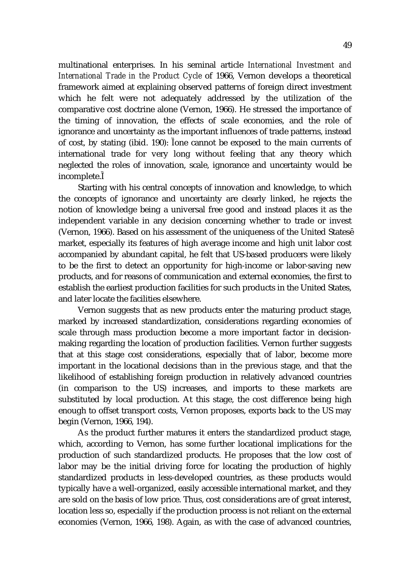multinational enterprises. In his seminal article *International Investment and International Trade in the Product Cycle* of 1966, Vernon develops a theoretical framework aimed at explaining observed patterns of foreign direct investment which he felt were not adequately addressed by the utilization of the comparative cost doctrine alone (Vernon, 1966). He stressed the importance of the timing of innovation, the effects of scale economies, and the role of ignorance and uncertainty as the important influences of trade patterns, instead of cost, by stating (ibid. 190): one cannot be exposed to the main currents of international trade for very long without feeling that any theory which neglected the roles of innovation, scale, ignorance and uncertainty would be incomplete.

Starting with his central concepts of innovation and knowledge, to which the concepts of ignorance and uncertainty are clearly linked, he rejects the notion of knowledge being a universal free good and instead places it as the independent variable in any decision concerning whether to trade or invest (Vernon, 1966). Based on his assessment of the uniqueness of the United States market, especially its features of high average income and high unit labor cost accompanied by abundant capital, he felt that US-based producers were likely to be the first to detect an opportunity for high-income or labor-saving new products, and for reasons of communication and external economies, the first to establish the earliest production facilities for such products in the United States, and later locate the facilities elsewhere.

Vernon suggests that as new products enter the maturing product stage, marked by increased standardization, considerations regarding economies of scale through mass production become a more important factor in decisionmaking regarding the location of production facilities. Vernon further suggests that at this stage cost considerations, especially that of labor, become more important in the locational decisions than in the previous stage, and that the likelihood of establishing foreign production in relatively advanced countries (in comparison to the US) increases, and imports to these markets are substituted by local production. At this stage, the cost difference being high enough to offset transport costs, Vernon proposes, exports back to the US may begin (Vernon, 1966, 194).

As the product further matures it enters the standardized product stage, which, according to Vernon, has some further locational implications for the production of such standardized products. He proposes that the low cost of labor may be the initial driving force for locating the production of highly standardized products in less-developed countries, as these products would typically have a well-organized, easily accessible international market, and they are sold on the basis of low price. Thus, cost considerations are of great interest, location less so, especially if the production process is not reliant on the external economies (Vernon, 1966, 198). Again, as with the case of advanced countries,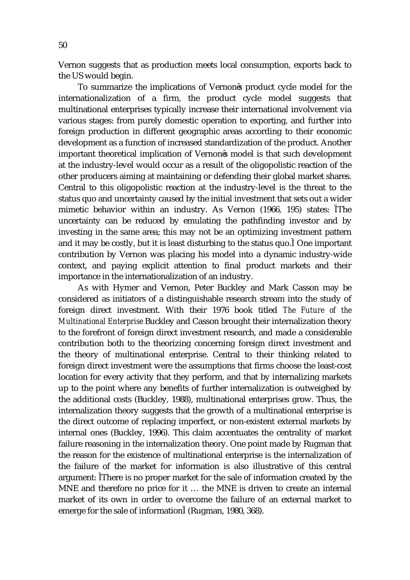Vernon suggests that as production meets local consumption, exports back to the US would begin.

To summarize the implications of Vernon s product cycle model for the internationalization of a firm, the product cycle model suggests that multinational enterprises typically increase their international involvement via various stages: from purely domestic operation to exporting, and further into foreign production in different geographic areas according to their economic development as a function of increased standardization of the product. Another important theoretical implication of Vernon s model is that such development at the industry-level would occur as a result of the oligopolistic reaction of the other producers aiming at maintaining or defending their global market shares. Central to this oligopolistic reaction at the industry-level is the threat to the status quo and uncertainty caused by the initial investment that sets out a wider mimetic behavior within an industry. As Vernon (1966, 195) states: The uncertainty can be reduced by emulating the pathfinding investor and by investing in the same area; this may not be an optimizing investment pattern and it may be costly, but it is least disturbing to the status quo. One important contribution by Vernon was placing his model into a dynamic industry-wide context, and paying explicit attention to final product markets and their importance in the internationalization of an industry.

As with Hymer and Vernon, Peter Buckley and Mark Casson may be considered as initiators of a distinguishable research stream into the study of foreign direct investment. With their 1976 book titled *The Future of the Multinational Enterprise* Buckley and Casson brought their internalization theory to the forefront of foreign direct investment research, and made a considerable contribution both to the theorizing concerning foreign direct investment and the theory of multinational enterprise. Central to their thinking related to foreign direct investment were the assumptions that firms choose the least-cost location for every activity that they perform, and that by internalizing markets up to the point where any benefits of further internalization is outweighed by the additional costs (Buckley, 1988), multinational enterprises grow. Thus, the internalization theory suggests that the growth of a multinational enterprise is the direct outcome of replacing imperfect, or non-existent external markets by internal ones (Buckley, 1996). This claim accentuates the centrality of market failure reasoning in the internalization theory. One point made by Rugman that the reason for the existence of multinational enterprise is the internalization of the failure of the market for information is also illustrative of this central argument: There is no proper market for the sale of information created by the MNE and therefore no price for it … the MNE is driven to create an internal market of its own in order to overcome the failure of an external market to emerge for the sale of information (Rugman, 1980, 368).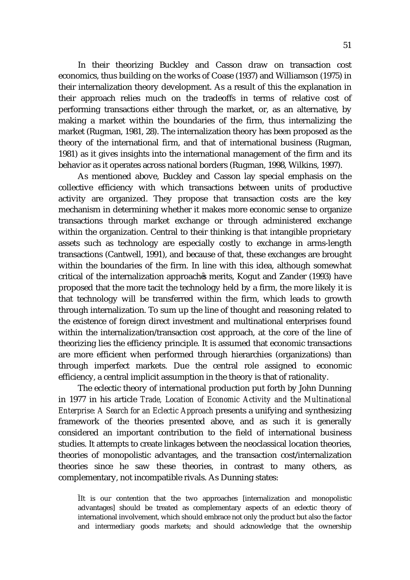In their theorizing Buckley and Casson draw on transaction cost economics, thus building on the works of Coase (1937) and Williamson (1975) in their internalization theory development. As a result of this the explanation in their approach relies much on the tradeoffs in terms of relative cost of performing transactions either through the market, or, as an alternative, by making a market within the boundaries of the firm, thus internalizing the market (Rugman, 1981, 28). The internalization theory has been proposed as the theory of the international firm, and that of international business (Rugman, 1981) as it gives insights into the international management of the firm and its behavior as it operates across national borders (Rugman, 1998, Wilkins, 1997).

As mentioned above, Buckley and Casson lay special emphasis on the collective efficiency with which transactions between units of productive activity are organized. They propose that transaction costs are the key mechanism in determining whether it makes more economic sense to organize transactions through market exchange or through administered exchange within the organization. Central to their thinking is that intangible proprietary assets such as technology are especially costly to exchange in arms-length transactions (Cantwell, 1991), and because of that, these exchanges are brought within the boundaries of the firm. In line with this idea, although somewhat critical of the internalization approach s merits, Kogut and Zander (1993) have proposed that the more tacit the technology held by a firm, the more likely it is that technology will be transferred within the firm, which leads to growth through internalization. To sum up the line of thought and reasoning related to the existence of foreign direct investment and multinational enterprises found within the internalization/transaction cost approach, at the core of the line of theorizing lies the efficiency principle. It is assumed that economic transactions are more efficient when performed through hierarchies (organizations) than through imperfect markets. Due the central role assigned to economic efficiency, a central implicit assumption in the theory is that of rationality.

The eclectic theory of international production put forth by John Dunning in 1977 in his article *Trade, Location of Economic Activity and the Multinational Enterprise: A Search for an Eclectic Approach* presents a unifying and synthesizing framework of the theories presented above, and as such it is generally considered an important contribution to the field of international business studies. It attempts to create linkages between the neoclassical location theories, theories of monopolistic advantages, and the transaction cost/internalization theories since he saw these theories, in contrast to many others, as complementary, not incompatible rivals. As Dunning states:

It is our contention that the two approaches [internalization and monopolistic advantages] should be treated as complementary aspects of an eclectic theory of international involvement, which should embrace not only the product but also the factor and intermediary goods markets; and should acknowledge that the ownership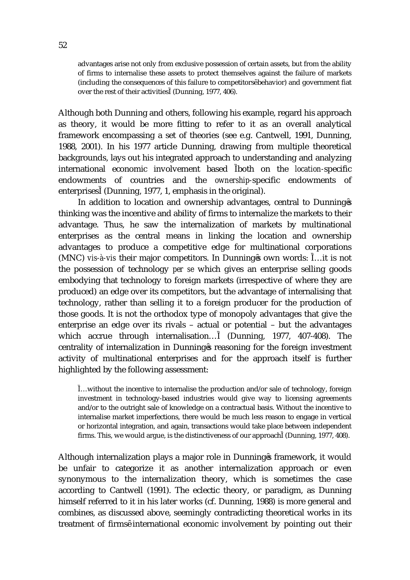advantages arise not only from exclusive possession of certain assets, but from the ability of firms to internalise these assets to protect themselves against the failure of markets (including the consequences of this failure to competitors behavior) and government fiat over the rest of their activities (Dunning, 1977, 406).

Although both Dunning and others, following his example, regard his approach as theory, it would be more fitting to refer to it as an overall analytical framework encompassing a set of theories (see e.g. Cantwell, 1991, Dunning, 1988, 2001). In his 1977 article Dunning, drawing from multiple theoretical backgrounds, lays out his integrated approach to understanding and analyzing international economic involvement based both on the *location-*specific endowments of countries and the *ownership-*specific endowments of enterprises (Dunning, 1977, 1, emphasis in the original).

In addition to location and ownership advantages, central to Dunning s thinking was the incentive and ability of firms to internalize the markets to their advantage. Thus, he saw the internalization of markets by multinational enterprises as the central means in linking the location and ownership advantages to produce a competitive edge for multinational corporations (MNC) *vis-à-vis* their major competitors. In Dunning s own words: …it is not the possession of technology *per se* which gives an enterprise selling goods embodying that technology to foreign markets (irrespective of where they are produced) an edge over its competitors, but the advantage of internalising that technology, rather than selling it to a foreign producer for the production of those goods. It is not the orthodox type of monopoly advantages that give the enterprise an edge over its rivals – actual or potential – but the advantages which accrue through internalisation… (Dunning, 1977, 407-408). The centrality of internalization in Dunning s reasoning for the foreign investment activity of multinational enterprises and for the approach itself is further highlighted by the following assessment:

…without the incentive to internalise the production and/or sale of technology, foreign investment in technology-based industries would give way to licensing agreements and/or to the outright sale of knowledge on a contractual basis. Without the incentive to internalise market imperfections, there would be much less reason to engage in vertical or horizontal integration, and again, transactions would take place between independent firms. This, we would argue, is the distinctiveness of our approach (Dunning, 1977, 408).

Although internalization plays a major role in Dunning s framework, it would be unfair to categorize it as another internalization approach or even synonymous to the internalization theory, which is sometimes the case according to Cantwell (1991). The eclectic theory, or paradigm, as Dunning himself referred to it in his later works (cf. Dunning, 1988) is more general and combines, as discussed above, seemingly contradicting theoretical works in its treatment of firms international economic involvement by pointing out their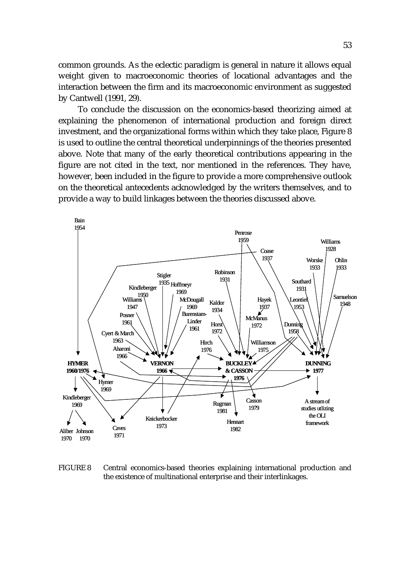common grounds. As the eclectic paradigm is general in nature it allows equal weight given to macroeconomic theories of locational advantages and the interaction between the firm and its macroeconomic environment as suggested by Cantwell (1991, 29).

To conclude the discussion on the economics-based theorizing aimed at explaining the phenomenon of international production and foreign direct investment, and the organizational forms within which they take place, Figure 8 is used to outline the central theoretical underpinnings of the theories presented above. Note that many of the early theoretical contributions appearing in the figure are not cited in the text, nor mentioned in the references. They have, however, been included in the figure to provide a more comprehensive outlook on the theoretical antecedents acknowledged by the writers themselves, and to provide a way to build linkages between the theories discussed above.



FIGURE 8 Central economics-based theories explaining international production and the existence of multinational enterprise and their interlinkages.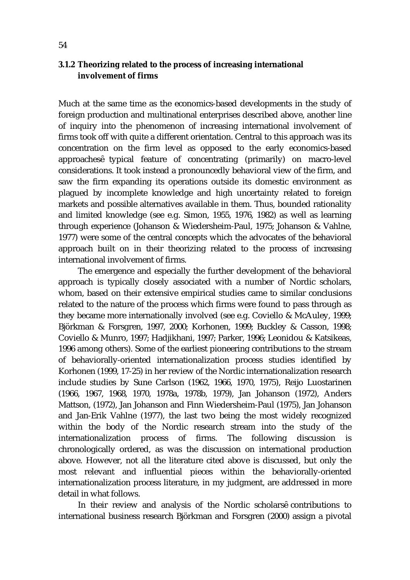### **3.1.2 Theorizing related to the process of increasing international involvement of firms**

Much at the same time as the economics-based developments in the study of foreign production and multinational enterprises described above, another line of inquiry into the phenomenon of increasing international involvement of firms took off with quite a different orientation. Central to this approach was its concentration on the firm level as opposed to the early economics-based approaches typical feature of concentrating (primarily) on macro-level considerations. It took instead a pronouncedly behavioral view of the firm, and saw the firm expanding its operations outside its domestic environment as plagued by incomplete knowledge and high uncertainty related to foreign markets and possible alternatives available in them. Thus, bounded rationality and limited knowledge (see e.g. Simon, 1955, 1976, 1982) as well as learning through experience (Johanson & Wiedersheim-Paul, 1975; Johanson & Vahlne, 1977) were some of the central concepts which the advocates of the behavioral approach built on in their theorizing related to the process of increasing international involvement of firms.

The emergence and especially the further development of the behavioral approach is typically closely associated with a number of Nordic scholars, whom, based on their extensive empirical studies came to similar conclusions related to the nature of the process which firms were found to pass through as they became more internationally involved (see e.g. Coviello & McAuley, 1999; Björkman & Forsgren, 1997, 2000; Korhonen, 1999; Buckley & Casson, 1998; Coviello & Munro, 1997; Hadjikhani, 1997; Parker, 1996; Leonidou & Katsikeas, 1996 among others). Some of the earliest pioneering contributions to the stream of behaviorally-oriented internationalization process studies identified by Korhonen (1999, 17-25) in her review of the Nordic internationalization research include studies by Sune Carlson (1962, 1966, 1970, 1975), Reijo Luostarinen (1966, 1967, 1968, 1970, 1978a, 1978b, 1979), Jan Johanson (1972), Anders Mattson, (1972), Jan Johanson and Finn Wiedersheim-Paul (1975), Jan Johanson and Jan-Erik Vahlne (1977), the last two being the most widely recognized within the body of the Nordic research stream into the study of the internationalization process of firms. The following discussion is chronologically ordered, as was the discussion on international production above. However, not all the literature cited above is discussed, but only the most relevant and influential pieces within the behaviorally-oriented internationalization process literature, in my judgment, are addressed in more detail in what follows.

In their review and analysis of the Nordic scholars contributions to international business research Björkman and Forsgren (2000) assign a pivotal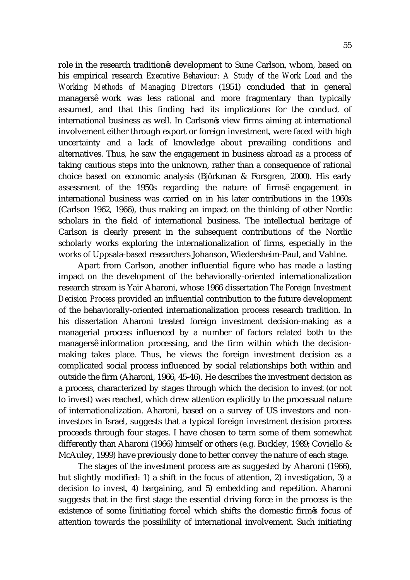role in the research tradition s development to Sune Carlson, whom, based on his empirical research *Executive Behaviour: A Study of the Work Load and the Working Methods of Managing Directors* (1951) concluded that in general managers work was less rational and more fragmentary than typically assumed, and that this finding had its implications for the conduct of international business as well. In Carlson s view firms aiming at international involvement either through export or foreign investment, were faced with high uncertainty and a lack of knowledge about prevailing conditions and alternatives. Thus, he saw the engagement in business abroad as a process of taking cautious steps into the unknown, rather than a consequence of rational choice based on economic analysis (Björkman & Forsgren, 2000). His early assessment of the 1950s regarding the nature of firms engagement in international business was carried on in his later contributions in the 1960s (Carlson 1962, 1966), thus making an impact on the thinking of other Nordic scholars in the field of international business. The intellectual heritage of Carlson is clearly present in the subsequent contributions of the Nordic scholarly works exploring the internationalization of firms, especially in the works of Uppsala-based researchers Johanson, Wiedersheim-Paul, and Vahlne.

Apart from Carlson, another influential figure who has made a lasting impact on the development of the behaviorally-oriented internationalization research stream is Yair Aharoni, whose 1966 dissertation *The Foreign Investment Decision Process* provided an influential contribution to the future development of the behaviorally-oriented internationalization process research tradition. In his dissertation Aharoni treated foreign investment decision-making as a managerial process influenced by a number of factors related both to the managers information processing, and the firm within which the decisionmaking takes place. Thus, he views the foreign investment decision as a complicated social process influenced by social relationships both within and outside the firm (Aharoni, 1966, 45-46). He describes the investment decision as a process, characterized by stages through which the decision to invest (or not to invest) was reached, which drew attention explicitly to the processual nature of internationalization. Aharoni, based on a survey of US investors and noninvestors in Israel, suggests that a typical foreign investment decision process proceeds through four stages. I have chosen to term some of them somewhat differently than Aharoni (1966) himself or others (e.g. Buckley, 1989; Coviello & McAuley, 1999) have previously done to better convey the nature of each stage.

The stages of the investment process are as suggested by Aharoni (1966), but slightly modified: 1) a shift in the focus of attention, 2) investigation, 3) a decision to invest, 4) bargaining, and 5) embedding and repetition. Aharoni suggests that in the first stage the essential driving force in the process is the existence of some initiating force which shifts the domestic firm s focus of attention towards the possibility of international involvement. Such initiating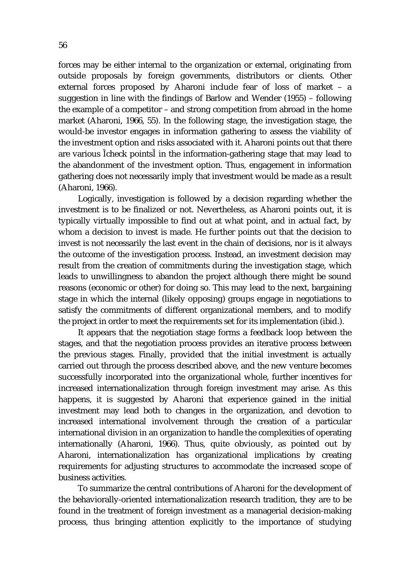forces may be either internal to the organization or external, originating from outside proposals by foreign governments, distributors or clients. Other external forces proposed by Aharoni include fear of loss of market – a suggestion in line with the findings of Barlow and Wender (1955) – following the example of a competitor – and strong competition from abroad in the home market (Aharoni, 1966, 55). In the following stage, the investigation stage, the would-be investor engages in information gathering to assess the viability of the investment option and risks associated with it. Aharoni points out that there are various check points in the information-gathering stage that may lead to the abandonment of the investment option. Thus, engagement in information gathering does not necessarily imply that investment would be made as a result (Aharoni, 1966).

Logically, investigation is followed by a decision regarding whether the investment is to be finalized or not. Nevertheless, as Aharoni points out, it is typically virtually impossible to find out at what point, and in actual fact, by whom a decision to invest is made. He further points out that the decision to invest is not necessarily the last event in the chain of decisions, nor is it always the outcome of the investigation process. Instead, an investment decision may result from the creation of commitments during the investigation stage, which leads to unwillingness to abandon the project although there might be sound reasons (economic or other) for doing so. This may lead to the next, bargaining stage in which the internal (likely opposing) groups engage in negotiations to satisfy the commitments of different organizational members, and to modify the project in order to meet the requirements set for its implementation (ibid.).

It appears that the negotiation stage forms a feedback loop between the stages, and that the negotiation process provides an iterative process between the previous stages. Finally, provided that the initial investment is actually carried out through the process described above, and the new venture becomes successfully incorporated into the organizational whole, further incentives for increased internationalization through foreign investment may arise. As this happens, it is suggested by Aharoni that experience gained in the initial investment may lead both to changes in the organization, and devotion to increased international involvement through the creation of a particular international division in an organization to handle the complexities of operating internationally (Aharoni, 1966). Thus, quite obviously, as pointed out by Aharoni, internationalization has organizational implications by creating requirements for adjusting structures to accommodate the increased scope of business activities.

To summarize the central contributions of Aharoni for the development of the behaviorally-oriented internationalization research tradition, they are to be found in the treatment of foreign investment as a managerial decision-making process, thus bringing attention explicitly to the importance of studying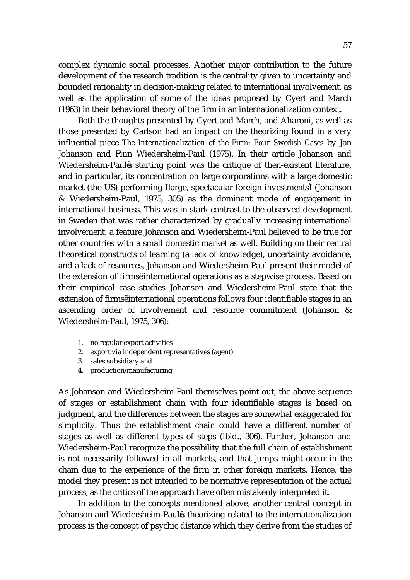complex dynamic social processes. Another major contribution to the future development of the research tradition is the centrality given to uncertainty and bounded rationality in decision-making related to international involvement, as well as the application of some of the ideas proposed by Cyert and March (1963) in their behavioral theory of the firm in an internationalization context.

Both the thoughts presented by Cyert and March, and Aharoni, as well as those presented by Carlson had an impact on the theorizing found in a very influential piece *The Internationalization of the Firm: Four Swedish Cases* by Jan Johanson and Finn Wiedersheim-Paul (1975). In their article Johanson and Wiedersheim-Paul s starting point was the critique of then-existent literature, and in particular, its concentration on large corporations with a large domestic market (the US) performing large, spectacular foreign investments (Johanson & Wiedersheim-Paul, 1975, 305) as the dominant mode of engagement in international business. This was in stark contrast to the observed development in Sweden that was rather characterized by gradually increasing international involvement, a feature Johanson and Wiedersheim-Paul believed to be true for other countries with a small domestic market as well. Building on their central theoretical constructs of learning (a lack of knowledge), uncertainty avoidance, and a lack of resources, Johanson and Wiedersheim-Paul present their model of the extension of firms international operations as a stepwise process. Based on their empirical case studies Johanson and Wiedersheim-Paul state that the extension of firms international operations follows four identifiable stages in an ascending order of involvement and resource commitment (Johanson & Wiedersheim-Paul, 1975, 306):

- 1. no regular export activities
- 2. export via independent representatives (agent)
- 3. sales subsidiary and
- 4. production/manufacturing

As Johanson and Wiedersheim-Paul themselves point out, the above sequence of stages or establishment chain with four identifiable stages is based on judgment, and the differences between the stages are somewhat exaggerated for simplicity. Thus the establishment chain could have a different number of stages as well as different types of steps (ibid., 306). Further, Johanson and Wiedersheim-Paul recognize the possibility that the full chain of establishment is not necessarily followed in all markets, and that jumps might occur in the chain due to the experience of the firm in other foreign markets. Hence, the model they present is not intended to be normative representation of the actual process, as the critics of the approach have often mistakenly interpreted it.

In addition to the concepts mentioned above, another central concept in Johanson and Wiedersheim-Paul s theorizing related to the internationalization process is the concept of psychic distance which they derive from the studies of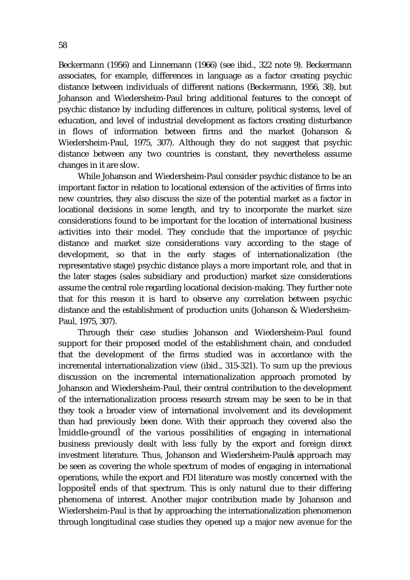Beckermann (1956) and Linnemann (1966) (see ibid., 322 note 9). Beckermann associates, for example, differences in language as a factor creating psychic distance between individuals of different nations (Beckermann, 1956, 38), but Johanson and Wiedersheim-Paul bring additional features to the concept of psychic distance by including differences in culture, political systems, level of education, and level of industrial development as factors creating disturbance in flows of information between firms and the market (Johanson & Wiedersheim-Paul, 1975, 307). Although they do not suggest that psychic distance between any two countries is constant, they nevertheless assume changes in it are slow.

While Johanson and Wiedersheim-Paul consider psychic distance to be an important factor in relation to locational extension of the activities of firms into new countries, they also discuss the size of the potential market as a factor in locational decisions in some length, and try to incorporate the market size considerations found to be important for the location of international business activities into their model. They conclude that the importance of psychic distance and market size considerations vary according to the stage of development, so that in the early stages of internationalization (the representative stage) psychic distance plays a more important role, and that in the later stages (sales subsidiary and production) market size considerations assume the central role regarding locational decision-making. They further note that for this reason it is hard to observe any correlation between psychic distance and the establishment of production units (Johanson & Wiedersheim-Paul, 1975, 307).

Through their case studies Johanson and Wiedersheim-Paul found support for their proposed model of the establishment chain, and concluded that the development of the firms studied was in accordance with the incremental internationalization view (ibid., 315-321). To sum up the previous discussion on the incremental internationalization approach promoted by Johanson and Wiedersheim-Paul, their central contribution to the development of the internationalization process research stream may be seen to be in that they took a broader view of international involvement and its development than had previously been done. With their approach they covered also the middle-ground of the various possibilities of engaging in international business previously dealt with less fully by the export and foreign direct investment literature. Thus, Johanson and Wiedersheim-Paul s approach may be seen as covering the whole spectrum of modes of engaging in international operations, while the export and FDI literature was mostly concerned with the opposite ends of that spectrum. This is only natural due to their differing phenomena of interest. Another major contribution made by Johanson and Wiedersheim-Paul is that by approaching the internationalization phenomenon through longitudinal case studies they opened up a major new avenue for the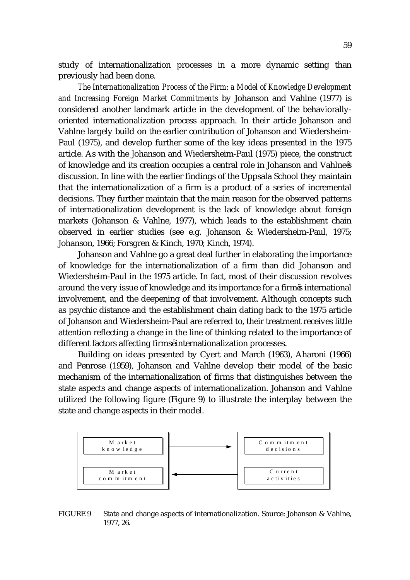study of internationalization processes in a more dynamic setting than previously had been done.

*The Internationalization Process of the Firm: a Model of Knowledge Development and Increasing Foreign Market Commitments* by Johanson and Vahlne (1977) is considered another landmark article in the development of the behaviorallyoriented internationalization process approach. In their article Johanson and Vahlne largely build on the earlier contribution of Johanson and Wiedersheim-Paul (1975), and develop further some of the key ideas presented in the 1975 article. As with the Johanson and Wiedersheim-Paul (1975) piece, the construct of knowledge and its creation occupies a central role in Johanson and Vahlne s discussion. In line with the earlier findings of the Uppsala School they maintain that the internationalization of a firm is a product of a series of incremental decisions. They further maintain that the main reason for the observed patterns of internationalization development is the lack of knowledge about foreign markets (Johanson & Vahlne, 1977), which leads to the establishment chain observed in earlier studies (see e.g. Johanson & Wiedersheim-Paul, 1975; Johanson, 1966; Forsgren & Kinch, 1970; Kinch, 1974).

Johanson and Vahlne go a great deal further in elaborating the importance of knowledge for the internationalization of a firm than did Johanson and Wiedersheim-Paul in the 1975 article. In fact, most of their discussion revolves around the very issue of knowledge and its importance for a firm s international involvement, and the deepening of that involvement. Although concepts such as psychic distance and the establishment chain dating back to the 1975 article of Johanson and Wiedersheim-Paul are referred to, their treatment receives little attention reflecting a change in the line of thinking related to the importance of different factors affecting firms internationalization processes.

Building on ideas presented by Cyert and March (1963), Aharoni (1966) and Penrose (1959), Johanson and Vahlne develop their model of the basic mechanism of the internationalization of firms that distinguishes between the state aspects and change aspects of internationalization. Johanson and Vahlne utilized the following figure (Figure 9) to illustrate the interplay between the state and change aspects in their model.



FIGURE 9 State and change aspects of internationalization. Source: Johanson & Vahlne, 1977, 26.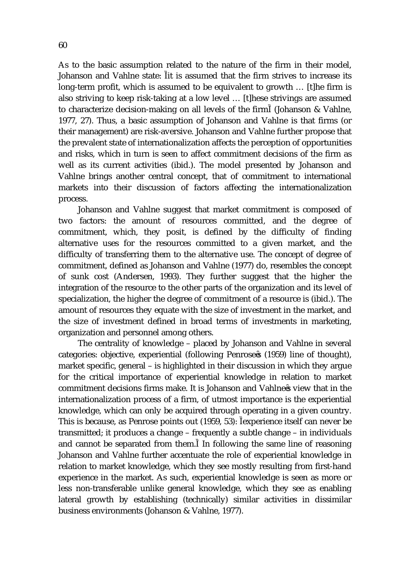As to the basic assumption related to the nature of the firm in their model, Johanson and Vahlne state: it is assumed that the firm strives to increase its long-term profit, which is assumed to be equivalent to growth … [t]he firm is also striving to keep risk-taking at a low level … [t]hese strivings are assumed to characterize decision-making on all levels of the firm (Johanson & Vahlne, 1977, 27). Thus, a basic assumption of Johanson and Vahlne is that firms (or their management) are risk-aversive. Johanson and Vahlne further propose that the prevalent state of internationalization affects the perception of opportunities and risks, which in turn is seen to affect commitment decisions of the firm as well as its current activities (ibid.). The model presented by Johanson and Vahlne brings another central concept, that of commitment to international markets into their discussion of factors affecting the internationalization process.

Johanson and Vahlne suggest that market commitment is composed of two factors: the amount of resources committed, and the degree of commitment, which, they posit, is defined by the difficulty of finding alternative uses for the resources committed to a given market, and the difficulty of transferring them to the alternative use. The concept of degree of commitment, defined as Johanson and Vahlne (1977) do, resembles the concept of sunk cost (Andersen, 1993). They further suggest that the higher the integration of the resource to the other parts of the organization and its level of specialization, the higher the degree of commitment of a resource is (ibid.). The amount of resources they equate with the size of investment in the market, and the size of investment defined in broad terms of investments in marketing, organization and personnel among others.

The centrality of knowledge – placed by Johanson and Vahlne in several categories: objective, experiential (following Penrose s (1959) line of thought), market specific, general – is highlighted in their discussion in which they argue for the critical importance of experiential knowledge in relation to market commitment decisions firms make. It is Johanson and Vahlne s view that in the internationalization process of a firm, of utmost importance is the experiential knowledge, which can only be acquired through operating in a given country. This is because, as Penrose points out (1959, 53): experience itself can never be transmitted; it produces a change – frequently a subtle change – in individuals and cannot be separated from them. In following the same line of reasoning Johanson and Vahlne further accentuate the role of experiential knowledge in relation to market knowledge, which they see mostly resulting from first-hand experience in the market. As such, experiential knowledge is seen as more or less non-transferable unlike general knowledge, which they see as enabling lateral growth by establishing (technically) similar activities in dissimilar business environments (Johanson & Vahlne, 1977).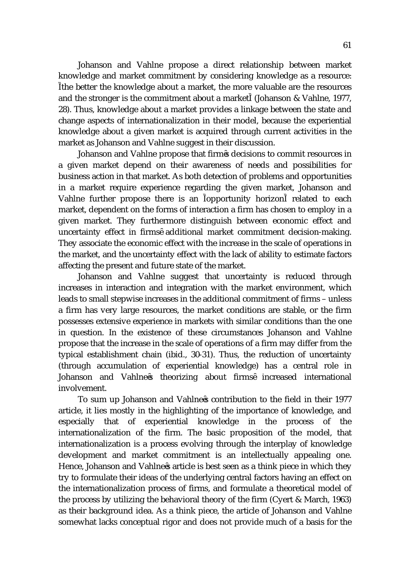Johanson and Vahlne propose a direct relationship between market knowledge and market commitment by considering knowledge as a resource: the better the knowledge about a market, the more valuable are the resources and the stronger is the commitment about a market (Johanson & Vahlne, 1977, 28). Thus, knowledge about a market provides a linkage between the state and change aspects of internationalization in their model, because the experiential knowledge about a given market is acquired through current activities in the market as Johanson and Vahlne suggest in their discussion.

Johanson and Vahlne propose that firm s decisions to commit resources in a given market depend on their awareness of needs and possibilities for business action in that market. As both detection of problems and opportunities in a market require experience regarding the given market, Johanson and Vahlne further propose there is an opportunity horizon related to each market, dependent on the forms of interaction a firm has chosen to employ in a given market. They furthermore distinguish between economic effect and uncertainty effect in firms additional market commitment decision-making. They associate the economic effect with the increase in the scale of operations in the market, and the uncertainty effect with the lack of ability to estimate factors affecting the present and future state of the market.

Johanson and Vahlne suggest that uncertainty is reduced through increases in interaction and integration with the market environment, which leads to small stepwise increases in the additional commitment of firms – unless a firm has very large resources, the market conditions are stable, or the firm possesses extensive experience in markets with similar conditions than the one in question. In the existence of these circumstances Johanson and Vahlne propose that the increase in the scale of operations of a firm may differ from the typical establishment chain (ibid., 30-31). Thus, the reduction of uncertainty (through accumulation of experiential knowledge) has a central role in Johanson and Vahlne s theorizing about firms increased international involvement.

To sum up Johanson and Vahlne s contribution to the field in their 1977 article, it lies mostly in the highlighting of the importance of knowledge, and especially that of experiential knowledge in the process of the internationalization of the firm. The basic proposition of the model, that internationalization is a process evolving through the interplay of knowledge development and market commitment is an intellectually appealing one. Hence, Johanson and Vahlne s article is best seen as a think piece in which they try to formulate their ideas of the underlying central factors having an effect on the internationalization process of firms, and formulate a theoretical model of the process by utilizing the behavioral theory of the firm (Cyert & March, 1963) as their background idea. As a think piece, the article of Johanson and Vahlne somewhat lacks conceptual rigor and does not provide much of a basis for the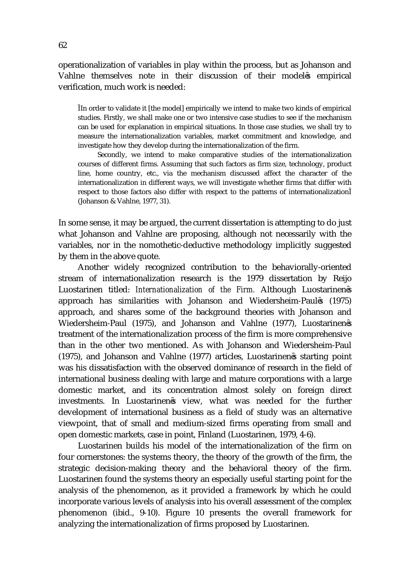operationalization of variables in play within the process, but as Johanson and Vahlne themselves note in their discussion of their model s empirical verification, much work is needed:

In order to validate it [the model] empirically we intend to make two kinds of empirical studies. Firstly, we shall make one or two intensive case studies to see if the mechanism can be used for explanation in empirical situations. In those case studies, we shall try to measure the internationalization variables, market commitment and knowledge, and investigate how they develop during the internationalization of the firm.

 Secondly, we intend to make comparative studies of the internationalization courses of different firms. Assuming that such factors as firm size, technology, product line, home country, etc., via the mechanism discussed affect the character of the internationalization in different ways, we will investigate whether firms that differ with respect to those factors also differ with respect to the patterns of internationalization (Johanson & Vahlne, 1977, 31).

In some sense, it may be argued, the current dissertation is attempting to do just what Johanson and Vahlne are proposing, although not necessarily with the variables, nor in the nomothetic-deductive methodology implicitly suggested by them in the above quote.

Another widely recognized contribution to the behaviorally-oriented stream of internationalization research is the 1979 dissertation by Reijo Luostarinen titled: *Internationalization of the Firm.* Although Luostarinen s approach has similarities with Johanson and Wiedersheim-Paul s (1975) approach, and shares some of the background theories with Johanson and Wiedersheim-Paul (1975), and Johanson and Vahlne (1977), Luostarinen s treatment of the internationalization process of the firm is more comprehensive than in the other two mentioned. As with Johanson and Wiedersheim-Paul (1975), and Johanson and Vahlne (1977) articles, Luostarinen s starting point was his dissatisfaction with the observed dominance of research in the field of international business dealing with large and mature corporations with a large domestic market, and its concentration almost solely on foreign direct investments. In Luostarinen s view, what was needed for the further development of international business as a field of study was an alternative viewpoint, that of small and medium-sized firms operating from small and open domestic markets, case in point, Finland (Luostarinen, 1979, 4-6).

Luostarinen builds his model of the internationalization of the firm on four cornerstones: the systems theory, the theory of the growth of the firm, the strategic decision-making theory and the behavioral theory of the firm. Luostarinen found the systems theory an especially useful starting point for the analysis of the phenomenon, as it provided a framework by which he could incorporate various levels of analysis into his overall assessment of the complex phenomenon (ibid., 9-10). Figure 10 presents the overall framework for analyzing the internationalization of firms proposed by Luostarinen.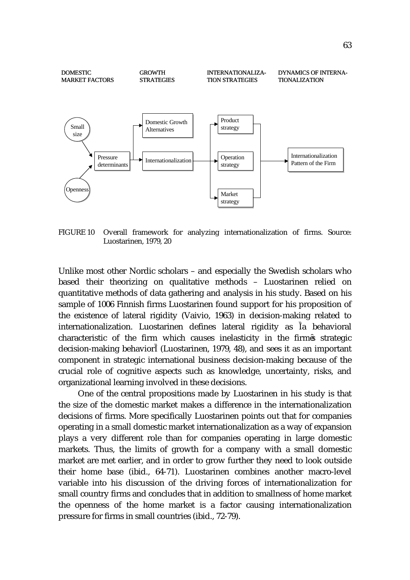

FIGURE 10 Overall framework for analyzing internationalization of firms. Source: Luostarinen, 1979, 20

Unlike most other Nordic scholars – and especially the Swedish scholars who based their theorizing on qualitative methods – Luostarinen relied on quantitative methods of data gathering and analysis in his study. Based on his sample of 1006 Finnish firms Luostarinen found support for his proposition of the existence of lateral rigidity (Vaivio, 1963) in decision-making related to internationalization. Luostarinen defines lateral rigidity as a behavioral characteristic of the firm which causes inelasticity in the firm s strategic decision-making behavior (Luostarinen, 1979, 48), and sees it as an important component in strategic international business decision-making because of the crucial role of cognitive aspects such as knowledge, uncertainty, risks, and organizational learning involved in these decisions.

One of the central propositions made by Luostarinen in his study is that the size of the domestic market makes a difference in the internationalization decisions of firms. More specifically Luostarinen points out that for companies operating in a small domestic market internationalization as a way of expansion plays a very different role than for companies operating in large domestic markets. Thus, the limits of growth for a company with a small domestic market are met earlier, and in order to grow further they need to look outside their home base (ibid., 64-71). Luostarinen combines another macro-level variable into his discussion of the driving forces of internationalization for small country firms and concludes that in addition to smallness of home market the openness of the home market is a factor causing internationalization pressure for firms in small countries (ibid., 72-79).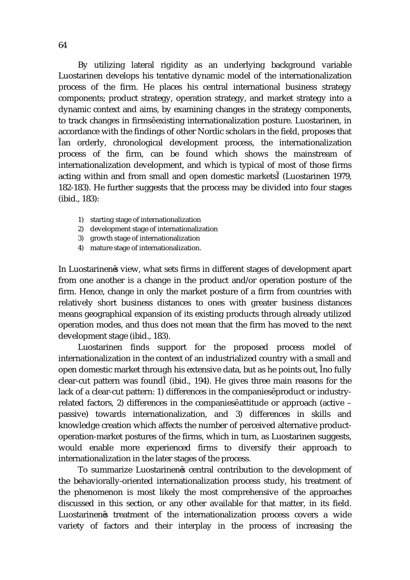By utilizing lateral rigidity as an underlying background variable Luostarinen develops his tentative dynamic model of the internationalization process of the firm. He places his central international business strategy components; product strategy, operation strategy, and market strategy into a dynamic context and aims, by examining changes in the strategy components, to track changes in firms existing internationalization posture. Luostarinen, in accordance with the findings of other Nordic scholars in the field, proposes that an orderly, chronological development process, the internationalization process of the firm, can be found which shows the mainstream of internationalization development, and which is typical of most of those firms acting within and from small and open domestic markets (Luostarinen 1979, 182-183). He further suggests that the process may be divided into four stages (ibid., 183):

- 1) starting stage of internationalization
- 2) development stage of internationalization
- 3) growth stage of internationalization
- 4) mature stage of internationalization.

In Luostarinen s view, what sets firms in different stages of development apart from one another is a change in the product and/or operation posture of the firm. Hence, change in only the market posture of a firm from countries with relatively short business distances to ones with greater business distances means geographical expansion of its existing products through already utilized operation modes, and thus does not mean that the firm has moved to the next development stage (ibid., 183).

Luostarinen finds support for the proposed process model of internationalization in the context of an industrialized country with a small and open domestic market through his extensive data, but as he points out, no fully clear-cut pattern was found (ibid., 194). He gives three main reasons for the lack of a clear-cut pattern: 1) differences in the companies product or industryrelated factors, 2) differences in the companies attitude or approach (active – passive) towards internationalization, and 3) differences in skills and knowledge creation which affects the number of perceived alternative productoperation-market postures of the firms, which in turn, as Luostarinen suggests, would enable more experienced firms to diversify their approach to internationalization in the later stages of the process.

To summarize Luostarinen s central contribution to the development of the behaviorally-oriented internationalization process study, his treatment of the phenomenon is most likely the most comprehensive of the approaches discussed in this section, or any other available for that matter, in its field. Luostarinen s treatment of the internationalization process covers a wide variety of factors and their interplay in the process of increasing the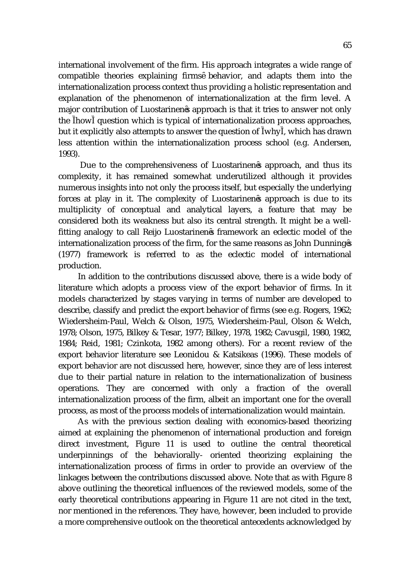international involvement of the firm. His approach integrates a wide range of compatible theories explaining firms behavior, and adapts them into the internationalization process context thus providing a holistic representation and explanation of the phenomenon of internationalization at the firm level. A major contribution of Luostarinen s approach is that it tries to answer not only the how question which is typical of internationalization process approaches, but it explicitly also attempts to answer the question of why , which has drawn less attention within the internationalization process school (e.g. Andersen, 1993).

 Due to the comprehensiveness of Luostarinen s approach, and thus its complexity, it has remained somewhat underutilized although it provides numerous insights into not only the process itself, but especially the underlying forces at play in it. The complexity of Luostarinen s approach is due to its multiplicity of conceptual and analytical layers, a feature that may be considered both its weakness but also its central strength. It might be a wellfitting analogy to call Reijo Luostarinen s framework an eclectic model of the internationalization process of the firm, for the same reasons as John Dunning s (1977) framework is referred to as the eclectic model of international production.

In addition to the contributions discussed above, there is a wide body of literature which adopts a process view of the export behavior of firms. In it models characterized by stages varying in terms of number are developed to describe, classify and predict the export behavior of firms (see e.g. Rogers, 1962; Wiedersheim-Paul, Welch & Olson, 1975, Wiedersheim-Paul, Olson & Welch, 1978; Olson, 1975, Bilkey & Tesar, 1977; Bilkey, 1978, 1982; Cavusgil, 1980, 1982, 1984; Reid, 1981; Czinkota, 1982 among others). For a recent review of the export behavior literature see Leonidou & Katsikeas (1996). These models of export behavior are not discussed here, however, since they are of less interest due to their partial nature in relation to the internationalization of business operations. They are concerned with only a fraction of the overall internationalization process of the firm, albeit an important one for the overall process, as most of the process models of internationalization would maintain.

As with the previous section dealing with economics-based theorizing aimed at explaining the phenomenon of international production and foreign direct investment, Figure 11 is used to outline the central theoretical underpinnings of the behaviorally- oriented theorizing explaining the internationalization process of firms in order to provide an overview of the linkages between the contributions discussed above. Note that as with Figure 8 above outlining the theoretical influences of the reviewed models, some of the early theoretical contributions appearing in Figure 11 are not cited in the text, nor mentioned in the references. They have, however, been included to provide a more comprehensive outlook on the theoretical antecedents acknowledged by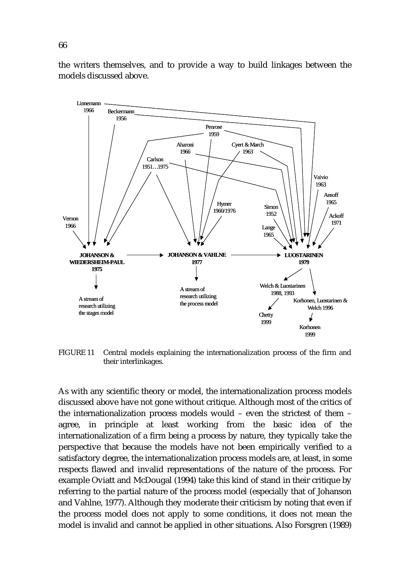**JOHANSON & WIEDERSHEIM-PAUL 1975 JOHANSON & VAHLNE 1977 LUOSTARINEN 1979** Penrose 1959 Aharoni 1966 Cyert & March 1963 Hymer 1960/1976 **Carlson** 1951…1975 Beckermann 1956 Linnemann 1966 Vernon 1966 Vaivio 1963 Ansoff 1965 Simon 1952 Lange 1965 Ackoff 1971 A stream of research utilizing the stages model A stream of research utilizing the process model Welch & Luostarinen 1988, 1993 Korhonen, Luostarinen & Welch 1996 **Chetty** 1999 Korhonen 1999

the writers themselves, and to provide a way to build linkages between the models discussed above.

FIGURE 11 Central models explaining the internationalization process of the firm and their interlinkages.

As with any scientific theory or model, the internationalization process models discussed above have not gone without critique. Although most of the critics of the internationalization process models would – even the strictest of them – agree, in principle at least working from the basic idea of the internationalization of a firm being a process by nature, they typically take the perspective that because the models have not been empirically verified to a satisfactory degree, the internationalization process models are, at least, in some respects flawed and invalid representations of the nature of the process. For example Oviatt and McDougal (1994) take this kind of stand in their critique by referring to the partial nature of the process model (especially that of Johanson and Vahlne, 1977). Although they moderate their criticism by noting that even if the process model does not apply to some conditions, it does not mean the model is invalid and cannot be applied in other situations. Also Forsgren (1989)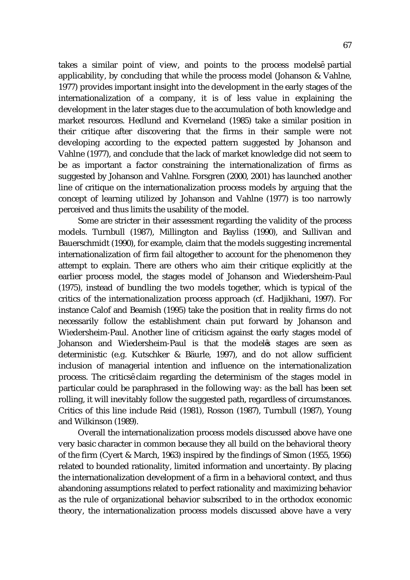takes a similar point of view, and points to the process models partial applicability, by concluding that while the process model (Johanson & Vahlne, 1977) provides important insight into the development in the early stages of the internationalization of a company, it is of less value in explaining the development in the later stages due to the accumulation of both knowledge and market resources. Hedlund and Kverneland (1985) take a similar position in their critique after discovering that the firms in their sample were not developing according to the expected pattern suggested by Johanson and Vahlne (1977), and conclude that the lack of market knowledge did not seem to be as important a factor constraining the internationalization of firms as suggested by Johanson and Vahlne. Forsgren (2000, 2001) has launched another line of critique on the internationalization process models by arguing that the concept of learning utilized by Johanson and Vahlne (1977) is too narrowly perceived and thus limits the usability of the model.

Some are stricter in their assessment regarding the validity of the process models. Turnbull (1987), Millington and Bayliss (1990), and Sullivan and Bauerschmidt (1990), for example, claim that the models suggesting incremental internationalization of firm fail altogether to account for the phenomenon they attempt to explain. There are others who aim their critique explicitly at the earlier process model, the stages model of Johanson and Wiedersheim-Paul (1975), instead of bundling the two models together, which is typical of the critics of the internationalization process approach (cf. Hadjikhani, 1997). For instance Calof and Beamish (1995) take the position that in reality firms do not necessarily follow the establishment chain put forward by Johanson and Wiedersheim-Paul. Another line of criticism against the early stages model of Johanson and Wiedersheim-Paul is that the model s stages are seen as deterministic (e.g. Kutschker & Bäurle, 1997), and do not allow sufficient inclusion of managerial intention and influence on the internationalization process. The critics claim regarding the determinism of the stages model in particular could be paraphrased in the following way: as the ball has been set rolling, it will inevitably follow the suggested path, regardless of circumstances. Critics of this line include Reid (1981), Rosson (1987), Turnbull (1987), Young and Wilkinson (1989).

Overall the internationalization process models discussed above have one very basic character in common because they all build on the behavioral theory of the firm (Cyert & March, 1963) inspired by the findings of Simon (1955, 1956) related to bounded rationality, limited information and uncertainty. By placing the internationalization development of a firm in a behavioral context, and thus abandoning assumptions related to perfect rationality and maximizing behavior as the rule of organizational behavior subscribed to in the orthodox economic theory, the internationalization process models discussed above have a very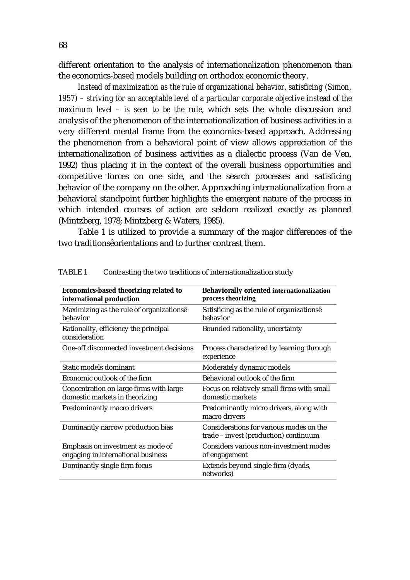different orientation to the analysis of internationalization phenomenon than the economics-based models building on orthodox economic theory.

*Instead of maximization as the rule of organizational behavior, satisficing (Simon, 1957) – striving for an acceptable level of a particular corporate objective instead of the maximum level – is seen to be the rule*, which sets the whole discussion and analysis of the phenomenon of the internationalization of business activities in a very different mental frame from the economics-based approach. Addressing the phenomenon from a behavioral point of view allows appreciation of the internationalization of business activities as a dialectic process (Van de Ven, 1992) thus placing it in the context of the overall business opportunities and competitive forces on one side, and the search processes and satisficing behavior of the company on the other. Approaching internationalization from a behavioral standpoint further highlights the emergent nature of the process in which intended courses of action are seldom realized exactly as planned (Mintzberg, 1978; Mintzberg & Waters, 1985).

Table 1 is utilized to provide a summary of the major differences of the two traditions orientations and to further contrast them.

| <b>Economics-based theorizing related to</b><br>international production  | <b>Behaviorally oriented internationalization</b><br>process theorizing          |
|---------------------------------------------------------------------------|----------------------------------------------------------------------------------|
| Maximizing as the rule of organizations<br>behavior                       | Satisficing as the rule of organizations<br>behavior                             |
| Rationality, efficiency the principal<br>consideration                    | Bounded rationality, uncertainty                                                 |
| One-off disconnected investment decisions                                 | Process characterized by learning through<br>experience                          |
| Static models dominant                                                    | Moderately dynamic models                                                        |
| Economic outlook of the firm                                              | Behavioral outlook of the firm                                                   |
| Concentration on large firms with large<br>domestic markets in theorizing | Focus on relatively small firms with small<br>domestic markets                   |
| Predominantly macro drivers                                               | Predominantly micro drivers, along with<br>macro drivers                         |
| Dominantly narrow production bias                                         | Considerations for various modes on the<br>trade - invest (production) continuum |
| Emphasis on investment as mode of<br>engaging in international business   | Considers various non-investment modes<br>of engagement                          |
| Dominantly single firm focus                                              | Extends beyond single firm (dyads,<br>networks)                                  |

TABLE 1 Contrasting the two traditions of internationalization study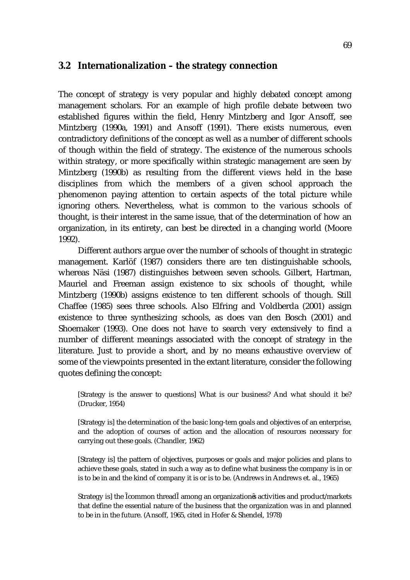#### **3.2 Internationalization – the strategy connection**

The concept of strategy is very popular and highly debated concept among management scholars. For an example of high profile debate between two established figures within the field, Henry Mintzberg and Igor Ansoff, see Mintzberg (1990a, 1991) and Ansoff (1991). There exists numerous, even contradictory definitions of the concept as well as a number of different schools of though within the field of strategy. The existence of the numerous schools within strategy, or more specifically within strategic management are seen by Mintzberg (1990b) as resulting from the different views held in the base disciplines from which the members of a given school approach the phenomenon paying attention to certain aspects of the total picture while ignoring others. Nevertheless, what is common to the various schools of thought, is their interest in the same issue, that of the determination of how an organization, in its entirety, can best be directed in a changing world (Moore 1992).

Different authors argue over the number of schools of thought in strategic management. Karlöf (1987) considers there are ten distinguishable schools, whereas Näsi (1987) distinguishes between seven schools. Gilbert, Hartman, Mauriel and Freeman assign existence to six schools of thought, while Mintzberg (1990b) assigns existence to ten different schools of though. Still Chaffee (1985) sees three schools. Also Elfring and Voldberda (2001) assign existence to three synthesizing schools, as does van den Bosch (2001) and Shoemaker (1993). One does not have to search very extensively to find a number of different meanings associated with the concept of strategy in the literature. Just to provide a short, and by no means exhaustive overview of some of the viewpoints presented in the extant literature, consider the following quotes defining the concept:

[Strategy is the answer to questions] What is our business? And what should it be? (Drucker, 1954)

[Strategy is] the determination of the basic long-tem goals and objectives of an enterprise, and the adoption of courses of action and the allocation of resources necessary for carrying out these goals. (Chandler, 1962)

[Strategy is] the pattern of objectives, purposes or goals and major policies and plans to achieve these goals, stated in such a way as to define what business the company is in or is to be in and the kind of company it is or is to be. (Andrews in Andrews et. al., 1965)

Strategy is] the common thread among an organization s activities and product/markets that define the essential nature of the business that the organization was in and planned to be in in the future. (Ansoff, 1965, cited in Hofer & Shendel, 1978)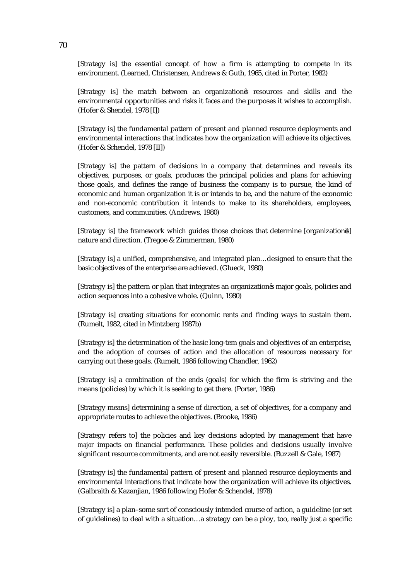[Strategy is] the essential concept of how a firm is attempting to compete in its environment. (Learned, Christensen, Andrews & Guth, 1965, cited in Porter, 1982)

[Strategy is] the match between an organization s resources and skills and the environmental opportunities and risks it faces and the purposes it wishes to accomplish. (Hofer & Shendel, 1978 [I])

[Strategy is] the fundamental pattern of present and planned resource deployments and environmental interactions that indicates how the organization will achieve its objectives. (Hofer & Schendel, 1978 [II])

[Strategy is] the pattern of decisions in a company that determines and reveals its objectives, purposes, or goals, produces the principal policies and plans for achieving those goals, and defines the range of business the company is to pursue, the kind of economic and human organization it is or intends to be, and the nature of the economic and non-economic contribution it intends to make to its shareholders, employees, customers, and communities. (Andrews, 1980)

[Strategy is] the framework which guides those choices that determine [organization s] nature and direction. (Tregoe & Zimmerman, 1980)

[Strategy is] a unified, comprehensive, and integrated plan…designed to ensure that the basic objectives of the enterprise are achieved. (Glueck, 1980)

[Strategy is] the pattern or plan that integrates an organization s major goals, policies and action sequences into a cohesive whole. (Quinn, 1980)

[Strategy is] creating situations for economic rents and finding ways to sustain them. (Rumelt, 1982, cited in Mintzberg 1987b)

[Strategy is] the determination of the basic long-tem goals and objectives of an enterprise, and the adoption of courses of action and the allocation of resources necessary for carrying out these goals. (Rumelt, 1986 following Chandler, 1962)

[Strategy is] a combination of the ends (goals) for which the firm is striving and the means (policies) by which it is seeking to get there. (Porter, 1986)

[Strategy means] determining a sense of direction, a set of objectives, for a company and appropriate routes to achieve the objectives. (Brooke, 1986)

[Strategy refers to] the policies and key decisions adopted by management that have *major* impacts on financial performance. These policies and decisions usually involve significant resource commitments, and are not easily reversible. (Buzzell & Gale, 1987)

[Strategy is] the fundamental pattern of present and planned resource deployments and environmental interactions that indicate how the organization will achieve its objectives. (Galbraith & Kazanjian, 1986 following Hofer & Schendel, 1978)

[Strategy is] a plan–some sort of consciously intended course of action, a guideline (or set of guidelines) to deal with a situation…a strategy can be a ploy*,* too, really just a specific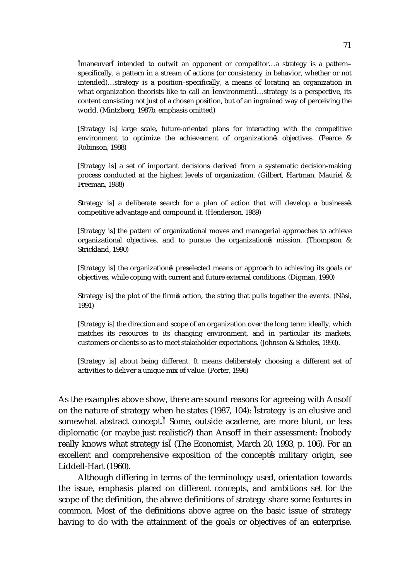maneuver intended to outwit an opponent or competitor…a strategy is a pattern– specifically, a pattern in a stream of actions (or consistency in behavior, whether or not intended)…strategy is a position–specifically, a means of locating an organization in what organization theorists like to call an environment ...strategy is a perspective, its content consisting not just of a chosen position, but of an ingrained way of perceiving the world. (Mintzberg, 1987b, emphasis omitted)

[Strategy is] large scale, future-oriented plans for interacting with the competitive environment to optimize the achievement of organization s objectives. (Pearce & Robinson, 1988)

[Strategy is] a set of important decisions derived from a systematic decision-making process conducted at the highest levels of organization. (Gilbert, Hartman, Mauriel & Freeman, 1988)

Strategy is] a deliberate search for a plan of action that will develop a business s competitive advantage and compound it. (Henderson, 1989)

[Strategy is] the pattern of organizational moves and managerial approaches to achieve organizational objectives, and to pursue the organization s mission. (Thompson & Strickland, 1990)

[Strategy is] the organization s preselected means or approach to achieving its goals or objectives, while coping with current and future external conditions. (Digman, 1990)

Strategy is] the plot of the firm s action, the string that pulls together the events. (Näsi, 1991)

[Strategy is] the direction and scope of an organization over the long term: ideally, which matches its resources to its changing environment, and in particular its markets, customers or clients so as to meet stakeholder expectations. (Johnson & Scholes, 1993).

[Strategy is] about being different. It means deliberately choosing a different set of activities to deliver a unique mix of value. (Porter, 1996)

As the examples above show, there are sound reasons for agreeing with Ansoff on the nature of strategy when he states (1987, 104): strategy is an elusive and somewhat abstract concept. Some, outside academe, are more blunt, or less diplomatic (or maybe just realistic?) than Ansoff in their assessment: nobody really knows what strategy is (The Economist, March 20, 1993, p. 106). For an excellent and comprehensive exposition of the concept s military origin, see Liddell-Hart (1960).

 Although differing in terms of the terminology used, orientation towards the issue, emphasis placed on different concepts, and ambitions set for the scope of the definition, the above definitions of strategy share some features in common. Most of the definitions above agree on the basic issue of strategy having to do with the attainment of the goals or objectives of an enterprise.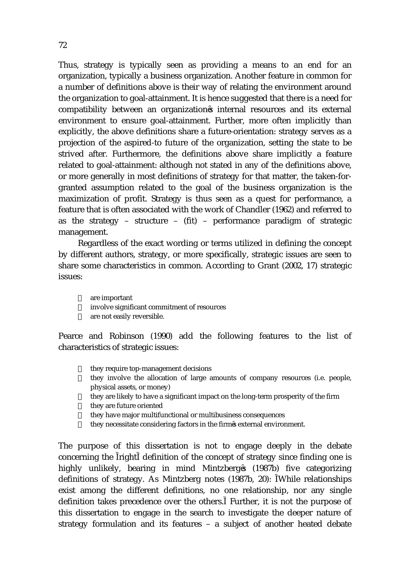Thus, strategy is typically seen as providing a means to an end for an organization, typically a business organization. Another feature in common for a number of definitions above is their way of relating the environment around the organization to goal-attainment. It is hence suggested that there is a need for compatibility between an organization s internal resources and its external environment to ensure goal-attainment. Further, more often implicitly than explicitly, the above definitions share a future-orientation: strategy serves as a projection of the aspired-to future of the organization, setting the state to be strived after. Furthermore, the definitions above share implicitly a feature related to goal-attainment: although not stated in any of the definitions above, or more generally in most definitions of strategy for that matter, the taken-forgranted assumption related to the goal of the business organization is the maximization of profit. Strategy is thus seen as a quest for performance, a feature that is often associated with the work of Chandler (1962) and referred to as the strategy – structure – (fit) – performance paradigm of strategic management.

Regardless of the exact wording or terms utilized in defining the concept by different authors, strategy, or more specifically, strategic issues are seen to share some characteristics in common. According to Grant (2002, 17) strategic issues:

- are important
- involve significant commitment of resources
- $\check{s}$  are not easily reversible.

Pearce and Robinson (1990) add the following features to the list of characteristics of strategic issues:

- they require top-management decisions
- they involve the allocation of large amounts of company resources (i.e. people, physical assets, or money)
- $\check{\sigma}$  they are likely to have a significant impact on the long-term prosperity of the firm
- $\check{s}$  they are future oriented
- they have major multifunctional or multibusiness consequences
- they necessitate considering factors in the firm s external environment.

The purpose of this dissertation is not to engage deeply in the debate concerning the right definition of the concept of strategy since finding one is highly unlikely, bearing in mind Mintzberg s (1987b) five categorizing definitions of strategy. As Mintzberg notes (1987b, 20): While relationships exist among the different definitions, no one relationship, nor any single definition takes precedence over the others. Further, it is not the purpose of this dissertation to engage in the search to investigate the deeper nature of strategy formulation and its features – a subject of another heated debate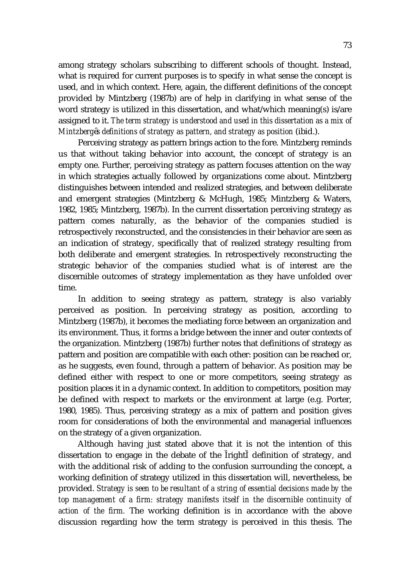among strategy scholars subscribing to different schools of thought. Instead, what is required for current purposes is to specify in what sense the concept is used, and in which context. Here, again, the different definitions of the concept provided by Mintzberg (1987b) are of help in clarifying in what sense of the word strategy is utilized in this dissertation, and what/which meaning(s) is/are assigned to it. *The term strategy is understood and used in this dissertation as a mix of Mintzberg s definitions of strategy as pattern, and strategy as position* (ibid.).

Perceiving strategy as pattern brings action to the fore. Mintzberg reminds us that without taking behavior into account, the concept of strategy is an empty one. Further, perceiving strategy as pattern focuses attention on the way in which strategies actually followed by organizations come about. Mintzberg distinguishes between intended and realized strategies, and between deliberate and emergent strategies (Mintzberg & McHugh, 1985; Mintzberg & Waters, 1982, 1985; Mintzberg, 1987b). In the current dissertation perceiving strategy as pattern comes naturally, as the behavior of the companies studied is retrospectively reconstructed, and the consistencies in their behavior are seen as an indication of strategy, specifically that of realized strategy resulting from both deliberate and emergent strategies. In retrospectively reconstructing the strategic behavior of the companies studied what is of interest are the discernible outcomes of strategy implementation as they have unfolded over time.

In addition to seeing strategy as pattern, strategy is also variably perceived as position. In perceiving strategy as position, according to Mintzberg (1987b), it becomes the mediating force between an organization and its environment. Thus, it forms a bridge between the inner and outer contexts of the organization. Mintzberg (1987b) further notes that definitions of strategy as pattern and position are compatible with each other: position can be reached or, as he suggests, even found, through a pattern of behavior. As position may be defined either with respect to one or more competitors, seeing strategy as position places it in a dynamic context. In addition to competitors, position may be defined with respect to markets or the environment at large (e.g. Porter, 1980, 1985). Thus, perceiving strategy as a mix of pattern and position gives room for considerations of both the environmental and managerial influences on the strategy of a given organization.

Although having just stated above that it is not the intention of this dissertation to engage in the debate of the right definition of strategy, and with the additional risk of adding to the confusion surrounding the concept, a working definition of strategy utilized in this dissertation will, nevertheless, be provided. *Strategy is seen to be resultant of a string of essential decisions made by the top management of a firm: strategy manifests itself in the discernible continuity of action of the firm.* The working definition is in accordance with the above discussion regarding how the term strategy is perceived in this thesis. The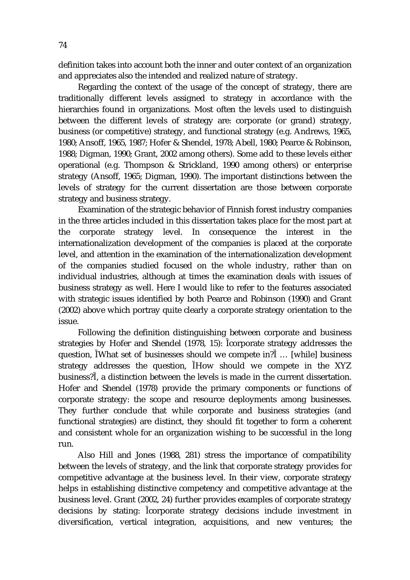definition takes into account both the inner and outer context of an organization and appreciates also the intended and realized nature of strategy.

Regarding the context of the usage of the concept of strategy, there are traditionally different levels assigned to strategy in accordance with the hierarchies found in organizations. Most often the levels used to distinguish between the different levels of strategy are: corporate (or grand) strategy, business (or competitive) strategy, and functional strategy (e.g. Andrews, 1965, 1980; Ansoff, 1965, 1987; Hofer & Shendel, 1978; Abell, 1980; Pearce & Robinson, 1988; Digman, 1990; Grant, 2002 among others). Some add to these levels either operational (e.g. Thompson & Strickland, 1990 among others) or enterprise strategy (Ansoff, 1965; Digman, 1990). The important distinctions between the levels of strategy for the current dissertation are those between corporate strategy and business strategy.

Examination of the strategic behavior of Finnish forest industry companies in the three articles included in this dissertation takes place for the most part at the corporate strategy level. In consequence the interest in the internationalization development of the companies is placed at the corporate level, and attention in the examination of the internationalization development of the companies studied focused on the whole industry, rather than on individual industries, although at times the examination deals with issues of business strategy as well. Here I would like to refer to the features associated with strategic issues identified by both Pearce and Robinson (1990) and Grant (2002) above which portray quite clearly a corporate strategy orientation to the issue.

Following the definition distinguishing between corporate and business strategies by Hofer and Shendel (1978, 15): corporate strategy addresses the question, What set of businesses should we compete in? … [while] business strategy addresses the question, How should we compete in the XYZ business? , a distinction between the levels is made in the current dissertation. Hofer and Shendel (1978) provide the primary components or functions of corporate strategy: the scope and resource deployments among businesses. They further conclude that while corporate and business strategies (and functional strategies) are distinct, they should fit together to form a coherent and consistent whole for an organization wishing to be successful in the long run.

Also Hill and Jones (1988, 281) stress the importance of compatibility between the levels of strategy, and the link that corporate strategy provides for competitive advantage at the business level. In their view, corporate strategy helps in establishing distinctive competency and competitive advantage at the business level. Grant (2002, 24) further provides examples of corporate strategy decisions by stating: corporate strategy decisions include investment in diversification, vertical integration, acquisitions, and new ventures; the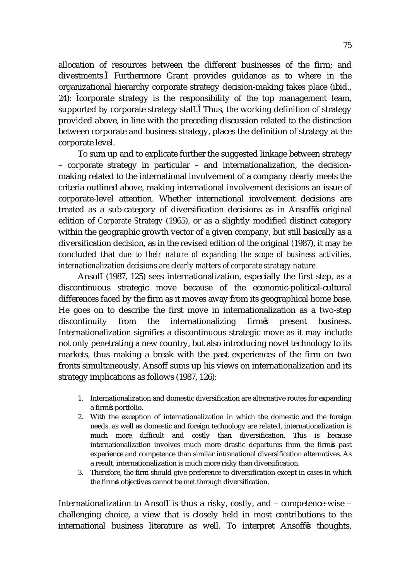allocation of resources between the different businesses of the firm; and divestments. Furthermore Grant provides guidance as to where in the organizational hierarchy corporate strategy decision-making takes place (ibid., 24): corporate strategy is the responsibility of the top management team, supported by corporate strategy staff. Thus, the working definition of strategy provided above, in line with the preceding discussion related to the distinction between corporate and business strategy, places the definition of strategy at the corporate level.

To sum up and to explicate further the suggested linkage between strategy – corporate strategy in particular – and internationalization, the decisionmaking related to the international involvement of a company clearly meets the criteria outlined above, making international involvement decisions an issue of corporate-level attention. Whether international involvement decisions are treated as a sub-category of diversification decisions as in Ansoff s original edition of *Corporate Strategy* (1965), or as a slightly modified distinct category within the geographic growth vector of a given company, but still basically as a diversification decision, as in the revised edition of the original (1987), it may be concluded that *due to their nature of expanding the scope of business activities, internationalization decisions are clearly matters of corporate strategy nature.*

Ansoff (1987, 125) sees internationalization, especially the first step, as a discontinuous strategic move because of the economic-political-cultural differences faced by the firm as it moves away from its geographical home base. He goes on to describe the first move in internationalization as a two-step discontinuity from the internationalizing firm s present business. Internationalization signifies a discontinuous strategic move as it may include not only penetrating a new country, but also introducing novel technology to its markets, thus making a break with the past experiences of the firm on two fronts simultaneously. Ansoff sums up his views on internationalization and its strategy implications as follows (1987, 126):

- 1. Internationalization and domestic diversification are alternative routes for expanding a firm s portfolio.
- 2. With the exception of internationalization in which the domestic and the foreign needs, as well as domestic and foreign technology are related, internationalization is much more difficult and costly than diversification. This is because internationalization involves much more drastic departures from the firm s past experience and competence than similar intranational diversification alternatives. As a result, internationalization is much more risky than diversification.
- 3. Therefore, the firm should give preference to diversification except in cases in which the firm s objectives cannot be met through diversification.

Internationalization to Ansoff is thus a risky, costly, and – competence-wise – challenging choice, a view that is closely held in most contributions to the international business literature as well. To interpret Ansoff's thoughts,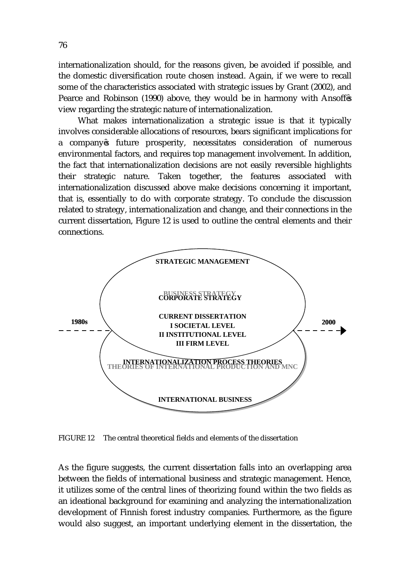internationalization should, for the reasons given, be avoided if possible, and the domestic diversification route chosen instead. Again, if we were to recall some of the characteristics associated with strategic issues by Grant (2002), and Pearce and Robinson (1990) above, they would be in harmony with Ansoff s view regarding the strategic nature of internationalization.

What makes internationalization a strategic issue is that it typically involves considerable allocations of resources, bears significant implications for a company s future prosperity, necessitates consideration of numerous environmental factors, and requires top management involvement. In addition, the fact that internationalization decisions are not easily reversible highlights their strategic nature. Taken together, the features associated with internationalization discussed above make decisions concerning it important, that is, essentially to do with corporate strategy. To conclude the discussion related to strategy, internationalization and change, and their connections in the current dissertation, Figure 12 is used to outline the central elements and their connections.



FIGURE 12 The central theoretical fields and elements of the dissertation

As the figure suggests, the current dissertation falls into an overlapping area between the fields of international business and strategic management. Hence, it utilizes some of the central lines of theorizing found within the two fields as an ideational background for examining and analyzing the internationalization development of Finnish forest industry companies. Furthermore, as the figure would also suggest, an important underlying element in the dissertation, the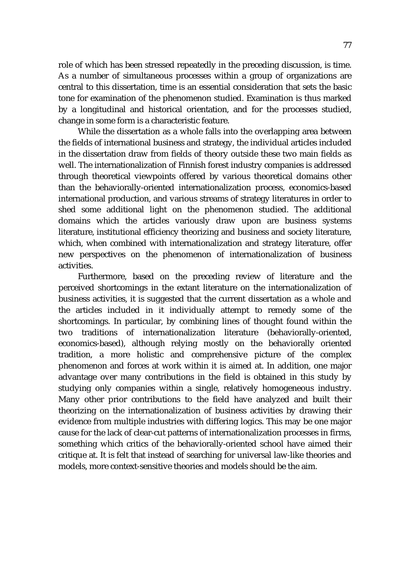role of which has been stressed repeatedly in the preceding discussion, is time. As a number of simultaneous processes within a group of organizations are central to this dissertation, time is an essential consideration that sets the basic tone for examination of the phenomenon studied. Examination is thus marked by a longitudinal and historical orientation, and for the processes studied, change in some form is a characteristic feature.

 While the dissertation as a whole falls into the overlapping area between the fields of international business and strategy, the individual articles included in the dissertation draw from fields of theory outside these two main fields as well. The internationalization of Finnish forest industry companies is addressed through theoretical viewpoints offered by various theoretical domains other than the behaviorally-oriented internationalization process, economics-based international production, and various streams of strategy literatures in order to shed some additional light on the phenomenon studied. The additional domains which the articles variously draw upon are business systems literature, institutional efficiency theorizing and business and society literature, which, when combined with internationalization and strategy literature, offer new perspectives on the phenomenon of internationalization of business activities.

 Furthermore, based on the preceding review of literature and the perceived shortcomings in the extant literature on the internationalization of business activities, it is suggested that the current dissertation as a whole and the articles included in it individually attempt to remedy some of the shortcomings. In particular, by combining lines of thought found within the two traditions of internationalization literature (behaviorally-oriented, economics-based), although relying mostly on the behaviorally oriented tradition, a more holistic and comprehensive picture of the complex phenomenon and forces at work within it is aimed at. In addition, one major advantage over many contributions in the field is obtained in this study by studying only companies within a single, relatively homogeneous industry. Many other prior contributions to the field have analyzed and built their theorizing on the internationalization of business activities by drawing their evidence from multiple industries with differing logics. This may be one major cause for the lack of clear-cut patterns of internationalization processes in firms, something which critics of the behaviorally-oriented school have aimed their critique at. It is felt that instead of searching for universal law-like theories and models, more context-sensitive theories and models should be the aim.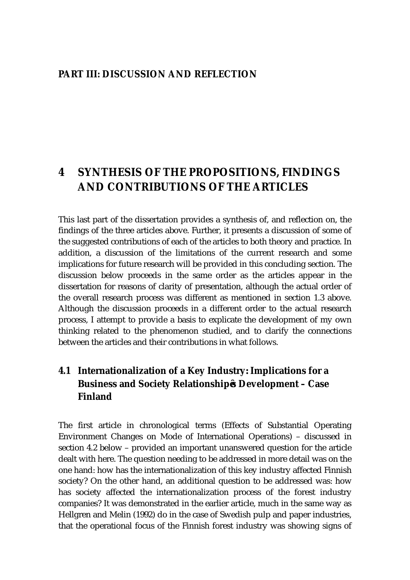#### **PART III: DISCUSSION AND REFLECTION**

# **4 SYNTHESIS OF THE PROPOSITIONS, FINDINGS AND CONTRIBUTIONS OF THE ARTICLES**

This last part of the dissertation provides a synthesis of, and reflection on, the findings of the three articles above. Further, it presents a discussion of some of the suggested contributions of each of the articles to both theory and practice. In addition, a discussion of the limitations of the current research and some implications for future research will be provided in this concluding section. The discussion below proceeds in the same order as the articles appear in the dissertation for reasons of clarity of presentation, although the actual order of the overall research process was different as mentioned in section 1.3 above. Although the discussion proceeds in a different order to the actual research process, I attempt to provide a basis to explicate the development of my own thinking related to the phenomenon studied, and to clarify the connections between the articles and their contributions in what follows.

## **4.1 Internationalization of a Key Industry: Implications for a Business and Society Relationship s Development – Case Finland**

The first article in chronological terms (Effects of Substantial Operating Environment Changes on Mode of International Operations) – discussed in section 4.2 below – provided an important unanswered question for the article dealt with here. The question needing to be addressed in more detail was on the one hand: how has the internationalization of this key industry affected Finnish society? On the other hand, an additional question to be addressed was: how has society affected the internationalization process of the forest industry companies? It was demonstrated in the earlier article, much in the same way as Hellgren and Melin (1992) do in the case of Swedish pulp and paper industries, that the operational focus of the Finnish forest industry was showing signs of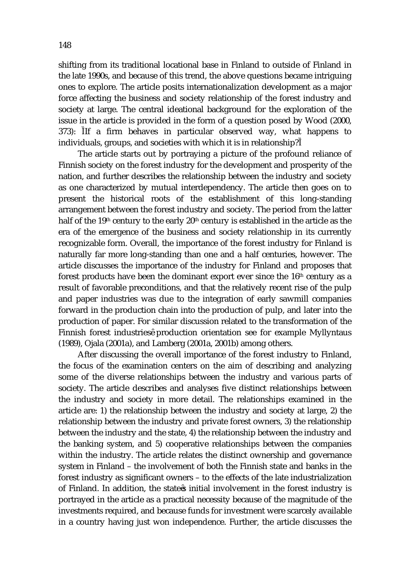shifting from its traditional locational base in Finland to outside of Finland in the late 1990s, and because of this trend, the above questions became intriguing ones to explore. The article posits internationalization development as a major force affecting the business and society relationship of the forest industry and society at large. The central ideational background for the exploration of the issue in the article is provided in the form of a question posed by Wood (2000, 373): If a firm behaves in particular observed way, what happens to individuals, groups, and societies with which it is in relationship?

The article starts out by portraying a picture of the profound reliance of Finnish society on the forest industry for the development and prosperity of the nation, and further describes the relationship between the industry and society as one characterized by mutual interdependency. The article then goes on to present the historical roots of the establishment of this long-standing arrangement between the forest industry and society. The period from the latter half of the 19<sup>th</sup> century to the early 20<sup>th</sup> century is established in the article as the era of the emergence of the business and society relationship in its currently recognizable form. Overall, the importance of the forest industry for Finland is naturally far more long-standing than one and a half centuries, however. The article discusses the importance of the industry for Finland and proposes that forest products have been the dominant export ever since the 16th century as a result of favorable preconditions, and that the relatively recent rise of the pulp and paper industries was due to the integration of early sawmill companies forward in the production chain into the production of pulp, and later into the production of paper. For similar discussion related to the transformation of the Finnish forest industries production orientation see for example Myllyntaus (1989), Ojala (2001a), and Lamberg (2001a, 2001b) among others.

After discussing the overall importance of the forest industry to Finland, the focus of the examination centers on the aim of describing and analyzing some of the diverse relationships between the industry and various parts of society. The article describes and analyses five distinct relationships between the industry and society in more detail. The relationships examined in the article are: 1) the relationship between the industry and society at large, 2) the relationship between the industry and private forest owners, 3) the relationship between the industry and the state, 4) the relationship between the industry and the banking system, and 5) cooperative relationships between the companies within the industry. The article relates the distinct ownership and governance system in Finland – the involvement of both the Finnish state and banks in the forest industry as significant owners – to the effects of the late industrialization of Finland. In addition, the state s initial involvement in the forest industry is portrayed in the article as a practical necessity because of the magnitude of the investments required, and because funds for investment were scarcely available in a country having just won independence. Further, the article discusses the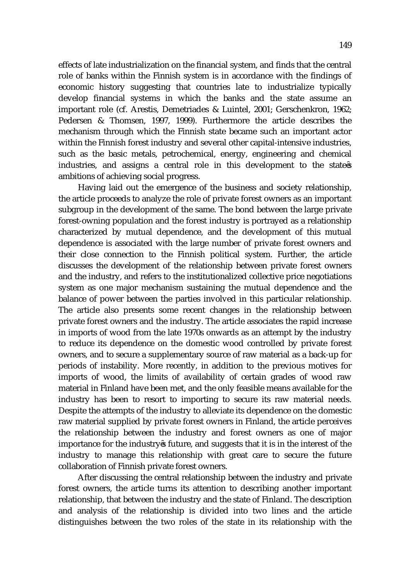effects of late industrialization on the financial system, and finds that the central role of banks within the Finnish system is in accordance with the findings of economic history suggesting that countries late to industrialize typically develop financial systems in which the banks and the state assume an important role (cf. Arestis, Demetriades & Luintel, 2001; Gerschenkron, 1962; Pedersen & Thomsen, 1997, 1999). Furthermore the article describes the mechanism through which the Finnish state became such an important actor within the Finnish forest industry and several other capital-intensive industries, such as the basic metals, petrochemical, energy, engineering and chemical industries, and assigns a central role in this development to the state s ambitions of achieving social progress.

Having laid out the emergence of the business and society relationship, the article proceeds to analyze the role of private forest owners as an important subgroup in the development of the same. The bond between the large private forest-owning population and the forest industry is portrayed as a relationship characterized by mutual dependence, and the development of this mutual dependence is associated with the large number of private forest owners and their close connection to the Finnish political system. Further, the article discusses the development of the relationship between private forest owners and the industry, and refers to the institutionalized collective price negotiations system as one major mechanism sustaining the mutual dependence and the balance of power between the parties involved in this particular relationship. The article also presents some recent changes in the relationship between private forest owners and the industry. The article associates the rapid increase in imports of wood from the late 1970s onwards as an attempt by the industry to reduce its dependence on the domestic wood controlled by private forest owners, and to secure a supplementary source of raw material as a back-up for periods of instability. More recently, in addition to the previous motives for imports of wood, the limits of availability of certain grades of wood raw material in Finland have been met, and the only feasible means available for the industry has been to resort to importing to secure its raw material needs. Despite the attempts of the industry to alleviate its dependence on the domestic raw material supplied by private forest owners in Finland, the article perceives the relationship between the industry and forest owners as one of major importance for the industry s future, and suggests that it is in the interest of the industry to manage this relationship with great care to secure the future collaboration of Finnish private forest owners.

After discussing the central relationship between the industry and private forest owners, the article turns its attention to describing another important relationship, that between the industry and the state of Finland. The description and analysis of the relationship is divided into two lines and the article distinguishes between the two roles of the state in its relationship with the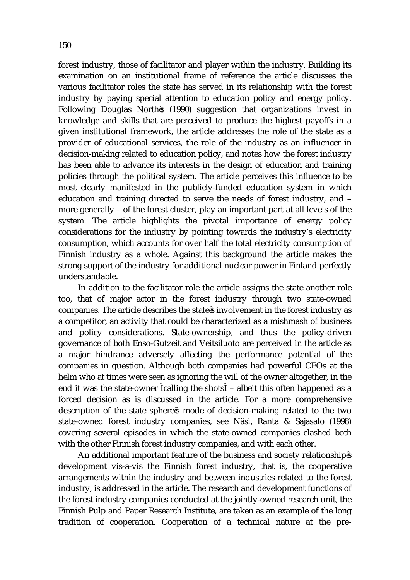forest industry, those of facilitator and player within the industry. Building its examination on an institutional frame of reference the article discusses the various facilitator roles the state has served in its relationship with the forest industry by paying special attention to education policy and energy policy. Following Douglas North s (1990) suggestion that organizations invest in knowledge and skills that are perceived to produce the highest payoffs in a given institutional framework, the article addresses the role of the state as a provider of educational services, the role of the industry as an influencer in decision-making related to education policy, and notes how the forest industry has been able to advance its interests in the design of education and training policies through the political system. The article perceives this influence to be most clearly manifested in the publicly-funded education system in which education and training directed to serve the needs of forest industry, and – more generally – of the forest cluster, play an important part at all levels of the system. The article highlights the pivotal importance of energy policy considerations for the industry by pointing towards the industry's electricity consumption, which accounts for over half the total electricity consumption of Finnish industry as a whole. Against this background the article makes the strong support of the industry for additional nuclear power in Finland perfectly understandable.

In addition to the facilitator role the article assigns the state another role too, that of major actor in the forest industry through two state-owned companies. The article describes the state s involvement in the forest industry as a competitor, an activity that could be characterized as a mishmash of business and policy considerations. State-ownership, and thus the policy-driven governance of both Enso-Gutzeit and Veitsiluoto are perceived in the article as a major hindrance adversely affecting the performance potential of the companies in question. Although both companies had powerful CEOs at the helm who at times were seen as ignoring the will of the owner altogether, in the end it was the state-owner calling the shots – albeit this often happened as a forced decision as is discussed in the article. For a more comprehensive description of the state sphere s mode of decision-making related to the two state-owned forest industry companies, see Näsi, Ranta & Sajasalo (1998) covering several episodes in which the state-owned companies clashed both with the other Finnish forest industry companies, and with each other.

An additional important feature of the business and society relationship s development vis-a-vis the Finnish forest industry, that is, the cooperative arrangements within the industry and between industries related to the forest industry, is addressed in the article. The research and development functions of the forest industry companies conducted at the jointly-owned research unit, the Finnish Pulp and Paper Research Institute, are taken as an example of the long tradition of cooperation. Cooperation of a technical nature at the pre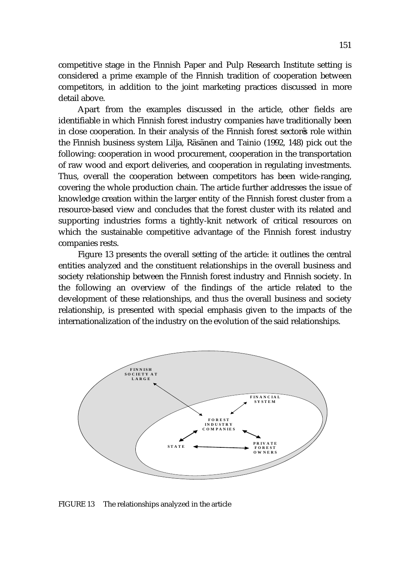competitive stage in the Finnish Paper and Pulp Research Institute setting is considered a prime example of the Finnish tradition of cooperation between competitors, in addition to the joint marketing practices discussed in more detail above.

Apart from the examples discussed in the article, other fields are identifiable in which Finnish forest industry companies have traditionally been in close cooperation. In their analysis of the Finnish forest sector s role within the Finnish business system Lilja, Räsänen and Tainio (1992, 148) pick out the following: cooperation in wood procurement, cooperation in the transportation of raw wood and export deliveries, and cooperation in regulating investments. Thus, overall the cooperation between competitors has been wide-ranging, covering the whole production chain. The article further addresses the issue of knowledge creation within the larger entity of the Finnish forest cluster from a resource-based view and concludes that the forest cluster with its related and supporting industries forms a tightly-knit network of critical resources on which the sustainable competitive advantage of the Finnish forest industry companies rests.

Figure 13 presents the overall setting of the article: it outlines the central entities analyzed and the constituent relationships in the overall business and society relationship between the Finnish forest industry and Finnish society. In the following an overview of the findings of the article related to the development of these relationships, and thus the overall business and society relationship, is presented with special emphasis given to the impacts of the internationalization of the industry on the evolution of the said relationships.



FIGURE 13 The relationships analyzed in the article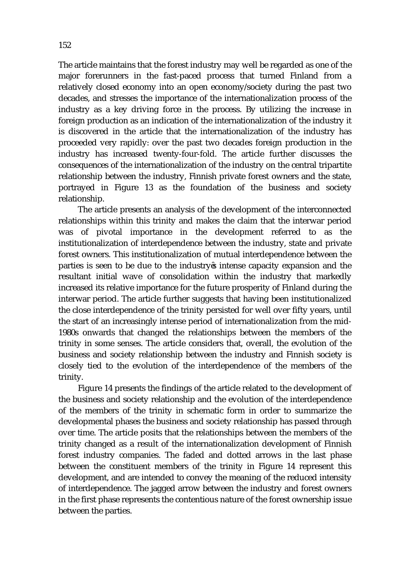The article maintains that the forest industry may well be regarded as one of the major forerunners in the fast-paced process that turned Finland from a relatively closed economy into an open economy/society during the past two decades, and stresses the importance of the internationalization process of the industry as a key driving force in the process. By utilizing the increase in foreign production as an indication of the internationalization of the industry it is discovered in the article that the internationalization of the industry has proceeded very rapidly: over the past two decades foreign production in the industry has increased twenty-four-fold. The article further discusses the consequences of the internationalization of the industry on the central tripartite relationship between the industry, Finnish private forest owners and the state, portrayed in Figure 13 as the foundation of the business and society relationship.

 The article presents an analysis of the development of the interconnected relationships within this trinity and makes the claim that the interwar period was of pivotal importance in the development referred to as the institutionalization of interdependence between the industry, state and private forest owners. This institutionalization of mutual interdependence between the parties is seen to be due to the industry s intense capacity expansion and the resultant initial wave of consolidation within the industry that markedly increased its relative importance for the future prosperity of Finland during the interwar period. The article further suggests that having been institutionalized the close interdependence of the trinity persisted for well over fifty years, until the start of an increasingly intense period of internationalization from the mid-1980s onwards that changed the relationships between the members of the trinity in some senses. The article considers that, overall, the evolution of the business and society relationship between the industry and Finnish society is closely tied to the evolution of the interdependence of the members of the trinity.

Figure 14 presents the findings of the article related to the development of the business and society relationship and the evolution of the interdependence of the members of the trinity in schematic form in order to summarize the developmental phases the business and society relationship has passed through over time. The article posits that the relationships between the members of the trinity changed as a result of the internationalization development of Finnish forest industry companies. The faded and dotted arrows in the last phase between the constituent members of the trinity in Figure 14 represent this development, and are intended to convey the meaning of the reduced intensity of interdependence. The jagged arrow between the industry and forest owners in the first phase represents the contentious nature of the forest ownership issue between the parties.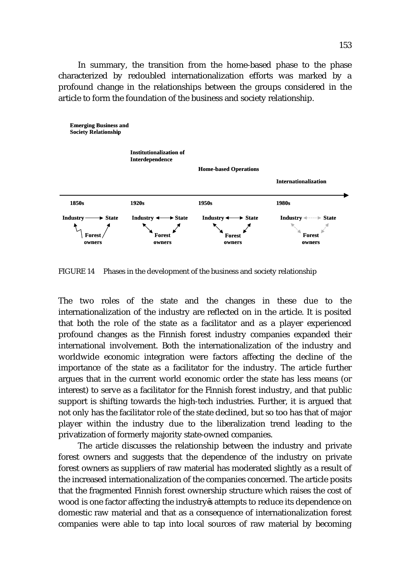In summary, the transition from the home-based phase to the phase characterized by redoubled internationalization efforts was marked by a profound change in the relationships between the groups considered in the article to form the foundation of the business and society relationship.



FIGURE 14 Phases in the development of the business and society relationship

The two roles of the state and the changes in these due to the internationalization of the industry are reflected on in the article. It is posited that both the role of the state as a facilitator and as a player experienced profound changes as the Finnish forest industry companies expanded their international involvement. Both the internationalization of the industry and worldwide economic integration were factors affecting the decline of the importance of the state as a facilitator for the industry. The article further argues that in the current world economic order the state has less means (or interest) to serve as a facilitator for the Finnish forest industry, and that public support is shifting towards the high-tech industries. Further, it is argued that not only has the facilitator role of the state declined, but so too has that of major player within the industry due to the liberalization trend leading to the privatization of formerly majority state-owned companies.

The article discusses the relationship between the industry and private forest owners and suggests that the dependence of the industry on private forest owners as suppliers of raw material has moderated slightly as a result of the increased internationalization of the companies concerned. The article posits that the fragmented Finnish forest ownership structure which raises the cost of wood is one factor affecting the industry s attempts to reduce its dependence on domestic raw material and that as a consequence of internationalization forest companies were able to tap into local sources of raw material by becoming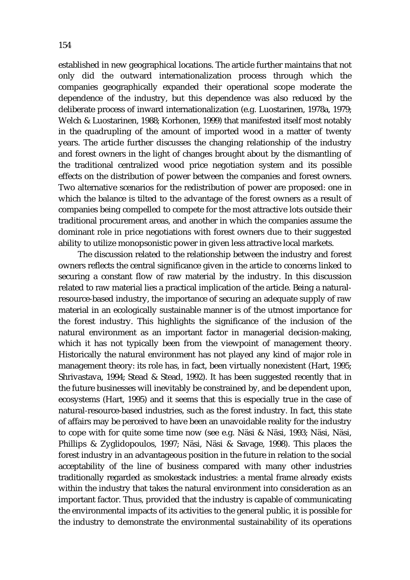established in new geographical locations. The article further maintains that not only did the outward internationalization process through which the companies geographically expanded their operational scope moderate the dependence of the industry, but this dependence was also reduced by the deliberate process of inward internationalization (e.g. Luostarinen, 1978a, 1979; Welch & Luostarinen, 1988; Korhonen, 1999) that manifested itself most notably in the quadrupling of the amount of imported wood in a matter of twenty years. The article further discusses the changing relationship of the industry and forest owners in the light of changes brought about by the dismantling of the traditional centralized wood price negotiation system and its possible effects on the distribution of power between the companies and forest owners. Two alternative scenarios for the redistribution of power are proposed: one in which the balance is tilted to the advantage of the forest owners as a result of companies being compelled to compete for the most attractive lots outside their traditional procurement areas, and another in which the companies assume the dominant role in price negotiations with forest owners due to their suggested ability to utilize monopsonistic power in given less attractive local markets.

The discussion related to the relationship between the industry and forest owners reflects the central significance given in the article to concerns linked to securing a constant flow of raw material by the industry. In this discussion related to raw material lies a practical implication of the article. Being a naturalresource-based industry, the importance of securing an adequate supply of raw material in an ecologically sustainable manner is of the utmost importance for the forest industry. This highlights the significance of the inclusion of the natural environment as an important factor in managerial decision-making, which it has not typically been from the viewpoint of management theory. Historically the natural environment has not played any kind of major role in management theory: its role has, in fact, been virtually nonexistent (Hart, 1995; Shrivastava, 1994; Stead & Stead, 1992). It has been suggested recently that in the future businesses will inevitably be constrained by, and be dependent upon, ecosystems (Hart, 1995) and it seems that this is especially true in the case of natural-resource-based industries, such as the forest industry. In fact, this state of affairs may be perceived to have been an unavoidable reality for the industry to cope with for quite some time now (see e.g. Näsi & Näsi, 1993; Näsi, Näsi, Phillips & Zyglidopoulos, 1997; Näsi, Näsi & Savage, 1998). This places the forest industry in an advantageous position in the future in relation to the social acceptability of the line of business compared with many other industries traditionally regarded as smokestack industries: a mental frame already exists within the industry that takes the natural environment into consideration as an important factor. Thus, provided that the industry is capable of communicating the environmental impacts of its activities to the general public, it is possible for the industry to demonstrate the environmental sustainability of its operations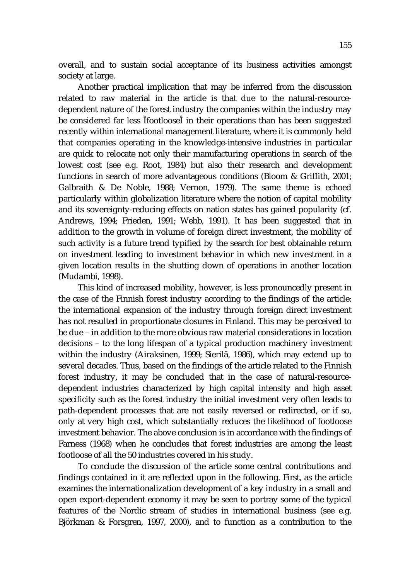overall, and to sustain social acceptance of its business activities amongst society at large.

Another practical implication that may be inferred from the discussion related to raw material in the article is that due to the natural-resourcedependent nature of the forest industry the companies within the industry may be considered far less footloose in their operations than has been suggested recently within international management literature, where it is commonly held that companies operating in the knowledge-intensive industries in particular are quick to relocate not only their manufacturing operations in search of the lowest cost (see e.g. Root, 1984) but also their research and development functions in search of more advantageous conditions (Bloom & Griffith, 2001; Galbraith & De Noble, 1988; Vernon, 1979). The same theme is echoed particularly within globalization literature where the notion of capital mobility and its sovereignty-reducing effects on nation states has gained popularity (cf. Andrews, 1994; Frieden, 1991; Webb, 1991). It has been suggested that in addition to the growth in volume of foreign direct investment, the mobility of such activity is a future trend typified by the search for best obtainable return on investment leading to investment behavior in which new investment in a given location results in the shutting down of operations in another location (Mudambi, 1998).

This kind of increased mobility, however, is less pronouncedly present in the case of the Finnish forest industry according to the findings of the article: the international expansion of the industry through foreign direct investment has not resulted in proportionate closures in Finland. This may be perceived to be due – in addition to the more obvious raw material considerations in location decisions – to the long lifespan of a typical production machinery investment within the industry (Airaksinen, 1999; Sierilä, 1986), which may extend up to several decades. Thus, based on the findings of the article related to the Finnish forest industry, it may be concluded that in the case of natural-resourcedependent industries characterized by high capital intensity and high asset specificity such as the forest industry the initial investment very often leads to path-dependent processes that are not easily reversed or redirected, or if so, only at very high cost, which substantially reduces the likelihood of footloose investment behavior. The above conclusion is in accordance with the findings of Farness (1968) when he concludes that forest industries are among the least footloose of all the 50 industries covered in his study.

To conclude the discussion of the article some central contributions and findings contained in it are reflected upon in the following. First, as the article examines the internationalization development of a key industry in a small and open export-dependent economy it may be seen to portray some of the typical features of the Nordic stream of studies in international business (see e.g. Björkman & Forsgren, 1997, 2000), and to function as a contribution to the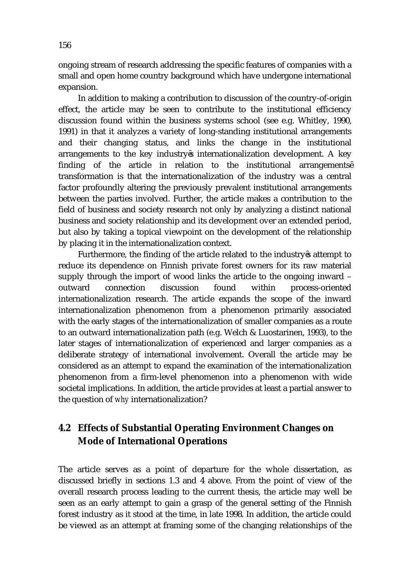ongoing stream of research addressing the specific features of companies with a small and open home country background which have undergone international expansion.

In addition to making a contribution to discussion of the country-of-origin effect, the article may be seen to contribute to the institutional efficiency discussion found within the business systems school (see e.g. Whitley, 1990, 1991) in that it analyzes a variety of long-standing institutional arrangements and their changing status, and links the change in the institutional arrangements to the key industry s internationalization development. A key finding of the article in relation to the institutional arrangements transformation is that the internationalization of the industry was a central factor profoundly altering the previously prevalent institutional arrangements between the parties involved. Further, the article makes a contribution to the field of business and society research not only by analyzing a distinct national business and society relationship and its development over an extended period, but also by taking a topical viewpoint on the development of the relationship by placing it in the internationalization context.

 Furthermore, the finding of the article related to the industry s attempt to reduce its dependence on Finnish private forest owners for its raw material supply through the import of wood links the article to the ongoing inward – outward connection discussion found within process-oriented internationalization research. The article expands the scope of the inward internationalization phenomenon from a phenomenon primarily associated with the early stages of the internationalization of smaller companies as a route to an outward internationalization path (e.g. Welch & Luostarinen, 1993), to the later stages of internationalization of experienced and larger companies as a deliberate strategy of international involvement. Overall the article may be considered as an attempt to expand the examination of the internationalization phenomenon from a firm-level phenomenon into a phenomenon with wide societal implications. In addition, the article provides at least a partial answer to the question of *why* internationalization?

### **4.2 Effects of Substantial Operating Environment Changes on Mode of International Operations**

The article serves as a point of departure for the whole dissertation, as discussed briefly in sections 1.3 and 4 above. From the point of view of the overall research process leading to the current thesis, the article may well be seen as an early attempt to gain a grasp of the general setting of the Finnish forest industry as it stood at the time, in late 1998. In addition, the article could be viewed as an attempt at framing some of the changing relationships of the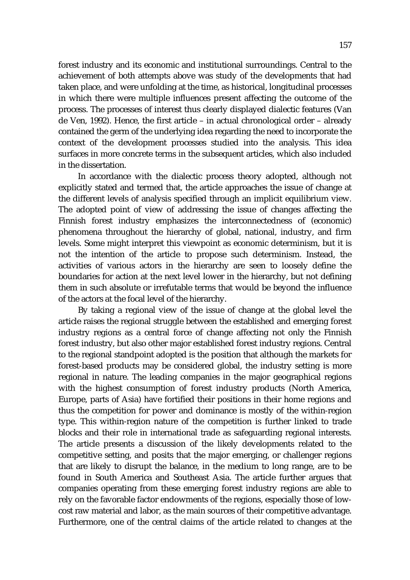forest industry and its economic and institutional surroundings. Central to the achievement of both attempts above was study of the developments that had taken place, and were unfolding at the time, as historical, longitudinal processes in which there were multiple influences present affecting the outcome of the process. The processes of interest thus clearly displayed dialectic features (Van de Ven, 1992). Hence, the first article – in actual chronological order – already contained the germ of the underlying idea regarding the need to incorporate the context of the development processes studied into the analysis. This idea surfaces in more concrete terms in the subsequent articles, which also included in the dissertation.

In accordance with the dialectic process theory adopted, although not explicitly stated and termed that, the article approaches the issue of change at the different levels of analysis specified through an implicit equilibrium view. The adopted point of view of addressing the issue of changes affecting the Finnish forest industry emphasizes the interconnectedness of (economic) phenomena throughout the hierarchy of global, national, industry, and firm levels. Some might interpret this viewpoint as economic determinism, but it is not the intention of the article to propose such determinism. Instead, the activities of various actors in the hierarchy are seen to loosely define the boundaries for action at the next level lower in the hierarchy, but not defining them in such absolute or irrefutable terms that would be beyond the influence of the actors at the focal level of the hierarchy.

By taking a regional view of the issue of change at the global level the article raises the regional struggle between the established and emerging forest industry regions as a central force of change affecting not only the Finnish forest industry, but also other major established forest industry regions. Central to the regional standpoint adopted is the position that although the markets for forest-based products may be considered global, the industry setting is more regional in nature. The leading companies in the major geographical regions with the highest consumption of forest industry products (North America, Europe, parts of Asia) have fortified their positions in their home regions and thus the competition for power and dominance is mostly of the within-region type. This within-region nature of the competition is further linked to trade blocks and their role in international trade as safeguarding regional interests. The article presents a discussion of the likely developments related to the competitive setting, and posits that the major emerging, or challenger regions that are likely to disrupt the balance, in the medium to long range, are to be found in South America and Southeast Asia. The article further argues that companies operating from these emerging forest industry regions are able to rely on the favorable factor endowments of the regions, especially those of lowcost raw material and labor, as the main sources of their competitive advantage. Furthermore, one of the central claims of the article related to changes at the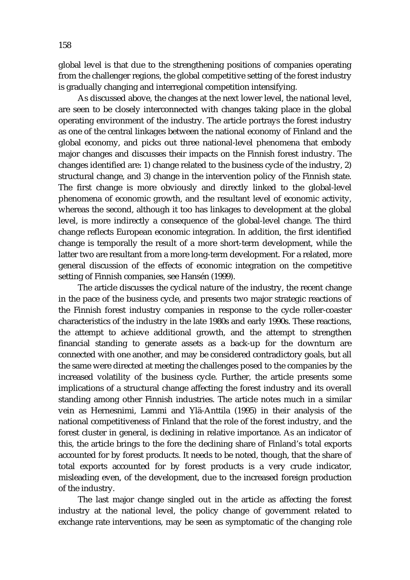global level is that due to the strengthening positions of companies operating from the challenger regions, the global competitive setting of the forest industry is gradually changing and interregional competition intensifying.

As discussed above, the changes at the next lower level, the national level, are seen to be closely interconnected with changes taking place in the global operating environment of the industry. The article portrays the forest industry as one of the central linkages between the national economy of Finland and the global economy, and picks out three national-level phenomena that embody major changes and discusses their impacts on the Finnish forest industry. The changes identified are: 1) change related to the business cycle of the industry, 2) structural change, and 3) change in the intervention policy of the Finnish state. The first change is more obviously and directly linked to the global-level phenomena of economic growth, and the resultant level of economic activity, whereas the second, although it too has linkages to development at the global level, is more indirectly a consequence of the global-level change. The third change reflects European economic integration. In addition, the first identified change is temporally the result of a more short-term development, while the latter two are resultant from a more long-term development. For a related, more general discussion of the effects of economic integration on the competitive setting of Finnish companies, see Hansén (1999).

The article discusses the cyclical nature of the industry, the recent change in the pace of the business cycle, and presents two major strategic reactions of the Finnish forest industry companies in response to the cycle roller-coaster characteristics of the industry in the late 1980s and early 1990s. These reactions, the attempt to achieve additional growth, and the attempt to strengthen financial standing to generate assets as a back-up for the downturn are connected with one another, and may be considered contradictory goals, but all the same were directed at meeting the challenges posed to the companies by the increased volatility of the business cycle. Further, the article presents some implications of a structural change affecting the forest industry and its overall standing among other Finnish industries. The article notes much in a similar vein as Hernesnimi, Lammi and Ylä-Anttila (1995) in their analysis of the national competitiveness of Finland that the role of the forest industry, and the forest cluster in general, is declining in relative importance. As an indicator of this, the article brings to the fore the declining share of Finland's total exports accounted for by forest products. It needs to be noted, though, that the share of total exports accounted for by forest products is a very crude indicator, misleading even, of the development, due to the increased foreign production of the industry.

The last major change singled out in the article as affecting the forest industry at the national level, the policy change of government related to exchange rate interventions, may be seen as symptomatic of the changing role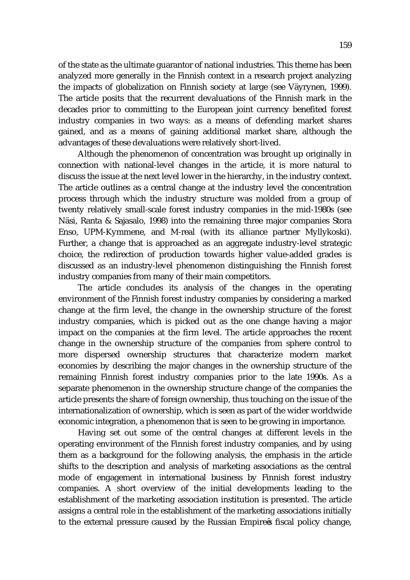of the state as the ultimate guarantor of national industries. This theme has been analyzed more generally in the Finnish context in a research project analyzing the impacts of globalization on Finnish society at large (see Väyrynen, 1999). The article posits that the recurrent devaluations of the Finnish mark in the decades prior to committing to the European joint currency benefited forest industry companies in two ways: as a means of defending market shares gained, and as a means of gaining additional market share, although the advantages of these devaluations were relatively short-lived.

Although the phenomenon of concentration was brought up originally in connection with national-level changes in the article, it is more natural to discuss the issue at the next level lower in the hierarchy, in the industry context. The article outlines as a central change at the industry level the concentration process through which the industry structure was molded from a group of twenty relatively small-scale forest industry companies in the mid-1980s (see Näsi, Ranta & Sajasalo, 1998) into the remaining three major companies Stora Enso, UPM-Kymmene, and M-real (with its alliance partner Myllykoski). Further, a change that is approached as an aggregate industry-level strategic choice, the redirection of production towards higher value-added grades is discussed as an industry-level phenomenon distinguishing the Finnish forest industry companies from many of their main competitors.

The article concludes its analysis of the changes in the operating environment of the Finnish forest industry companies by considering a marked change at the firm level, the change in the ownership structure of the forest industry companies, which is picked out as the one change having a major impact on the companies at the firm level. The article approaches the recent change in the ownership structure of the companies from sphere control to more dispersed ownership structures that characterize modern market economies by describing the major changes in the ownership structure of the remaining Finnish forest industry companies prior to the late 1990s. As a separate phenomenon in the ownership structure change of the companies the article presents the share of foreign ownership, thus touching on the issue of the internationalization of ownership, which is seen as part of the wider worldwide economic integration, a phenomenon that is seen to be growing in importance.

Having set out some of the central changes at different levels in the operating environment of the Finnish forest industry companies, and by using them as a background for the following analysis, the emphasis in the article shifts to the description and analysis of marketing associations as the central mode of engagement in international business by Finnish forest industry companies. A short overview of the initial developments leading to the establishment of the marketing association institution is presented. The article assigns a central role in the establishment of the marketing associations initially to the external pressure caused by the Russian Empire s fiscal policy change,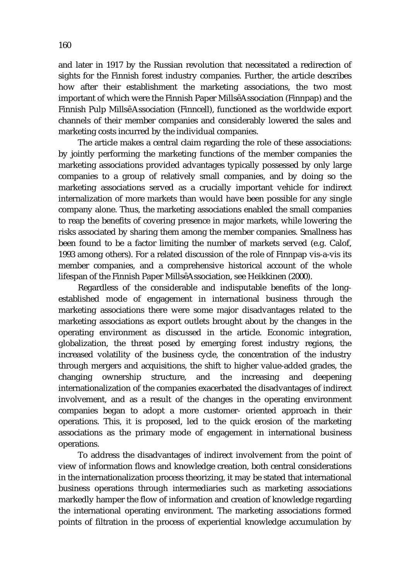and later in 1917 by the Russian revolution that necessitated a redirection of sights for the Finnish forest industry companies. Further, the article describes how after their establishment the marketing associations, the two most important of which were the Finnish Paper Mills Association (Finnpap) and the Finnish Pulp Mills Association (Finncell), functioned as the worldwide export channels of their member companies and considerably lowered the sales and marketing costs incurred by the individual companies.

The article makes a central claim regarding the role of these associations: by jointly performing the marketing functions of the member companies the marketing associations provided advantages typically possessed by only large companies to a group of relatively small companies, and by doing so the marketing associations served as a crucially important vehicle for indirect internalization of more markets than would have been possible for any single company alone. Thus, the marketing associations enabled the small companies to reap the benefits of covering presence in major markets, while lowering the risks associated by sharing them among the member companies. Smallness has been found to be a factor limiting the number of markets served (e.g. Calof, 1993 among others). For a related discussion of the role of Finnpap vis-a-vis its member companies, and a comprehensive historical account of the whole lifespan of the Finnish Paper Mills Association, see Heikkinen (2000).

Regardless of the considerable and indisputable benefits of the longestablished mode of engagement in international business through the marketing associations there were some major disadvantages related to the marketing associations as export outlets brought about by the changes in the operating environment as discussed in the article. Economic integration, globalization, the threat posed by emerging forest industry regions, the increased volatility of the business cycle, the concentration of the industry through mergers and acquisitions, the shift to higher value-added grades, the changing ownership structure, and the increasing and deepening internationalization of the companies exacerbated the disadvantages of indirect involvement, and as a result of the changes in the operating environment companies began to adopt a more customer- oriented approach in their operations. This, it is proposed, led to the quick erosion of the marketing associations as the primary mode of engagement in international business operations.

To address the disadvantages of indirect involvement from the point of view of information flows and knowledge creation, both central considerations in the internationalization process theorizing, it may be stated that international business operations through intermediaries such as marketing associations markedly hamper the flow of information and creation of knowledge regarding the international operating environment. The marketing associations formed points of filtration in the process of experiential knowledge accumulation by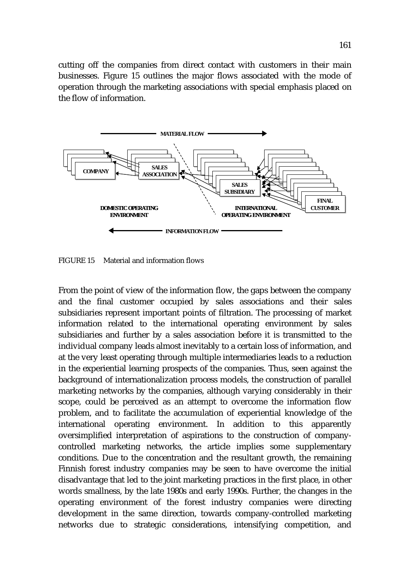cutting off the companies from direct contact with customers in their main businesses. Figure 15 outlines the major flows associated with the mode of operation through the marketing associations with special emphasis placed on the flow of information.



FIGURE 15 Material and information flows

From the point of view of the information flow, the gaps between the company and the final customer occupied by sales associations and their sales subsidiaries represent important points of filtration. The processing of market information related to the international operating environment by sales subsidiaries and further by a sales association before it is transmitted to the individual company leads almost inevitably to a certain loss of information, and at the very least operating through multiple intermediaries leads to a reduction in the experiential learning prospects of the companies. Thus, seen against the background of internationalization process models, the construction of parallel marketing networks by the companies, although varying considerably in their scope, could be perceived as an attempt to overcome the information flow problem, and to facilitate the accumulation of experiential knowledge of the international operating environment. In addition to this apparently oversimplified interpretation of aspirations to the construction of companycontrolled marketing networks, the article implies some supplementary conditions. Due to the concentration and the resultant growth, the remaining Finnish forest industry companies may be seen to have overcome the initial disadvantage that led to the joint marketing practices in the first place, in other words smallness, by the late 1980s and early 1990s. Further, the changes in the operating environment of the forest industry companies were directing development in the same direction, towards company-controlled marketing networks due to strategic considerations, intensifying competition, and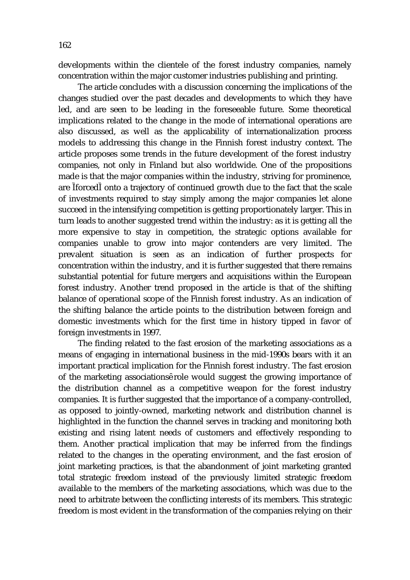developments within the clientele of the forest industry companies, namely concentration within the major customer industries publishing and printing.

The article concludes with a discussion concerning the implications of the changes studied over the past decades and developments to which they have led, and are seen to be leading in the foreseeable future. Some theoretical implications related to the change in the mode of international operations are also discussed, as well as the applicability of internationalization process models to addressing this change in the Finnish forest industry context. The article proposes some trends in the future development of the forest industry companies, not only in Finland but also worldwide. One of the propositions made is that the major companies within the industry, striving for prominence, are forced onto a trajectory of continued growth due to the fact that the scale of investments required to stay simply among the major companies let alone succeed in the intensifying competition is getting proportionately larger. This in turn leads to another suggested trend within the industry: as it is getting all the more expensive to stay in competition, the strategic options available for companies unable to grow into major contenders are very limited. The prevalent situation is seen as an indication of further prospects for concentration within the industry, and it is further suggested that there remains substantial potential for future mergers and acquisitions within the European forest industry. Another trend proposed in the article is that of the shifting balance of operational scope of the Finnish forest industry. As an indication of the shifting balance the article points to the distribution between foreign and domestic investments which for the first time in history tipped in favor of foreign investments in 1997.

The finding related to the fast erosion of the marketing associations as a means of engaging in international business in the mid-1990s bears with it an important practical implication for the Finnish forest industry. The fast erosion of the marketing associations role would suggest the growing importance of the distribution channel as a competitive weapon for the forest industry companies. It is further suggested that the importance of a company-controlled, as opposed to jointly-owned, marketing network and distribution channel is highlighted in the function the channel serves in tracking and monitoring both existing and rising latent needs of customers and effectively responding to them. Another practical implication that may be inferred from the findings related to the changes in the operating environment, and the fast erosion of joint marketing practices, is that the abandonment of joint marketing granted total strategic freedom instead of the previously limited strategic freedom available to the members of the marketing associations, which was due to the need to arbitrate between the conflicting interests of its members. This strategic freedom is most evident in the transformation of the companies relying on their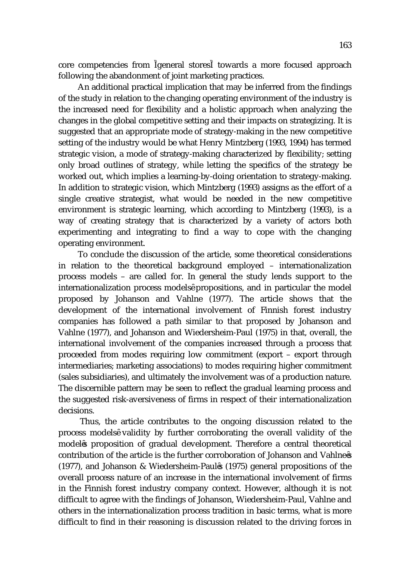core competencies from general stores towards a more focused approach following the abandonment of joint marketing practices.

An additional practical implication that may be inferred from the findings of the study in relation to the changing operating environment of the industry is the increased need for flexibility and a holistic approach when analyzing the changes in the global competitive setting and their impacts on strategizing. It is suggested that an appropriate mode of strategy-making in the new competitive setting of the industry would be what Henry Mintzberg (1993, 1994) has termed strategic vision, a mode of strategy-making characterized by flexibility; setting only broad outlines of strategy, while letting the specifics of the strategy be worked out, which implies a learning-by-doing orientation to strategy-making. In addition to strategic vision, which Mintzberg (1993) assigns as the effort of a single creative strategist, what would be needed in the new competitive environment is strategic learning, which according to Mintzberg (1993), is a way of creating strategy that is characterized by a variety of actors both experimenting and integrating to find a way to cope with the changing operating environment.

To conclude the discussion of the article, some theoretical considerations in relation to the theoretical background employed – internationalization process models – are called for. In general the study lends support to the internationalization process models propositions, and in particular the model proposed by Johanson and Vahlne (1977). The article shows that the development of the international involvement of Finnish forest industry companies has followed a path similar to that proposed by Johanson and Vahlne (1977), and Johanson and Wiedersheim-Paul (1975) in that, overall, the international involvement of the companies increased through a process that proceeded from modes requiring low commitment (export – export through intermediaries; marketing associations) to modes requiring higher commitment (sales subsidiaries), and ultimately the involvement was of a production nature. The discernible pattern may be seen to reflect the gradual learning process and the suggested risk-aversiveness of firms in respect of their internationalization decisions.

 Thus, the article contributes to the ongoing discussion related to the process models validity by further corroborating the overall validity of the model s proposition of gradual development. Therefore a central theoretical contribution of the article is the further corroboration of Johanson and Vahlne s (1977), and Johanson & Wiedersheim-Paul s (1975) general propositions of the overall process nature of an increase in the international involvement of firms in the Finnish forest industry company context. However, although it is not difficult to agree with the findings of Johanson, Wiedersheim-Paul, Vahlne and others in the internationalization process tradition in basic terms, what is more difficult to find in their reasoning is discussion related to the driving forces in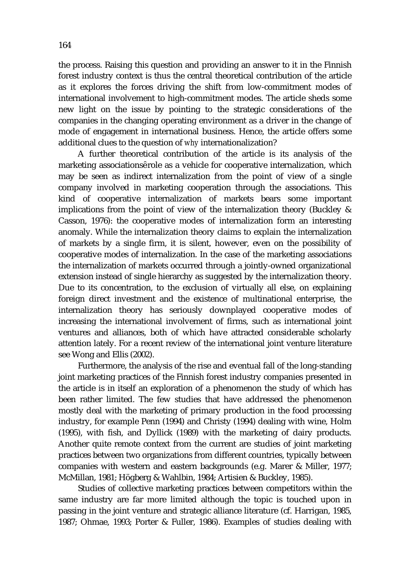the process. Raising this question and providing an answer to it in the Finnish forest industry context is thus the central theoretical contribution of the article as it explores the forces driving the shift from low-commitment modes of international involvement to high-commitment modes. The article sheds some new light on the issue by pointing to the strategic considerations of the companies in the changing operating environment as a driver in the change of mode of engagement in international business. Hence, the article offers some additional clues to the question of *why* internationalization?

A further theoretical contribution of the article is its analysis of the marketing associations role as a vehicle for cooperative internalization, which may be seen as indirect internalization from the point of view of a single company involved in marketing cooperation through the associations. This kind of cooperative internalization of markets bears some important implications from the point of view of the internalization theory (Buckley & Casson, 1976): the cooperative modes of internalization form an interesting anomaly. While the internalization theory claims to explain the internalization of markets by a single firm, it is silent, however, even on the possibility of cooperative modes of internalization. In the case of the marketing associations the internalization of markets occurred through a jointly-owned organizational extension instead of single hierarchy as suggested by the internalization theory. Due to its concentration, to the exclusion of virtually all else, on explaining foreign direct investment and the existence of multinational enterprise, the internalization theory has seriously downplayed cooperative modes of increasing the international involvement of firms, such as international joint ventures and alliances, both of which have attracted considerable scholarly attention lately. For a recent review of the international joint venture literature see Wong and Ellis (2002).

Furthermore, the analysis of the rise and eventual fall of the long-standing joint marketing practices of the Finnish forest industry companies presented in the article is in itself an exploration of a phenomenon the study of which has been rather limited. The few studies that have addressed the phenomenon mostly deal with the marketing of primary production in the food processing industry, for example Penn (1994) and Christy (1994) dealing with wine, Holm (1995), with fish, and Dyllick (1989) with the marketing of dairy products. Another quite remote context from the current are studies of joint marketing practices between two organizations from different countries, typically between companies with western and eastern backgrounds (e.g. Marer & Miller, 1977; McMillan, 1981; Högberg & Wahlbin, 1984; Artisien & Buckley, 1985).

Studies of collective marketing practices between competitors within the same industry are far more limited although the topic is touched upon in passing in the joint venture and strategic alliance literature (cf. Harrigan, 1985, 1987; Ohmae, 1993; Porter & Fuller, 1986). Examples of studies dealing with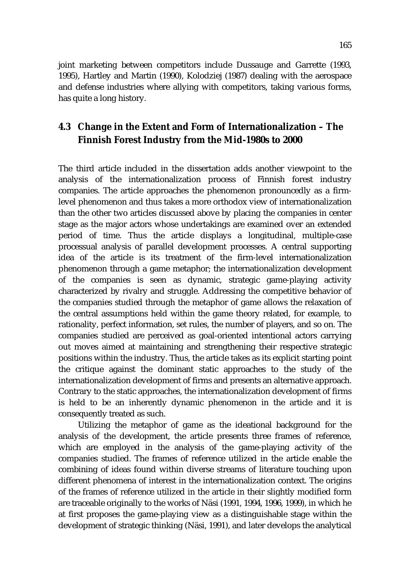joint marketing between competitors include Dussauge and Garrette (1993, 1995), Hartley and Martin (1990), Kolodziej (1987) dealing with the aerospace and defense industries where allying with competitors, taking various forms, has quite a long history.

### **4.3 Change in the Extent and Form of Internationalization – The Finnish Forest Industry from the Mid-1980s to 2000**

The third article included in the dissertation adds another viewpoint to the analysis of the internationalization process of Finnish forest industry companies. The article approaches the phenomenon pronouncedly as a firmlevel phenomenon and thus takes a more orthodox view of internationalization than the other two articles discussed above by placing the companies in center stage as the major actors whose undertakings are examined over an extended period of time. Thus the article displays a longitudinal, multiple-case processual analysis of parallel development processes. A central supporting idea of the article is its treatment of the firm-level internationalization phenomenon through a game metaphor; the internationalization development of the companies is seen as dynamic, strategic game-playing activity characterized by rivalry and struggle. Addressing the competitive behavior of the companies studied through the metaphor of game allows the relaxation of the central assumptions held within the game theory related, for example, to rationality, perfect information, set rules, the number of players, and so on. The companies studied are perceived as goal-oriented intentional actors carrying out moves aimed at maintaining and strengthening their respective strategic positions within the industry. Thus, the article takes as its explicit starting point the critique against the dominant static approaches to the study of the internationalization development of firms and presents an alternative approach. Contrary to the static approaches, the internationalization development of firms is held to be an inherently dynamic phenomenon in the article and it is consequently treated as such.

Utilizing the metaphor of game as the ideational background for the analysis of the development, the article presents three frames of reference, which are employed in the analysis of the game-playing activity of the companies studied. The frames of reference utilized in the article enable the combining of ideas found within diverse streams of literature touching upon different phenomena of interest in the internationalization context. The origins of the frames of reference utilized in the article in their slightly modified form are traceable originally to the works of Näsi (1991, 1994, 1996, 1999), in which he at first proposes the game-playing view as a distinguishable stage within the development of strategic thinking (Näsi, 1991), and later develops the analytical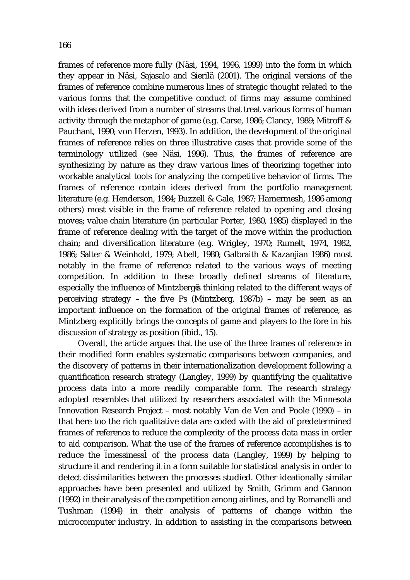frames of reference more fully (Näsi, 1994, 1996, 1999) into the form in which they appear in Näsi, Sajasalo and Sierilä (2001). The original versions of the frames of reference combine numerous lines of strategic thought related to the various forms that the competitive conduct of firms may assume combined with ideas derived from a number of streams that treat various forms of human activity through the metaphor of game (e.g. Carse, 1986; Clancy, 1989; Mitroff & Pauchant, 1990; von Herzen, 1993). In addition, the development of the original frames of reference relies on three illustrative cases that provide some of the terminology utilized (see Näsi, 1996). Thus, the frames of reference are synthesizing by nature as they draw various lines of theorizing together into workable analytical tools for analyzing the competitive behavior of firms. The frames of reference contain ideas derived from the portfolio management literature (e.g. Henderson, 1984; Buzzell & Gale, 1987; Hamermesh, 1986 among others) most visible in the frame of reference related to opening and closing moves; value chain literature (in particular Porter, 1980, 1985) displayed in the frame of reference dealing with the target of the move within the production chain; and diversification literature (e.g. Wrigley, 1970; Rumelt, 1974, 1982, 1986; Salter & Weinhold, 1979; Abell, 1980; Galbraith & Kazanjian 1986) most notably in the frame of reference related to the various ways of meeting competition. In addition to these broadly defined streams of literature, especially the influence of Mintzberg s thinking related to the different ways of perceiving strategy – the five Ps (Mintzberg, 1987b) – may be seen as an important influence on the formation of the original frames of reference, as Mintzberg explicitly brings the concepts of game and players to the fore in his discussion of strategy as position (ibid., 15).

Overall, the article argues that the use of the three frames of reference in their modified form enables systematic comparisons between companies, and the discovery of patterns in their internationalization development following a quantification research strategy (Langley, 1999) by quantifying the qualitative process data into a more readily comparable form. The research strategy adopted resembles that utilized by researchers associated with the Minnesota Innovation Research Project – most notably Van de Ven and Poole (1990) – in that here too the rich qualitative data are coded with the aid of predetermined frames of reference to reduce the complexity of the process data mass in order to aid comparison. What the use of the frames of reference accomplishes is to reduce the messiness of the process data (Langley, 1999) by helping to structure it and rendering it in a form suitable for statistical analysis in order to detect dissimilarities between the processes studied. Other ideationally similar approaches have been presented and utilized by Smith, Grimm and Gannon (1992) in their analysis of the competition among airlines, and by Romanelli and Tushman (1994) in their analysis of patterns of change within the microcomputer industry. In addition to assisting in the comparisons between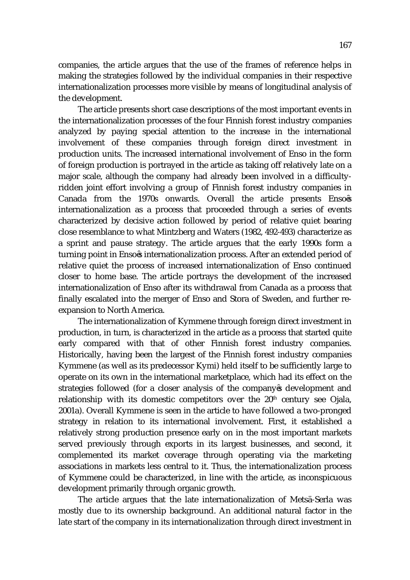companies, the article argues that the use of the frames of reference helps in making the strategies followed by the individual companies in their respective internationalization processes more visible by means of longitudinal analysis of the development.

The article presents short case descriptions of the most important events in the internationalization processes of the four Finnish forest industry companies analyzed by paying special attention to the increase in the international involvement of these companies through foreign direct investment in production units. The increased international involvement of Enso in the form of foreign production is portrayed in the article as taking off relatively late on a major scale, although the company had already been involved in a difficultyridden joint effort involving a group of Finnish forest industry companies in Canada from the 1970s onwards. Overall the article presents Enso s internationalization as a process that proceeded through a series of events characterized by decisive action followed by period of relative quiet bearing close resemblance to what Mintzberg and Waters (1982, 492-493) characterize as a sprint and pause strategy. The article argues that the early 1990s form a turning point in Enso s internationalization process. After an extended period of relative quiet the process of increased internationalization of Enso continued closer to home base. The article portrays the development of the increased internationalization of Enso after its withdrawal from Canada as a process that finally escalated into the merger of Enso and Stora of Sweden, and further reexpansion to North America.

The internationalization of Kymmene through foreign direct investment in production, in turn, is characterized in the article as a process that started quite early compared with that of other Finnish forest industry companies. Historically, having been the largest of the Finnish forest industry companies Kymmene (as well as its predecessor Kymi) held itself to be sufficiently large to operate on its own in the international marketplace, which had its effect on the strategies followed (for a closer analysis of the company s development and relationship with its domestic competitors over the 20<sup>th</sup> century see Ojala, 2001a). Overall Kymmene is seen in the article to have followed a two-pronged strategy in relation to its international involvement. First, it established a relatively strong production presence early on in the most important markets served previously through exports in its largest businesses, and second, it complemented its market coverage through operating via the marketing associations in markets less central to it. Thus, the internationalization process of Kymmene could be characterized, in line with the article, as inconspicuous development primarily through organic growth.

The article argues that the late internationalization of Metsä-Serla was mostly due to its ownership background. An additional natural factor in the late start of the company in its internationalization through direct investment in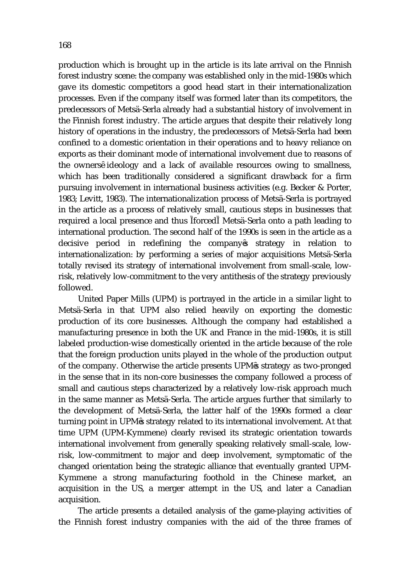production which is brought up in the article is its late arrival on the Finnish forest industry scene: the company was established only in the mid-1980s which gave its domestic competitors a good head start in their internationalization processes. Even if the company itself was formed later than its competitors, the predecessors of Metsä-Serla already had a substantial history of involvement in the Finnish forest industry. The article argues that despite their relatively long history of operations in the industry, the predecessors of Metsä-Serla had been confined to a domestic orientation in their operations and to heavy reliance on exports as their dominant mode of international involvement due to reasons of the owners ideology and a lack of available resources owing to smallness, which has been traditionally considered a significant drawback for a firm pursuing involvement in international business activities (e.g. Becker & Porter, 1983; Levitt, 1983). The internationalization process of Metsä-Serla is portrayed in the article as a process of relatively small, cautious steps in businesses that required a local presence and thus forced Metsä-Serla onto a path leading to international production. The second half of the 1990s is seen in the article as a decisive period in redefining the company s strategy in relation to internationalization: by performing a series of major acquisitions Metsä-Serla totally revised its strategy of international involvement from small-scale, lowrisk, relatively low-commitment to the very antithesis of the strategy previously followed.

United Paper Mills (UPM) is portrayed in the article in a similar light to Metsä-Serla in that UPM also relied heavily on exporting the domestic production of its core businesses. Although the company had established a manufacturing presence in both the UK and France in the mid-1980s, it is still labeled production-wise domestically oriented in the article because of the role that the foreign production units played in the whole of the production output of the company. Otherwise the article presents UPM s strategy as two-pronged in the sense that in its non-core businesses the company followed a process of small and cautious steps characterized by a relatively low-risk approach much in the same manner as Metsä-Serla. The article argues further that similarly to the development of Metsä-Serla, the latter half of the 1990s formed a clear turning point in UPM s strategy related to its international involvement. At that time UPM (UPM-Kymmene) clearly revised its strategic orientation towards international involvement from generally speaking relatively small-scale, lowrisk, low-commitment to major and deep involvement, symptomatic of the changed orientation being the strategic alliance that eventually granted UPM-Kymmene a strong manufacturing foothold in the Chinese market, an acquisition in the US, a merger attempt in the US, and later a Canadian acquisition.

The article presents a detailed analysis of the game-playing activities of the Finnish forest industry companies with the aid of the three frames of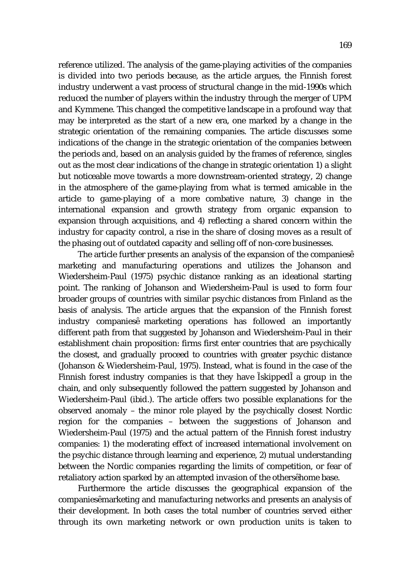reference utilized. The analysis of the game-playing activities of the companies is divided into two periods because, as the article argues, the Finnish forest industry underwent a vast process of structural change in the mid-1990s which reduced the number of players within the industry through the merger of UPM and Kymmene. This changed the competitive landscape in a profound way that may be interpreted as the start of a new era, one marked by a change in the strategic orientation of the remaining companies. The article discusses some indications of the change in the strategic orientation of the companies between the periods and, based on an analysis guided by the frames of reference, singles out as the most clear indications of the change in strategic orientation 1) a slight but noticeable move towards a more downstream-oriented strategy, 2) change in the atmosphere of the game-playing from what is termed amicable in the article to game-playing of a more combative nature, 3) change in the international expansion and growth strategy from organic expansion to expansion through acquisitions, and 4) reflecting a shared concern within the industry for capacity control, a rise in the share of closing moves as a result of the phasing out of outdated capacity and selling off of non-core businesses.

The article further presents an analysis of the expansion of the companies marketing and manufacturing operations and utilizes the Johanson and Wiedersheim-Paul (1975) psychic distance ranking as an ideational starting point. The ranking of Johanson and Wiedersheim-Paul is used to form four broader groups of countries with similar psychic distances from Finland as the basis of analysis. The article argues that the expansion of the Finnish forest industry companies marketing operations has followed an importantly different path from that suggested by Johanson and Wiedersheim-Paul in their establishment chain proposition: firms first enter countries that are psychically the closest, and gradually proceed to countries with greater psychic distance (Johanson & Wiedersheim-Paul, 1975). Instead, what is found in the case of the Finnish forest industry companies is that they have skipped a group in the chain, and only subsequently followed the pattern suggested by Johanson and Wiedersheim-Paul (ibid.). The article offers two possible explanations for the observed anomaly – the minor role played by the psychically closest Nordic region for the companies – between the suggestions of Johanson and Wiedersheim-Paul (1975) and the actual pattern of the Finnish forest industry companies: 1) the moderating effect of increased international involvement on the psychic distance through learning and experience, 2) mutual understanding between the Nordic companies regarding the limits of competition, or fear of retaliatory action sparked by an attempted invasion of the others home base.

Furthermore the article discusses the geographical expansion of the companies marketing and manufacturing networks and presents an analysis of their development. In both cases the total number of countries served either through its own marketing network or own production units is taken to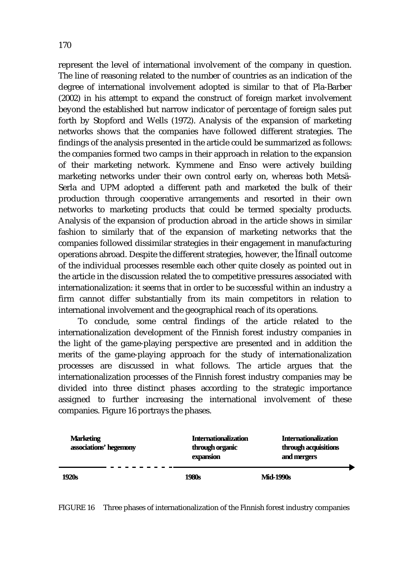represent the level of international involvement of the company in question. The line of reasoning related to the number of countries as an indication of the degree of international involvement adopted is similar to that of Pla-Barber (2002) in his attempt to expand the construct of foreign market involvement beyond the established but narrow indicator of percentage of foreign sales put forth by Stopford and Wells (1972). Analysis of the expansion of marketing networks shows that the companies have followed different strategies. The findings of the analysis presented in the article could be summarized as follows: the companies formed two camps in their approach in relation to the expansion of their marketing network. Kymmene and Enso were actively building marketing networks under their own control early on, whereas both Metsä-Serla and UPM adopted a different path and marketed the bulk of their production through cooperative arrangements and resorted in their own networks to marketing products that could be termed specialty products. Analysis of the expansion of production abroad in the article shows in similar fashion to similarly that of the expansion of marketing networks that the companies followed dissimilar strategies in their engagement in manufacturing operations abroad. Despite the different strategies, however, the final outcome of the individual processes resemble each other quite closely as pointed out in the article in the discussion related the to competitive pressures associated with internationalization: it seems that in order to be successful within an industry a firm cannot differ substantially from its main competitors in relation to international involvement and the geographical reach of its operations.

To conclude, some central findings of the article related to the internationalization development of the Finnish forest industry companies in the light of the game-playing perspective are presented and in addition the merits of the game-playing approach for the study of internationalization processes are discussed in what follows. The article argues that the internationalization processes of the Finnish forest industry companies may be divided into three distinct phases according to the strategic importance assigned to further increasing the international involvement of these companies. Figure 16 portrays the phases.

| <b>Marketing</b><br>associations' hegemony | <b>Internationalization</b><br>through organic<br>expansion | <b>Internationalization</b><br>through acquisitions<br>and mergers |
|--------------------------------------------|-------------------------------------------------------------|--------------------------------------------------------------------|
| <b>1920s</b>                               | <b>1980s</b>                                                | <b>Mid-1990s</b>                                                   |

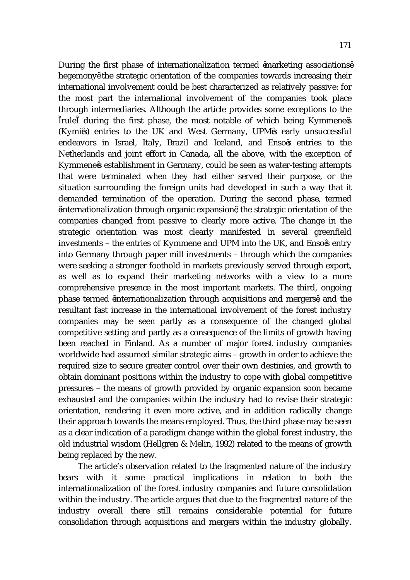During the first phase of internationalization termed marketing associations hegemony the strategic orientation of the companies towards increasing their international involvement could be best characterized as relatively passive: for the most part the international involvement of the companies took place through intermediaries. Although the article provides some exceptions to the rule during the first phase, the most notable of which being Kymmene s (Kymi s) entries to the UK and West Germany, UPM s early unsuccessful endeavors in Israel, Italy, Brazil and Iceland, and Enso s entries to the Netherlands and joint effort in Canada, all the above, with the exception of Kymmene s establishment in Germany, could be seen as water-testing attempts that were terminated when they had either served their purpose, or the situation surrounding the foreign units had developed in such a way that it demanded termination of the operation. During the second phase, termed internationalization through organic expansion , the strategic orientation of the companies changed from passive to clearly more active. The change in the strategic orientation was most clearly manifested in several greenfield investments – the entries of Kymmene and UPM into the UK, and Enso s entry into Germany through paper mill investments – through which the companies were seeking a stronger foothold in markets previously served through export, as well as to expand their marketing networks with a view to a more comprehensive presence in the most important markets. The third, ongoing phase termed internationalization through acquisitions and mergers , and the resultant fast increase in the international involvement of the forest industry companies may be seen partly as a consequence of the changed global competitive setting and partly as a consequence of the limits of growth having been reached in Finland. As a number of major forest industry companies worldwide had assumed similar strategic aims – growth in order to achieve the required size to secure greater control over their own destinies, and growth to obtain dominant positions within the industry to cope with global competitive pressures – the means of growth provided by organic expansion soon became exhausted and the companies within the industry had to revise their strategic orientation, rendering it even more active, and in addition radically change their approach towards the means employed. Thus, the third phase may be seen as a clear indication of a paradigm change within the global forest industry, the old industrial wisdom (Hellgren & Melin, 1992) related to the means of growth being replaced by the new.

The article's observation related to the fragmented nature of the industry bears with it some practical implications in relation to both the internationalization of the forest industry companies and future consolidation within the industry. The article argues that due to the fragmented nature of the industry overall there still remains considerable potential for future consolidation through acquisitions and mergers within the industry globally.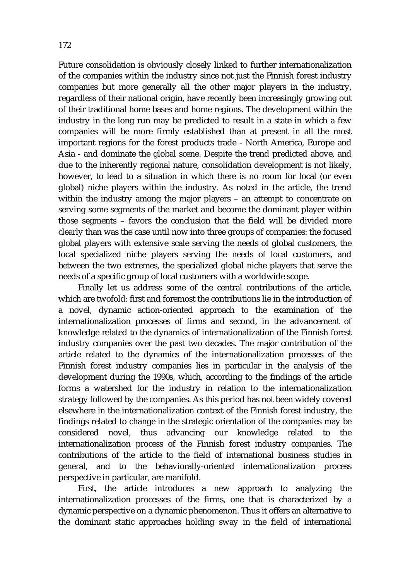Future consolidation is obviously closely linked to further internationalization of the companies within the industry since not just the Finnish forest industry companies but more generally all the other major players in the industry, regardless of their national origin, have recently been increasingly growing out of their traditional home bases and home regions. The development within the industry in the long run may be predicted to result in a state in which a few companies will be more firmly established than at present in all the most important regions for the forest products trade - North America, Europe and Asia - and dominate the global scene. Despite the trend predicted above, and due to the inherently regional nature, consolidation development is not likely, however, to lead to a situation in which there is no room for local (or even global) niche players within the industry. As noted in the article, the trend within the industry among the major players – an attempt to concentrate on serving some segments of the market and become the dominant player within those segments – favors the conclusion that the field will be divided more clearly than was the case until now into three groups of companies: the focused global players with extensive scale serving the needs of global customers, the local specialized niche players serving the needs of local customers, and between the two extremes, the specialized global niche players that serve the needs of a specific group of local customers with a worldwide scope.

Finally let us address some of the central contributions of the article, which are twofold: first and foremost the contributions lie in the introduction of a novel, dynamic action-oriented approach to the examination of the internationalization processes of firms and second, in the advancement of knowledge related to the dynamics of internationalization of the Finnish forest industry companies over the past two decades. The major contribution of the article related to the dynamics of the internationalization processes of the Finnish forest industry companies lies in particular in the analysis of the development during the 1990s, which, according to the findings of the article forms a watershed for the industry in relation to the internationalization strategy followed by the companies. As this period has not been widely covered elsewhere in the internationalization context of the Finnish forest industry, the findings related to change in the strategic orientation of the companies may be considered novel, thus advancing our knowledge related to the internationalization process of the Finnish forest industry companies. The contributions of the article to the field of international business studies in general, and to the behaviorally-oriented internationalization process perspective in particular, are manifold.

First, the article introduces a new approach to analyzing the internationalization processes of the firms, one that is characterized by a dynamic perspective on a dynamic phenomenon. Thus it offers an alternative to the dominant static approaches holding sway in the field of international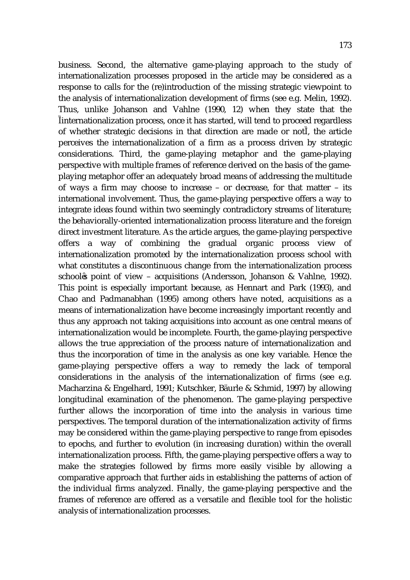business. Second, the alternative game-playing approach to the study of internationalization processes proposed in the article may be considered as a response to calls for the (re)introduction of the missing strategic viewpoint to the analysis of internationalization development of firms (see e.g. Melin, 1992). Thus, unlike Johanson and Vahlne (1990, 12) when they state that the internationalization process, once it has started, will tend to proceed regardless of whether strategic decisions in that direction are made or not , the article perceives the internationalization of a firm as a process driven by strategic considerations. Third, the game-playing metaphor and the game-playing perspective with multiple frames of reference derived on the basis of the gameplaying metaphor offer an adequately broad means of addressing the multitude of ways a firm may choose to increase – or decrease, for that matter – its international involvement. Thus, the game-playing perspective offers a way to integrate ideas found within two seemingly contradictory streams of literature; the behaviorally-oriented internationalization process literature and the foreign direct investment literature. As the article argues, the game-playing perspective offers a way of combining the gradual organic process view of internationalization promoted by the internationalization process school with what constitutes a discontinuous change from the internationalization process school s point of view – acquisitions (Andersson, Johanson & Vahlne, 1992). This point is especially important because, as Hennart and Park (1993), and Chao and Padmanabhan (1995) among others have noted, acquisitions as a means of internationalization have become increasingly important recently and thus any approach not taking acquisitions into account as one central means of internationalization would be incomplete. Fourth, the game-playing perspective allows the true appreciation of the process nature of internationalization and thus the incorporation of time in the analysis as one key variable. Hence the game-playing perspective offers a way to remedy the lack of temporal considerations in the analysis of the internationalization of firms (see e.g. Macharzina & Engelhard, 1991; Kutschker, Bäurle & Schmid, 1997) by allowing longitudinal examination of the phenomenon. The game-playing perspective further allows the incorporation of time into the analysis in various time perspectives. The temporal duration of the internationalization activity of firms may be considered within the game-playing perspective to range from episodes to epochs, and further to evolution (in increasing duration) within the overall internationalization process. Fifth, the game-playing perspective offers a way to make the strategies followed by firms more easily visible by allowing a comparative approach that further aids in establishing the patterns of action of the individual firms analyzed. Finally, the game-playing perspective and the frames of reference are offered as a versatile and flexible tool for the holistic analysis of internationalization processes.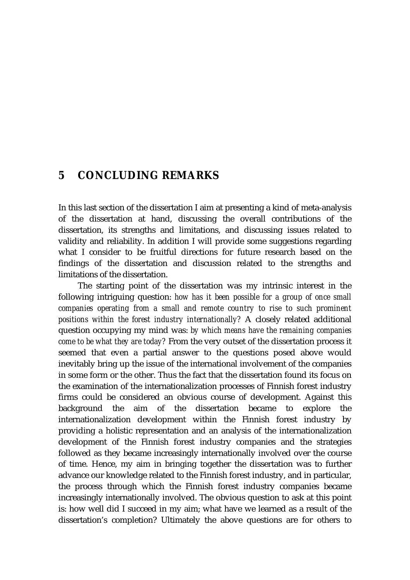#### **5 CONCLUDING REMARKS**

In this last section of the dissertation I aim at presenting a kind of meta-analysis of the dissertation at hand, discussing the overall contributions of the dissertation, its strengths and limitations, and discussing issues related to validity and reliability. In addition I will provide some suggestions regarding what I consider to be fruitful directions for future research based on the findings of the dissertation and discussion related to the strengths and limitations of the dissertation.

The starting point of the dissertation was my intrinsic interest in the following intriguing question: *how has it been possible for a group of once small companies operating from a small and remote country to rise to such prominent positions within the forest industry internationally?* A closely related additional question occupying my mind was: *by which means have the remaining companies come to be what they are today?* From the very outset of the dissertation process it seemed that even a partial answer to the questions posed above would inevitably bring up the issue of the international involvement of the companies in some form or the other. Thus the fact that the dissertation found its focus on the examination of the internationalization processes of Finnish forest industry firms could be considered an obvious course of development. Against this background the aim of the dissertation became to explore the internationalization development within the Finnish forest industry by providing a holistic representation and an analysis of the internationalization development of the Finnish forest industry companies and the strategies followed as they became increasingly internationally involved over the course of time. Hence, my aim in bringing together the dissertation was to further advance our knowledge related to the Finnish forest industry, and in particular, the process through which the Finnish forest industry companies became increasingly internationally involved. The obvious question to ask at this point is: how well did I succeed in my aim; what have we learned as a result of the dissertation's completion? Ultimately the above questions are for others to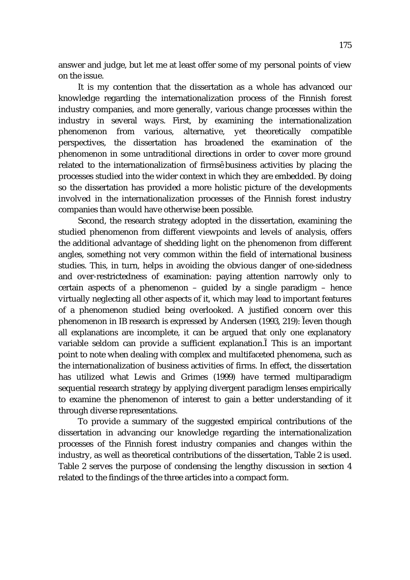answer and judge, but let me at least offer some of my personal points of view on the issue.

It is my contention that the dissertation as a whole has advanced our knowledge regarding the internationalization process of the Finnish forest industry companies, and more generally, various change processes within the industry in several ways. First, by examining the internationalization phenomenon from various, alternative, yet theoretically compatible perspectives, the dissertation has broadened the examination of the phenomenon in some untraditional directions in order to cover more ground related to the internationalization of firms business activities by placing the processes studied into the wider context in which they are embedded. By doing so the dissertation has provided a more holistic picture of the developments involved in the internationalization processes of the Finnish forest industry companies than would have otherwise been possible.

Second, the research strategy adopted in the dissertation, examining the studied phenomenon from different viewpoints and levels of analysis, offers the additional advantage of shedding light on the phenomenon from different angles, something not very common within the field of international business studies. This, in turn, helps in avoiding the obvious danger of one-sidedness and over-restrictedness of examination: paying attention narrowly only to certain aspects of a phenomenon – guided by a single paradigm – hence virtually neglecting all other aspects of it, which may lead to important features of a phenomenon studied being overlooked. A justified concern over this phenomenon in IB research is expressed by Andersen (1993, 219): even though all explanations are incomplete, it can be argued that only one explanatory variable seldom can provide a sufficient explanation. This is an important point to note when dealing with complex and multifaceted phenomena, such as the internationalization of business activities of firms. In effect, the dissertation has utilized what Lewis and Grimes (1999) have termed multiparadigm sequential research strategy by applying divergent paradigm lenses empirically to examine the phenomenon of interest to gain a better understanding of it through diverse representations.

To provide a summary of the suggested empirical contributions of the dissertation in advancing our knowledge regarding the internationalization processes of the Finnish forest industry companies and changes within the industry, as well as theoretical contributions of the dissertation, Table 2 is used. Table 2 serves the purpose of condensing the lengthy discussion in section 4 related to the findings of the three articles into a compact form.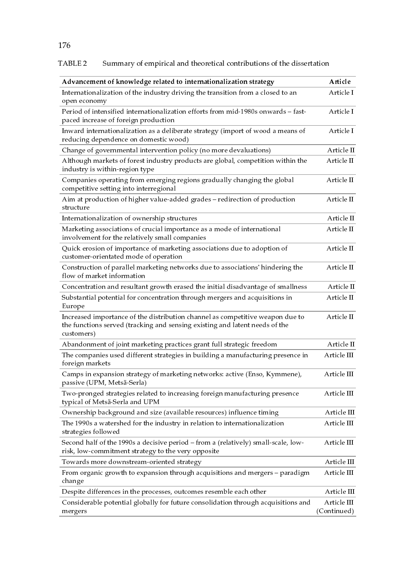#### Summary of empirical and theoretical contributions of the dissertation TABLE 2

| Advancement of knowledge related to internationalization strategy                                                                                                          | Article                    |
|----------------------------------------------------------------------------------------------------------------------------------------------------------------------------|----------------------------|
| Internationalization of the industry driving the transition from a closed to an<br>open economy                                                                            | Article I                  |
| Period of intensified internationalization efforts from mid-1980s onwards - fast-<br>paced increase of foreign production                                                  | Article I                  |
| Inward internationalization as a deliberate strategy (import of wood a means of<br>reducing dependence on domestic wood)                                                   | Article I                  |
| Change of governmental intervention policy (no more devaluations)                                                                                                          | Article II                 |
| Although markets of forest industry products are global, competition within the<br>industry is within-region type                                                          | Article II                 |
| Companies operating from emerging regions gradually changing the global<br>competitive setting into interregional                                                          | Article II                 |
| Aim at production of higher value-added grades - redirection of production<br>structure                                                                                    | Article II                 |
| Internationalization of ownership structures                                                                                                                               | Article II                 |
| Marketing associations of crucial importance as a mode of international<br>involvement for the relatively small companies                                                  | Article II                 |
| Quick erosion of importance of marketing associations due to adoption of<br>customer-orientated mode of operation                                                          | Article II                 |
| Construction of parallel marketing networks due to associations' hindering the<br>flow of market information                                                               | Article II                 |
| Concentration and resultant growth erased the initial disadvantage of smallness                                                                                            | Article II                 |
| Substantial potential for concentration through mergers and acquisitions in<br>Europe                                                                                      | Article II                 |
| Increased importance of the distribution channel as competitive weapon due to<br>the functions served (tracking and sensing existing and latent needs of the<br>customers) | Article II                 |
| Abandonment of joint marketing practices grant full strategic freedom                                                                                                      | Article II                 |
| The companies used different strategies in building a manufacturing presence in<br>foreign markets                                                                         | Article III                |
| Camps in expansion strategy of marketing networks: active (Enso, Kymmene),<br>passive (UPM, Metsä-Serla)                                                                   | Article III                |
| Two-pronged strategies related to increasing foreign manufacturing presence<br>typical of Metsä-Serla and UPM                                                              | Article III                |
| Ownership background and size (available resources) influence timing                                                                                                       | Article III                |
| The 1990s a watershed for the industry in relation to internationalization<br>strategies followed                                                                          | Article III                |
| Second half of the 1990s a decisive period - from a (relatively) small-scale, low-<br>risk, low-commitment strategy to the very opposite                                   | Article III                |
| Towards more downstream-oriented strategy                                                                                                                                  | Article III                |
| From organic growth to expansion through acquisitions and mergers - paradigm<br>change                                                                                     | Article III                |
| Despite differences in the processes, outcomes resemble each other                                                                                                         | Article III                |
| Considerable potential globally for future consolidation through acquisitions and<br>mergers                                                                               | Article III<br>(Continued) |

176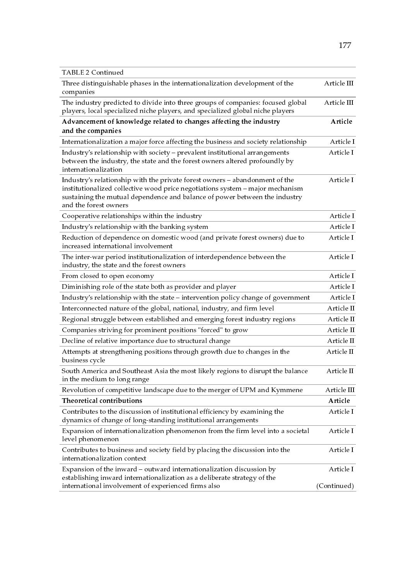| <b>TABLE 2 Continued</b>                                                                                                                                                                                                                                            |             |
|---------------------------------------------------------------------------------------------------------------------------------------------------------------------------------------------------------------------------------------------------------------------|-------------|
| Three distinguishable phases in the internationalization development of the<br>companies                                                                                                                                                                            | Article III |
| The industry predicted to divide into three groups of companies: focused global<br>players, local specialized niche players, and specialized global niche players                                                                                                   | Article III |
| Advancement of knowledge related to changes affecting the industry<br>and the companies                                                                                                                                                                             | Article     |
| Internationalization a major force affecting the business and society relationship                                                                                                                                                                                  | Article I   |
| Industry's relationship with society - prevalent institutional arrangements<br>between the industry, the state and the forest owners altered profoundly by<br>internationalization                                                                                  | Article I   |
| Industry's relationship with the private forest owners - abandonment of the<br>institutionalized collective wood price negotiations system - major mechanism<br>sustaining the mutual dependence and balance of power between the industry<br>and the forest owners | Article I   |
| Cooperative relationships within the industry                                                                                                                                                                                                                       | Article I   |
| Industry's relationship with the banking system                                                                                                                                                                                                                     | Article I   |
| Reduction of dependence on domestic wood (and private forest owners) due to<br>increased international involvement                                                                                                                                                  | Article I   |
| The inter-war period institutionalization of interdependence between the<br>industry, the state and the forest owners                                                                                                                                               | Article I   |
| From closed to open economy                                                                                                                                                                                                                                         | Article I   |
| Diminishing role of the state both as provider and player                                                                                                                                                                                                           | Article I   |
| Industry's relationship with the state - intervention policy change of government                                                                                                                                                                                   | Article I   |
| Interconnected nature of the global, national, industry, and firm level                                                                                                                                                                                             | Article II  |
| Regional struggle between established and emerging forest industry regions                                                                                                                                                                                          | Article II  |
| Companies striving for prominent positions "forced" to grow                                                                                                                                                                                                         | Article II  |
| Decline of relative importance due to structural change                                                                                                                                                                                                             | Article II  |
| Attempts at strengthening positions through growth due to changes in the<br>business cycle                                                                                                                                                                          | Article II  |
| South America and Southeast Asia the most likely regions to disrupt the balance<br>in the medium to long range                                                                                                                                                      | Article II  |
| Revolution of competitive landscape due to the merger of UPM and Kymmene                                                                                                                                                                                            | Article III |
| Theoretical contributions                                                                                                                                                                                                                                           | Article     |
| Contributes to the discussion of institutional efficiency by examining the<br>dynamics of change of long-standing institutional arrangements                                                                                                                        | Article I   |
| Expansion of internationalization phenomenon from the firm level into a societal<br>level phenomenon                                                                                                                                                                | Article I   |
| Contributes to business and society field by placing the discussion into the<br>internationalization context                                                                                                                                                        | Article I   |
| Expansion of the inward – outward internationalization discussion by<br>establishing inward internationalization as a deliberate strategy of the                                                                                                                    | Article I   |
| international involvement of experienced firms also                                                                                                                                                                                                                 | (Continued) |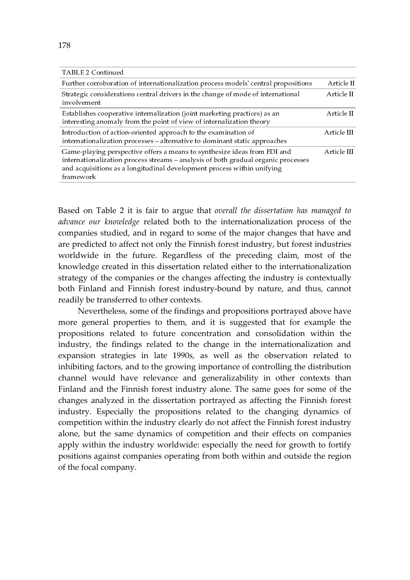| TABLE 2 Continued                                                                                                                                                                                                                                    |             |
|------------------------------------------------------------------------------------------------------------------------------------------------------------------------------------------------------------------------------------------------------|-------------|
| Further corroboration of internationalization process models' central propositions                                                                                                                                                                   | Article II  |
| Strategic considerations central drivers in the change of mode of international<br>involvement                                                                                                                                                       | Article II  |
| Establishes cooperative internalization (joint marketing practices) as an<br>interesting anomaly from the point of view of internalization theory                                                                                                    | Article II  |
| Introduction of action-oriented approach to the examination of<br>internationalization processes - alternative to dominant static approaches                                                                                                         | Article III |
| Game-playing perspective offers a means to synthesize ideas from FDI and<br>internationalization process streams - analysis of both gradual organic processes<br>and acquisitions as a longitudinal development process within unifying<br>framework | Article III |

Based on Table 2 it is fair to argue that overall the dissertation has managed to advance our knowledge related both to the internationalization process of the companies studied, and in regard to some of the major changes that have and are predicted to affect not only the Finnish forest industry, but forest industries worldwide in the future. Regardless of the preceding claim, most of the knowledge created in this dissertation related either to the internationalization strategy of the companies or the changes affecting the industry is contextually both Finland and Finnish forest industry-bound by nature, and thus, cannot readily be transferred to other contexts.

Nevertheless, some of the findings and propositions portrayed above have more general properties to them, and it is suggested that for example the propositions related to future concentration and consolidation within the industry, the findings related to the change in the internationalization and expansion strategies in late 1990s, as well as the observation related to inhibiting factors, and to the growing importance of controlling the distribution channel would have relevance and generalizability in other contexts than Finland and the Finnish forest industry alone. The same goes for some of the changes analyzed in the dissertation portrayed as affecting the Finnish forest industry. Especially the propositions related to the changing dynamics of competition within the industry clearly do not affect the Finnish forest industry alone, but the same dynamics of competition and their effects on companies apply within the industry worldwide: especially the need for growth to fortify positions against companies operating from both within and outside the region of the focal company.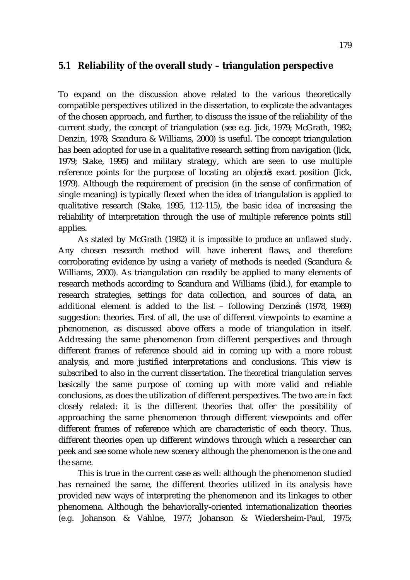# **5.1 Reliability of the overall study – triangulation perspective**

To expand on the discussion above related to the various theoretically compatible perspectives utilized in the dissertation, to explicate the advantages of the chosen approach, and further, to discuss the issue of the reliability of the current study, the concept of triangulation (see e.g. Jick, 1979; McGrath, 1982; Denzin, 1978; Scandura & Williams, 2000) is useful. The concept triangulation has been adopted for use in a qualitative research setting from navigation (Jick, 1979; Stake, 1995) and military strategy, which are seen to use multiple reference points for the purpose of locating an object s exact position (Jick, 1979). Although the requirement of precision (in the sense of confirmation of single meaning) is typically flexed when the idea of triangulation is applied to qualitative research (Stake, 1995, 112-115), the basic idea of increasing the reliability of interpretation through the use of multiple reference points still applies.

As stated by McGrath (1982) *it is impossible to produce an unflawed study*. Any chosen research method will have inherent flaws, and therefore corroborating evidence by using a variety of methods is needed (Scandura & Williams, 2000). As triangulation can readily be applied to many elements of research methods according to Scandura and Williams (ibid.), for example to research strategies, settings for data collection, and sources of data, an additional element is added to the list – following Denzin s (1978, 1989) suggestion: theories. First of all, the use of different viewpoints to examine a phenomenon, as discussed above offers a mode of triangulation in itself. Addressing the same phenomenon from different perspectives and through different frames of reference should aid in coming up with a more robust analysis, and more justified interpretations and conclusions. This view is subscribed to also in the current dissertation. The *theoretical triangulation* serves basically the same purpose of coming up with more valid and reliable conclusions, as does the utilization of different perspectives. The two are in fact closely related: it is the different theories that offer the possibility of approaching the same phenomenon through different viewpoints and offer different frames of reference which are characteristic of each theory. Thus, different theories open up different windows through which a researcher can peek and see some whole new scenery although the phenomenon is the one and the same.

This is true in the current case as well: although the phenomenon studied has remained the same, the different theories utilized in its analysis have provided new ways of interpreting the phenomenon and its linkages to other phenomena. Although the behaviorally-oriented internationalization theories (e.g. Johanson & Vahlne, 1977; Johanson & Wiedersheim-Paul, 1975;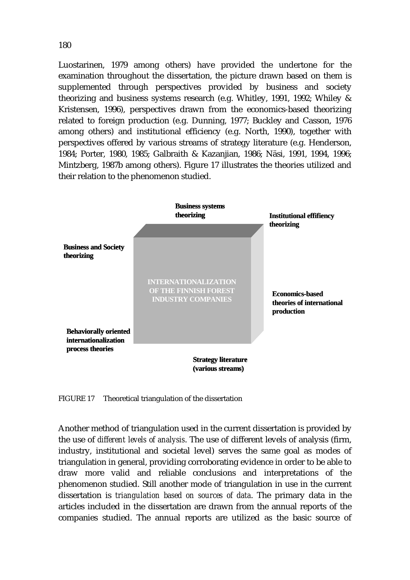Luostarinen, 1979 among others) have provided the undertone for the examination throughout the dissertation, the picture drawn based on them is supplemented through perspectives provided by business and society theorizing and business systems research (e.g. Whitley, 1991, 1992; Whiley & Kristensen, 1996), perspectives drawn from the economics-based theorizing related to foreign production (e.g. Dunning, 1977; Buckley and Casson, 1976 among others) and institutional efficiency (e.g. North, 1990), together with perspectives offered by various streams of strategy literature (e.g. Henderson, 1984; Porter, 1980, 1985; Galbraith & Kazanjian, 1986; Näsi, 1991, 1994, 1996; Mintzberg, 1987b among others). Figure 17 illustrates the theories utilized and their relation to the phenomenon studied.



FIGURE 17 Theoretical triangulation of the dissertation

Another method of triangulation used in the current dissertation is provided by the use of *different levels of analysis*. The use of different levels of analysis (firm, industry, institutional and societal level) serves the same goal as modes of triangulation in general, providing corroborating evidence in order to be able to draw more valid and reliable conclusions and interpretations of the phenomenon studied. Still another mode of triangulation in use in the current dissertation is *triangulation based on sources of data*. The primary data in the articles included in the dissertation are drawn from the annual reports of the companies studied. The annual reports are utilized as the basic source of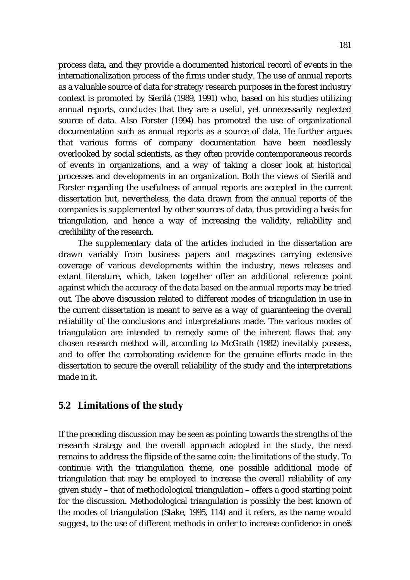process data, and they provide a documented historical record of events in the internationalization process of the firms under study. The use of annual reports as a valuable source of data for strategy research purposes in the forest industry context is promoted by Sierilä (1989, 1991) who, based on his studies utilizing annual reports, concludes that they are a useful, yet unnecessarily neglected source of data. Also Forster (1994) has promoted the use of organizational documentation such as annual reports as a source of data. He further argues that various forms of company documentation have been needlessly overlooked by social scientists, as they often provide contemporaneous records of events in organizations, and a way of taking a closer look at historical processes and developments in an organization. Both the views of Sierilä and Forster regarding the usefulness of annual reports are accepted in the current dissertation but, nevertheless, the data drawn from the annual reports of the companies is supplemented by other sources of data, thus providing a basis for triangulation, and hence a way of increasing the validity, reliability and credibility of the research.

 The supplementary data of the articles included in the dissertation are drawn variably from business papers and magazines carrying extensive coverage of various developments within the industry, news releases and extant literature, which, taken together offer an additional reference point against which the accuracy of the data based on the annual reports may be tried out. The above discussion related to different modes of triangulation in use in the current dissertation is meant to serve as a way of guaranteeing the overall reliability of the conclusions and interpretations made. The various modes of triangulation are intended to remedy some of the inherent flaws that any chosen research method will, according to McGrath (1982) inevitably possess, and to offer the corroborating evidence for the genuine efforts made in the dissertation to secure the overall reliability of the study and the interpretations made in it.

## **5.2 Limitations of the study**

If the preceding discussion may be seen as pointing towards the strengths of the research strategy and the overall approach adopted in the study, the need remains to address the flipside of the same coin: the limitations of the study. To continue with the triangulation theme, one possible additional mode of triangulation that may be employed to increase the overall reliability of any given study – that of methodological triangulation – offers a good starting point for the discussion. Methodological triangulation is possibly the best known of the modes of triangulation (Stake, 1995, 114) and it refers, as the name would suggest, to the use of different methods in order to increase confidence in one s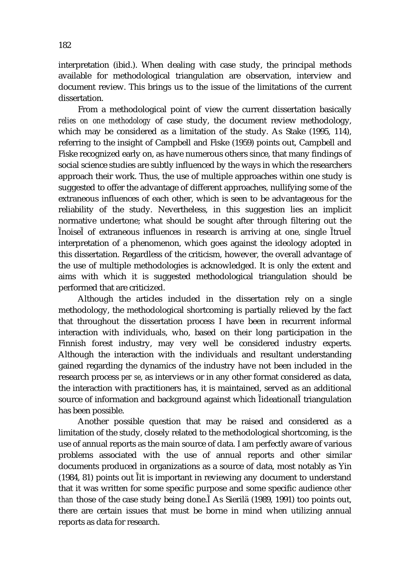interpretation (ibid.). When dealing with case study, the principal methods available for methodological triangulation are observation, interview and document review. This brings us to the issue of the limitations of the current dissertation.

From a methodological point of view the current dissertation basically *relies on one methodology* of case study, the document review methodology, which may be considered as a limitation of the study. As Stake (1995, 114), referring to the insight of Campbell and Fiske (1959) points out, Campbell and Fiske recognized early on, as have numerous others since, that many findings of social science studies are subtly influenced by the ways in which the researchers approach their work. Thus, the use of multiple approaches within one study is suggested to offer the advantage of different approaches, nullifying some of the extraneous influences of each other, which is seen to be advantageous for the reliability of the study. Nevertheless, in this suggestion lies an implicit normative undertone; what should be sought after through filtering out the noise of extraneous influences in research is arriving at one, single true interpretation of a phenomenon, which goes against the ideology adopted in this dissertation. Regardless of the criticism, however, the overall advantage of the use of multiple methodologies is acknowledged. It is only the extent and aims with which it is suggested methodological triangulation should be performed that are criticized.

Although the articles included in the dissertation rely on a single methodology, the methodological shortcoming is partially relieved by the fact that throughout the dissertation process I have been in recurrent informal interaction with individuals, who, based on their long participation in the Finnish forest industry, may very well be considered industry experts. Although the interaction with the individuals and resultant understanding gained regarding the dynamics of the industry have not been included in the research process *per se*, as interviews or in any other format considered as data, the interaction with practitioners has, it is maintained, served as an additional source of information and background against which ideational triangulation has been possible.

Another possible question that may be raised and considered as a limitation of the study, closely related to the methodological shortcoming, is the use of annual reports as the main source of data. I am perfectly aware of various problems associated with the use of annual reports and other similar documents produced in organizations as a source of data, most notably as Yin (1984, 81) points out it is important in reviewing any document to understand that it was written for some specific purpose and some specific audience *other than* those of the case study being done. As Sierilä (1989, 1991) too points out, there are certain issues that must be borne in mind when utilizing annual reports as data for research.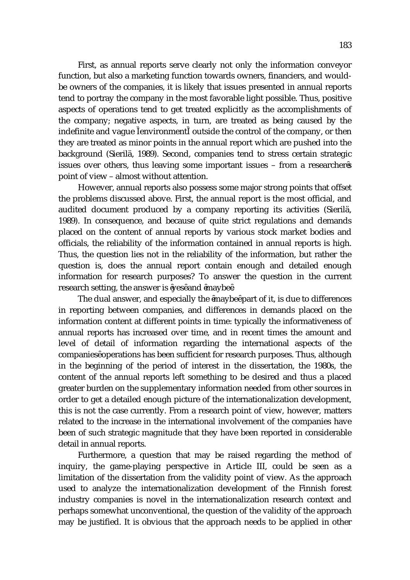First, as annual reports serve clearly not only the information conveyor function, but also a marketing function towards owners, financiers, and wouldbe owners of the companies, it is likely that issues presented in annual reports tend to portray the company in the most favorable light possible. Thus, positive aspects of operations tend to get treated explicitly as the accomplishments of the company; negative aspects, in turn, are treated as being caused by the indefinite and vague environment outside the control of the company, or then they are treated as minor points in the annual report which are pushed into the background (Sierilä, 1989). Second, companies tend to stress certain strategic issues over others, thus leaving some important issues – from a researcher s point of view – almost without attention.

However, annual reports also possess some major strong points that offset the problems discussed above. First, the annual report is the most official, and audited document produced by a company reporting its activities (Sierilä, 1989). In consequence, and because of quite strict regulations and demands placed on the content of annual reports by various stock market bodies and officials, the reliability of the information contained in annual reports is high. Thus, the question lies not in the reliability of the information, but rather the question is, does the annual report contain enough and detailed enough information for research purposes? To answer the question in the current research setting, the answer is yes and maybe .

The dual answer, and especially the maybe part of it, is due to differences in reporting between companies, and differences in demands placed on the information content at different points in time: typically the informativeness of annual reports has increased over time, and in recent times the amount and level of detail of information regarding the international aspects of the companies operations has been sufficient for research purposes. Thus, although in the beginning of the period of interest in the dissertation, the 1980s, the content of the annual reports left something to be desired and thus a placed greater burden on the supplementary information needed from other sources in order to get a detailed enough picture of the internationalization development, this is not the case currently. From a research point of view, however, matters related to the increase in the international involvement of the companies have been of such strategic magnitude that they have been reported in considerable detail in annual reports.

Furthermore, a question that may be raised regarding the method of inquiry, the game-playing perspective in Article III, could be seen as a limitation of the dissertation from the validity point of view. As the approach used to analyze the internationalization development of the Finnish forest industry companies is novel in the internationalization research context and perhaps somewhat unconventional, the question of the validity of the approach may be justified. It is obvious that the approach needs to be applied in other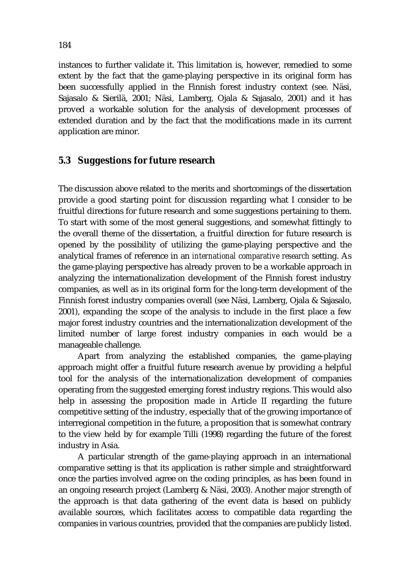instances to further validate it. This limitation is, however, remedied to some extent by the fact that the game-playing perspective in its original form has been successfully applied in the Finnish forest industry context (see. Näsi, Sajasalo & Sierilä, 2001; Näsi, Lamberg, Ojala & Sajasalo, 2001) and it has proved a workable solution for the analysis of development processes of extended duration and by the fact that the modifications made in its current application are minor.

#### **5.3 Suggestions for future research**

The discussion above related to the merits and shortcomings of the dissertation provide a good starting point for discussion regarding what I consider to be fruitful directions for future research and some suggestions pertaining to them. To start with some of the most general suggestions, and somewhat fittingly to the overall theme of the dissertation, a fruitful direction for future research is opened by the possibility of utilizing the game-playing perspective and the analytical frames of reference in an *international comparative research* setting. As the game-playing perspective has already proven to be a workable approach in analyzing the internationalization development of the Finnish forest industry companies, as well as in its original form for the long-term development of the Finnish forest industry companies overall (see Näsi, Lamberg, Ojala & Sajasalo, 2001), expanding the scope of the analysis to include in the first place a few major forest industry countries and the internationalization development of the limited number of large forest industry companies in each would be a manageable challenge.

 Apart from analyzing the established companies, the game-playing approach might offer a fruitful future research avenue by providing a helpful tool for the analysis of the internationalization development of companies operating from the suggested emerging forest industry regions. This would also help in assessing the proposition made in Article II regarding the future competitive setting of the industry, especially that of the growing importance of interregional competition in the future, a proposition that is somewhat contrary to the view held by for example Tilli (1998) regarding the future of the forest industry in Asia.

A particular strength of the game-playing approach in an international comparative setting is that its application is rather simple and straightforward once the parties involved agree on the coding principles, as has been found in an ongoing research project (Lamberg & Näsi, 2003). Another major strength of the approach is that data gathering of the event data is based on publicly available sources, which facilitates access to compatible data regarding the companies in various countries, provided that the companies are publicly listed.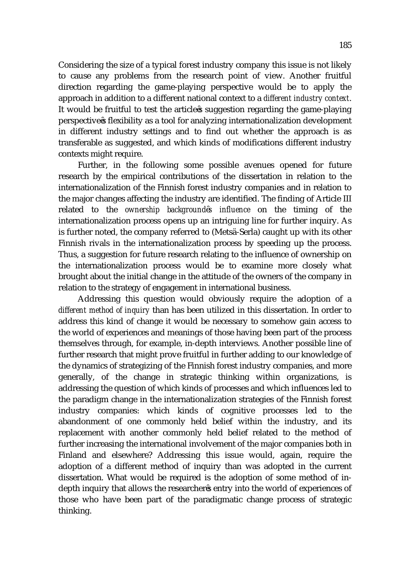Considering the size of a typical forest industry company this issue is not likely to cause any problems from the research point of view. Another fruitful direction regarding the game-playing perspective would be to apply the approach in addition to a different national context to a *different industry context*. It would be fruitful to test the article s suggestion regarding the game-playing perspective s flexibility as a tool for analyzing internationalization development in different industry settings and to find out whether the approach is as transferable as suggested, and which kinds of modifications different industry contexts might require.

Further, in the following some possible avenues opened for future research by the empirical contributions of the dissertation in relation to the internationalization of the Finnish forest industry companies and in relation to the major changes affecting the industry are identified. The finding of Article III related to the *ownership background s influence* on the timing of the internationalization process opens up an intriguing line for further inquiry. As is further noted, the company referred to (Metsä-Serla) caught up with its other Finnish rivals in the internationalization process by speeding up the process. Thus, a suggestion for future research relating to the influence of ownership on the internationalization process would be to examine more closely what brought about the initial change in the attitude of the owners of the company in relation to the strategy of engagement in international business.

Addressing this question would obviously require the adoption of a *different method of inquiry* than has been utilized in this dissertation. In order to address this kind of change it would be necessary to somehow gain access to the world of experiences and meanings of those having been part of the process themselves through, for example, in-depth interviews. Another possible line of further research that might prove fruitful in further adding to our knowledge of the dynamics of strategizing of the Finnish forest industry companies, and more generally, of the change in strategic thinking within organizations, is addressing the question of which kinds of processes and which influences led to the paradigm change in the internationalization strategies of the Finnish forest industry companies: which kinds of cognitive processes led to the abandonment of one commonly held belief within the industry, and its replacement with another commonly held belief related to the method of further increasing the international involvement of the major companies both in Finland and elsewhere? Addressing this issue would, again, require the adoption of a different method of inquiry than was adopted in the current dissertation. What would be required is the adoption of some method of indepth inquiry that allows the researcher s entry into the world of experiences of those who have been part of the paradigmatic change process of strategic thinking.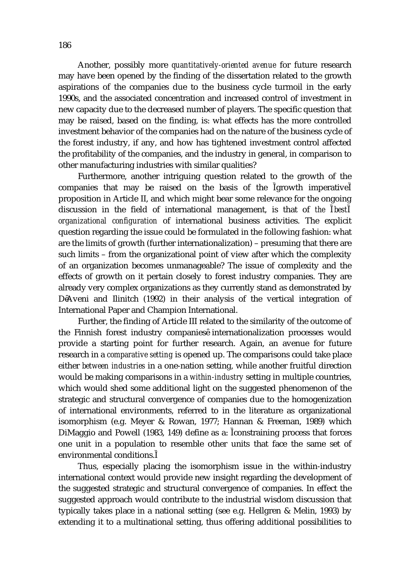Another, possibly more *quantitatively-oriented avenue* for future research may have been opened by the finding of the dissertation related to the growth aspirations of the companies due to the business cycle turmoil in the early 1990s, and the associated concentration and increased control of investment in new capacity due to the decreased number of players. The specific question that may be raised, based on the finding, is: what effects has the more controlled investment behavior of the companies had on the nature of the business cycle of the forest industry, if any, and how has tightened investment control affected the profitability of the companies, and the industry in general, in comparison to other manufacturing industries with similar qualities?

Furthermore, another intriguing question related to the growth of the companies that may be raised on the basis of the growth imperative proposition in Article II, and which might bear some relevance for the ongoing discussion in the field of international management, is that of *the best organizational configuration* of international business activities. The explicit question regarding the issue could be formulated in the following fashion: what are the limits of growth (further internationalization) – presuming that there are such limits – from the organizational point of view after which the complexity of an organization becomes unmanageable? The issue of complexity and the effects of growth on it pertain closely to forest industry companies. They are already very complex organizations as they currently stand as demonstrated by D Aveni and Ilinitch (1992) in their analysis of the vertical integration of International Paper and Champion International.

Further, the finding of Article III related to the similarity of the outcome of the Finnish forest industry companies internationalization processes would provide a starting point for further research. Again, an avenue for future research in a *comparative setting* is opened up. The comparisons could take place either *between industries* in a one-nation setting, while another fruitful direction would be making comparisons in a *within-industry* setting in multiple countries, which would shed some additional light on the suggested phenomenon of the strategic and structural convergence of companies due to the homogenization of international environments, referred to in the literature as organizational isomorphism (e.g. Meyer & Rowan, 1977; Hannan & Freeman, 1989) which DiMaggio and Powell (1983, 149) define as a: constraining process that forces one unit in a population to resemble other units that face the same set of environmental conditions.

Thus, especially placing the isomorphism issue in the within-industry international context would provide new insight regarding the development of the suggested strategic and structural convergence of companies. In effect the suggested approach would contribute to the industrial wisdom discussion that typically takes place in a national setting (see e.g. Hellgren & Melin, 1993) by extending it to a multinational setting, thus offering additional possibilities to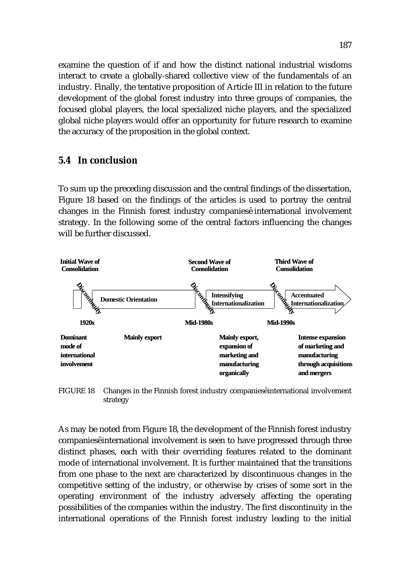examine the question of if and how the distinct national industrial wisdoms interact to create a globally-shared collective view of the fundamentals of an industry. Finally, the tentative proposition of Article III in relation to the future development of the global forest industry into three groups of companies, the focused global players, the local specialized niche players, and the specialized global niche players would offer an opportunity for future research to examine the accuracy of the proposition in the global context.

#### **5.4 In conclusion**

To sum up the preceding discussion and the central findings of the dissertation, Figure 18 based on the findings of the articles is used to portray the central changes in the Finnish forest industry companies international involvement strategy. In the following some of the central factors influencing the changes will be further discussed.



FIGURE 18 Changes in the Finnish forest industry companies international involvement strategy

As may be noted from Figure 18, the development of the Finnish forest industry companies international involvement is seen to have progressed through three distinct phases, each with their overriding features related to the dominant mode of international involvement. It is further maintained that the transitions from one phase to the next are characterized by discontinuous changes in the competitive setting of the industry, or otherwise by crises of some sort in the operating environment of the industry adversely affecting the operating possibilities of the companies within the industry. The first discontinuity in the international operations of the Finnish forest industry leading to the initial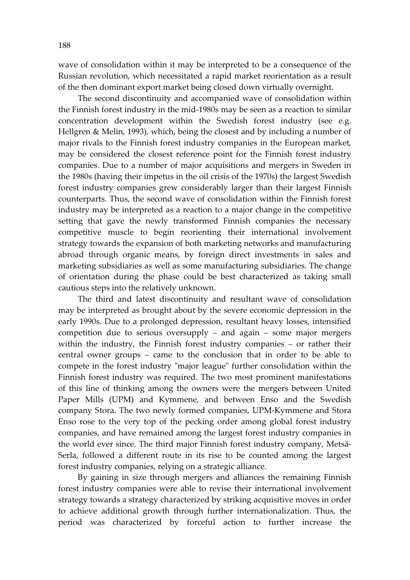wave of consolidation within it may be interpreted to be a consequence of the Russian revolution, which necessitated a rapid market reorientation as a result of the then dominant export market being closed down virtually overnight.

The second discontinuity and accompanied wave of consolidation within the Finnish forest industry in the mid-1980s may be seen as a reaction to similar concentration development within the Swedish forest industry (see e.g. Hellgren & Melin, 1993), which, being the closest and by including a number of major rivals to the Finnish forest industry companies in the European market, may be considered the closest reference point for the Finnish forest industry companies. Due to a number of major acquisitions and mergers in Sweden in the 1980s (having their impetus in the oil crisis of the 1970s) the largest Swedish forest industry companies grew considerably larger than their largest Finnish counterparts. Thus, the second wave of consolidation within the Finnish forest industry may be interpreted as a reaction to a major change in the competitive setting that gave the newly transformed Finnish companies the necessary competitive muscle to begin reorienting their international involvement strategy towards the expansion of both marketing networks and manufacturing abroad through organic means, by foreign direct investments in sales and marketing subsidiaries as well as some manufacturing subsidiaries. The change of orientation during the phase could be best characterized as taking small cautious steps into the relatively unknown.

The third and latest discontinuity and resultant wave of consolidation may be interpreted as brought about by the severe economic depression in the early 1990s. Due to a prolonged depression, resultant heavy losses, intensified competition due to serious oversupply  $-$  and again  $-$  some major mergers within the industry, the Finnish forest industry companies - or rather their central owner groups – came to the conclusion that in order to be able to compete in the forest industry "major league" further consolidation within the Finnish forest industry was required. The two most prominent manifestations of this line of thinking among the owners were the mergers between United Paper Mills (UPM) and Kymmene, and between Enso and the Swedish company Stora. The two newly formed companies, UPM-Kymmene and Stora Enso rose to the very top of the pecking order among global forest industry companies, and have remained among the largest forest industry companies in the world ever since. The third major Finnish forest industry company, Metsä-Serla, followed a different route in its rise to be counted among the largest forest industry companies, relying on a strategic alliance.

By gaining in size through mergers and alliances the remaining Finnish forest industry companies were able to revise their international involvement strategy towards a strategy characterized by striking acquisitive moves in order to achieve additional growth through further internationalization. Thus, the period was characterized by forceful action to further increase the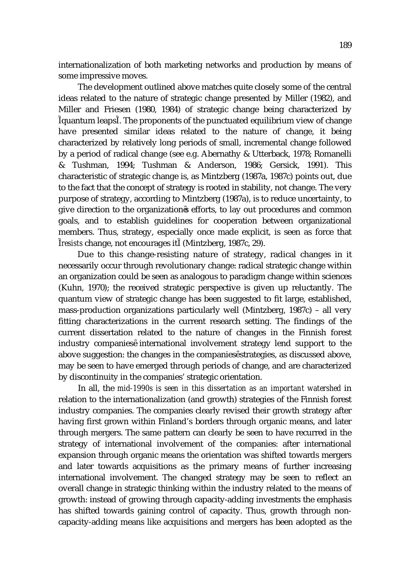internationalization of both marketing networks and production by means of some impressive moves.

The development outlined above matches quite closely some of the central ideas related to the nature of strategic change presented by Miller (1982), and Miller and Friesen (1980, 1984) of strategic change being characterized by quantum leaps . The proponents of the punctuated equilibrium view of change have presented similar ideas related to the nature of change, it being characterized by relatively long periods of small, incremental change followed by a period of radical change (see e.g. Abernathy & Utterback, 1978; Romanelli & Tushman, 1994; Tushman & Anderson, 1986; Gersick, 1991). This characteristic of strategic change is, as Mintzberg (1987a, 1987c) points out, due to the fact that the concept of strategy is rooted in stability, not change. The very purpose of strategy, according to Mintzberg (1987a), is to reduce uncertainty, to give direction to the organization s efforts, to lay out procedures and common goals, and to establish guidelines for cooperation between organizational members. Thus, strategy, especially once made explicit, is seen as force that *resists* change, not encourages it (Mintzberg, 1987c, 29).

 Due to this change-resisting nature of strategy, radical changes in it necessarily occur through revolutionary change: radical strategic change within an organization could be seen as analogous to paradigm change within sciences (Kuhn, 1970); the received strategic perspective is given up reluctantly. The quantum view of strategic change has been suggested to fit large, established, mass-production organizations particularly well (Mintzberg, 1987c) – all very fitting characterizations in the current research setting. The findings of the current dissertation related to the nature of changes in the Finnish forest industry companies international involvement strategy lend support to the above suggestion: the changes in the companies strategies, as discussed above, may be seen to have emerged through periods of change, and are characterized by discontinuity in the companies' strategic orientation.

In all, the *mid-1990s is seen in this dissertation as an important watershed* in relation to the internationalization (and growth) strategies of the Finnish forest industry companies. The companies clearly revised their growth strategy after having first grown within Finland's borders through organic means, and later through mergers. The same pattern can clearly be seen to have recurred in the strategy of international involvement of the companies: after international expansion through organic means the orientation was shifted towards mergers and later towards acquisitions as the primary means of further increasing international involvement. The changed strategy may be seen to reflect an overall change in strategic thinking within the industry related to the means of growth: instead of growing through capacity-adding investments the emphasis has shifted towards gaining control of capacity. Thus, growth through noncapacity-adding means like acquisitions and mergers has been adopted as the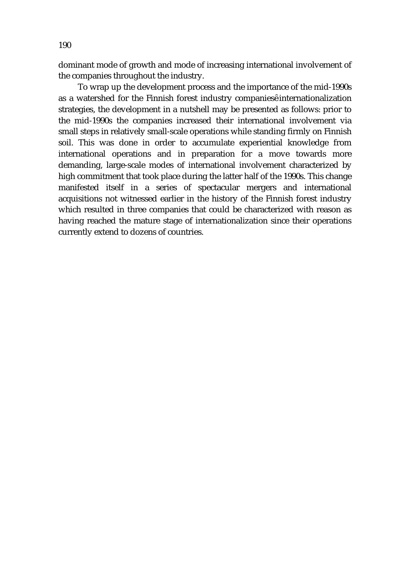dominant mode of growth and mode of increasing international involvement of the companies throughout the industry.

To wrap up the development process and the importance of the mid-1990s as a watershed for the Finnish forest industry companies internationalization strategies, the development in a nutshell may be presented as follows: prior to the mid-1990s the companies increased their international involvement via small steps in relatively small-scale operations while standing firmly on Finnish soil. This was done in order to accumulate experiential knowledge from international operations and in preparation for a move towards more demanding, large-scale modes of international involvement characterized by high commitment that took place during the latter half of the 1990s. This change manifested itself in a series of spectacular mergers and international acquisitions not witnessed earlier in the history of the Finnish forest industry which resulted in three companies that could be characterized with reason as having reached the mature stage of internationalization since their operations currently extend to dozens of countries.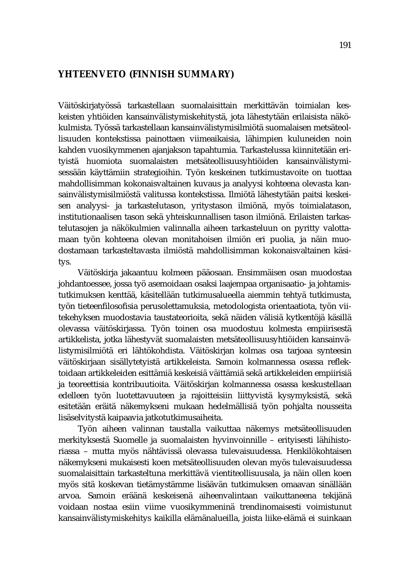## **YHTEENVETO (FINNISH SUMMARY)**

Väitöskirjatyössä tarkastellaan suomalaisittain merkittävän toimialan keskeisten yhtiöiden kansainvälistymiskehitystä, jota lähestytään erilaisista näkökulmista. Työssä tarkastellaan kansainvälistymisilmiötä suomalaisen metsäteollisuuden kontekstissa painottaen viimeaikaisia, lähimpien kuluneiden noin kahden vuosikymmenen ajanjakson tapahtumia. Tarkastelussa kiinnitetään erityistä huomiota suomalaisten metsäteollisuusyhtiöiden kansainvälistymisessään käyttämiin strategioihin. Työn keskeinen tutkimustavoite on tuottaa mahdollisimman kokonaisvaltainen kuvaus ja analyysi kohteena olevasta kansainvälistymisilmiöstä valitussa kontekstissa. Ilmiötä lähestytään paitsi keskeisen analyysi- ja tarkastelutason, yritystason ilmiönä, myös toimialatason, institutionaalisen tason sekä yhteiskunnallisen tason ilmiönä. Erilaisten tarkastelutasojen ja näkökulmien valinnalla aiheen tarkasteluun on pyritty valottamaan työn kohteena olevan monitahoisen ilmiön eri puolia, ja näin muodostamaan tarkasteltavasta ilmiöstä mahdollisimman kokonaisvaltainen käsitys.

 Väitöskirja jakaantuu kolmeen pääosaan. Ensimmäisen osan muodostaa johdantoessee, jossa työ asemoidaan osaksi laajempaa organisaatio- ja johtamistutkimuksen kenttää, käsitellään tutkimusalueella aiemmin tehtyä tutkimusta, työn tieteenfilosofisia perusolettamuksia, metodologista orientaatiota, työn viitekehyksen muodostavia taustateorioita, sekä näiden välisiä kytkentöjä käsillä olevassa väitöskirjassa. Työn toinen osa muodostuu kolmesta empiirisestä artikkelista, jotka lähestyvät suomalaisten metsäteollisuusyhtiöiden kansainvälistymisilmiötä eri lähtökohdista. Väitöskirjan kolmas osa tarjoaa synteesin väitöskirjaan sisällytetyistä artikkeleista. Samoin kolmannessa osassa reflektoidaan artikkeleiden esittämiä keskeisiä väittämiä sekä artikkeleiden empiirisiä ja teoreettisia kontribuutioita. Väitöskirjan kolmannessa osassa keskustellaan edelleen työn luotettavuuteen ja rajoitteisiin liittyvistä kysymyksistä, sekä esitetään eräitä näkemykseni mukaan hedelmällisiä työn pohjalta nousseita lisäselvitystä kaipaavia jatkotutkimusaiheita.

Työn aiheen valinnan taustalla vaikuttaa näkemys metsäteollisuuden merkityksestä Suomelle ja suomalaisten hyvinvoinnille – erityisesti lähihistoriassa – mutta myös nähtävissä olevassa tulevaisuudessa. Henkilökohtaisen näkemykseni mukaisesti koen metsäteollisuuden olevan myös tulevaisuudessa suomalaisittain tarkasteltuna merkittävä vientiteollisuusala, ja näin ollen koen myös sitä koskevan tietämystämme lisäävän tutkimuksen omaavan sinällään arvoa. Samoin eräänä keskeisenä aiheenvalintaan vaikuttaneena tekijänä voidaan nostaa esiin viime vuosikymmeninä trendinomaisesti voimistunut kansainvälistymiskehitys kaikilla elämänalueilla, joista liike-elämä ei suinkaan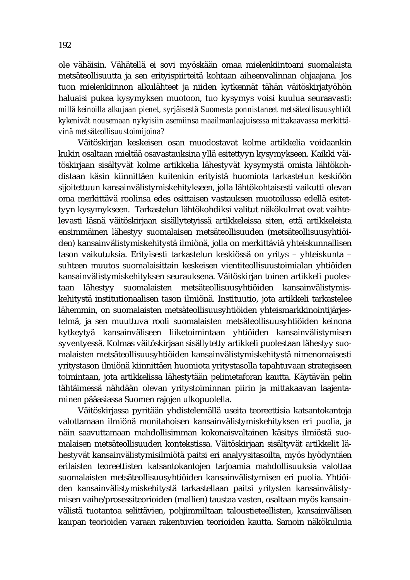ole vähäisin. Vähätellä ei sovi myöskään omaa mielenkiintoani suomalaista metsäteollisuutta ja sen erityispiirteitä kohtaan aiheenvalinnan ohjaajana. Jos tuon mielenkiinnon alkulähteet ja niiden kytkennät tähän väitöskirjatyöhön haluaisi pukea kysymyksen muotoon, tuo kysymys voisi kuulua seuraavasti: *millä keinoilla alkujaan pienet, syrjäisestä Suomesta ponnistaneet metsäteollisuusyhtiöt kykenivät nousemaan nykyisiin asemiinsa maailmanlaajuisessa mittakaavassa merkittävinä metsäteollisuustoimijoina?* 

Väitöskirjan keskeisen osan muodostavat kolme artikkelia voidaankin kukin osaltaan mieltää osavastauksina yllä esitettyyn kysymykseen. Kaikki väitöskirjaan sisältyvät kolme artikkelia lähestyvät kysymystä omista lähtökohdistaan käsin kiinnittäen kuitenkin erityistä huomiota tarkastelun keskiöön sijoitettuun kansainvälistymiskehitykseen, jolla lähtökohtaisesti vaikutti olevan oma merkittävä roolinsa edes osittaisen vastauksen muotoilussa edellä esitettyyn kysymykseen. Tarkastelun lähtökohdiksi valitut näkökulmat ovat vaihtelevasti läsnä väitöskirjaan sisällytetyissä artikkeleissa siten, että artikkeleista ensimmäinen lähestyy suomalaisen metsäteollisuuden (metsäteollisuusyhtiöiden) kansainvälistymiskehitystä ilmiönä, jolla on merkittäviä yhteiskunnallisen tason vaikutuksia. Erityisesti tarkastelun keskiössä on yritys – yhteiskunta – suhteen muutos suomalaisittain keskeisen vientiteollisuustoimialan yhtiöiden kansainvälistymiskehityksen seurauksena. Väitöskirjan toinen artikkeli puolestaan lähestyy suomalaisten metsäteollisuusyhtiöiden kansainvälistymiskehitystä institutionaalisen tason ilmiönä. Instituutio, jota artikkeli tarkastelee lähemmin, on suomalaisten metsäteollisuusyhtiöiden yhteismarkkinointijärjestelmä, ja sen muuttuva rooli suomalaisten metsäteollisuusyhtiöiden keinona kytkeytyä kansainväliseen liiketoimintaan yhtiöiden kansainvälistymisen syventyessä. Kolmas väitöskirjaan sisällytetty artikkeli puolestaan lähestyy suomalaisten metsäteollisuusyhtiöiden kansainvälistymiskehitystä nimenomaisesti yritystason ilmiönä kiinnittäen huomiota yritystasolla tapahtuvaan strategiseen toimintaan, jota artikkelissa lähestytään pelimetaforan kautta. Käytävän pelin tähtäimessä nähdään olevan yritystoiminnan piirin ja mittakaavan laajentaminen pääasiassa Suomen rajojen ulkopuolella.

Väitöskirjassa pyritään yhdistelemällä useita teoreettisia katsantokantoja valottamaan ilmiönä monitahoisen kansainvälistymiskehityksen eri puolia, ja näin saavuttamaan mahdollisimman kokonaisvaltainen käsitys ilmiöstä suomalaisen metsäteollisuuden kontekstissa. Väitöskirjaan sisältyvät artikkelit lähestyvät kansainvälistymisilmiötä paitsi eri analyysitasoilta, myös hyödyntäen erilaisten teoreettisten katsantokantojen tarjoamia mahdollisuuksia valottaa suomalaisten metsäteollisuusyhtiöiden kansainvälistymisen eri puolia. Yhtiöiden kansainvälistymiskehitystä tarkastellaan paitsi yritysten kansainvälistymisen vaihe/prosessiteorioiden (mallien) taustaa vasten, osaltaan myös kansainvälistä tuotantoa selittävien, pohjimmiltaan taloustieteellisten, kansainvälisen kaupan teorioiden varaan rakentuvien teorioiden kautta. Samoin näkökulmia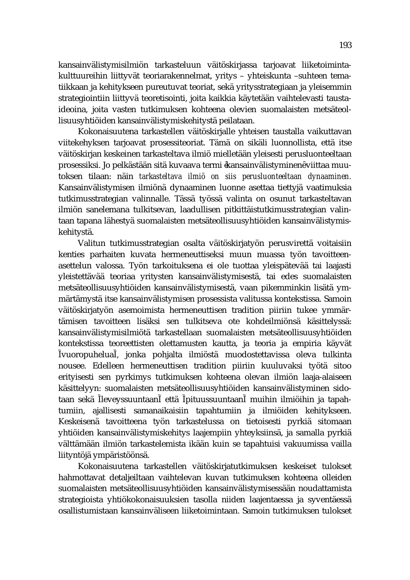kansainvälistymisilmiön tarkasteluun väitöskirjassa tarjoavat liiketoimintakulttuureihin liittyvät teoriarakennelmat, yritys – yhteiskunta –suhteen tematiikkaan ja kehitykseen pureutuvat teoriat, sekä yritysstrategiaan ja yleisemmin strategiointiin liittyvä teoretisointi, joita kaikkia käytetään vaihtelevasti taustaideoina, joita vasten tutkimuksen kohteena olevien suomalaisten metsäteollisuusyhtiöiden kansainvälistymiskehitystä peilataan.

Kokonaisuutena tarkastellen väitöskirjalle yhteisen taustalla vaikuttavan viitekehyksen tarjoavat prosessiteoriat. Tämä on sikäli luonnollista, että itse väitöskirjan keskeinen tarkasteltava ilmiö mielletään yleisesti perusluonteeltaan prosessiksi. Jo pelkästään sitä kuvaava termi kansainvälistyminen viittaa muutoksen tilaan: näin *tarkasteltava ilmiö on siis perusluonteeltaan dynaaminen.* Kansainvälistymisen ilmiönä dynaaminen luonne asettaa tiettyjä vaatimuksia tutkimusstrategian valinnalle. Tässä työssä valinta on osunut tarkasteltavan ilmiön sanelemana tulkitsevan, laadullisen pitkittäistutkimusstrategian valintaan tapana lähestyä suomalaisten metsäteollisuusyhtiöiden kansainvälistymiskehitystä.

Valitun tutkimusstrategian osalta väitöskirjatyön perusvirettä voitaisiin kenties parhaiten kuvata hermeneuttiseksi muun muassa työn tavoitteenasettelun valossa. Työn tarkoituksena ei ole tuottaa yleispätevää tai laajasti yleistettävää teoriaa yritysten kansainvälistymisestä, tai edes suomalaisten metsäteollisuusyhtiöiden kansainvälistymisestä, vaan pikemminkin lisätä ymmärtämystä itse kansainvälistymisen prosessista valitussa kontekstissa. Samoin väitöskirjatyön asemoimista hermeneuttisen tradition piiriin tukee ymmärtämisen tavoitteen lisäksi sen tulkitseva ote kohdeilmiönsä käsittelyssä: kansainvälistymisilmiötä tarkastellaan suomalaisten metsäteollisuusyhtiöiden kontekstissa teoreettisten olettamusten kautta, ja teoria ja empiria käyvät vuoropuhelua , jonka pohjalta ilmiöstä muodostettavissa oleva tulkinta nousee. Edelleen hermeneuttisen tradition piiriin kuuluvaksi työtä sitoo erityisesti sen pyrkimys tutkimuksen kohteena olevan ilmiön laaja-alaiseen käsittelyyn: suomalaisten metsäteollisuusyhtiöiden kansainvälistyminen sidotaan sekä leveyssuuntaan että pituussuuntaan muihin ilmiöihin ja tapahtumiin, ajallisesti samanaikaisiin tapahtumiin ja ilmiöiden kehitykseen. Keskeisenä tavoitteena työn tarkastelussa on tietoisesti pyrkiä sitomaan yhtiöiden kansainvälistymiskehitys laajempiin yhteyksiinsä, ja samalla pyrkiä välttämään ilmiön tarkastelemista ikään kuin se tapahtuisi vakuumissa vailla liityntöjä ympäristöönsä.

Kokonaisuutena tarkastellen väitöskirjatutkimuksen keskeiset tulokset hahmottavat detaljeiltaan vaihtelevan kuvan tutkimuksen kohteena olleiden suomalaisten metsäteollisuusyhtiöiden kansainvälistymisessään noudattamista strategioista yhtiökokonaisuuksien tasolla niiden laajentaessa ja syventäessä osallistumistaan kansainväliseen liiketoimintaan. Samoin tutkimuksen tulokset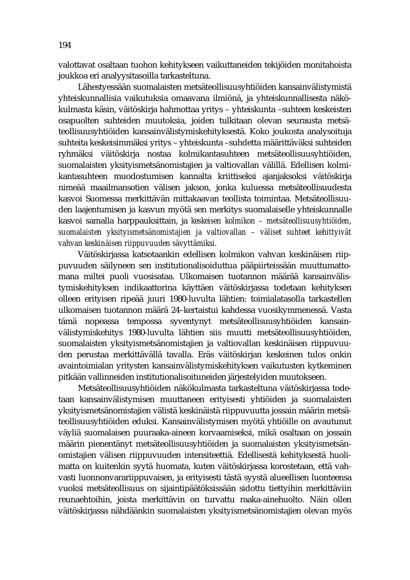valottavat osaltaan tuohon kehitykseen vaikuttaneiden tekijöiden monitahoista joukkoa eri analyysitasoilla tarkasteltuna.

Lähestyessään suomalaisten metsäteollisuusyhtiöiden kansainvälistymistä yhteiskunnallisia vaikutuksia omaavana ilmiönä, ja yhteiskunnallisesta näkökulmasta käsin, väitöskirja hahmottaa yritys – yhteiskunta –suhteen keskeisten osapuolten suhteiden muutoksia, joiden tulkitaan olevan seurausta metsäteollisuusyhtiöiden kansainvälistymiskehityksestä. Koko joukosta analysoituja suhteita keskeisimmäksi yritys – yhteiskunta –suhdetta määrittäväksi suhteiden ryhmäksi väitöskirja nostaa kolmikantasuhteen metsäteollisuusyhtiöiden, suomalaisten yksityismetsänomistajien ja valtiovallan välillä. Edellisen kolmikantasuhteen muodostumisen kannalta kriittiseksi ajanjaksoksi väitöskirja nimeää maailmansotien välisen jakson, jonka kuluessa metsäteollisuudesta kasvoi Suomessa merkittävän mittakaavan teollista toimintaa. Metsäteollisuuden laajentumisen ja kasvun myötä sen merkitys suomalaiselle yhteiskunnalle kasvoi samalla harppauksittain, ja *keskeisen kolmikon – metsäteollisuusyhtiöiden, suomalaisten yksityismetsänomistajien ja valtiovallan – väliset suhteet kehittyivät vahvan keskinäisen riippuvuuden sävyttämiksi.*

Väitöskirjassa katsotaankin edellisen kolmikon vahvan keskinäisen riippuvuuden säilyneen sen institutionalisoiduttua pääpiirteissään muuttumattomana miltei puoli vuosisataa. Ulkomaisen tuotannon määrää kansainvälistymiskehityksen indikaattorina käyttäen väitöskirjassa todetaan kehityksen olleen erityisen ripeää juuri 1980-luvulta lähtien: toimialatasolla tarkastellen ulkomaisen tuotannon määrä 24–kertaistui kahdessa vuosikymmenessä. Vasta tämä nopeassa tempossa syventynyt metsäteollisuusyhtiöiden kansainvälistymiskehitys 1980-luvulta lähtien siis muutti metsäteollisuusyhtiöiden, suomalaisten yksityismetsänomistajien ja valtiovallan keskinäisen riippuvuuden perustaa merkittävällä tavalla. Eräs väitöskirjan keskeinen tulos onkin avaintoimialan yritysten kansainvälistymiskehityksen vaikutusten kytkeminen pitkään vallinneiden institutionalisoituneiden järjestelyiden muutokseen.

Metsäteollisuusyhtiöiden näkökulmasta tarkasteltuna väitöskirjassa todetaan kansainvälistymisen muuttaneen erityisesti yhtiöiden ja suomalaisten yksityismetsänomistajien välistä keskinäistä riippuvuutta jossain määrin metsäteollisuusyhtiöiden eduksi. Kansainvälistymisen myötä yhtiöille on avautunut väyliä suomalaisen puuraaka-aineen korvaamiseksi, mikä osaltaan on jossain määrin pienentänyt metsäteollisuusyhtiöiden ja suomalaisten yksityismetsänomistajien välisen riippuvuuden intensiteettiä. Edellisestä kehityksestä huolimatta on kuitenkin syytä huomata, kuten väitöskirjassa korostetaan, että vahvasti luonnonvarariippuvaisen, ja erityisesti tästä syystä alueellisen luonteensa vuoksi metsäteollisuus on sijaintipäätöksissään sidottu tiettyihin merkittäviin reunaehtoihin, joista merkittävin on turvattu raaka-ainehuolto. Näin ollen väitöskirjassa nähdäänkin suomalaisten yksityismetsänomistajien olevan myös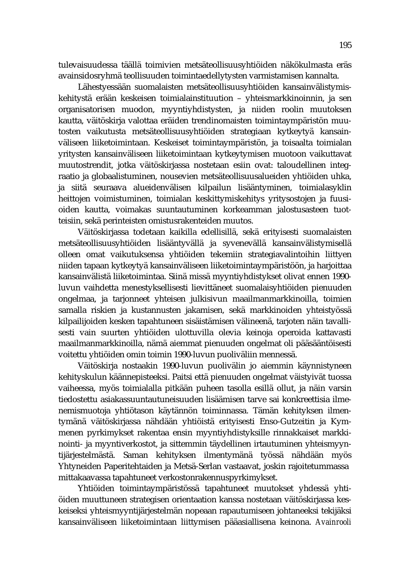tulevaisuudessa täällä toimivien metsäteollisuusyhtiöiden näkökulmasta eräs avainsidosryhmä teollisuuden toimintaedellytysten varmistamisen kannalta.

Lähestyessään suomalaisten metsäteollisuusyhtiöiden kansainvälistymiskehitystä erään keskeisen toimialainstituution – yhteismarkkinoinnin, ja sen organisatorisen muodon, myyntiyhdistysten, ja niiden roolin muutoksen kautta, väitöskirja valottaa eräiden trendinomaisten toimintaympäristön muutosten vaikutusta metsäteollisuusyhtiöiden strategiaan kytkeytyä kansainväliseen liiketoimintaan. Keskeiset toimintaympäristön, ja toisaalta toimialan yritysten kansainväliseen liiketoimintaan kytkeytymisen muotoon vaikuttavat muutostrendit, jotka väitöskirjassa nostetaan esiin ovat: taloudellinen integraatio ja globaalistuminen, nousevien metsäteollisuusalueiden yhtiöiden uhka, ja siitä seuraava alueidenvälisen kilpailun lisääntyminen, toimialasyklin heittojen voimistuminen, toimialan keskittymiskehitys yritysostojen ja fuusioiden kautta, voimakas suuntautuminen korkeamman jalostusasteen tuotteisiin, sekä perinteisten omistusrakenteiden muutos.

Väitöskirjassa todetaan kaikilla edellisillä, sekä erityisesti suomalaisten metsäteollisuusyhtiöiden lisääntyvällä ja syvenevällä kansainvälistymisellä olleen omat vaikutuksensa yhtiöiden tekemiin strategiavalintoihin liittyen niiden tapaan kytkeytyä kansainväliseen liiketoimintaympäristöön, ja harjoittaa kansainvälistä liiketoimintaa. Siinä missä myyntiyhdistykset olivat ennen 1990 luvun vaihdetta menestyksellisesti lievittäneet suomalaisyhtiöiden pienuuden ongelmaa, ja tarjonneet yhteisen julkisivun maailmanmarkkinoilla, toimien samalla riskien ja kustannusten jakamisen, sekä markkinoiden yhteistyössä kilpailijoiden kesken tapahtuneen sisäistämisen välineenä, tarjoten näin tavallisesti vain suurten yhtiöiden ulottuvilla olevia keinoja operoida kattavasti maailmanmarkkinoilla, nämä aiemmat pienuuden ongelmat oli pääsääntöisesti voitettu yhtiöiden omin toimin 1990-luvun puoliväliin mennessä.

Väitöskirja nostaakin 1990-luvun puolivälin jo aiemmin käynnistyneen kehityskulun käännepisteeksi. Paitsi että pienuuden ongelmat väistyivät tuossa vaiheessa, myös toimialalla pitkään puheen tasolla esillä ollut, ja näin varsin tiedostettu asiakassuuntautuneisuuden lisäämisen tarve sai konkreettisia ilmenemismuotoja yhtiötason käytännön toiminnassa. Tämän kehityksen ilmentymänä väitöskirjassa nähdään yhtiöistä erityisesti Enso-Gutzeitin ja Kymmenen pyrkimykset rakentaa ensin myyntiyhdistyksille rinnakkaiset markkinointi- ja myyntiverkostot, ja sittemmin täydellinen irtautuminen yhteismyyntijärjestelmästä. Saman kehityksen ilmentymänä työssä nähdään myös Yhtyneiden Paperitehtaiden ja Metsä-Serlan vastaavat, joskin rajoitetummassa mittakaavassa tapahtuneet verkostonrakennuspyrkimykset.

Yhtiöiden toimintaympäristössä tapahtuneet muutokset yhdessä yhtiöiden muuttuneen strategisen orientaation kanssa nostetaan väitöskirjassa keskeiseksi yhteismyyntijärjestelmän nopeaan rapautumiseen johtaneeksi tekijäksi kansainväliseen liiketoimintaan liittymisen pääasiallisena keinona. *Avainrooli*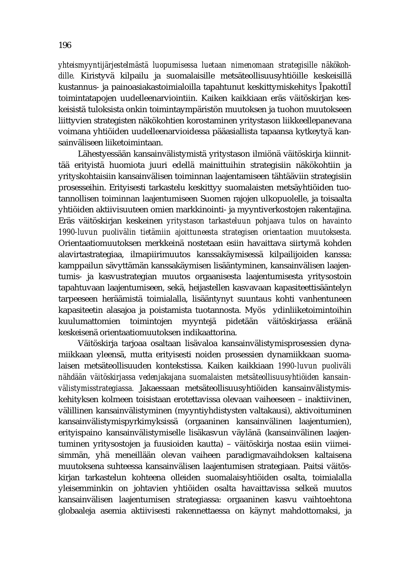*yhteismyyntijärjestelmästä luopumisessa luetaan nimenomaan strategisille näkökohdille.* Kiristyvä kilpailu ja suomalaisille metsäteollisuusyhtiöille keskeisillä kustannus- ja painoasiakastoimialoilla tapahtunut keskittymiskehitys pakotti toimintatapojen uudelleenarviointiin. Kaiken kaikkiaan eräs väitöskirjan keskeisistä tuloksista onkin toimintaympäristön muutoksen ja tuohon muutokseen liittyvien strategisten näkökohtien korostaminen yritystason liikkeellepanevana voimana yhtiöiden uudelleenarvioidessa pääasiallista tapaansa kytkeytyä kansainväliseen liiketoimintaan.

Lähestyessään kansainvälistymistä yritystason ilmiönä väitöskirja kiinnittää erityistä huomiota juuri edellä mainittuihin strategisiin näkökohtiin ja yrityskohtaisiin kansainvälisen toiminnan laajentamiseen tähtääviin strategisiin prosesseihin. Erityisesti tarkastelu keskittyy suomalaisten metsäyhtiöiden tuotannollisen toiminnan laajentumiseen Suomen rajojen ulkopuolelle, ja toisaalta yhtiöiden aktiivisuuteen omien markkinointi- ja myyntiverkostojen rakentajina. Eräs väitöskirjan keskeinen *yritystason tarkasteluun pohjaava tulos on havainto 1990-luvun puolivälin tietämiin ajoittuneesta strategisen orientaation muutoksesta.* Orientaatiomuutoksen merkkeinä nostetaan esiin havaittava siirtymä kohden alavirtastrategiaa, ilmapiirimuutos kanssakäymisessä kilpailijoiden kanssa: kamppailun sävyttämän kanssakäymisen lisääntyminen, kansainvälisen laajentumis- ja kasvustrategian muutos orgaanisesta laajentumisesta yritysostoin tapahtuvaan laajentumiseen, sekä, heijastellen kasvavaan kapasiteettisääntelyn tarpeeseen heräämistä toimialalla, lisääntynyt suuntaus kohti vanhentuneen kapasiteetin alasajoa ja poistamista tuotannosta. Myös ydinliiketoimintoihin kuulumattomien toimintojen myyntejä pidetään väitöskirjassa eräänä keskeisenä orientaatiomuutoksen indikaattorina.

Väitöskirja tarjoaa osaltaan lisävaloa kansainvälistymisprosessien dynamiikkaan yleensä, mutta erityisesti noiden prosessien dynamiikkaan suomalaisen metsäteollisuuden kontekstissa. Kaiken kaikkiaan *1990-luvun puoliväli nähdään väitöskirjassa vedenjakajana suomalaisten metsäteollisuusyhtiöiden kansainvälistymisstrategiassa.* Jakaessaan metsäteollisuusyhtiöiden kansainvälistymiskehityksen kolmeen toisistaan erotettavissa olevaan vaiheeseen – inaktiivinen, välillinen kansainvälistyminen (myyntiyhdistysten valtakausi), aktivoituminen kansainvälistymispyrkimyksissä (orgaaninen kansainvälinen laajentumien), erityispaino kansainvälistymiselle lisäkasvun väylänä (kansainvälinen laajentuminen yritysostojen ja fuusioiden kautta) – väitöskirja nostaa esiin viimeisimmän, yhä meneillään olevan vaiheen paradigmavaihdoksen kaltaisena muutoksena suhteessa kansainvälisen laajentumisen strategiaan. Paitsi väitöskirjan tarkastelun kohteena olleiden suomalaisyhtiöiden osalta, toimialalla yleisemminkin on johtavien yhtiöiden osalta havaittavissa selkeä muutos kansainvälisen laajentumisen strategiassa: orgaaninen kasvu vaihtoehtona globaaleja asemia aktiivisesti rakennettaessa on käynyt mahdottomaksi, ja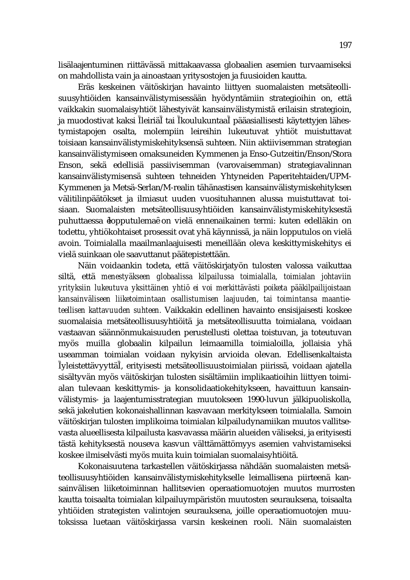lisälaajentuminen riittävässä mittakaavassa globaalien asemien turvaamiseksi on mahdollista vain ja ainoastaan yritysostojen ja fuusioiden kautta.

Eräs keskeinen väitöskirjan havainto liittyen suomalaisten metsäteollisuusyhtiöiden kansainvälistymisessään hyödyntämiin strategioihin on, että vaikkakin suomalaisyhtiöt lähestyivät kansainvälistymistä erilaisin strategioin, ja muodostivat kaksi leiriä tai koulukuntaa pääasiallisesti käytettyjen lähestymistapojen osalta, molempiin leireihin lukeutuvat yhtiöt muistuttavat toisiaan kansainvälistymiskehityksensä suhteen. Niin aktiivisemman strategian kansainvälistymiseen omaksuneiden Kymmenen ja Enso-Gutzeitin/Enson/Stora Enson, sekä edellisiä passiivisemman (varovaisemman) strategiavalinnan kansainvälistymisensä suhteen tehneiden Yhtyneiden Paperitehtaiden/UPM-Kymmenen ja Metsä-Serlan/M-realin tähänastisen kansainvälistymiskehityksen välitilinpäätökset ja ilmiasut uuden vuosituhannen alussa muistuttavat toisiaan. Suomalaisten metsäteollisuusyhtiöiden kansainvälistymiskehityksestä puhuttaessa lopputulema on vielä ennenaikainen termi: kuten edelläkin on todettu, yhtiökohtaiset prosessit ovat yhä käynnissä, ja näin lopputulos on vielä avoin. Toimialalla maailmanlaajuisesti meneillään oleva keskittymiskehitys ei vielä suinkaan ole saavuttanut päätepistettään.

Näin voidaankin todeta, että väitöskirjatyön tulosten valossa vaikuttaa siltä, että *menestyäkseen globaalissa kilpailussa toimialalla, toimialan johtaviin yrityksiin lukeutuva yksittäinen yhtiö ei voi merkittävästi poiketa pääkilpailijoistaan kansainväliseen liiketoimintaan osallistumisen laajuuden, tai toimintansa maantieteellisen kattavuuden suhteen.* Vaikkakin edellinen havainto ensisijaisesti koskee suomalaisia metsäteollisuusyhtiöitä ja metsäteollisuutta toimialana, voidaan vastaavan säännönmukaisuuden perustellusti olettaa toistuvan, ja toteutuvan myös muilla globaalin kilpailun leimaamilla toimialoilla, jollaisia yhä useamman toimialan voidaan nykyisin arvioida olevan. Edellisenkaltaista yleistettävyyttä , erityisesti metsäteollisuustoimialan piirissä, voidaan ajatella sisältyvän myös väitöskirjan tulosten sisältämiin implikaatioihin liittyen toimialan tulevaan keskittymis- ja konsolidaatiokehitykseen, havaittuun kansainvälistymis- ja laajentumisstrategian muutokseen 1990-luvun jälkipuoliskolla, sekä jakelutien kokonaishallinnan kasvavaan merkitykseen toimialalla. Samoin väitöskirjan tulosten implikoima toimialan kilpailudynamiikan muutos vallitsevasta alueellisesta kilpailusta kasvavassa määrin alueiden väliseksi, ja erityisesti tästä kehityksestä nouseva kasvun välttämättömyys asemien vahvistamiseksi koskee ilmiselvästi myös muita kuin toimialan suomalaisyhtiöitä.

Kokonaisuutena tarkastellen väitöskirjassa nähdään suomalaisten metsäteollisuusyhtiöiden kansainvälistymiskehitykselle leimallisena piirteenä kansainvälisen liiketoiminnan hallitsevien operaatiomuotojen muutos murrosten kautta toisaalta toimialan kilpailuympäristön muutosten seurauksena, toisaalta yhtiöiden strategisten valintojen seurauksena, joille operaatiomuotojen muutoksissa luetaan väitöskirjassa varsin keskeinen rooli. Näin suomalaisten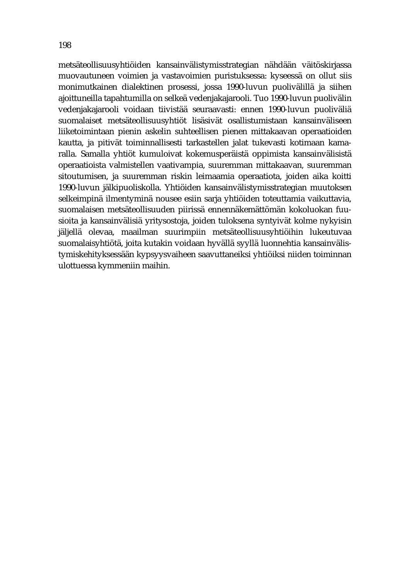metsäteollisuusyhtiöiden kansainvälistymisstrategian nähdään väitöskirjassa muovautuneen voimien ja vastavoimien puristuksessa: kyseessä on ollut siis monimutkainen dialektinen prosessi, jossa 1990-luvun puolivälillä ja siihen ajoittuneilla tapahtumilla on selkeä vedenjakajarooli. Tuo 1990-luvun puolivälin vedenjakajarooli voidaan tiivistää seuraavasti: ennen 1990-luvun puoliväliä suomalaiset metsäteollisuusyhtiöt lisäsivät osallistumistaan kansainväliseen liiketoimintaan pienin askelin suhteellisen pienen mittakaavan operaatioiden kautta, ja pitivät toiminnallisesti tarkastellen jalat tukevasti kotimaan kamaralla. Samalla yhtiöt kumuloivat kokemusperäistä oppimista kansainvälisistä operaatioista valmistellen vaativampia, suuremman mittakaavan, suuremman sitoutumisen, ja suuremman riskin leimaamia operaatiota, joiden aika koitti 1990-luvun jälkipuoliskolla. Yhtiöiden kansainvälistymisstrategian muutoksen selkeimpinä ilmentyminä nousee esiin sarja yhtiöiden toteuttamia vaikuttavia, suomalaisen metsäteollisuuden piirissä ennennäkemättömän kokoluokan fuusioita ja kansainvälisiä yritysostoja, joiden tuloksena syntyivät kolme nykyisin jäljellä olevaa, maailman suurimpiin metsäteollisuusyhtiöihin lukeutuvaa suomalaisyhtiötä, joita kutakin voidaan hyvällä syyllä luonnehtia kansainvälistymiskehityksessään kypsyysvaiheen saavuttaneiksi yhtiöiksi niiden toiminnan ulottuessa kymmeniin maihin.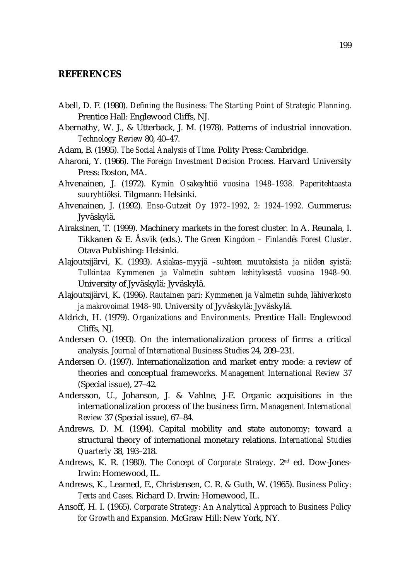#### **REFERENCES**

- Abell, D. F. (1980). *Defining the Business: The Starting Point of Strategic Planning.*  Prentice Hall: Englewood Cliffs, NJ.
- Abernathy, W. J., & Utterback, J. M. (1978). Patterns of industrial innovation. *Technology Review* 80, 40–47.
- Adam, B. (1995). *The Social Analysis of Time.* Polity Press: Cambridge.
- Aharoni, Y. (1966). *The Foreign Investment Decision Process.* Harvard University Press: Boston, MA.
- Ahvenainen, J. (1972). *Kymin Osakeyhtiö vuosina 1948–1938. Paperitehtaasta suuryhtiöksi.* Tilgmann: Helsinki.
- Ahvenainen, J. (1992). *Enso-Gutzeit Oy 1972–1992, 2: 1924–1992.* Gummerus: Jyväskylä.
- Airaksinen, T. (1999). Machinery markets in the forest cluster. In A. Reunala, I. Tikkanen & E. Åsvik (eds.). *The Green Kingdom – Finland s Forest Cluster.*  Otava Publishing: Helsinki.
- Alajoutsijärvi, K. (1993). *Asiakas–myyjä –suhteen muutoksista ja niiden syistä: Tulkintaa Kymmenen ja Valmetin suhteen kehityksestä vuosina 1948–90.*  University of Jyväskylä: Jyväskylä.
- Alajoutsijärvi, K. (1996). *Rautainen pari: Kymmenen ja Valmetin suhde, lähiverkosto ja makrovoimat 1948–90.* University of Jyväskylä: Jyväskylä.
- Aldrich, H. (1979). *Organizations and Environments.* Prentice Hall: Englewood Cliffs, NJ.
- Andersen O. (1993). On the internationalization process of firms: a critical analysis. *Journal of International Business Studies* 24, 209–231.
- Andersen O. (1997). Internationalization and market entry mode: a review of theories and conceptual frameworks. *Management International Review* 37 (Special issue), 27–42.
- Andersson, U., Johanson, J. & Vahlne, J-E. Organic acquisitions in the internationalization process of the business firm. *Management International Review* 37 (Special issue), 67–84.
- Andrews, D. M. (1994). Capital mobility and state autonomy: toward a structural theory of international monetary relations. *International Studies Quarterly* 38, 193–218.
- Andrews, K. R. (1980). *The Concept of Corporate Strategy.* 2nd ed. Dow-Jones-Irwin: Homewood, IL.
- Andrews, K., Learned, E., Christensen, C. R. & Guth, W. (1965). *Business Policy: Texts and Cases.* Richard D. Irwin: Homewood, IL.
- Ansoff, H. I. (1965). *Corporate Strategy: An Analytical Approach to Business Policy for Growth and Expansion.* McGraw Hill: New York, NY.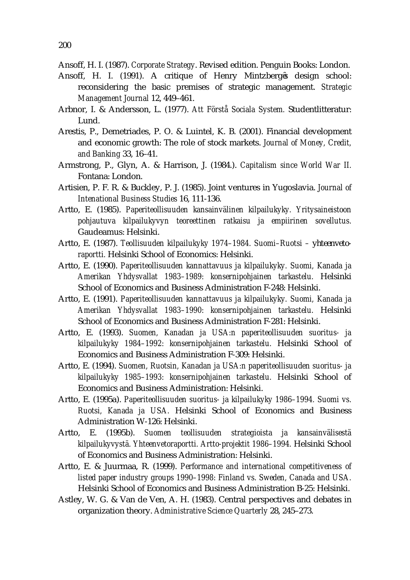- Ansoff, H. I. (1991). A critique of Henry Mintzberg s design school: reconsidering the basic premises of strategic management. *Strategic Management Journal* 12, 449–461.
- Arbnor, I. & Andersson, L. (1977). *Att Förstå Sociala System.* Studentlitteratur: Lund.
- Arestis, P., Demetriades, P. O. & Luintel, K. B. (2001). Financial development and economic growth: The role of stock markets. *Journal of Money, Credit, and Banking* 33, 16–41.
- Armstrong, P., Glyn, A. & Harrison, J. (1984.). *Capitalism since World War II.*  Fontana: London.
- Artisien, P. F. R. & Buckley, P. J. (1985). Joint ventures in Yugoslavia. *Journal of Intenational Business Studies* 16, 111-136.
- Artto, E. (1985). *Paperiteollisuuden kansainvälinen kilpailukyky. Yritysaineistoon pohjautuva kilpailukyvyn teoreettinen ratkaisu ja empiirinen sovellutus.*  Gaudeamus: Helsinki.
- Artto, E. (1987). *Teollisuuden kilpailukyky 1974–1984. Suomi–Ruotsi – yhteenvetoraportti.* Helsinki School of Economics: Helsinki.
- Artto, E. (1990). *Paperiteollisuuden kannattavuus ja kilpailukyky. Suomi, Kanada ja Amerikan Yhdysvallat 1983–1989: konsernipohjainen tarkastelu.* Helsinki School of Economics and Business Administration F-248: Helsinki.
- Artto, E. (1991). *Paperiteollisuuden kannattavuus ja kilpailukyky. Suomi, Kanada ja Amerikan Yhdysvallat 1983–1990: konsernipohjainen tarkastelu.* Helsinki School of Economics and Business Administration F-281: Helsinki.
- Artto, E. (1993). *Suomen, Kanadan ja USA:n paperiteollisuuden suoritus- ja kilpailukyky 1984–1992: konsernipohjainen tarkastelu.* Helsinki School of Economics and Business Administration F-309: Helsinki.
- Artto, E. (1994). *Suomen, Ruotsin, Kanadan ja USA:n paperiteollisuuden suoritus- ja kilpailukyky 1985–1993: konsernipohjainen tarkastelu.* Helsinki School of Economics and Business Administration: Helsinki.
- Artto, E. (1995a). *Paperiteollisuuden suoritus- ja kilpailukyky 1986–1994. Suomi vs. Ruotsi, Kanada ja USA.* Helsinki School of Economics and Business Administration W-126: Helsinki.
- Artto, E. (1995b). *Suomen teollisuuden strategioista ja kansainvälisestä kilpailukyvystä. Yhteenvetoraportti. Artto-projektit 1986–1994.* Helsinki School of Economics and Business Administration: Helsinki.
- Artto, E. & Juurmaa, R. (1999). *Performance and international competitiveness of listed paper industry groups 1990–1998: Finland vs. Sweden, Canada and USA.*  Helsinki School of Economics and Business Administration B-25: Helsinki.
- Astley, W. G. & Van de Ven, A. H. (1983). Central perspectives and debates in organization theory. *Administrative Science Quarterly* 28, 245–273.

Ansoff, H. I. (1987). *Corporate Strategy*. Revised edition. Penguin Books: London.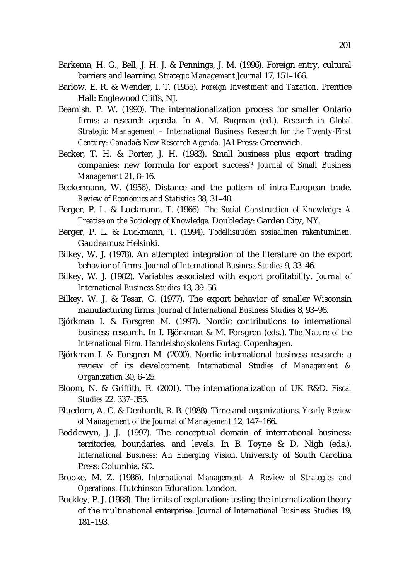- Barkema, H. G., Bell, J. H. J. & Pennings, J. M. (1996). Foreign entry, cultural barriers and learning. *Strategic Management Journal* 17, 151–166.
- Barlow, E. R. & Wender, I. T. (1955). *Foreign Investment and Taxation.* Prentice Hall: Englewood Cliffs, NJ.
- Beamish. P. W. (1990). The internationalization process for smaller Ontario firms: a research agenda. In A. M. Rugman (ed.). *Research in Global Strategic Management – International Business Research for the Twenty-First Century: Canada s New Research Agenda.* JAI Press: Greenwich.
- Becker, T. H. & Porter, J. H. (1983). Small business plus export trading companies: new formula for export success? *Journal of Small Business Management* 21, 8–16.
- Beckermann, W. (1956). Distance and the pattern of intra-European trade. *Review of Economics and Statistics* 38, 31–40.
- Berger, P. L. & Luckmann, T. (1966). *The Social Construction of Knowledge: A Treatise on the Sociology of Knowledge.* Doubleday: Garden City, NY.
- Berger, P. L. & Luckmann, T. (1994). *Todellisuuden sosiaalinen rakentuminen.*  Gaudeamus: Helsinki.
- Bilkey, W. J. (1978). An attempted integration of the literature on the export behavior of firms. *Journal of International Business Studies* 9, 33–46.
- Bilkey, W. J. (1982). Variables associated with export profitability. *Journal of International Business Studies* 13, 39–56.
- Bilkey, W. J. & Tesar, G. (1977). The export behavior of smaller Wisconsin manufacturing firms. *Journal of International Business Studies* 8, 93–98.
- Björkman I. & Forsgren M. (1997). Nordic contributions to international business research. In I. Björkman & M. Forsgren (eds.). *The Nature of the International Firm.* Handelshojskolens Forlag: Copenhagen.
- Björkman I. & Forsgren M. (2000). Nordic international business research: a review of its development. *International Studies of Management & Organization* 30, 6–25.
- Bloom, N. & Griffith, R. (2001). The internationalization of UK R&D. *Fiscal Studies* 22, 337–355.
- Bluedorn, A. C. & Denhardt, R. B. (1988). Time and organizations. *Yearly Review of Management of the Journal of Management* 12, 147–166.
- Boddewyn, J. J. (1997). The conceptual domain of international business: territories, boundaries, and levels. In B. Toyne & D. Nigh (eds.). *International Business: An Emerging Vision.* University of South Carolina Press: Columbia, SC.
- Brooke, M. Z. (1986). *International Management: A Review of Strategies and Operations.* Hutchinson Education: London.
- Buckley, P. J. (1988). The limits of explanation: testing the internalization theory of the multinational enterprise. *Journal of International Business Studies* 19, 181–193.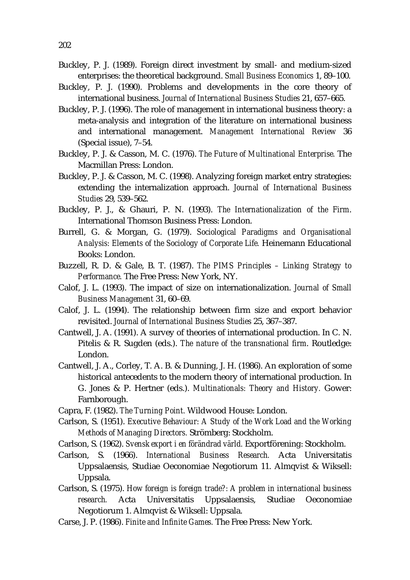- Buckley, P. J. (1989). Foreign direct investment by small- and medium-sized enterprises: the theoretical background. *Small Business Economics* 1, 89–100.
- Buckley, P. J. (1990). Problems and developments in the core theory of international business. *Journal of International Business Studies* 21, 657–665.
- Buckley, P. J. (1996). The role of management in international business theory: a meta-analysis and integration of the literature on international business and international management. *Management International Review* 36 (Special issue), 7–54.
- Buckley, P. J. & Casson, M. C. (1976). *The Future of Multinational Enterprise.* The Macmillan Press: London.
- Buckley, P. J. & Casson, M. C. (1998). Analyzing foreign market entry strategies: extending the internalization approach. *Journal of International Business Studies* 29, 539–562.
- Buckley, P. J., & Ghauri, P. N. (1993). *The Internationalization of the Firm*. International Thomson Business Press: London.
- Burrell, G. & Morgan, G. (1979). *Sociological Paradigms and Organisational Analysis: Elements of the Sociology of Corporate Life.* Heinemann Educational Books: London.
- Buzzell, R. D. & Gale, B. T. (1987). *The PIMS Principles Linking Strategy to Performance.* The Free Press: New York, NY.
- Calof, J. L. (1993). The impact of size on internationalization. *Journal of Small Business Management* 31, 60–69.
- Calof, J. L. (1994). The relationship between firm size and export behavior revisited. *Journal of International Business Studies* 25, 367–387.
- Cantwell, J. A. (1991). A survey of theories of international production. In C. N. Pitelis & R. Sugden (eds.). *The nature of the transnational firm*. Routledge: London.
- Cantwell, J. A., Corley, T. A. B. & Dunning, J. H. (1986). An exploration of some historical antecedents to the modern theory of international production. In G. Jones & P. Hertner (eds.). *Multinationals: Theory and History.* Gower: Farnborough.
- Capra, F. (1982). *The Turning Point.* Wildwood House: London.
- Carlson, S. (1951). *Executive Behaviour: A Study of the Work Load and the Working Methods of Managing Directors.* Strömberg: Stockholm.
- Carlson, S. (1962). *Svensk export i en förändrad värld.* Exportförening: Stockholm.
- Carlson, S. (1966). *International Business Research.* Acta Universitatis Uppsalaensis, Studiae Oeconomiae Negotiorum 11. Almqvist & Wiksell: Uppsala.
- Carlson, S. (1975). *How foreign is foreign trade?: A problem in international business research.* Acta Universitatis Uppsalaensis, Studiae Oeconomiae Negotiorum 1. Almqvist & Wiksell: Uppsala.
- Carse, J. P. (1986). *Finite and Infinite Games.* The Free Press: New York.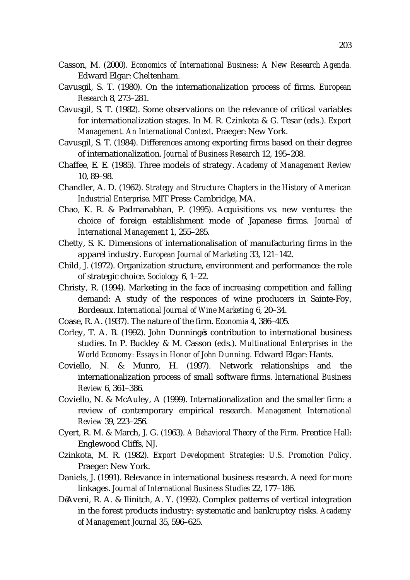- Casson, M. (2000). *Economics of International Business: A New Research Agenda.* Edward Elgar: Cheltenham.
- Cavusgil, S. T. (1980). On the internationalization process of firms. *European Research* 8, 273–281.
- Cavusgil, S. T. (1982). Some observations on the relevance of critical variables for internationalization stages. In M. R. Czinkota & G. Tesar (eds.). *Export Management. An International Context.* Praeger: New York.
- Cavusgil, S. T. (1984). Differences among exporting firms based on their degree of internationalization. *Journal of Business Research* 12, 195–208.
- Chaffee, E. E. (1985). Three models of strategy. *Academy of Management Review*  10, 89–98.
- Chandler, A. D. (1962). *Strategy and Structure: Chapters in the History of American Industrial Enterprise.* MIT Press: Cambridge, MA.
- Chao, K. R. & Padmanabhan, P. (1995). Acquisitions vs. new ventures: the choice of foreign establishment mode of Japanese firms. *Journal of International Management* 1, 255–285.
- Chetty, S. K. Dimensions of internationalisation of manufacturing firms in the apparel industry. *European Journal of Marketing* 33, 121–142.
- Child, J. (1972). Organization structure, environment and performance: the role of strategic choice. *Sociology* 6, 1–22.
- Christy, R. (1994). Marketing in the face of increasing competition and falling demand: A study of the responces of wine producers in Sainte-Foy, Bordeaux. *International Journal of Wine Marketing* 6, 20–34.
- Coase, R. A. (1937). The nature of the firm. *Economia* 4, 386–405.
- Corley, T. A. B. (1992). John Dunning s contribution to international business studies. In P. Buckley & M. Casson (eds.). *Multinational Enterprises in the World Economy: Essays in Honor of John Dunning.* Edward Elgar: Hants.
- Coviello, N. & Munro, H. (1997). Network relationships and the internationalization process of small software firms. *International Business Review* 6, 361–386.
- Coviello, N. & McAuley, A (1999). Internationalization and the smaller firm: a review of contemporary empirical research. *Management International Review* 39, 223–256.
- Cyert, R. M. & March, J. G. (1963). *A Behavioral Theory of the Firm.* Prentice Hall: Englewood Cliffs, NJ.
- Czinkota, M. R. (1982). *Export Development Strategies: U.S. Promotion Policy.*  Praeger: New York.
- Daniels, J. (1991). Relevance in international business research. A need for more linkages. *Journal of International Business Studies* 22, 177–186.
- D Aveni, R. A. & Ilinitch, A. Y. (1992). Complex patterns of vertical integration in the forest products industry: systematic and bankruptcy risks. *Academy of Management Journal* 35, 596–625.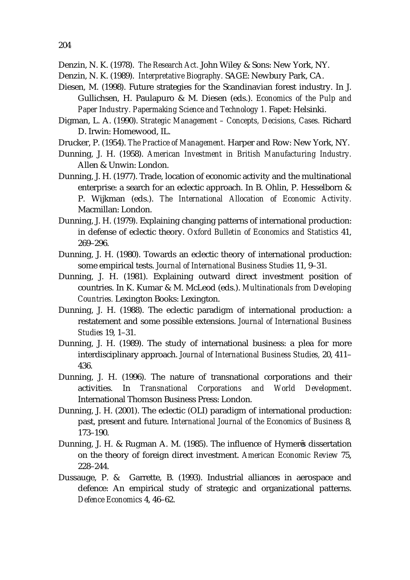Denzin, N. K. (1978). *The Research Act.* John Wiley & Sons: New York, NY.

- Denzin, N. K. (1989). *Interpretative Biography.* SAGE: Newbury Park, CA.
- Diesen, M. (1998). Future strategies for the Scandinavian forest industry. In J. Gullichsen, H. Paulapuro & M. Diesen (eds.). *Economics of the Pulp and Paper Industry. Papermaking Science and Technology 1.* Fapet: Helsinki.
- Digman, L. A. (1990). *Strategic Management Concepts, Decisions, Cases.* Richard D. Irwin: Homewood, IL.
- Drucker, P. (1954). *The Practice of Management.* Harper and Row: New York, NY.
- Dunning, J. H. (1958). *American Investment in British Manufacturing Industry.*  Allen & Unwin: London.
- Dunning, J. H. (1977). Trade, location of economic activity and the multinational enterprise: a search for an eclectic approach. In B. Ohlin, P. Hesselborn & P. Wijkman (eds.). *The International Allocation of Economic Activity.*  Macmillan: London.
- Dunning, J. H. (1979). Explaining changing patterns of international production: in defense of eclectic theory. *Oxford Bulletin of Economics and Statistics* 41, 269–296.
- Dunning, J. H. (1980). Towards an eclectic theory of international production: some empirical tests. *Journal of International Business Studies* 11, 9–31.
- Dunning, J. H. (1981). Explaining outward direct investment position of countries. In K. Kumar & M. McLeod (eds.). *Multinationals from Developing Countries.* Lexington Books: Lexington.
- Dunning, J. H. (1988). The eclectic paradigm of international production: a restatement and some possible extensions. *Journal of International Business Studies* 19, 1–31.
- Dunning, J. H. (1989). The study of international business: a plea for more interdisciplinary approach. *Journal of International Business Studies,* 20, 411– 436.
- Dunning, J. H. (1996). The nature of transnational corporations and their activities. In *Transnational Corporations and World Development*. International Thomson Business Press: London.
- Dunning, J. H. (2001). The eclectic (OLI) paradigm of international production: past, present and future. *International Journal of the Economics of Business* 8, 173–190.
- Dunning, J. H. & Rugman A. M. (1985). The influence of Hymer s dissertation on the theory of foreign direct investment. *American Economic Review* 75, 228–244.
- Dussauge, P. & Garrette, B. (1993). Industrial alliances in aerospace and defence: An empirical study of strategic and organizational patterns. *Defence Economics* 4, 46–62.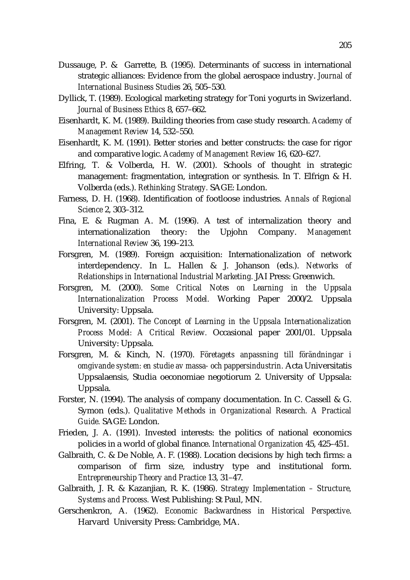- Dussauge, P. & Garrette, B. (1995). Determinants of success in international strategic alliances: Evidence from the global aerospace industry. *Journal of International Business Studies* 26, 505–530.
- Dyllick, T. (1989). Ecological marketing strategy for Toni yogurts in Swizerland. *Journal of Business Ethics* 8, 657–662.
- Eisenhardt, K. M. (1989). Building theories from case study research. *Academy of Management Review* 14, 532–550.
- Eisenhardt, K. M. (1991). Better stories and better constructs: the case for rigor and comparative logic. *Academy of Management Review* 16, 620–627.
- Elfring, T. & Volberda, H. W. (2001). Schools of thought in strategic management: fragmentation, integration or synthesis. In T. Elfrign & H. Volberda (eds.). *Rethinking Strategy.* SAGE: London.
- Farness, D. H. (1968). Identification of footloose industries. *Annals of Regional Science* 2, 303–312.
- Fina, E. & Rugman A. M. (1996). A test of internalization theory and internationalization theory: the Upjohn Company. *Management International Review* 36, 199–213.
- Forsgren, M. (1989). Foreign acquisition: Internationalization of network interdependency. In L. Hallen & J. Johanson (eds.). *Networks of Relationships in International Industrial Marketing.* JAI Press: Greenwich.
- Forsgren, M. (2000). *Some Critical Notes on Learning in the Uppsala Internationalization Process Model.* Working Paper 2000/2. Uppsala University: Uppsala.
- Forsgren, M. (2001). *The Concept of Learning in the Uppsala Internationalization Process Model: A Critical Review.* Occasional paper 2001/01. Uppsala University: Uppsala.
- Forsgren, M. & Kinch, N. (1970). *Företagets anpassning till förändningar i omgivande system: en studie av massa- och pappersindustrin.* Acta Universitatis Uppsalaensis, Studia oeconomiae negotiorum 2. University of Uppsala: Uppsala.
- Forster, N. (1994). The analysis of company documentation. In C. Cassell & G. Symon (eds.). *Qualitative Methods in Organizational Research. A Practical Guide.* SAGE: London.
- Frieden, J. A. (1991). Invested interests: the politics of national economics policies in a world of global finance. *International Organization* 45, 425–451.
- Galbraith, C. & De Noble, A. F. (1988). Location decisions by high tech firms: a comparison of firm size, industry type and institutional form. *Entrepreneurship Theory and Practice* 13, 31–47.
- Galbraith, J. R. & Kazanjian, R. K. (1986). *Strategy Implementation Structure, Systems and Process.* West Publishing: St Paul, MN.
- Gerschenkron, A. (1962). *Economic Backwardness in Historical Perspective*. Harvard University Press: Cambridge, MA.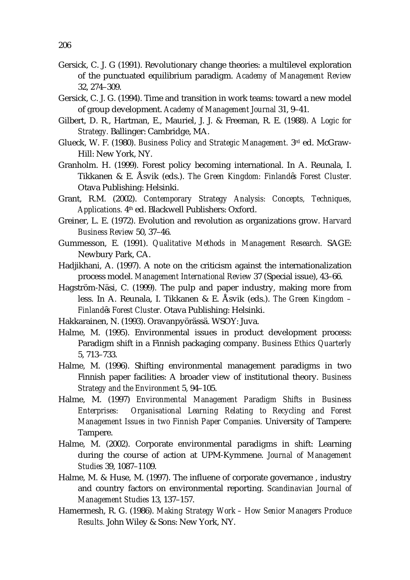- Gersick, C. J. G (1991). Revolutionary change theories: a multilevel exploration of the punctuated equilibrium paradigm. *Academy of Management Review* 32, 274–309.
- Gersick, C. J. G. (1994). Time and transition in work teams: toward a new model of group development. *Academy of Management Journal* 31, 9–41.
- Gilbert, D. R., Hartman, E., Mauriel, J. J. & Freeman, R. E. (1988). *A Logic for Strategy.* Ballinger: Cambridge, MA.
- Glueck, W. F. (1980). *Business Policy and Strategic Management.* 3rd ed. McGraw-Hill: New York, NY.
- Granholm. H. (1999). Forest policy becoming international. In A. Reunala, I. Tikkanen & E. Åsvik (eds.). *The Green Kingdom: Finland s Forest Cluster.* Otava Publishing: Helsinki.
- Grant, R.M. (2002). *Contemporary Strategy Analysis: Concepts, Techniques, Applications.* 4th ed. Blackwell Publishers: Oxford.
- Greiner, L. E. (1972). Evolution and revolution as organizations grow. *Harvard Business Review* 50, 37–46.
- Gummesson, E. (1991). *Qualitative Methods in Management Research.* SAGE: Newbury Park, CA.
- Hadjikhani, A. (1997). A note on the criticism against the internationalization process model. *Management International Review* 37 (Special issue), 43–66.
- Hagström-Näsi, C. (1999). The pulp and paper industry, making more from less. In A. Reunala, I. Tikkanen & E. Åsvik (eds.). *The Green Kingdom – Finland s Forest Cluster.* Otava Publishing: Helsinki.
- Hakkarainen, N. (1993). Oravanpyörässä. WSOY: Juva.
- Halme, M. (1995). Environmental issues in product development process: Paradigm shift in a Finnish packaging company. *Business Ethics Quarterly* 5, 713–733.
- Halme, M. (1996). Shifting environmental management paradigms in two Finnish paper facilities: A broader view of institutional theory. *Business Strategy and the Environment* 5, 94–105.
- Halme, M. (1997) *Environmental Management Paradigm Shifts in Business Enterprises: Organisational Learning Relating to Recycling and Forest Management Issues in two Finnish Paper Companies.* University of Tampere: Tampere.
- Halme, M. (2002). Corporate environmental paradigms in shift: Learning during the course of action at UPM-Kymmene. *Journal of Management Studies* 39, 1087–1109.
- Halme, M. & Huse, M. (1997). The influene of corporate governance , industry and country factors on environmental reporting. *Scandinavian Journal of Management Studies* 13, 137–157.
- Hamermesh, R. G. (1986). *Making Strategy Work How Senior Managers Produce Results.* John Wiley & Sons: New York, NY.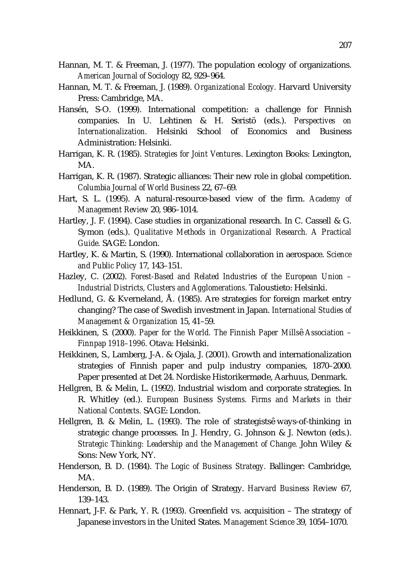- Hannan, M. T. & Freeman, J. (1977). The population ecology of organizations. *American Journal of Sociology* 82, 929–964.
- Hannan, M. T. & Freeman, J. (1989). *Organizational Ecology.* Harvard University Press: Cambridge, MA.
- Hansén, S-O. (1999). International competition: a challenge for Finnish companies. In U. Lehtinen & H. Seristö (eds.). *Perspectives on Internationalization.* Helsinki School of Economics and Business Administration: Helsinki.
- Harrigan, K. R. (1985). *Strategies for Joint Ventures*. Lexington Books: Lexington, MA.
- Harrigan, K. R. (1987). Strategic alliances: Their new role in global competition. *Columbia Journal of World Business* 22, 67–69.
- Hart, S. L. (1995). A natural-resource-based view of the firm. *Academy of Management Review* 20, 986–1014.
- Hartley, J. F. (1994). Case studies in organizational research. In C. Cassell & G. Symon (eds.). *Qualitative Methods in Organizational Research. A Practical Guide.* SAGE: London.
- Hartley, K. & Martin, S. (1990). International collaboration in aerospace. *Science and Public Policy* 17, 143–151.
- Hazley, C. (2002). *Forest-Based and Related Industries of the European Union Industrial Districts, Clusters and Agglomerations.* Taloustieto: Helsinki.
- Hedlund, G. & Kverneland, Å. (1985). Are strategies for foreign market entry changing? The case of Swedish investment in Japan. *International Studies of Management & Organization* 15, 41–59.
- Heikkinen, S. (2000). *Paper for the World. The Finnish Paper Mills Association Finnpap 1918–1996.* Otava: Helsinki.
- Heikkinen, S., Lamberg, J-A. & Ojala, J. (2001). Growth and internationalization strategies of Finnish paper and pulp industry companies, 1870–2000. Paper presented at Det 24. Nordiske Historikermøde, Aarhuus, Denmark.
- Hellgren, B. & Melin, L. (1992). Industrial wisdom and corporate strategies. In R. Whitley (ed.). *European Business Systems. Firms and Markets in their National Contexts.* SAGE: London.
- Hellgren, B. & Melin, L. (1993). The role of strategists ways-of-thinking in strategic change processes. In J. Hendry, G. Johnson & J. Newton (eds.). *Strategic Thinking: Leadership and the Management of Change.* John Wiley & Sons: New York, NY.
- Henderson, B. D. (1984). *The Logic of Business Strategy.* Ballinger: Cambridge, MA.
- Henderson, B. D. (1989). The Origin of Strategy. *Harvard Business Review* 67, 139–143.
- Hennart, J-F. & Park, Y. R. (1993). Greenfield vs. acquisition The strategy of Japanese investors in the United States. *Management Science* 39, 1054–1070.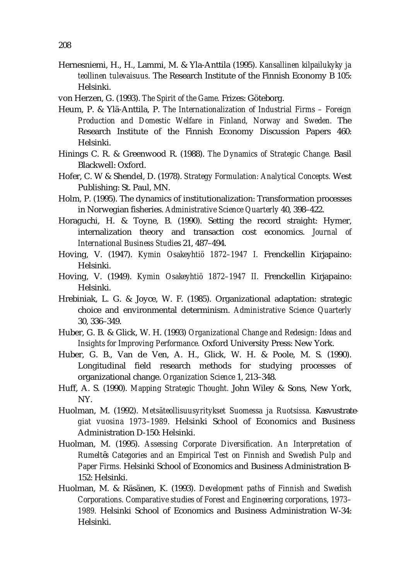- Hernesniemi, H., H., Lammi, M. & Yla-Anttila (1995). *Kansallinen kilpailukyky ja teollinen tulevaisuus.* The Research Institute of the Finnish Economy B 105: Helsinki.
- von Herzen, G. (1993). *The Spirit of the Game.* Frizes: Göteborg.
- Heum, P. & Ylä-Anttila, P. *The Internationalization of Industrial Firms Foreign Production and Domestic Welfare in Finland, Norway and Sweden.* The Research Institute of the Finnish Economy Discussion Papers 460: Helsinki.
- Hinings C. R. & Greenwood R. (1988). *The Dynamics of Strategic Change.* Basil Blackwell: Oxford.
- Hofer, C. W & Shendel, D. (1978). *Strategy Formulation: Analytical Concepts.* West Publishing: St. Paul, MN.
- Holm, P. (1995). The dynamics of institutionalization: Transformation processes in Norwegian fisheries. *Administrative Science Quarterly* 40, 398–422.
- Horaguchi, H. & Toyne, B. (1990). Setting the record straight: Hymer, internalization theory and transaction cost economics. *Journal of International Business Studie*s 21, 487–494.
- Hoving, V. (1947). *Kymin Osakeyhtiö 1872–1947 I.* Frenckellin Kirjapaino: Helsinki.
- Hoving, V. (1949). *Kymin Osakeyhtiö 1872–1947 II.* Frenckellin Kirjapaino: Helsinki.
- Hrebiniak, L. G. & Joyce, W. F. (1985). Organizational adaptation: strategic choice and environmental determinism. *Administrative Science Quarterly*  30, 336–349.
- Huber, G. B. & Glick, W. H. (1993) *Organizational Change and Redesign: Ideas and Insights for Improving Performance.* Oxford University Press: New York.
- Huber, G. B., Van de Ven, A. H., Glick, W. H. & Poole, M. S. (1990). Longitudinal field research methods for studying processes of organizational change. *Organization Science* 1, 213–348.
- Huff, A. S. (1990). *Mapping Strategic Thought.* John Wiley & Sons, New York, NY.
- Huolman, M. (1992). *Metsäteollisuusyritykset Suomessa ja Ruotsissa. Kasvustrategiat vuosina 1973–1989.* Helsinki School of Economics and Business Administration D-150: Helsinki.
- Huolman, M. (1995). *Assessing Corporate Diversification. An Interpretation of Rumelt s Categories and an Empirical Test on Finnish and Swedish Pulp and Paper Firms.* Helsinki School of Economics and Business Administration B-152: Helsinki.
- Huolman, M. & Räsänen, K. (1993). *Development paths of Finnish and Swedish Corporations. Comparative studies of Forest and Engineering corporations, 1973– 1989.* Helsinki School of Economics and Business Administration W-34: Helsinki.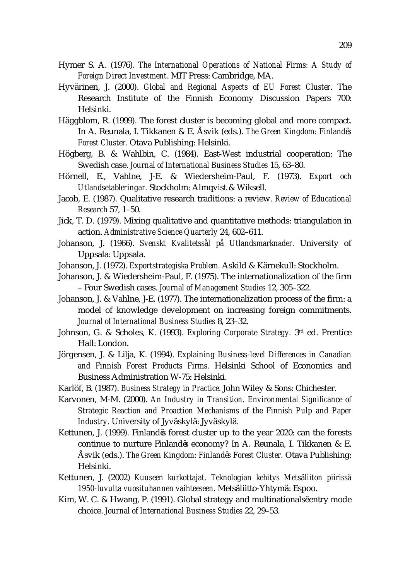- Hymer S. A. (1976). *The International Operations of National Firms: A Study of Foreign Direct Investment*. MIT Press: Cambridge, MA.
- Hyvärinen, J. (2000). *Global and Regional Aspects of EU Forest Cluster.* The Research Institute of the Finnish Economy Discussion Papers 700: Helsinki.
- Häggblom, R. (1999). The forest cluster is becoming global and more compact. In A. Reunala, I. Tikkanen & E. Åsvik (eds.). *The Green Kingdom: Finland s Forest Cluster.* Otava Publishing: Helsinki.
- Högberg, B. & Wahlbin, C. (1984). East-West industrial cooperation: The Swedish case. *Journal of International Business Studies* 15, 63–80.
- Hörnell, E., Vahlne, J-E. & Wiedersheim-Paul, F. (1973). *Export och Utlandsetableringar.* Stockholm: Almqvist & Wiksell.
- Jacob, E. (1987). Qualitative research traditions: a review. *Review of Educational Research* 57, 1–50.
- Jick, T. D. (1979). Mixing qualitative and quantitative methods: triangulation in action. *Administrative Science Quarterly* 24, 602–611.
- Johanson, J. (1966). *Svenskt Kvalitetssål på Utlandsmarknader.* University of Uppsala: Uppsala.
- Johanson, J. (1972). *Exportstrategiska Problem.* Askild & Kärnekull: Stockholm.
- Johanson, J. & Wiedersheim-Paul, F. (1975). The internationalization of the firm – Four Swedish cases. *Journal of Management Studies* 12, 305–322.
- Johanson, J. & Vahlne, J-E. (1977). The internationalization process of the firm: a model of knowledge development on increasing foreign commitments. *Journal of International Business Studies* 8, 23–32.
- Johnson, G. & Scholes, K. (1993). *Exploring Corporate Strategy.* 3rd ed. Prentice Hall: London.
- Jörgensen, J. & Lilja, K. (1994). *Explaining Business-level Differences in Canadian and Finnish Forest Products Firms.* Helsinki School of Economics and Business Administration W-75: Helsinki.
- Karlöf, B. (1987). *Business Strategy in Practice.* John Wiley & Sons: Chichester.
- Karvonen, M-M. (2000). *An Industry in Transition. Environmental Significance of Strategic Reaction and Proaction Mechanisms of the Finnish Pulp and Paper Industry.* University of Jyväskylä: Jyväskylä.
- Kettunen, J. (1999). Finland s forest cluster up to the year 2020: can the forests continue to nurture Finland s economy? In A. Reunala, I. Tikkanen & E. Åsvik (eds.). *The Green Kingdom: Finland s Forest Cluster.* Otava Publishing: Helsinki.
- Kettunen, J. (2002) *Kuuseen kurkottajat. Teknologian kehitys Metsäliiton piirissä 1950-luvulta vuosituhannen vaihteeseen.* Metsäliitto-Yhtymä: Espoo.
- Kim, W. C. & Hwang, P. (1991). Global strategy and multinationals entry mode choice. *Journal of International Business Studies* 22, 29–53.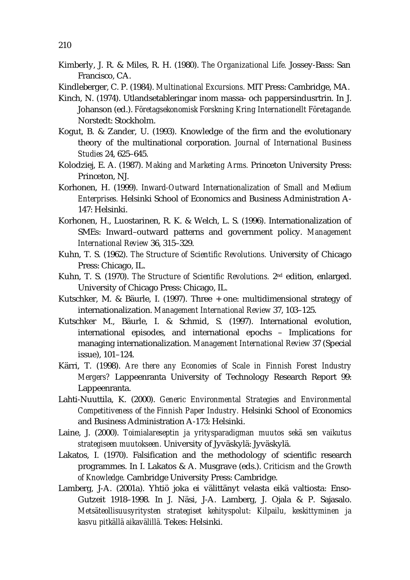- Kimberly, J. R. & Miles, R. H. (1980). *The Organizational Life.* Jossey-Bass: San Francisco, CA.
- Kindleberger, C. P. (1984). *Multinational Excursions.* MIT Press: Cambridge, MA.
- Kinch, N. (1974). Utlandsetableringar inom massa- och pappersindusrtrin. In J. Johanson (ed.). *Företagsekonomisk Forskning Kring Internationellt Företagande.*  Norstedt: Stockholm.
- Kogut, B. & Zander, U. (1993). Knowledge of the firm and the evolutionary theory of the multinational corporation. *Journal of International Business Studies* 24, 625–645.
- Kolodziej, E. A. (1987). *Making and Marketing Arms.* Princeton University Press: Princeton, NJ.
- Korhonen, H. (1999). *Inward-Outward Internationalization of Small and Medium Enterprises.* Helsinki School of Economics and Business Administration A-147: Helsinki.
- Korhonen, H., Luostarinen, R. K. & Welch, L. S. (1996). Internationalization of SMEs: Inward–outward patterns and government policy. *Management International Review* 36, 315–329.
- Kuhn, T. S. (1962). *The Structure of Scientific Revolutions.* University of Chicago Press: Chicago, IL.
- Kuhn, T. S. (1970). *The Structure of Scientific Revolutions.* 2nd edition, enlarged. University of Chicago Press: Chicago, IL.
- Kutschker, M. & Bäurle, I. (1997). Three + one: multidimensional strategy of internationalization. *Management International Review* 37, 103–125.
- Kutschker M., Bäurle, I. & Schmid, S. (1997). International evolution, international episodes, and international epochs – Implications for managing internationalization. *Management International Review* 37 (Special issue), 101–124.
- Kärri, T. (1998). *Are there any Economies of Scale in Finnish Forest Industry Mergers?* Lappeenranta University of Technology Research Report 99: Lappeenranta.
- Lahti-Nuuttila, K. (2000). *Generic Environmental Strategies and Environmental Competitiveness of the Finnish Paper Industry.* Helsinki School of Economics and Business Administration A-173: Helsinki.
- Laine, J. (2000). *Toimialareseptin ja yritysparadigman muutos sekä sen vaikutus strategiseen muutokseen.* University of Jyväskylä: Jyväskylä.
- Lakatos, I. (1970). Falsification and the methodology of scientific research programmes. In I. Lakatos & A. Musgrave (eds.). *Criticism and the Growth of Knowledge.* Cambridge University Press: Cambridge.
- Lamberg, J-A. (2001a). Yhtiö joka ei välittänyt velasta eikä valtiosta: Enso-Gutzeit 1918–1998. In J. Näsi, J-A. Lamberg, J. Ojala & P. Sajasalo. *Metsäteollisuusyritysten strategiset kehityspolut: Kilpailu, keskittyminen ja kasvu pitkällä aikavälillä.* Tekes: Helsinki.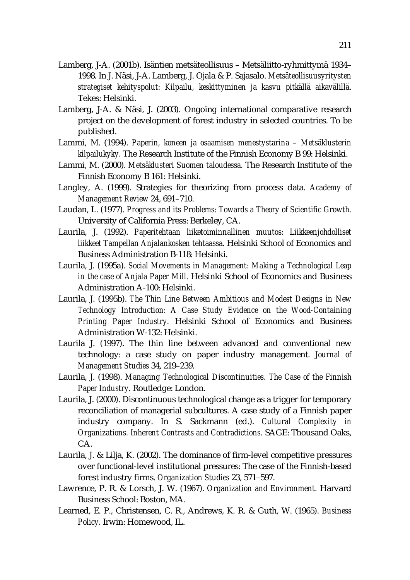- Lamberg, J-A. (2001b). Isäntien metsäteollisuus Metsäliitto-ryhmittymä 1934– 1998. In J. Näsi, J-A. Lamberg, J. Ojala & P. Sajasalo. *Metsäteollisuusyritysten strategiset kehityspolut: Kilpailu, keskittyminen ja kasvu pitkällä aikavälillä.* Tekes: Helsinki.
- Lamberg, J-A. & Näsi, J. (2003). Ongoing international comparative research project on the development of forest industry in selected countries. To be published.
- Lammi, M. (1994). *Paperin, koneen ja osaamisen menestystarina Metsäklusterin kilpailukyky.* The Research Institute of the Finnish Economy B 99: Helsinki.
- Lammi, M. (2000). *Metsäklusteri Suomen taloudessa.* The Research Institute of the Finnish Economy B 161: Helsinki.
- Langley, A. (1999). Strategies for theorizing from process data. *Academy of Management Review* 24, 691–710.
- Laudan, L. (1977). *Progress and its Problems: Towards a Theory of Scientific Growth.*  University of California Press: Berkeley, CA.
- Laurila, J. (1992). *Paperitehtaan liiketoiminnallinen muutos: Liikkeenjohdolliset liikkeet Tampellan Anjalankosken tehtaassa.* Helsinki School of Economics and Business Administration B-118: Helsinki.
- Laurila, J. (1995a). *Social Movements in Management: Making a Technological Leap in the case of Anjala Paper Mill.* Helsinki School of Economics and Business Administration A-100: Helsinki.
- Laurila, J. (1995b). *The Thin Line Between Ambitious and Modest Designs in New Technology Introduction: A Case Study Evidence on the Wood-Containing Printing Paper Industry.* Helsinki School of Economics and Business Administration W-132: Helsinki.
- Laurila J. (1997). The thin line between advanced and conventional new technology: a case study on paper industry management. *Journal of Management Studies* 34, 219–239.
- Laurila, J. (1998). *Managing Technological Discontinuities. The Case of the Finnish Paper Industry.* Routledge: London.
- Laurila, J. (2000). Discontinuous technological change as a trigger for temporary reconciliation of managerial subcultures. A case study of a Finnish paper industry company. In S. Sackmann (ed.). *Cultural Complexity in Organizations. Inherent Contrasts and Contradictions.* SAGE: Thousand Oaks, CA.
- Laurila, J. & Lilja, K. (2002). The dominance of firm-level competitive pressures over functional-level institutional pressures: The case of the Finnish-based forest industry firms. *Organization Studies* 23, 571–597.
- Lawrence, P. R. & Lorsch, J. W. (1967). *Organization and Environment.* Harvard Business School: Boston, MA.
- Learned, E. P., Christensen, C. R., Andrews, K. R. & Guth, W. (1965). *Business Policy.* Irwin: Homewood, IL.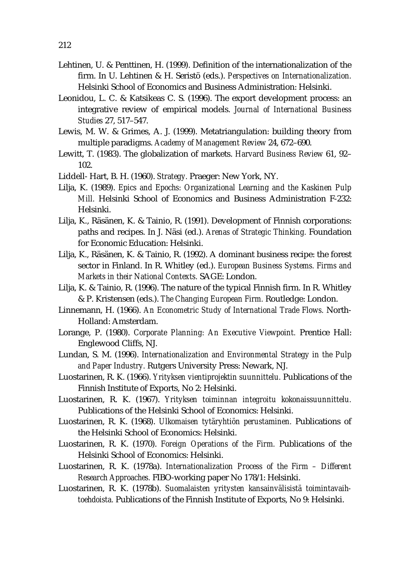- Lehtinen, U. & Penttinen, H. (1999). Definition of the internationalization of the firm. In U. Lehtinen & H. Seristö (eds.). *Perspectives on Internationalization.* Helsinki School of Economics and Business Administration: Helsinki.
- Leonidou, L. C. & Katsikeas C. S. (1996). The export development process: an integrative review of empirical models. *Journal of International Business Studies* 27, 517–547.
- Lewis, M. W. & Grimes, A. J. (1999). Metatriangulation: building theory from multiple paradigms. *Academy of Management Review* 24, 672–690.
- Lewitt, T. (1983). The globalization of markets. *Harvard Business Review* 61, 92– 102.
- Liddell- Hart, B. H. (1960). *Strategy.* Praeger: New York, NY.
- Lilja, K. (1989). *Epics and Epochs: Organizational Learning and the Kaskinen Pulp Mill.* Helsinki School of Economics and Business Administration F-232: Helsinki.
- Lilja, K., Räsänen, K. & Tainio, R. (1991). Development of Finnish corporations: paths and recipes. In J. Näsi (ed.). *Arenas of Strategic Thinking.* Foundation for Economic Education: Helsinki.
- Lilja, K., Räsänen, K. & Tainio, R. (1992). A dominant business recipe: the forest sector in Finland. In R. Whitley (ed.). *European Business Systems. Firms and Markets in their National Contexts.* SAGE: London.
- Lilja, K. & Tainio, R. (1996). The nature of the typical Finnish firm. In R. Whitley & P. Kristensen (eds.). *The Changing European Firm.* Routledge: London.
- Linnemann, H. (1966). *An Econometric Study of International Trade Flows.* North-Holland: Amsterdam.
- Lorange, P. (1980). *Corporate Planning: An Executive Viewpoint.* Prentice Hall: Englewood Cliffs, NJ.
- Lundan, S. M. (1996). *Internationalization and Environmental Strategy in the Pulp and Paper Industry.* Rutgers University Press: Newark, NJ.
- Luostarinen, R. K. (1966). *Yrityksen vientiprojektin suunnittelu.* Publications of the Finnish Institute of Exports, No 2: Helsinki.
- Luostarinen, R. K. (1967). *Yrityksen toiminnan integroitu kokonaissuunnittelu.*  Publications of the Helsinki School of Economics: Helsinki.
- Luostarinen, R. K. (1968). *Ulkomaisen tytäryhtiön perustaminen.* Publications of the Helsinki School of Economics: Helsinki.
- Luostarinen, R. K. (1970). *Foreign Operations of the Firm.* Publications of the Helsinki School of Economics: Helsinki.
- Luostarinen, R. K. (1978a). *Internationalization Process of the Firm Different Research Approaches.* FIBO-working paper No 178/1: Helsinki.
- Luostarinen, R. K. (1978b). *Suomalaisten yritysten kansainvälisistä toimintavaihtoehdoista.* Publications of the Finnish Institute of Exports, No 9: Helsinki.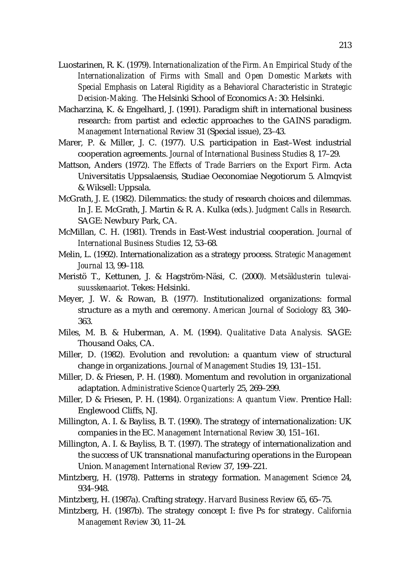- Luostarinen, R. K. (1979). *Internationalization of the Firm. An Empirical Study of the Internationalization of Firms with Small and Open Domestic Markets with Special Emphasis on Lateral Rigidity as a Behavioral Characteristic in Strategic Decision-Making.* The Helsinki School of Economics A: 30: Helsinki.
- Macharzina, K. & Engelhard, J. (1991). Paradigm shift in international business research: from partist and eclectic approaches to the GAINS paradigm. *Management International Review* 31 (Special issue), 23–43.
- Marer, P. & Miller, J. C. (1977). U.S. participation in East–West industrial cooperation agreements. *Journal of International Business Studies* 8, 17–29.
- Mattson, Anders (1972). *The Effects of Trade Barriers on the Export Firm.* Acta Universitatis Uppsalaensis, Studiae Oeconomiae Negotiorum 5. Almqvist & Wiksell: Uppsala.
- McGrath, J. E. (1982). Dilemmatics: the study of research choices and dilemmas. In J. E. McGrath, J. Martin & R. A. Kulka (eds.). *Judgment Calls in Research.* SAGE: Newbury Park, CA.
- McMillan, C. H. (1981). Trends in East-West industrial cooperation. *Journal of International Business Studies* 12, 53–68.
- Melin, L. (1992). Internationalization as a strategy process. *Strategic Management Journal* 13, 99–118.
- Meristö T., Kettunen, J. & Hagström-Näsi, C. (2000). *Metsäklusterin tulevaisuusskenaariot.* Tekes: Helsinki.
- Meyer, J. W. & Rowan, B. (1977). Institutionalized organizations: formal structure as a myth and ceremony. *American Journal of Sociology* 83, 340– 363.
- Miles, M. B. & Huberman, A. M. (1994). *Qualitative Data Analysis.* SAGE: Thousand Oaks, CA.
- Miller, D. (1982). Evolution and revolution: a quantum view of structural change in organizations. *Journal of Management Studies* 19, 131–151.
- Miller, D. & Friesen, P. H. (1980). Momentum and revolution in organizational adaptation. *Administrative Science Quarterly* 25, 269–299.
- Miller, D & Friesen, P. H. (1984). *Organizations: A quantum View.* Prentice Hall: Englewood Cliffs, NJ.
- Millington, A. I. & Bayliss, B. T. (1990). The strategy of internationalization: UK companies in the EC. *Management International Review* 30, 151–161.
- Millington, A. I. & Bayliss, B. T. (1997). The strategy of internationalization and the success of UK transnational manufacturing operations in the European Union. *Management International Review* 37, 199–221.
- Mintzberg, H. (1978). Patterns in strategy formation. *Management Science* 24, 934–948.
- Mintzberg, H. (1987a). Crafting strategy. *Harvard Business Review* 65, 65–75.
- Mintzberg, H. (1987b). The strategy concept I: five Ps for strategy. *California Management Review* 30, 11–24.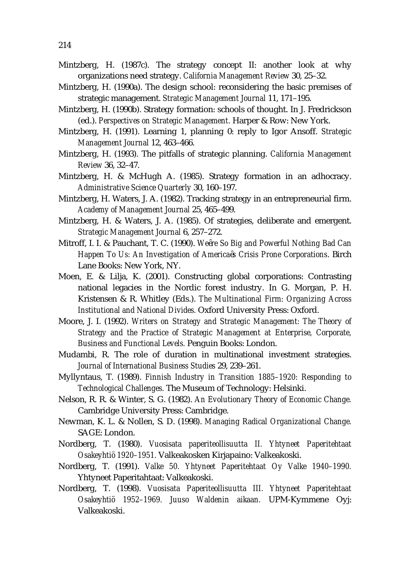- Mintzberg, H. (1987c). The strategy concept II: another look at why organizations need strategy. *California Management Review* 30, 25–32.
- Mintzberg, H. (1990a). The design school: reconsidering the basic premises of strategic management. *Strategic Management Journal* 11, 171–195.
- Mintzberg, H. (1990b). Strategy formation: schools of thought. In J. Fredrickson (ed.). *Perspectives on Strategic Management.* Harper & Row: New York.
- Mintzberg, H. (1991). Learning 1, planning 0: reply to Igor Ansoff. *Strategic Management Journal* 12, 463–466.
- Mintzberg, H. (1993). The pitfalls of strategic planning. *California Management Review* 36, 32–47.
- Mintzberg, H. & McHugh A. (1985). Strategy formation in an adhocracy. *Administrative Science Quarterly* 30, 160–197.
- Mintzberg, H. Waters, J. A. (1982). Tracking strategy in an entrepreneurial firm. *Academy of Management Journal* 25, 465–499.
- Mintzberg, H. & Waters, J. A. (1985). Of strategies, deliberate and emergent. *Strategic Management Journal* 6, 257–272.
- Mitroff, I. I. & Pauchant, T. C. (1990). *We re So Big and Powerful Nothing Bad Can Happen To Us: An Investigation of America s Crisis Prone Corporations*. Birch Lane Books: New York, NY.
- Moen, E. & Lilja, K. (2001). Constructing global corporations: Contrasting national legacies in the Nordic forest industry. In G. Morgan, P. H. Kristensen & R. Whitley (Eds.). *The Multinational Firm: Organizing Across Institutional and National Divides.* Oxford University Press: Oxford.
- Moore, J. I. (1992). *Writers on Strategy and Strategic Management: The Theory of Strategy and the Practice of Strategic Management at Enterprise, Corporate, Business and Functional Levels.* Penguin Books: London.
- Mudambi, R. The role of duration in multinational investment strategies. *Journal of International Business Studies* 29, 239–261.
- Myllyntaus, T. (1989). *Finnish Industry in Transition 1885–1920: Responding to Technological Challenges.* The Museum of Technology: Helsinki.
- Nelson, R. R. & Winter, S. G. (1982). *An Evolutionary Theory of Economic Change.* Cambridge University Press: Cambridge.
- Newman, K. L. & Nollen, S. D. (1998). *Managing Radical Organizational Change.*  SAGE: London.
- Nordberg, T. (1980). *Vuosisata paperiteollisuutta II. Yhtyneet Paperitehtaat Osakeyhtiö 1920–1951.* Valkeakosken Kirjapaino: Valkeakoski.
- Nordberg, T. (1991). *Valke 50. Yhtyneet Paperitehtaat Oy Valke 1940–1990.*  Yhtyneet Paperitahtaat: Valkeakoski.
- Nordberg, T. (1998). *Vuosisata Paperiteollisuutta III. Yhtyneet Paperitehtaat Osakeyhtiö 1952–1969. Juuso Waldenin aikaan.* UPM-Kymmene Oyj: Valkeakoski.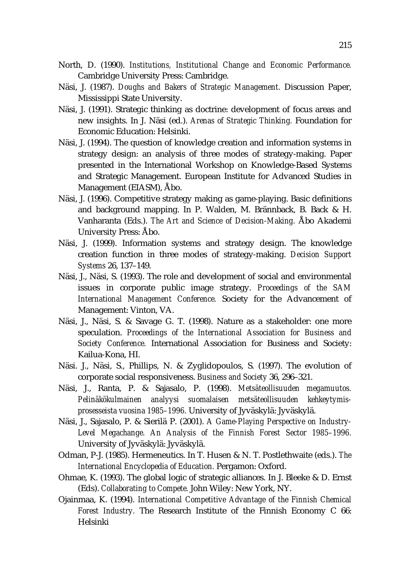- North, D. (1990). *Institutions, Institutional Change and Economic Performance.* Cambridge University Press: Cambridge.
- Näsi, J. (1987). *Doughs and Bakers of Strategic Management.* Discussion Paper, Mississippi State University.
- Näsi, J. (1991). Strategic thinking as doctrine: development of focus areas and new insights. In J. Näsi (ed.). *Arenas of Strategic Thinking.* Foundation for Economic Education: Helsinki.
- Näsi, J. (1994). The question of knowledge creation and information systems in strategy design: an analysis of three modes of strategy-making. Paper presented in the International Workshop on Knowledge-Based Systems and Strategic Management. European Institute for Advanced Studies in Management (EIASM), Åbo.
- Näsi, J. (1996). Competitive strategy making as game-playing. Basic definitions and background mapping. In P. Walden, M. Brännback, B. Back & H. Vanharanta (Eds.). *The Art and Science of Decision-Making.* Åbo Akademi University Press: Åbo.
- Näsi, J. (1999). Information systems and strategy design. The knowledge creation function in three modes of strategy-making. *Decision Support Systems* 26, 137–149.
- Näsi, J., Näsi, S. (1993). The role and development of social and environmental issues in corporate public image strategy. *Proceedings of the SAM International Management Conference.* Society for the Advancement of Management: Vinton, VA.
- Näsi, J., Näsi, S. & Savage G. T. (1998). Nature as a stakeholder: one more speculation. *Proceedings of the International Association for Business and Society Conference.* International Association for Business and Society: Kailua-Kona, HI.
- Näsi. J., Näsi, S., Phillips, N. & Zyglidopoulos, S. (1997). The evolution of corporate social responsiveness. *Business and Society* 36, 296–321.
- Näsi, J., Ranta, P. & Sajasalo, P. (1998). *Metsäteollisuuden megamuutos. Pelinäkökulmainen analyysi suomalaisen metsäteollisuuden kehkeytymisprosesseista vuosina 1985–1996.* University of Jyväskylä: Jyväskylä.
- Näsi, J., Sajasalo, P. & Sierilä P. (2001). *A Game-Playing Perspective on Industry-*Level Megachange. An Analysis of the Finnish Forest Sector 1985-1996. University of Jyväskylä: Jyväskylä.
- Odman, P-J. (1985). Hermeneutics. In T. Husen & N. T. Postlethwaite (eds.). *The International Encyclopedia of Education.* Pergamon: Oxford.
- Ohmae, K. (1993). The global logic of strategic alliances. In J. Bleeke & D. Ernst (Eds). *Collaborating to Compete.* John Wiley: New York, NY.
- Ojainmaa, K. (1994). *International Competitive Advantage of the Finnish Chemical Forest Industry.* The Research Institute of the Finnish Economy C 66: Helsinki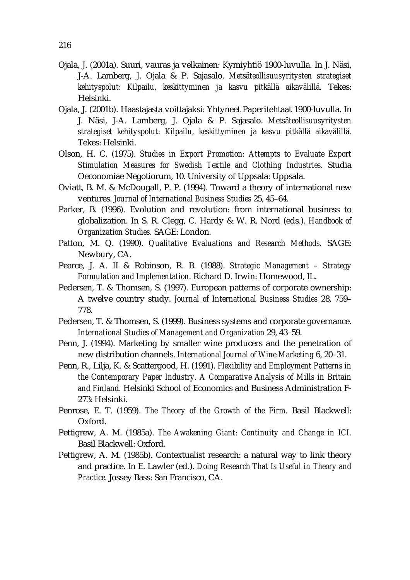- Ojala, J. (2001a). Suuri, vauras ja velkainen: Kymiyhtiö 1900-luvulla. In J. Näsi, J-A. Lamberg, J. Ojala & P. Sajasalo. *Metsäteollisuusyritysten strategiset kehityspolut: Kilpailu, keskittyminen ja kasvu pitkällä aikavälillä.* Tekes: Helsinki.
- Ojala, J. (2001b). Haastajasta voittajaksi: Yhtyneet Paperitehtaat 1900-luvulla. In J. Näsi, J-A. Lamberg, J. Ojala & P. Sajasalo. *Metsäteollisuusyritysten strategiset kehityspolut: Kilpailu, keskittyminen ja kasvu pitkällä aikavälillä.* Tekes: Helsinki.
- Olson, H. C. (1975). *Studies in Export Promotion: Attempts to Evaluate Export Stimulation Measures for Swedish Textile and Clothing Industries.* Studia Oeconomiae Negotiorum, 10. University of Uppsala: Uppsala.
- Oviatt, B. M. & McDougall, P. P. (1994). Toward a theory of international new ventures. *Journal of International Business Studies* 25, 45–64.
- Parker, B. (1996). Evolution and revolution: from international business to globalization. In S. R. Clegg, C. Hardy & W. R. Nord (eds.). *Handbook of Organization Studies.* SAGE: London.
- Patton, M. Q. (1990). *Qualitative Evaluations and Research Methods.* SAGE: Newbury, CA.
- Pearce, J. A. II & Robinson, R. B. (1988). *Strategic Management Strategy Formulation and Implementation.* Richard D. Irwin: Homewood, IL.
- Pedersen, T. & Thomsen, S. (1997). European patterns of corporate ownership: A twelve country study. *Journal of International Business Studies* 28, 759– 778.
- Pedersen, T. & Thomsen, S. (1999). Business systems and corporate governance. *International Studies of Management and Organization* 29, 43–59.
- Penn, J. (1994). Marketing by smaller wine producers and the penetration of new distribution channels. *International Journal of Wine Marketing* 6, 20–31.
- Penn, R., Lilja, K. & Scattergood, H. (1991). *Flexibility and Employment Patterns in the Contemporary Paper Industry. A Comparative Analysis of Mills in Britain and Finland.* Helsinki School of Economics and Business Administration F-273: Helsinki.
- Penrose, E. T. (1959). *The Theory of the Growth of the Firm.* Basil Blackwell: Oxford.
- Pettigrew, A. M. (1985a). *The Awakening Giant: Continuity and Change in ICI.*  Basil Blackwell: Oxford.
- Pettigrew, A. M. (1985b). Contextualist research: a natural way to link theory and practice. In E. Lawler (ed.). *Doing Research That Is Useful in Theory and Practice.* Jossey Bass: San Francisco, CA.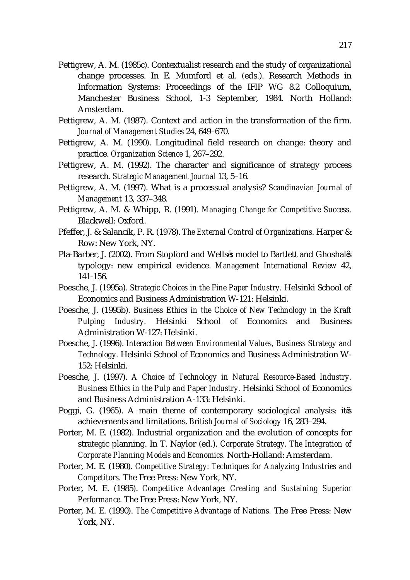- Pettigrew, A. M. (1985c). Contextualist research and the study of organizational change processes. In E. Mumford et al. (eds.). Research Methods in Information Systems: Proceedings of the IFIP WG 8.2 Colloquium, Manchester Business School, 1-3 September, 1984. North Holland: Amsterdam.
- Pettigrew, A. M. (1987). Context and action in the transformation of the firm. *Journal of Management Studies* 24, 649–670.
- Pettigrew, A. M. (1990). Longitudinal field research on change: theory and practice. *Organization Science* 1, 267–292.
- Pettigrew, A. M. (1992). The character and significance of strategy process research. *Strategic Management Journal* 13, 5–16.
- Pettigrew, A. M. (1997). What is a processual analysis? *Scandinavian Journal of Management* 13, 337–348.
- Pettigrew, A. M. & Whipp, R. (1991). *Managing Change for Competitive Success.* Blackwell: Oxford.
- Pfeffer, J. & Salancik, P. R. (1978). *The External Control of Organizations.* Harper & Row: New York, NY.
- Pla-Barber, J. (2002). From Stopford and Wells s model to Bartlett and Ghoshal s typology: new empirical evidence. *Management International Review* 42, 141-156.
- Poesche, J. (1995a). *Strategic Choices in the Fine Paper Industry.* Helsinki School of Economics and Business Administration W-121: Helsinki.
- Poesche, J. (1995b). *Business Ethics in the Choice of New Technology in the Kraft Pulping Industry.* Helsinki School of Economics and Business Administration W-127: Helsinki.
- Poesche, J. (1996). *Interaction Between Environmental Values, Business Strategy and Technology.* Helsinki School of Economics and Business Administration W-152: Helsinki.
- Poesche, J. (1997). *A Choice of Technology in Natural Resource-Based Industry. Business Ethics in the Pulp and Paper Industry.* Helsinki School of Economics and Business Administration A-133: Helsinki.
- Poggi, G. (1965). A main theme of contemporary sociological analysis: it s achievements and limitations. *British Journal of Sociology* 16, 283–294.
- Porter, M. E. (1982). Industrial organization and the evolution of concepts for strategic planning. In T. Naylor (ed.). *Corporate Strategy. The Integration of Corporate Planning Models and Economics.* North-Holland: Amsterdam.
- Porter, M. E. (1980). *Competitive Strategy: Techniques for Analyzing Industries and Competitors.* The Free Press: New York, NY.
- Porter, M. E. (1985). *Competitive Advantage: Creating and Sustaining Superior Performance.* The Free Press: New York, NY.
- Porter, M. E. (1990). *The Competitive Advantage of Nations.* The Free Press: New York, NY.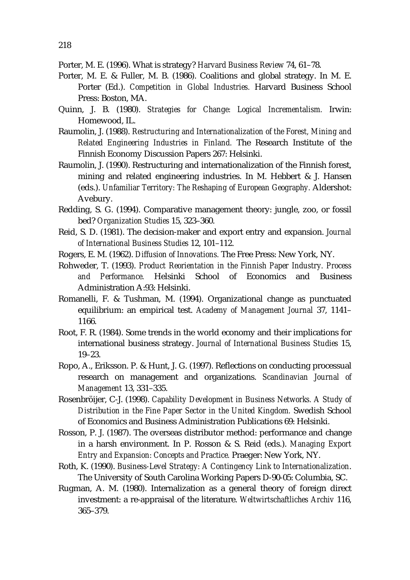- Porter, M. E. & Fuller, M. B. (1986). Coalitions and global strategy. In M. E. Porter (Ed.). *Competition in Global Industries.* Harvard Business School Press: Boston, MA.
- Quinn, J. B. (1980). *Strategies for Change: Logical Incrementalism.* Irwin: Homewood, IL.
- Raumolin, J. (1988). *Restructuring and Internationalization of the Forest, Mining and Related Engineering Industries in Finland.* The Research Institute of the Finnish Economy Discussion Papers 267: Helsinki.
- Raumolin, J. (1990). Restructuring and internationalization of the Finnish forest, mining and related engineering industries. In M. Hebbert & J. Hansen (eds.). *Unfamiliar Territory: The Reshaping of European Geography.* Aldershot: Avebury.
- Redding, S. G. (1994). Comparative management theory: jungle, zoo, or fossil bed? *Organization Studies* 15, 323–360.
- Reid, S. D. (1981). The decision-maker and export entry and expansion. *Journal of International Business Studies* 12, 101–112.
- Rogers, E. M. (1962). *Diffusion of Innovations.* The Free Press: New York, NY.
- Rohweder, T. (1993). *Product Reorientation in the Finnish Paper Industry. Process and Performance.* Helsinki School of Economics and Business Administration A:93: Helsinki.
- Romanelli, F. & Tushman, M. (1994). Organizational change as punctuated equilibrium: an empirical test. *Academy of Management Journal* 37, 1141– 1166.
- Root, F. R. (1984). Some trends in the world economy and their implications for international business strategy. *Journal of International Business Studies* 15, 19–23.
- Ropo, A., Eriksson. P. & Hunt, J. G. (1997). Reflections on conducting processual research on management and organizations. *Scandinavian Journal of Management* 13, 331–335.
- Rosenbröijer, C-J. (1998). *Capability Development in Business Networks. A Study of Distribution in the Fine Paper Sector in the United Kingdom.* Swedish School of Economics and Business Administration Publications 69: Helsinki.
- Rosson, P. J. (1987). The overseas distributor method: performance and change in a harsh environment. In P. Rosson & S. Reid (eds.). *Managing Export Entry and Expansion: Concepts and Practice.* Praeger: New York, NY.
- Roth, K. (1990). *Business-Level Strategy: A Contingency Link to Internationalization*. The University of South Carolina Working Papers D-90-05: Columbia, SC.
- Rugman, A. M. (1980). Internalization as a general theory of foreign direct investment: a re-appraisal of the literature. *Weltwirtschaftliches Archiv* 116, 365–379.

Porter, M. E. (1996). What is strategy? *Harvard Business Review* 74, 61–78.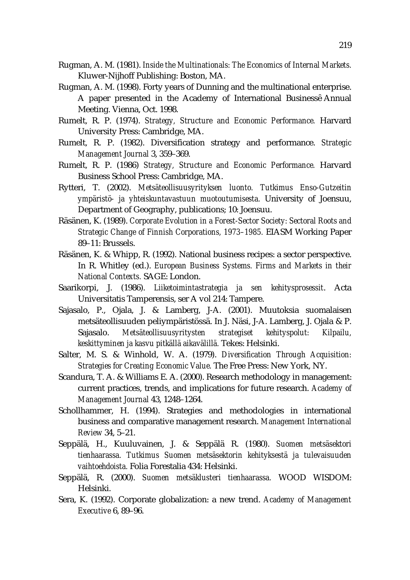- Rugman, A. M. (1981). *Inside the Multinationals: The Economics of Internal Markets.* Kluwer-Nijhoff Publishing: Boston, MA.
- Rugman, A. M. (1998). Forty years of Dunning and the multinational enterprise. A paper presented in the Academy of International Business Annual Meeting. Vienna, Oct. 1998.
- Rumelt, R. P. (1974). *Strategy, Structure and Economic Performance.* Harvard University Press: Cambridge, MA.
- Rumelt, R. P. (1982). Diversification strategy and performance. *Strategic Management Journal* 3, 359–369.
- Rumelt, R. P. (1986) *Strategy, Structure and Economic Performance.* Harvard Business School Press: Cambridge, MA.
- Rytteri, T. (2002). *Metsäteollisuusyrityksen luonto. Tutkimus Enso-Gutzeitin ympäristö- ja yhteiskuntavastuun muotoutumisesta.* University of Joensuu, Department of Geography, publications; 10: Joensuu.
- Räsänen, K. (1989). *Corporate Evolution in a Forest-Sector Society: Sectoral Roots and Strategic Change of Finnish Corporations, 1973–1985.* EIASM Working Paper 89–11: Brussels.
- Räsänen, K. & Whipp, R. (1992). National business recipes: a sector perspective. In R. Whitley (ed.). *European Business Systems. Firms and Markets in their National Contexts.* SAGE: London.
- Saarikorpi, J. (1986). *Liiketoimintastrategia ja sen kehitysprosessit*. Acta Universitatis Tamperensis, ser A vol 214: Tampere.
- Sajasalo, P., Ojala, J. & Lamberg, J-A. (2001). Muutoksia suomalaisen metsäteollisuuden peliympäristössä. In J. Näsi, J-A. Lamberg, J. Ojala & P. Sajasalo. *Metsäteollisuusyritysten strategiset kehityspolut: Kilpailu, keskittyminen ja kasvu pitkällä aikavälillä.* Tekes: Helsinki.
- Salter, M. S. & Winhold, W. A. (1979). *Diversification Through Acquisition: Strategies for Creating Economic Value.* The Free Press: New York, NY.
- Scandura, T. A. & Williams E. A. (2000). Research methodology in management: current practices, trends, and implications for future research. *Academy of Management Journal* 43, 1248–1264.
- Schollhammer, H. (1994). Strategies and methodologies in international business and comparative management research. *Management International Review* 34, 5–21.
- Seppälä, H., Kuuluvainen, J. & Seppälä R. (1980). *Suomen metsäsektori tienhaarassa. Tutkimus Suomen metsäsektorin kehityksestä ja tulevaisuuden vaihtoehdoista.* Folia Forestalia 434: Helsinki.
- Seppälä, R. (2000). *Suomen metsäklusteri tienhaarassa.* WOOD WISDOM: Helsinki.
- Sera, K. (1992). Corporate globalization: a new trend. *Academy of Management Executive* 6, 89–96.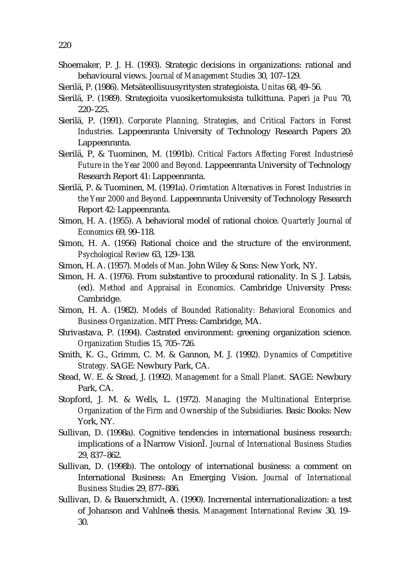- Shoemaker, P. J. H. (1993). Strategic decisions in organizations: rational and behavioural views. *Journal of Management Studies* 30, 107–129.
- Sierilä, P. (1986). Metsäteollisuusyritysten strategioista. *Unitas* 68, 49–56.
- Sierilä, P. (1989). Strategioita vuosikertomuksista tulkittuna. *Paperi ja Puu* 70, 220–225.
- Sierilä, P. (1991). *Corporate Planning, Strategies, and Critical Factors in Forest Industries.* Lappeenranta University of Technology Research Papers 20: Lappeenranta.
- Sierilä, P, & Tuominen, M. (1991b). *Critical Factors Affecting Forest Industries Future in the Year 2000 and Beyond.* Lappeenranta University of Technology Research Report 41: Lappeenranta.
- Sierilä, P. & Tuominen, M. (1991a). *Orientation Alternatives in Forest Industries in the Year 2000 and Beyond.* Lappeenranta University of Technology Research Report 42: Lappeenranta.
- Simon, H. A. (1955). A behavioral model of rational choice. *Quarterly Journal of Economics* 69, 99–118.
- Simon, H. A. (1956) Rational choice and the structure of the environment. *Psychological Review* 63, 129–138.
- Simon, H. A. (1957). *Models of Man.* John Wiley & Sons: New York, NY.
- Simon, H. A. (1976). From substantive to procedural rationality. In S. J. Latsis, (ed). *Method and Appraisal in Economics*. Cambridge University Press: Cambridge.
- Simon, H. A. (1982). *Models of Bounded Rationality: Behavioral Economics and Business Organization*. MIT Press: Cambridge, MA.
- Shrivastava, P. (1994). Castrated environment: greening organization science. *Organization Studies* 15, 705–726.
- Smith, K. G., Grimm, C. M. & Gannon, M. J. (1992). *Dynamics of Competitive Strategy.* SAGE: Newbury Park, CA.
- Stead, W. E. & Stead, J. (1992). *Management for a Small Planet.* SAGE: Newbury Park, CA.
- Stopford, J. M. & Wells, L. (1972). *Managing the Multinational Enterprise. Organization of the Firm and Ownership of the Subsidiaries.* Basic Books: New York, NY.
- Sullivan, D. (1998a). Cognitive tendencies in international business research: implications of a Narrow Vision . *Journal of International Business Studies* 29, 837–862.
- Sullivan, D. (1998b). The ontology of international business: a comment on International Business: An Emerging Vision. *Journal of International Business Studies* 29, 877–886.
- Sullivan, D. & Bauerschmidt, A. (1990). Incremental internationalization: a test of Johanson and Vahlne s thesis. *Management International Review* 30, 19– 30.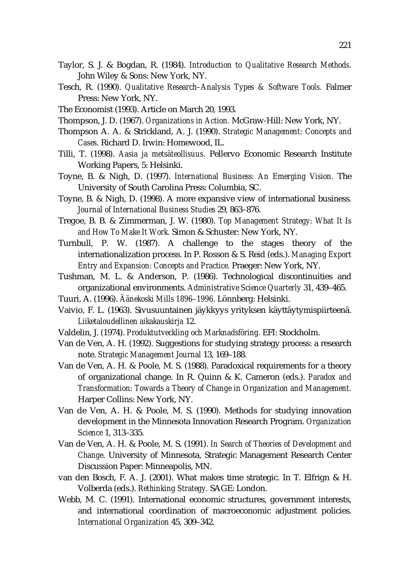- Taylor, S. J. & Bogdan, R. (1984). *Introduction to Qualitative Research Methods.*  John Wiley & Sons: New York, NY.
- Tesch, R. (1990). *Qualitative Research–Analysis Types & Software Tools.* Falmer Press: New York, NY.
- The Economist (1993). Article on March 20, 1993.
- Thompson, J. D. (1967). *Organizations in Action.* McGraw-Hill: New York, NY.
- Thompson A. A. & Strickland, A. J. (1990). *Strategic Management: Concepts and Cases.* Richard D. Irwin: Homewood, IL.
- Tilli, T. (1998). *Aasia ja metsäteollisuus.* Pellervo Economic Research Institute Working Papers, 5: Helsinki.
- Toyne, B. & Nigh, D. (1997). *International Business: An Emerging Vision.* The University of South Carolina Press: Columbia, SC.
- Toyne, B. & Nigh, D. (1998). A more expansive view of international business*. Journal of International Business Studies* 29, 863–876.
- Tregoe, B. B. & Zimmerman, J. W. (1980). *Top Management Strategy: What It Is and How To Make It Work.* Simon & Schuster: New York, NY.
- Turnbull, P. W. (1987). A challenge to the stages theory of the internationalization process. In P. Rosson & S. Reid (eds.). *Managing Export Entry and Expansion: Concepts and Practice.* Praeger: New York, NY.
- Tushman, M. L. & Anderson, P. (1986). Technological discontinuities and organizational environments. *Administrative Science Quarterly* 31, 439–465.
- Tuuri, A. (1996). *Äänekoski Mills 1896–1996.* Lönnberg: Helsinki.
- Vaivio, F. L. (1963). Sivusuuntainen jäykkyys yrityksen käyttäytymispiirteenä. *Liiketaloudellinen aikakauskirja* 12.
- Valdelin, J. (1974). *Produktutveckling och Marknadsföring.* EFI: Stockholm.
- Van de Ven, A. H. (1992). Suggestions for studying strategy process: a research note. *Strategic Management Journal* 13, 169–188.
- Van de Ven, A. H. & Poole, M. S. (1988). Paradoxical requirements for a theory of organizational change. In R. Quinn & K. Cameron (eds.). *Paradox and Transformation: Towards a Theory of Change in Organization and Management.*  Harper Collins: New York, NY.
- Van de Ven, A. H. & Poole, M. S. (1990). Methods for studying innovation development in the Minnesota Innovation Research Program. *Organization Science* 1, 313–335.
- Van de Ven, A. H. & Poole, M. S. (1991). *In Search of Theories of Development and Change.* University of Minnesota, Strategic Management Research Center Discussion Paper: Minneapolis, MN.
- van den Bosch, F. A. J. (2001). What makes time strategic. In T. Elfrign & H. Volberda (eds.). *Rethinking Strategy.* SAGE: London.
- Webb, M. C. (1991). International economic structures, government interests, and international coordination of macroeconomic adjustment policies. *International Organization* 45, 309–342.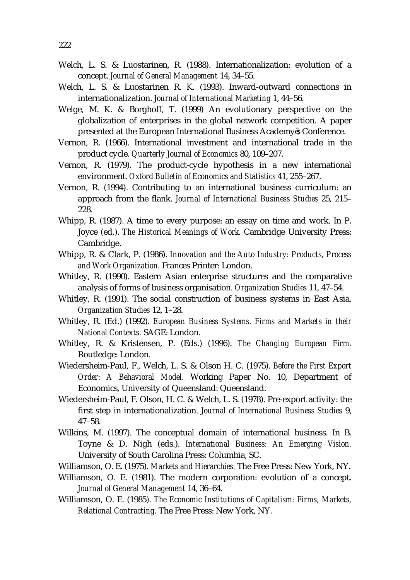- Welch, L. S. & Luostarinen, R. (1988). Internationalization: evolution of a concept. *Journal of General Management* 14, 34–55.
- Welch, L. S. & Luostarinen R. K. (1993). Inward-outward connections in internationalization. *Journal of International Marketing* 1, 44–56.
- Welge, M. K. & Borghoff, T. (1999) An evolutionary perspective on the globalization of enterprises in the global network competition. A paper presented at the European International Business Academy s Conference.
- Vernon, R. (1966). International investment and international trade in the product cycle. *Quarterly Journal of Economics* 80, 109–207.
- Vernon, R. (1979). The product-cycle hypothesis in a new international environment. *Oxford Bulletin of Economics and Statistics* 41, 255–267.
- Vernon, R. (1994). Contributing to an international business curriculum: an approach from the flank. *Journal of International Business Studies* 25, 215– 228.
- Whipp, R. (1987). A time to every purpose: an essay on time and work. In P. Joyce (ed.). *The Historical Meanings of Work.* Cambridge University Press: Cambridge.
- Whipp, R. & Clark, P. (1986). *Innovation and the Auto Industry: Products, Process and Work Organization.* Frances Printer: London.
- Whitley, R. (1990). Eastern Asian enterprise structures and the comparative analysis of forms of business organisation. *Organization Studies* 11, 47–54.
- Whitley, R. (1991). The social construction of business systems in East Asia. *Organization Studies* 12, 1–28.
- Whitley, R. (Ed.) (1992). *European Business Systems. Firms and Markets in their National Contexts.* SAGE: London.
- Whitley, R. & Kristensen, P. (Eds.) (1996). *The Changing European Firm.* Routledge: London.
- Wiedersheim-Paul, F., Welch, L. S. & Olson H. C. (1975). *Before the First Export Order: A Behavioral Model.* Working Paper No. 10, Department of Economics, University of Queensland: Queensland.
- Wiedersheim-Paul, F. Olson, H. C. & Welch, L. S. (1978). Pre-export activity: the first step in internationalization. *Journal of International Business Studies* 9, 47–58.
- Wilkins, M. (1997). The conceptual domain of international business. In B. Toyne & D. Nigh (eds.). *International Business: An Emerging Vision.*  University of South Carolina Press: Columbia, SC.
- Williamson, O. E. (1975). *Markets and Hierarchies.* The Free Press: New York, NY.
- Williamson, O. E. (1981). The modern corporation: evolution of a concept. *Journal of General Management* 14, 36–64.
- Williamson, O. E. (1985). *The Economic Institutions of Capitalism: Firms, Markets, Relational Contracting.* The Free Press: New York, NY.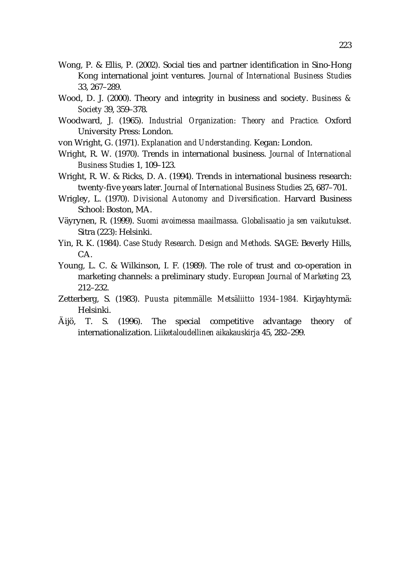- Wong, P. & Ellis, P. (2002). Social ties and partner identification in Sino-Hong Kong international joint ventures. *Journal of International Business Studies* 33, 267–289.
- Wood, D. J. (2000). Theory and integrity in business and society. *Business & Society* 39, 359–378.
- Woodward, J. (1965). *Industrial Organization: Theory and Practice.* Oxford University Press: London.
- von Wright, G. (1971). *Explanation and Understanding.* Kegan: London.
- Wright, R. W. (1970). Trends in international business. *Journal of International Business Studies* 1, 109–123.
- Wright, R. W. & Ricks, D. A. (1994). Trends in international business research: twenty-five years later. *Journal of International Business Studies* 25, 687–701.
- Wrigley, L. (1970). *Divisional Autonomy and Diversification.* Harvard Business School: Boston, MA.
- Väyrynen, R. (1999). *Suomi avoimessa maailmassa. Globalisaatio ja sen vaikutukset.* Sitra (223): Helsinki.
- Yin, R. K. (1984). *Case Study Research. Design and Methods.* SAGE: Beverly Hills, CA.
- Young, L. C. & Wilkinson, I. F. (1989). The role of trust and co-operation in marketing channels: a preliminary study. *European Journal of Marketing* 23, 212–232.
- Zetterberg, S. (1983). *Puusta pitemmälle: Metsäliitto 1934–1984.* Kirjayhtymä: Helsinki.
- Äijö, T. S. (1996). The special competitive advantage theory of internationalization. *Liiketaloudellinen aikakauskirja* 45, 282–299.